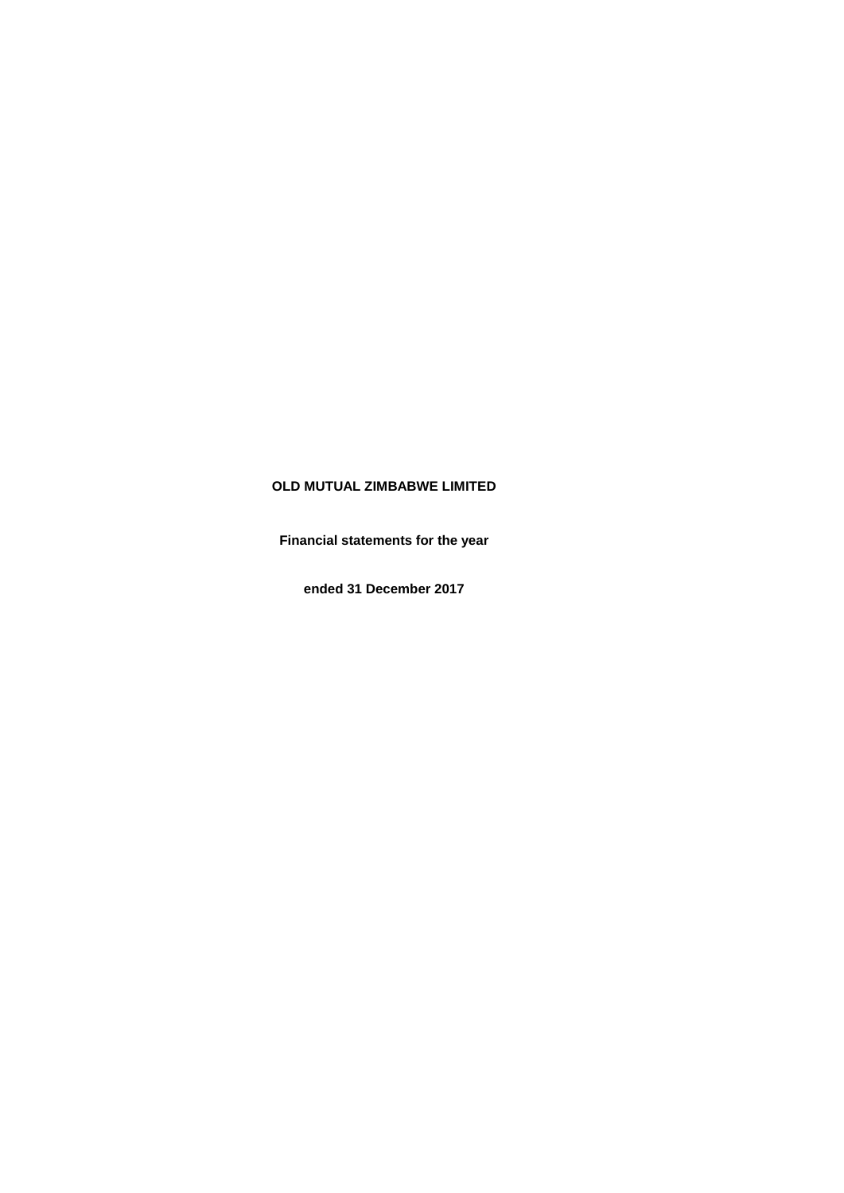# **OLD MUTUAL ZIMBABWE LIMITED**

**Financial statements for the year**

**ended 31 December 2017**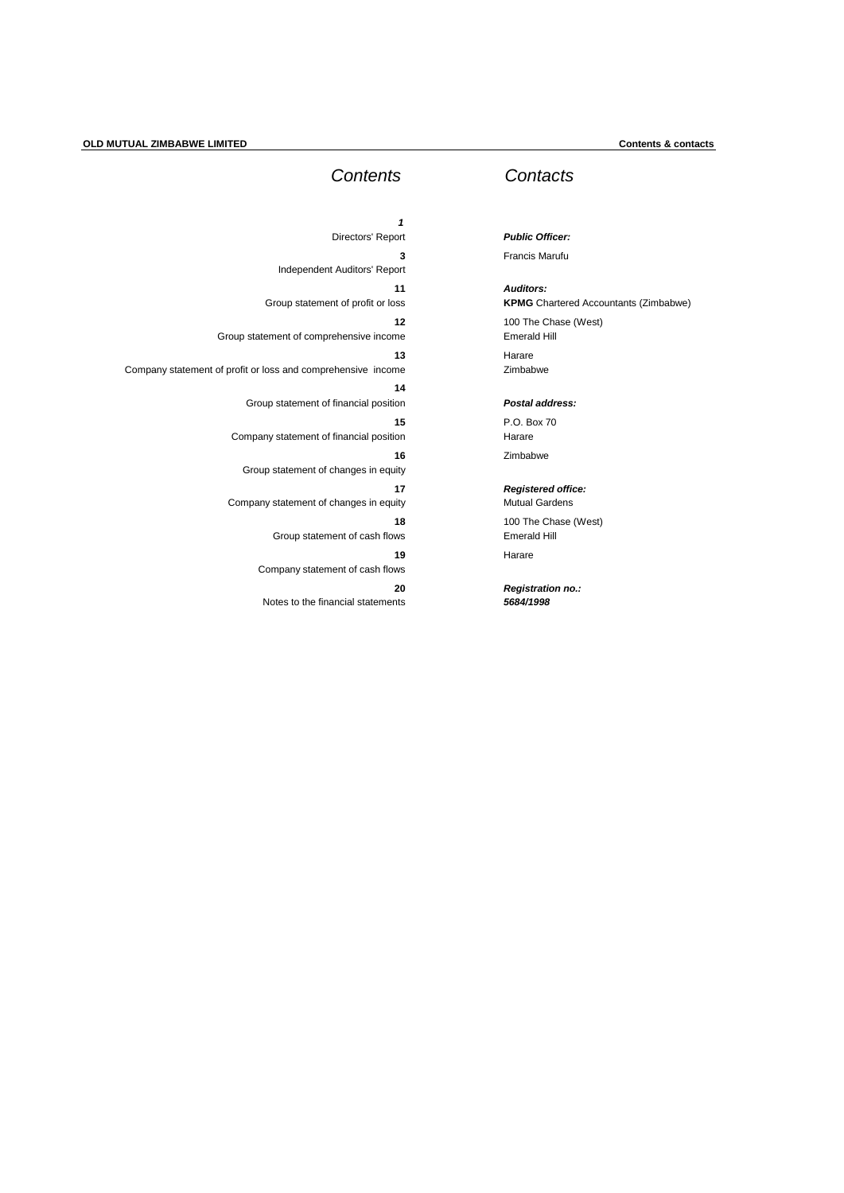# *Contents*

| 1                                             |                                                              |
|-----------------------------------------------|--------------------------------------------------------------|
| Directors' Report                             |                                                              |
| 3<br>Independent Auditors' Report             |                                                              |
| 11<br>Group statement of profit or loss       |                                                              |
| 12<br>Group statement of comprehensive income |                                                              |
| 13                                            | Company statement of profit or loss and comprehensive income |
| 14<br>Group statement of financial position   |                                                              |
| 15<br>Company statement of financial position |                                                              |
| 16<br>Group statement of changes in equity    |                                                              |
| 17<br>Company statement of changes in equity  |                                                              |
| 18<br>Group statement of cash flows           |                                                              |
| 19<br>Company statement of cash flows         |                                                              |
| 20<br>Notes to the financial statements       |                                                              |

# *Contacts*

*Public Officer:* Francis Marufu

*Auditors:* **KPMG** Chartered Accountants (Zimbabwe) 100 The Chase (West) Emerald Hill Harare Zimbabwe

*Postal address:*

P.O. Box 70 Harare Zimbabwe

# *Registered office:*

Mutual Gardens 100 The Chase (West) Emerald Hill Harare

*Registration no.: 5684/1998*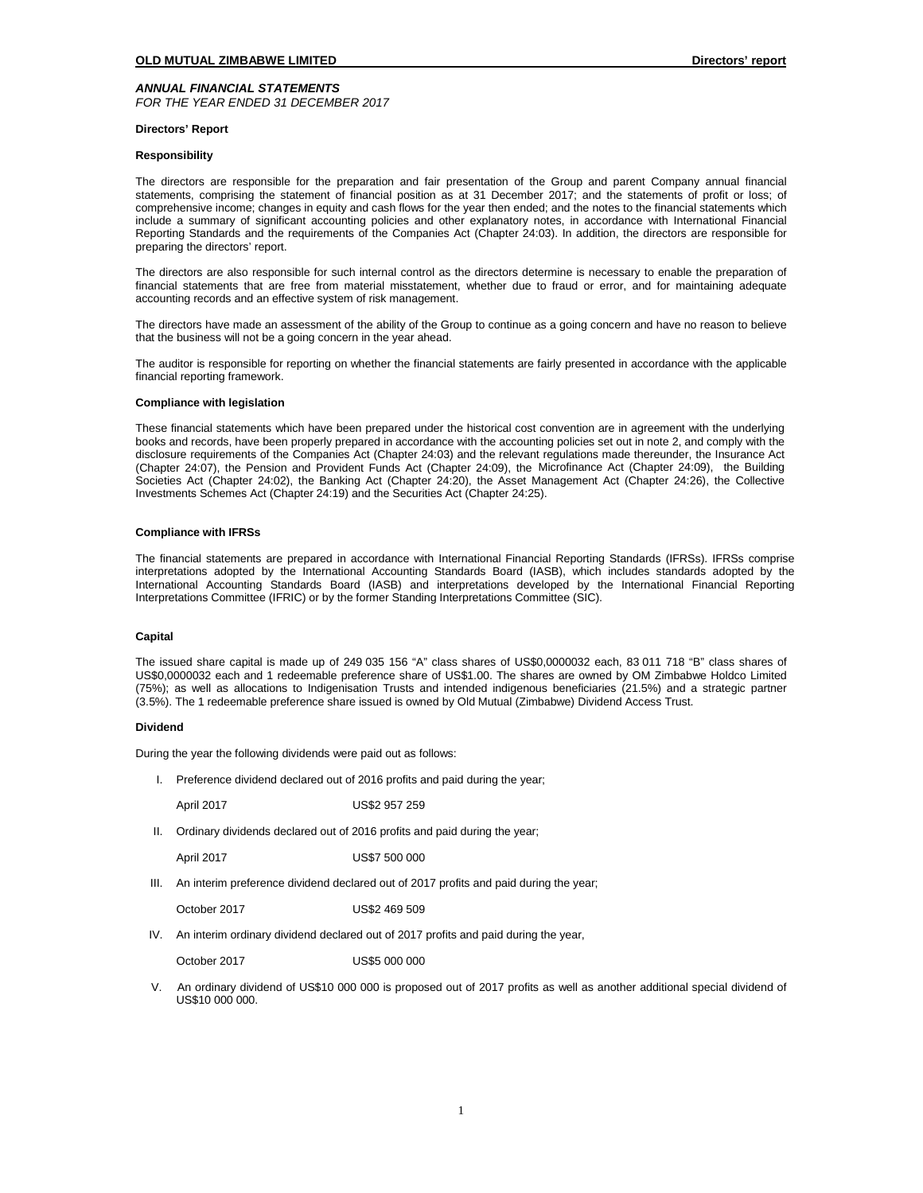*ANNUAL FINANCIAL STATEMENTS FOR THE YEAR ENDED 31 DECEMBER 2017*

### **Directors' Report**

# **Responsibility**

The directors are responsible for the preparation and fair presentation of the Group and parent Company annual financial statements, comprising the statement of financial position as at 31 December 2017; and the statements of profit or loss; of comprehensive income; changes in equity and cash flows for the year then ended; and the notes to the financial statements which include a summary of significant accounting policies and other explanatory notes, in accordance with International Financial Reporting Standards and the requirements of the Companies Act (Chapter 24:03). In addition, the directors are responsible for preparing the directors' report.

The directors are also responsible for such internal control as the directors determine is necessary to enable the preparation of financial statements that are free from material misstatement, whether due to fraud or error, and for maintaining adequate accounting records and an effective system of risk management.

The directors have made an assessment of the ability of the Group to continue as a going concern and have no reason to believe that the business will not be a going concern in the year ahead.

The auditor is responsible for reporting on whether the financial statements are fairly presented in accordance with the applicable financial reporting framework.

### **Compliance with legislation**

These financial statements which have been prepared under the historical cost convention are in agreement with the underlying books and records, have been properly prepared in accordance with the accounting policies set out in note 2, and comply with the disclosure requirements of the Companies Act (Chapter 24:03) and the relevant regulations made thereunder, the Insurance Act (Chapter 24:07), the Pension and Provident Funds Act (Chapter 24:09), the Microfinance Act (Chapter 24:09), the Building Societies Act (Chapter 24:02), the Banking Act (Chapter 24:20), the Asset Management Act (Chapter 24:26), the Collective Investments Schemes Act (Chapter 24:19) and the Securities Act (Chapter 24:25).

# **Compliance with IFRSs**

The financial statements are prepared in accordance with International Financial Reporting Standards (IFRSs). IFRSs comprise interpretations adopted by the International Accounting Standards Board (IASB), which includes standards adopted by the International Accounting Standards Board (IASB) and interpretations developed by the International Financial Reporting Interpretations Committee (IFRIC) or by the former Standing Interpretations Committee (SIC).

# **Capital**

The issued share capital is made up of 249 035 156 "A" class shares of US\$0,0000032 each, 83 011 718 "B" class shares of US\$0,0000032 each and 1 redeemable preference share of US\$1.00. The shares are owned by OM Zimbabwe Holdco Limited (75%); as well as allocations to Indigenisation Trusts and intended indigenous beneficiaries (21.5%) and a strategic partner (3.5%). The 1 redeemable preference share issued is owned by Old Mutual (Zimbabwe) Dividend Access Trust.

### **Dividend**

During the year the following dividends were paid out as follows:

I. Preference dividend declared out of 2016 profits and paid during the year;

April 2017 US\$2 957 259

II. Ordinary dividends declared out of 2016 profits and paid during the year;

April 2017 US\$7 500 000

III. An interim preference dividend declared out of 2017 profits and paid during the year;

October 2017 US\$2 469 509

IV. An interim ordinary dividend declared out of 2017 profits and paid during the year,

October 2017 US\$5 000 000

 V.An ordinary dividend of US\$10 000 000 is proposed out of 2017 profits as well as another additional special dividend of US\$10,000,000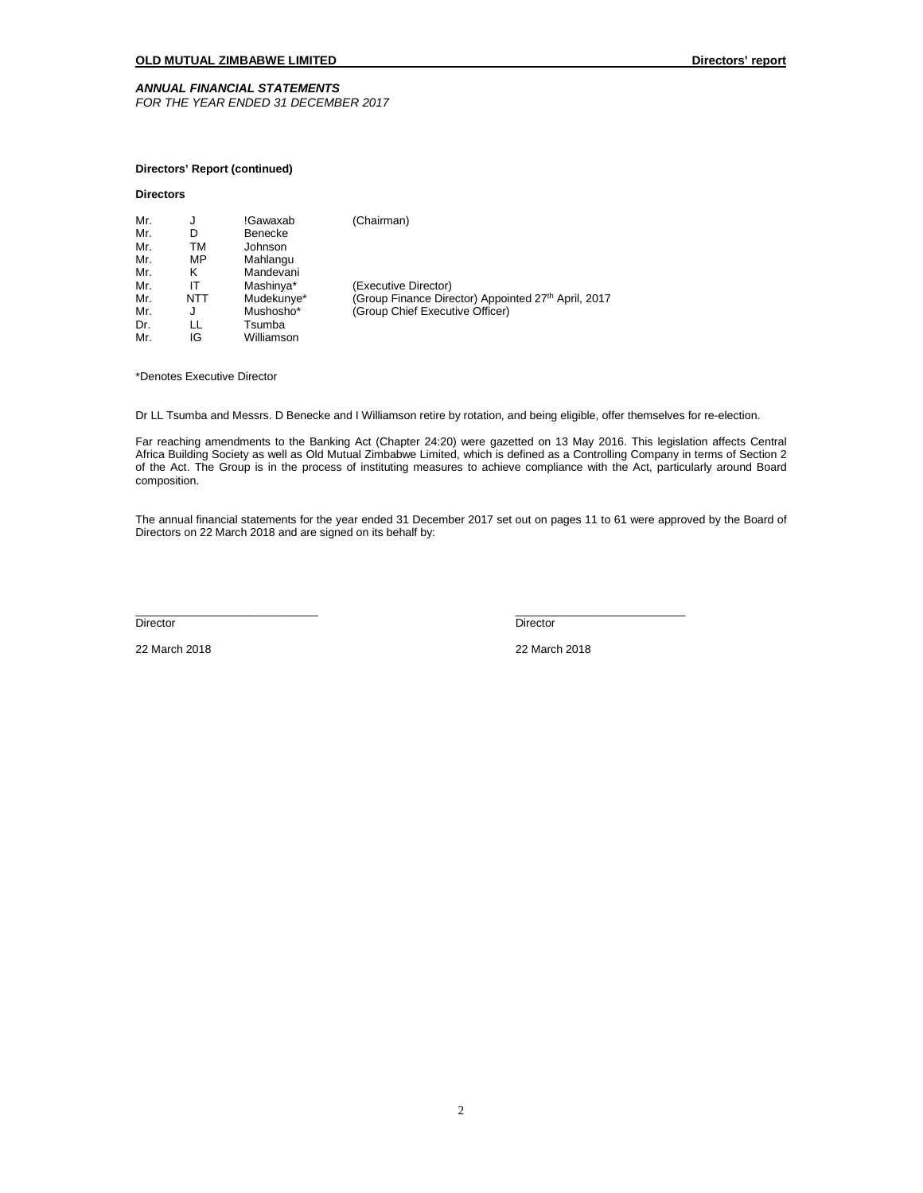# *ANNUAL FINANCIAL STATEMENTS*

*FOR THE YEAR ENDED 31 DECEMBER 2017*

# **Directors' Report (continued)**

# **Directors**

| Mr. | J   | !Gawaxab   | (Chairman)                                          |
|-----|-----|------------|-----------------------------------------------------|
| Mr. | D   | Benecke    |                                                     |
| Mr. | тм  | Johnson    |                                                     |
| Mr. | MP  | Mahlangu   |                                                     |
| Mr. | κ   | Mandevani  |                                                     |
| Mr. | IΤ  | Mashinya*  | (Executive Director)                                |
| Mr. | NTT | Mudekunye* | (Group Finance Director) Appointed 27th April, 2017 |
| Mr. | J   | Mushosho*  | (Group Chief Executive Officer)                     |
| Dr. | LL  | Tsumba     |                                                     |
| Mr. | IG  | Williamson |                                                     |

\*Denotes Executive Director

Dr LL Tsumba and Messrs. D Benecke and I Williamson retire by rotation, and being eligible, offer themselves for re-election.

Far reaching amendments to the Banking Act (Chapter 24:20) were gazetted on 13 May 2016. This legislation affects Central Africa Building Society as well as Old Mutual Zimbabwe Limited, which is defined as a Controlling Company in terms of Section 2 of the Act. The Group is in the process of instituting measures to achieve compliance with the Act, particularly around Board composition.

The annual financial statements for the year ended 31 December 2017 set out on pages 11 to 61 were approved by the Board of Directors on 22 March 2018 and are signed on its behalf by:

Director Director

\_\_\_\_\_\_\_\_\_\_\_\_\_\_\_\_\_\_\_\_\_\_\_\_\_\_\_\_\_ \_\_\_\_\_\_\_\_\_\_\_\_\_\_\_\_\_\_\_\_\_\_\_\_\_\_\_

22 March 2018 22 March 2018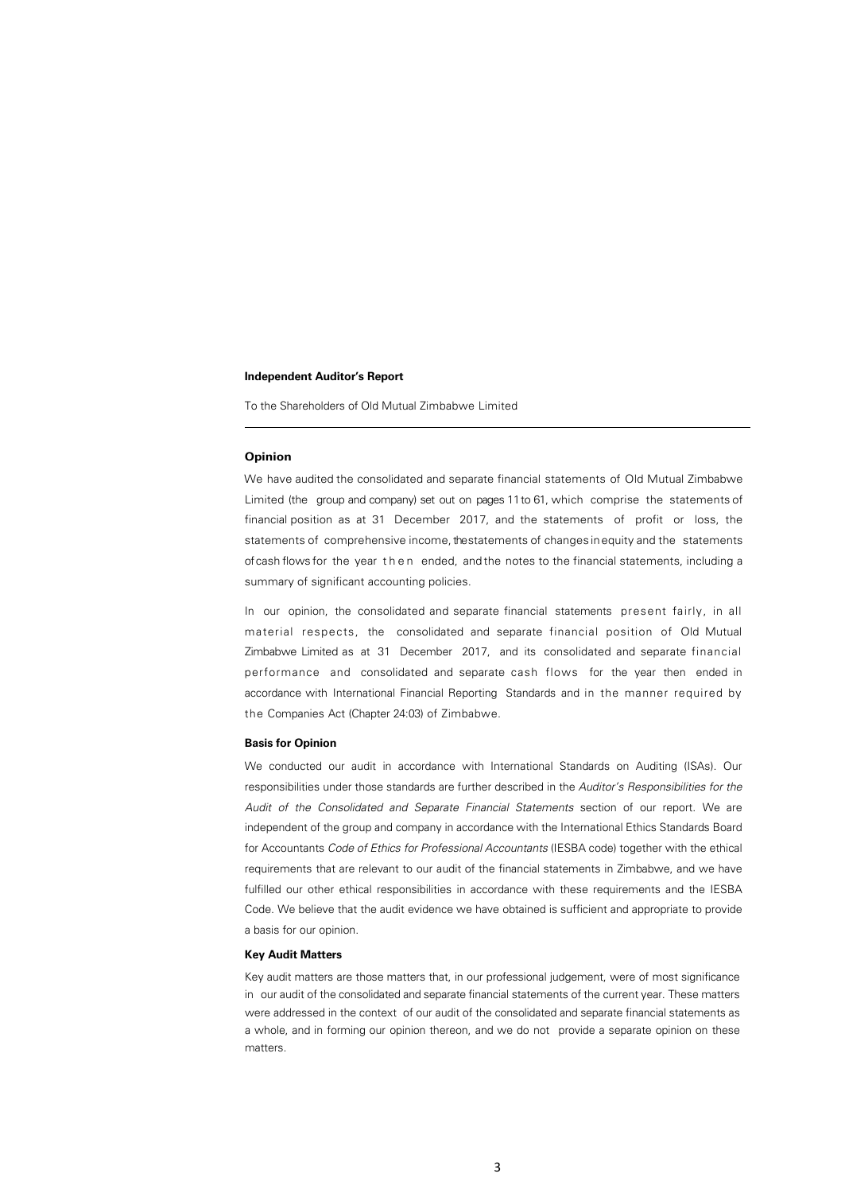To the Shareholders of Old Mutual Zimbabwe Limited

# **Opinion**

We have audited the consolidated and separate financial statements of Old Mutual Zimbabwe Limited (the group and company) set out on pages 11to 61, which comprise the statements of financial position as at 31 December 2017, and the statements of profit or loss, the statements of comprehensive income, the statements of changes inequity and the statements ofcash flows for the year then ended, and the notes to the financial statements, including a summary of significant accounting policies.

In our opinion, the consolidated and separate financial statements present fairly, in all material respects, the consolidated and separate financial position of Old Mutual Zimbabwe Limited as at 31 December 2017, and its consolidated and separate financial performance and consolidated and separate cash flows for the year then ended in accordance with International Financial Reporting Standards and in the manner required by the Companies Act (Chapter 24:03) of Zimbabwe.

# **Basis for Opinion**

We conducted our audit in accordance with International Standards on Auditing (ISAs). Our responsibilities under those standards are further described in the Auditor's Responsibilities for the Audit of the Consolidated and Separate Financial Statements section of our report. We are independent of the group and company in accordance with the International Ethics Standards Board for Accountants Code of Ethics for Professional Accountants (IESBA code) together with the ethical requirements that are relevant to our audit of the financial statements in Zimbabwe, and we have fulfilled our other ethical responsibilities in accordance with these requirements and the IESBA Code. We believe that the audit evidence we have obtained is sufficient and appropriate to provide a basis for our opinion.

# **Key Audit Matters**

Key audit matters are those matters that, in our professional judgement, were of most significance in our audit of the consolidated and separate financial statements of the current year. These matters were addressed in the context of our audit of the consolidated and separate financial statements as a whole, and in forming our opinion thereon, and we do not provide a separate opinion on these matters.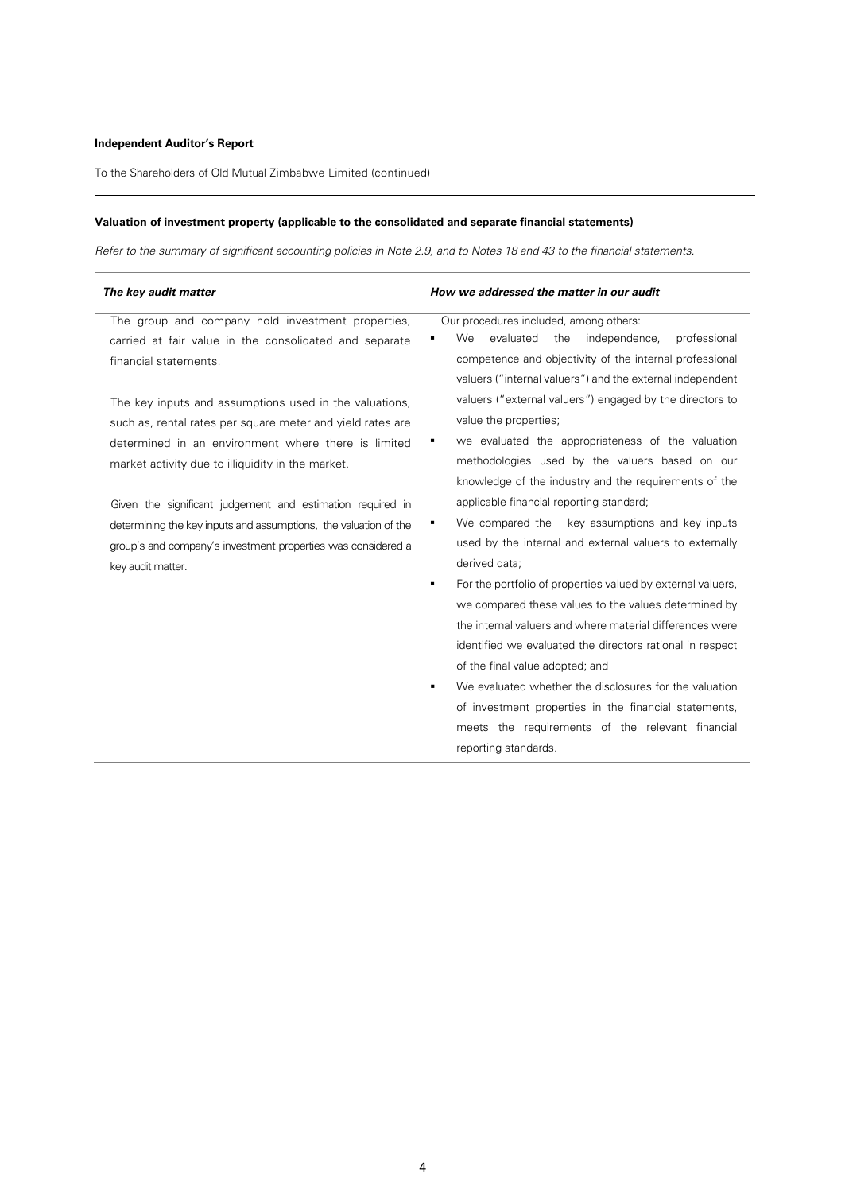J.

To the Shareholders of Old Mutual Zimbabwe Limited (continued)

# **Valuation of investment property (applicable to the consolidated and separate financial statements)**

Refer to the summary of significant accounting policies in Note 2.9, and to Notes 18 and 43 to the financial statements.

| The key audit matter                                                                                                                                                                                                             | How we addressed the matter in our audit                                                                                                                                                                                                                                                                                                                                                                                                                                                                                                                                                                                                                                   |  |  |
|----------------------------------------------------------------------------------------------------------------------------------------------------------------------------------------------------------------------------------|----------------------------------------------------------------------------------------------------------------------------------------------------------------------------------------------------------------------------------------------------------------------------------------------------------------------------------------------------------------------------------------------------------------------------------------------------------------------------------------------------------------------------------------------------------------------------------------------------------------------------------------------------------------------------|--|--|
| The group and company hold investment properties,<br>carried at fair value in the consolidated and separate<br>financial statements.                                                                                             | Our procedures included, among others:<br>evaluated<br>professional<br>We<br>the<br>independence,<br>competence and objectivity of the internal professional<br>valuers ("internal valuers") and the external independent                                                                                                                                                                                                                                                                                                                                                                                                                                                  |  |  |
| The key inputs and assumptions used in the valuations,<br>such as, rental rates per square meter and yield rates are<br>determined in an environment where there is limited<br>market activity due to illiquidity in the market. | valuers ("external valuers") engaged by the directors to<br>value the properties;<br>we evaluated the appropriateness of the valuation<br>methodologies used by the valuers based on our<br>knowledge of the industry and the requirements of the                                                                                                                                                                                                                                                                                                                                                                                                                          |  |  |
| Given the significant judgement and estimation required in<br>determining the key inputs and assumptions, the valuation of the<br>group's and company's investment properties was considered a<br>key audit matter.              | applicable financial reporting standard;<br>We compared the<br>key assumptions and key inputs<br>٠<br>used by the internal and external valuers to externally<br>derived data;<br>For the portfolio of properties valued by external valuers,<br>٠<br>we compared these values to the values determined by<br>the internal valuers and where material differences were<br>identified we evaluated the directors rational in respect<br>of the final value adopted; and<br>We evaluated whether the disclosures for the valuation<br>٠<br>of investment properties in the financial statements,<br>meets the requirements of the relevant financial<br>reporting standards. |  |  |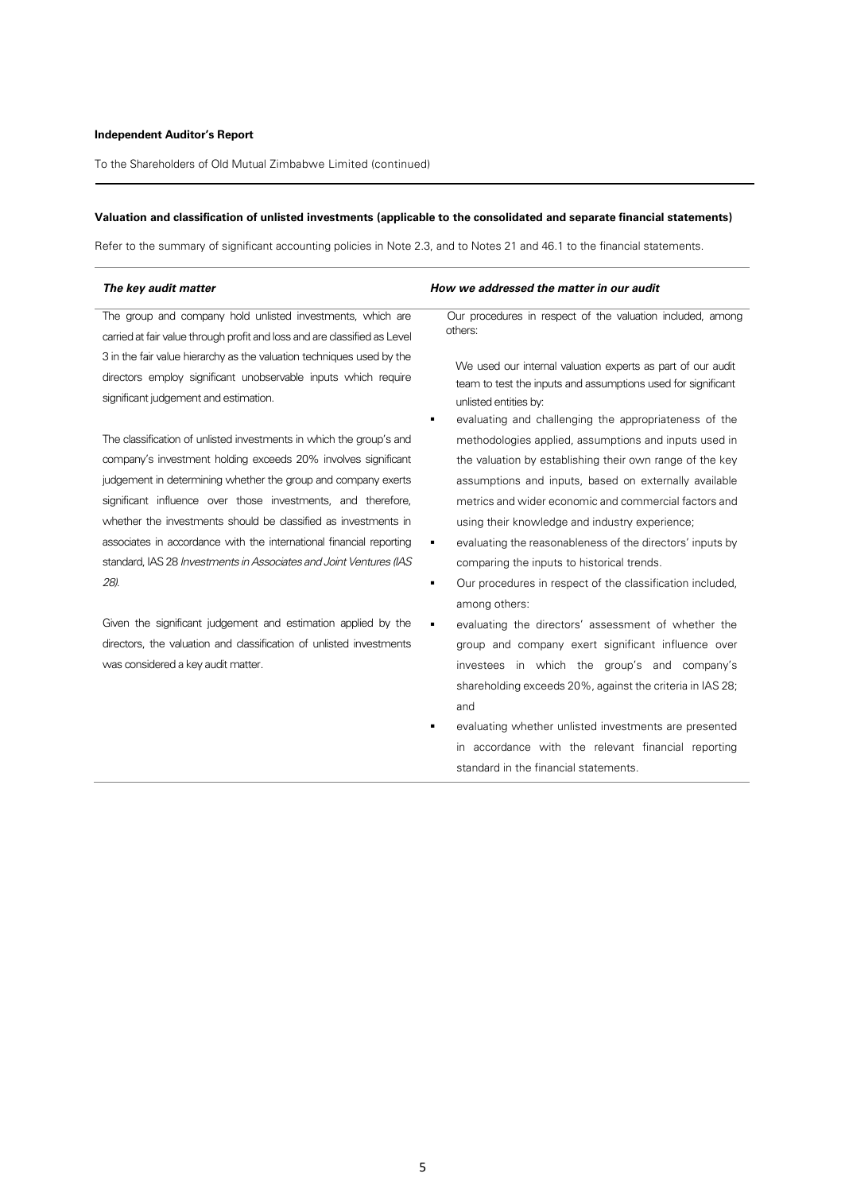To the Shareholders of Old Mutual Zimbabwe Limited (continued)

# **Valuation and classification of unlisted investments (applicable to the consolidated and separate financial statements)**

Refer to the summary of significant accounting policies in Note 2.3, and to Notes 21 and 46.1 to the financial statements.

| The key audit matter                                                      | How we addressed the matter in our audit                     |
|---------------------------------------------------------------------------|--------------------------------------------------------------|
| The group and company hold unlisted investments, which are                | Our procedures in respect of the valuation included, among   |
| carried at fair value through profit and loss and are classified as Level | others:                                                      |
| 3 in the fair value hierarchy as the valuation techniques used by the     | We used our internal valuation experts as part of our audit  |
| directors employ significant unobservable inputs which require            | team to test the inputs and assumptions used for significant |
| significant judgement and estimation.                                     | unlisted entities by:                                        |
|                                                                           | evaluating and challenging the appropriateness of the        |
| The classification of unlisted investments in which the group's and       | methodologies applied, assumptions and inputs used in        |
| company's investment holding exceeds 20% involves significant             | the valuation by establishing their own range of the key     |
| judgement in determining whether the group and company exerts             | assumptions and inputs, based on externally available        |
| significant influence over those investments, and therefore,              | metrics and wider economic and commercial factors and        |
| whether the investments should be classified as investments in            | using their knowledge and industry experience;               |
| associates in accordance with the international financial reporting       | evaluating the reasonableness of the directors' inputs by    |
| standard, IAS 28 Investments in Associates and Joint Ventures (IAS        | comparing the inputs to historical trends.                   |
| 28).                                                                      | Our procedures in respect of the classification included,    |
|                                                                           |                                                              |

Given the significant judgement and estimation applied by the directors, the valuation and classification of unlisted investments was considered a key audit matter.

- methodologies applied, assumptions and inputs used in the valuation by establishing their own range of the key assumptions and inputs, based on externally available metrics and wider economic and commercial factors and
- evaluating the reasonableness of the directors' inputs by
- **Dure procedures in respect of the classification included,** among others:
- evaluating the directors' assessment of whether the group and company exert significant influence over investees in which the group's and company's shareholding exceeds 20%, against the criteria in IAS 28; and
- evaluating whether unlisted investments are presented in accordance with the relevant financial reporting standard in the financial statements.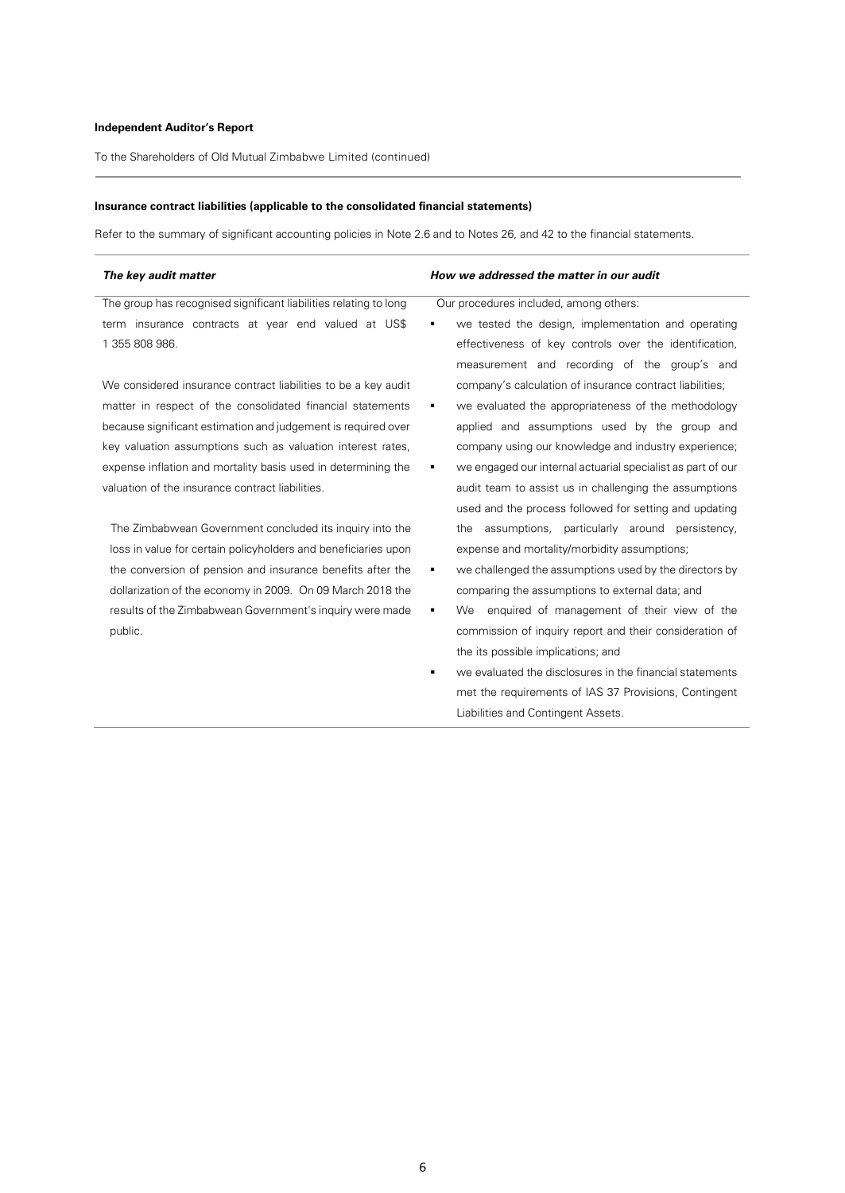To the Shareholders of Old Mutual Zimbabwe Limited (continued)

# **Insurance contract liabilities (applicable to the consolidated financial statements)**

Refer to the summary of significant accounting policies in Note 2.6 and to Notes 26, and 42 to the financial statements.

| The key audit matter                                              | How we addressed the matter in our audit                         |  |  |
|-------------------------------------------------------------------|------------------------------------------------------------------|--|--|
| The group has recognised significant liabilities relating to long | Our procedures included, among others:                           |  |  |
| term insurance contracts at year end valued at US\$               | we tested the design, implementation and operating               |  |  |
| 1 355 808 986.                                                    | effectiveness of key controls over the identification,           |  |  |
|                                                                   | measurement and recording of the group's and                     |  |  |
| We considered insurance contract liabilities to be a key audit    | company's calculation of insurance contract liabilities;         |  |  |
| matter in respect of the consolidated financial statements        | we evaluated the appropriateness of the methodology              |  |  |
| because significant estimation and judgement is required over     | applied and assumptions used by the group and                    |  |  |
| key valuation assumptions such as valuation interest rates,       | company using our knowledge and industry experience;             |  |  |
| expense inflation and mortality basis used in determining the     | we engaged our internal actuarial specialist as part of our<br>٠ |  |  |
| valuation of the insurance contract liabilities.                  | audit team to assist us in challenging the assumptions           |  |  |
|                                                                   | used and the process followed for setting and updating           |  |  |
| The Zimbabwean Government concluded its inquiry into the          | assumptions, particularly around persistency,<br>the             |  |  |
| loss in value for certain policyholders and beneficiaries upon    | expense and mortality/morbidity assumptions;                     |  |  |
| the conversion of pension and insurance benefits after the        | we challenged the assumptions used by the directors by<br>٠      |  |  |
| dollarization of the economy in 2009. On 09 March 2018 the        | comparing the assumptions to external data; and                  |  |  |
| results of the Zimbabwean Government's inquiry were made          | enquired of management of their view of the<br>We<br>٠           |  |  |
| public.                                                           | commission of inquiry report and their consideration of          |  |  |
|                                                                   | the its possible implications; and                               |  |  |
|                                                                   | we evaluated the disclosures in the financial statements<br>٠    |  |  |
|                                                                   | met the requirements of IAS 37 Provisions, Contingent            |  |  |
|                                                                   | Liabilities and Contingent Assets.                               |  |  |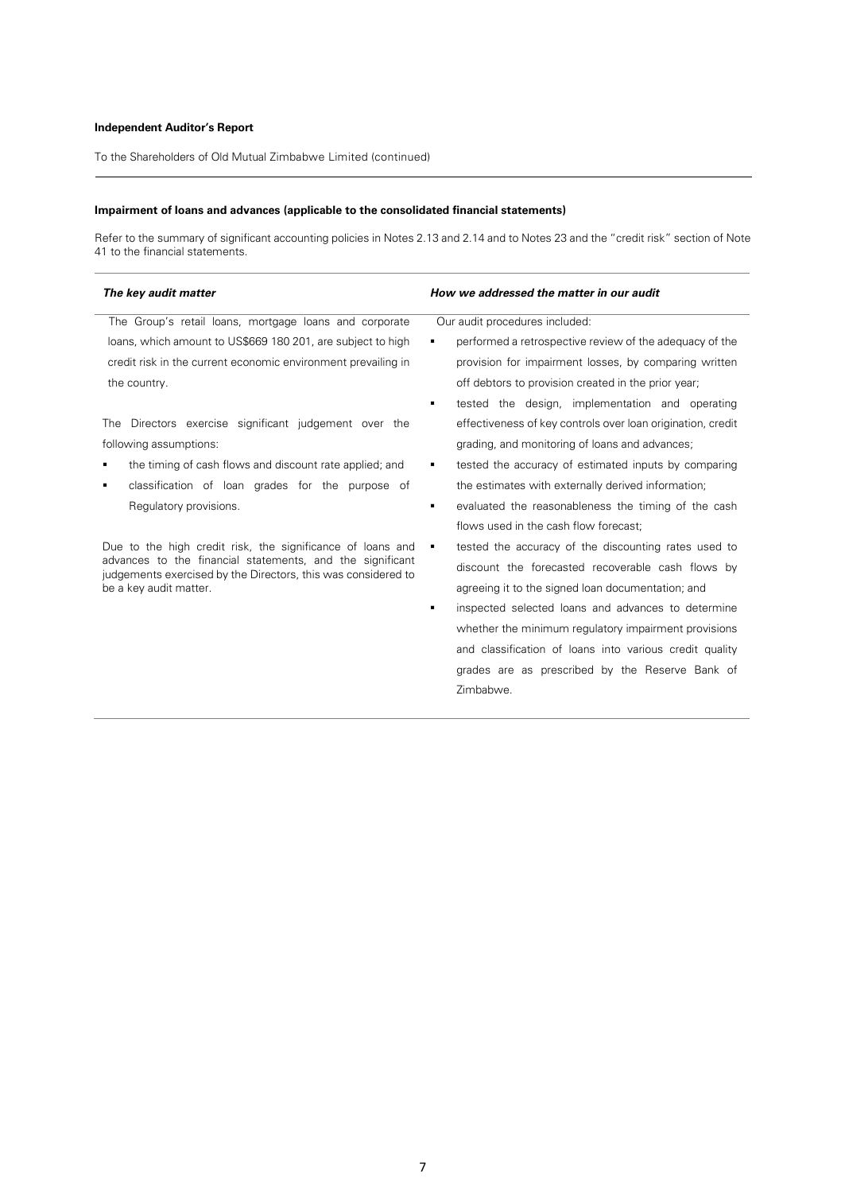To the Shareholders of Old Mutual Zimbabwe Limited (continued)

# **Impairment of loans and advances (applicable to the consolidated financial statements)**

Refer to the summary of significant accounting policies in Notes 2.13 and 2.14 and to Notes 23 and the "credit risk" section of Note 41 to the financial statements.

| The key audit matter                                                                                                       | How we addressed the matter in our audit                    |
|----------------------------------------------------------------------------------------------------------------------------|-------------------------------------------------------------|
| The Group's retail loans, mortgage loans and corporate                                                                     | Our audit procedures included:                              |
| loans, which amount to US\$669 180 201, are subject to high                                                                | performed a retrospective review of the adequacy of the     |
| credit risk in the current economic environment prevailing in                                                              | provision for impairment losses, by comparing written       |
| the country.                                                                                                               | off debtors to provision created in the prior year;         |
|                                                                                                                            | tested the design, implementation and operating             |
| The Directors exercise significant judgement over the                                                                      | effectiveness of key controls over loan origination, credit |
| following assumptions:                                                                                                     | grading, and monitoring of loans and advances;              |
| the timing of cash flows and discount rate applied; and                                                                    | tested the accuracy of estimated inputs by comparing<br>٠   |
| classification of loan grades for the purpose of<br>٠                                                                      | the estimates with externally derived information;          |
| Regulatory provisions.                                                                                                     | evaluated the reasonableness the timing of the cash<br>٠    |
|                                                                                                                            | flows used in the cash flow forecast;                       |
| Due to the high credit risk, the significance of loans and                                                                 | tested the accuracy of the discounting rates used to<br>٠   |
| advances to the financial statements, and the significant<br>judgements exercised by the Directors, this was considered to | discount the forecasted recoverable cash flows by           |
| be a key audit matter.                                                                                                     | agreeing it to the signed loan documentation; and           |
|                                                                                                                            | inspected selected loans and advances to determine<br>٠     |
|                                                                                                                            | whether the minimum regulatory impairment provisions        |
|                                                                                                                            | and classification of loans into various credit quality     |
|                                                                                                                            | grades are as prescribed by the Reserve Bank of             |
|                                                                                                                            | Zimbabwe.                                                   |
|                                                                                                                            |                                                             |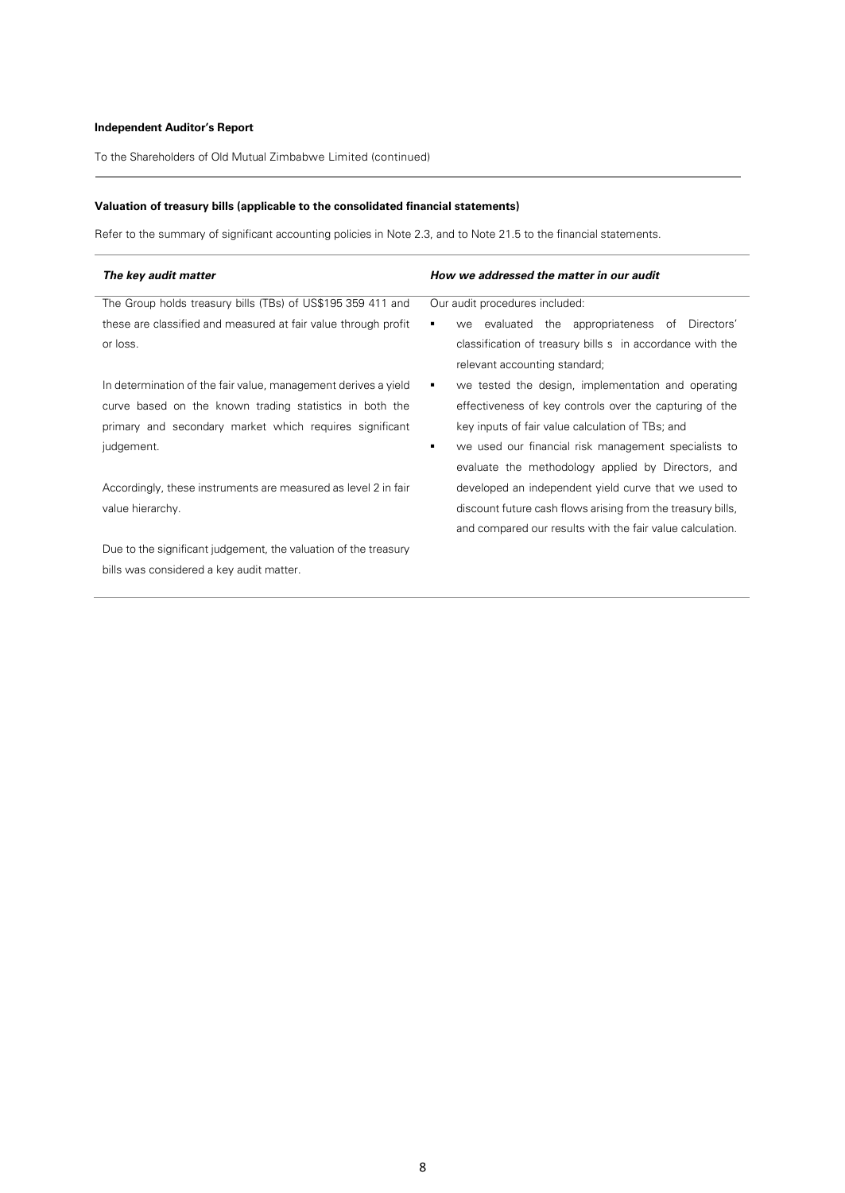To the Shareholders of Old Mutual Zimbabwe Limited (continued)

# **Valuation of treasury bills (applicable to the consolidated financial statements)**

Refer to the summary of significant accounting policies in Note 2.3, and to Note 21.5 to the financial statements.

| The key audit matter                                            | How we addressed the matter in our audit                    |  |  |
|-----------------------------------------------------------------|-------------------------------------------------------------|--|--|
| The Group holds treasury bills (TBs) of US\$195 359 411 and     | Our audit procedures included:                              |  |  |
| these are classified and measured at fair value through profit  | we evaluated the appropriateness of Directors'<br>٠         |  |  |
| or loss.                                                        | classification of treasury bills s in accordance with the   |  |  |
|                                                                 | relevant accounting standard;                               |  |  |
| In determination of the fair value, management derives a yield  | we tested the design, implementation and operating<br>٠     |  |  |
| curve based on the known trading statistics in both the         | effectiveness of key controls over the capturing of the     |  |  |
| primary and secondary market which requires significant         | key inputs of fair value calculation of TBs; and            |  |  |
| judgement.                                                      | we used our financial risk management specialists to<br>٠   |  |  |
|                                                                 | evaluate the methodology applied by Directors, and          |  |  |
| Accordingly, these instruments are measured as level 2 in fair  | developed an independent yield curve that we used to        |  |  |
| value hierarchy.                                                | discount future cash flows arising from the treasury bills, |  |  |
|                                                                 | and compared our results with the fair value calculation.   |  |  |
| Due to the significant judgement, the valuation of the treasury |                                                             |  |  |
| bills was considered a key audit matter.                        |                                                             |  |  |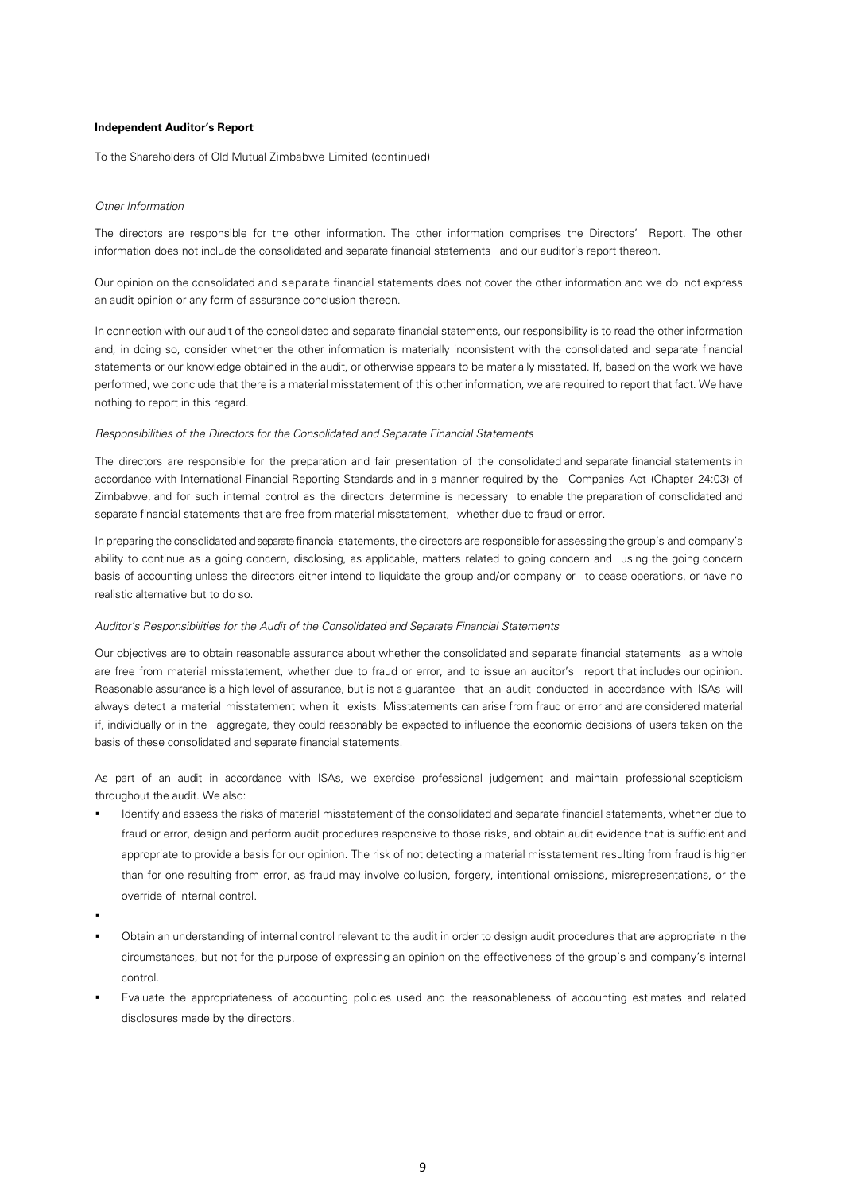To the Shareholders of Old Mutual Zimbabwe Limited (continued)

# Other Information

The directors are responsible for the other information. The other information comprises the Directors' Report. The other information does not include the consolidated and separate financial statements and our auditor's report thereon.

Our opinion on the consolidated and separate financial statements does not cover the other information and we do not express an audit opinion or any form of assurance conclusion thereon.

In connection with our audit of the consolidated and separate financial statements, our responsibility is to read the other information and, in doing so, consider whether the other information is materially inconsistent with the consolidated and separate financial statements or our knowledge obtained in the audit, or otherwise appears to be materially misstated. If, based on the work we have performed, we conclude that there is a material misstatement of this other information, we are required to report that fact. We have nothing to report in this regard.

# Responsibilities of the Directors for the Consolidated and Separate Financial Statements

The directors are responsible for the preparation and fair presentation of the consolidated and separate financial statements in accordance with International Financial Reporting Standards and in a manner required by the Companies Act (Chapter 24:03) of Zimbabwe, and for such internal control as the directors determine is necessary to enable the preparation of consolidated and separate financial statements that are free from material misstatement, whether due to fraud or error.

In preparing the consolidated and separate financial statements, the directors are responsible for assessing the group's and company's ability to continue as a going concern, disclosing, as applicable, matters related to going concern and using the going concern basis of accounting unless the directors either intend to liquidate the group and/or company or to cease operations, or have no realistic alternative but to do so.

# Auditor's Responsibilities for the Audit of the Consolidated and Separate Financial Statements

Our objectives are to obtain reasonable assurance about whether the consolidated and separate financial statements as a whole are free from material misstatement, whether due to fraud or error, and to issue an auditor's report that includes our opinion. Reasonable assurance is a high level of assurance, but is not a guarantee that an audit conducted in accordance with ISAs will always detect a material misstatement when it exists. Misstatements can arise from fraud or error and are considered material if, individually or in the aggregate, they could reasonably be expected to influence the economic decisions of users taken on the basis of these consolidated and separate financial statements.

As part of an audit in accordance with ISAs, we exercise professional judgement and maintain professional scepticism throughout the audit. We also:

- Identify and assess the risks of material misstatement of the consolidated and separate financial statements, whether due to fraud or error, design and perform audit procedures responsive to those risks, and obtain audit evidence that is sufficient and appropriate to provide a basis for our opinion. The risk of not detecting a material misstatement resulting from fraud is higher than for one resulting from error, as fraud may involve collusion, forgery, intentional omissions, misrepresentations, or the override of internal control.
- .
- Obtain an understanding of internal control relevant to the audit in order to design audit procedures that are appropriate in the circumstances, but not for the purpose of expressing an opinion on the effectiveness of the group's and company's internal control.
- Evaluate the appropriateness of accounting policies used and the reasonableness of accounting estimates and related disclosures made by the directors.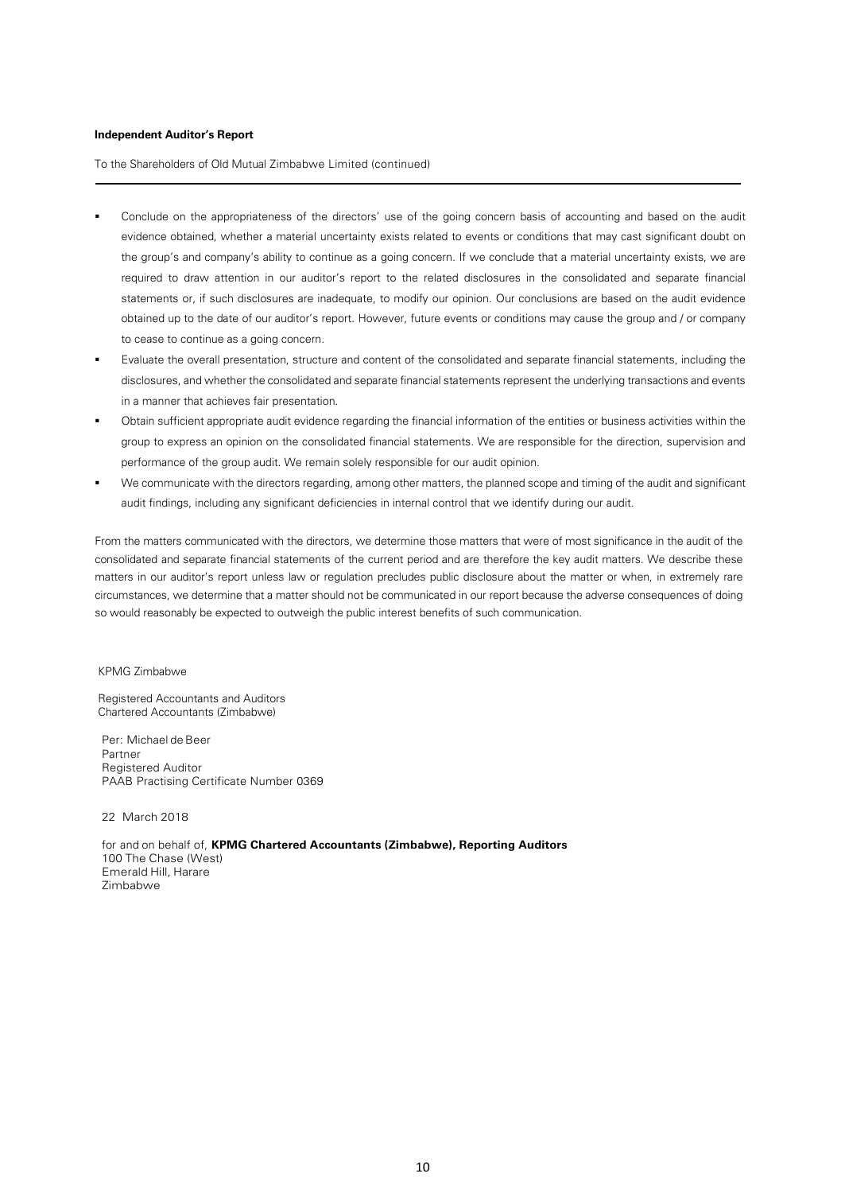To the Shareholders of Old Mutual Zimbabwe Limited (continued)

- Conclude on the appropriateness of the directors' use of the going concern basis of accounting and based on the audit evidence obtained, whether a material uncertainty exists related to events or conditions that may cast significant doubt on the group's and company's ability to continue as a going concern. If we conclude that a material uncertainty exists, we are required to draw attention in our auditor's report to the related disclosures in the consolidated and separate financial statements or, if such disclosures are inadequate, to modify our opinion. Our conclusions are based on the audit evidence obtained up to the date of our auditor's report. However, future events or conditions may cause the group and / or company to cease to continue as a going concern.
- Evaluate the overall presentation, structure and content of the consolidated and separate financial statements, including the disclosures, and whether the consolidated and separate financial statements represent the underlying transactions and events in a manner that achieves fair presentation.
- Obtain sufficient appropriate audit evidence regarding the financial information of the entities or business activities within the group to express an opinion on the consolidated financial statements. We are responsible for the direction, supervision and performance of the group audit. We remain solely responsible for our audit opinion.
- We communicate with the directors regarding, among other matters, the planned scope and timing of the audit and significant audit findings, including any significant deficiencies in internal control that we identify during our audit.

From the matters communicated with the directors, we determine those matters that were of most significance in the audit of the consolidated and separate financial statements of the current period and are therefore the key audit matters. We describe these matters in our auditor's report unless law or regulation precludes public disclosure about the matter or when, in extremely rare circumstances, we determine that a matter should not be communicated in our report because the adverse consequences of doing so would reasonably be expected to outweigh the public interest benefits of such communication.

# KPMG Zimbabwe

Registered Accountants and Auditors Chartered Accountants (Zimbabwe)

Per: Michael de Beer Partner Registered Auditor PAAB Practising Certificate Number 0369

22 March 2018

for and on behalf of, **KPMG Chartered Accountants (Zimbabwe), Reporting Auditors** 100 The Chase (West) Emerald Hill, Harare Zimbabwe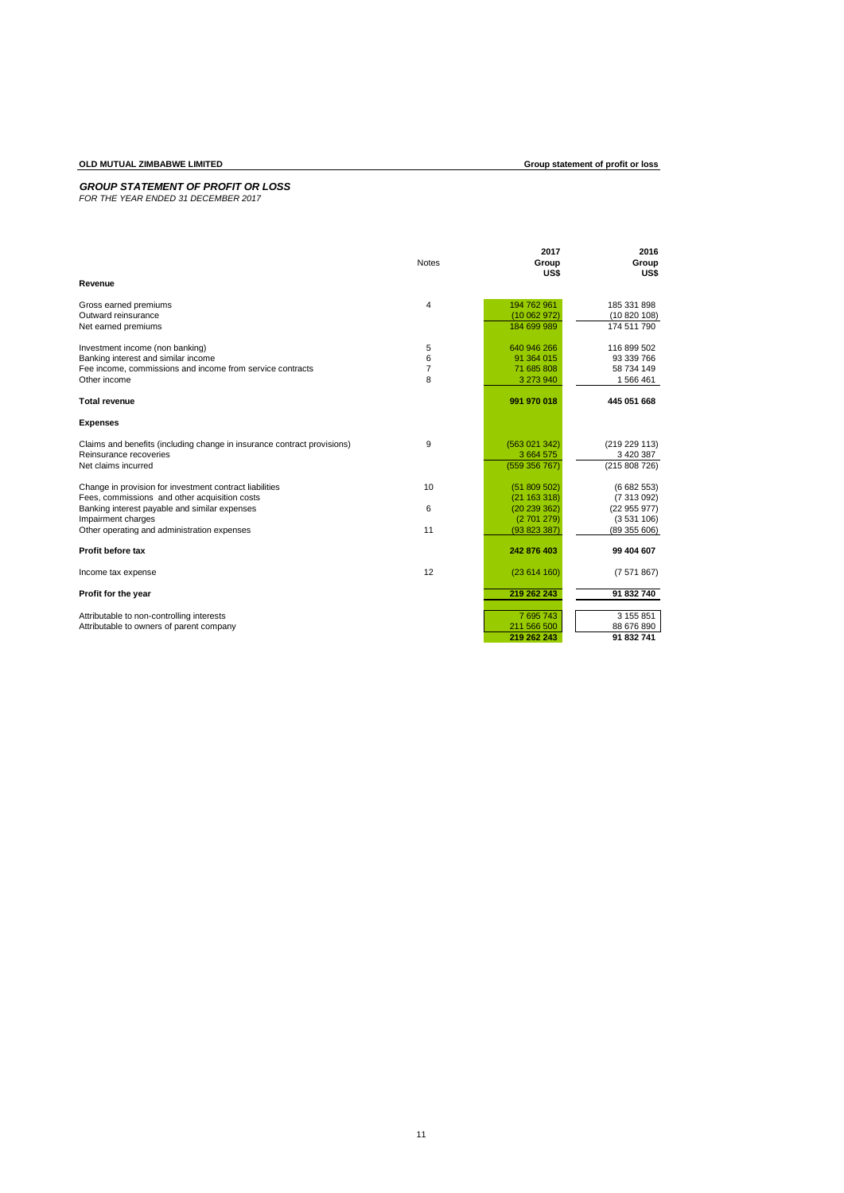# **OLD MUTUAL ZIMBABWE LIMITED Group statement of profit or loss**

# *GROUP STATEMENT OF PROFIT OR LOSS FOR THE YEAR ENDED 31 DECEMBER 2017*

|                                                                         |              | 2017          | 2016          |
|-------------------------------------------------------------------------|--------------|---------------|---------------|
|                                                                         | <b>Notes</b> | Group<br>US\$ | Group<br>US\$ |
| Revenue                                                                 |              |               |               |
| Gross earned premiums                                                   | 4            | 194 762 961   | 185 331 898   |
| Outward reinsurance                                                     |              | (10062972)    | (10820108)    |
| Net earned premiums                                                     |              | 184 699 989   | 174 511 790   |
| Investment income (non banking)                                         | 5            | 640 946 266   | 116 899 502   |
| Banking interest and similar income                                     | 6            | 91 364 015    | 93 339 766    |
| Fee income, commissions and income from service contracts               | 7            | 71 685 808    | 58 734 149    |
| Other income                                                            | 8            | 3 273 940     | 1566461       |
| <b>Total revenue</b>                                                    |              | 991 970 018   | 445 051 668   |
| <b>Expenses</b>                                                         |              |               |               |
| Claims and benefits (including change in insurance contract provisions) | 9            | (563 021 342) | (219 229 113) |
| Reinsurance recoveries                                                  |              | 3 664 575     | 3 420 387     |
| Net claims incurred                                                     |              | (559 356 767) | (215 808 726) |
| Change in provision for investment contract liabilities                 | 10           | (51809502)    | (6682553)     |
| Fees, commissions and other acquisition costs                           |              | (21 163 318)  | (7313092)     |
| Banking interest payable and similar expenses                           | 6            | (20239362)    | (22955977)    |
| Impairment charges                                                      |              | (2701279)     | (3531106)     |
| Other operating and administration expenses                             | 11           | (93823387)    | (89355606)    |
| Profit before tax                                                       |              | 242 876 403   | 99 404 607    |
| Income tax expense                                                      | 12           | (23614160)    | (7571867)     |
| Profit for the year                                                     |              | 219 262 243   | 91 832 740    |
| Attributable to non-controlling interests                               |              | 7 695 743     | 3 155 851     |
| Attributable to owners of parent company                                |              | 211 566 500   | 88 676 890    |
|                                                                         |              | 219 262 243   | 91 832 741    |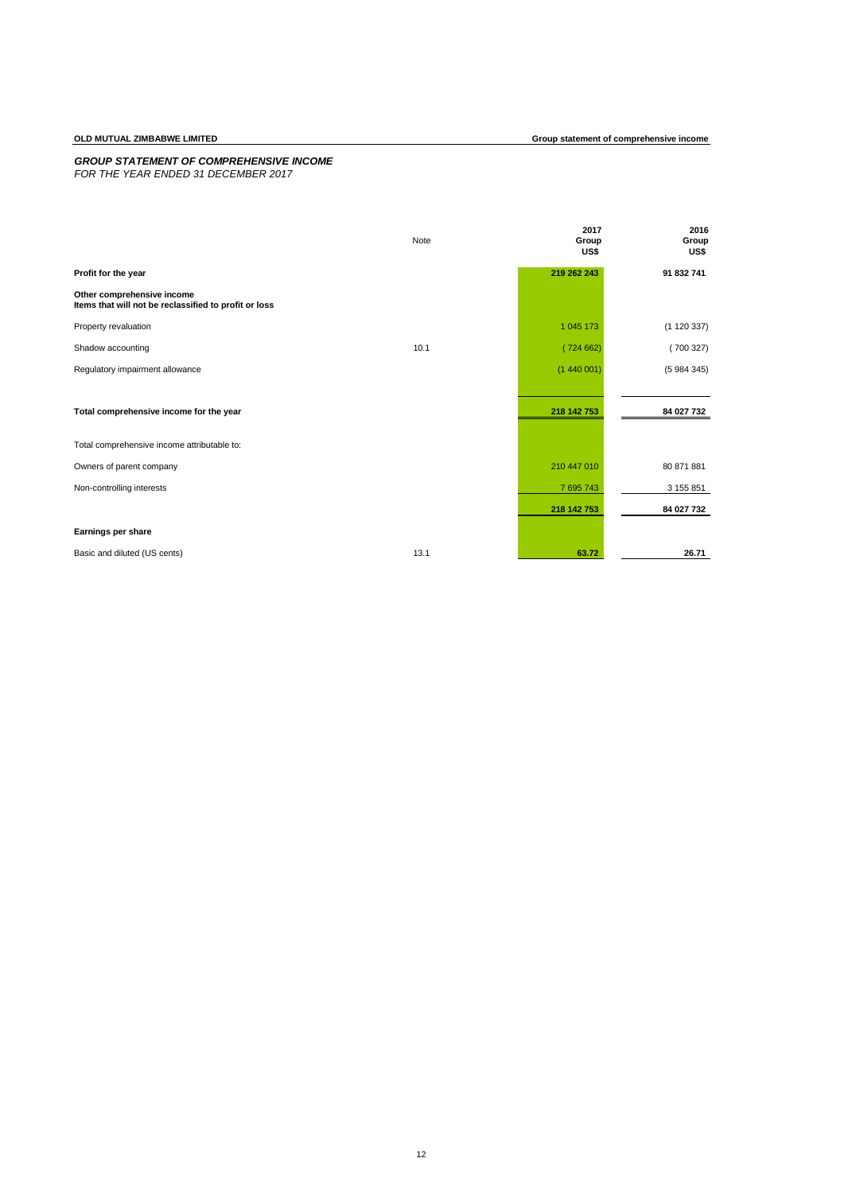## *GROUP STATEMENT OF COMPREHENSIVE INCOME*

*FOR THE YEAR ENDED 31 DECEMBER 2017*

|                                                                                     | Note | 2017<br>Group<br>US\$ | 2016<br>Group<br>US\$ |
|-------------------------------------------------------------------------------------|------|-----------------------|-----------------------|
| Profit for the year                                                                 |      | 219 262 243           | 91 832 741            |
| Other comprehensive income<br>Items that will not be reclassified to profit or loss |      |                       |                       |
| Property revaluation                                                                |      | 1 045 173             | (1120337)             |
| Shadow accounting                                                                   | 10.1 | (724662)              | (700327)              |
| Regulatory impairment allowance                                                     |      | (1440001)             | (5984345)             |
|                                                                                     |      |                       |                       |
| Total comprehensive income for the year                                             |      | 218 142 753           | 84 027 732            |
| Total comprehensive income attributable to:                                         |      |                       |                       |
| Owners of parent company                                                            |      | 210 447 010           | 80 871 881            |
| Non-controlling interests                                                           |      | 7 695 743             | 3 155 851             |
|                                                                                     |      | 218 142 753           | 84 027 732            |
| Earnings per share                                                                  |      |                       |                       |
| Basic and diluted (US cents)                                                        | 13.1 | 63.72                 | 26.71                 |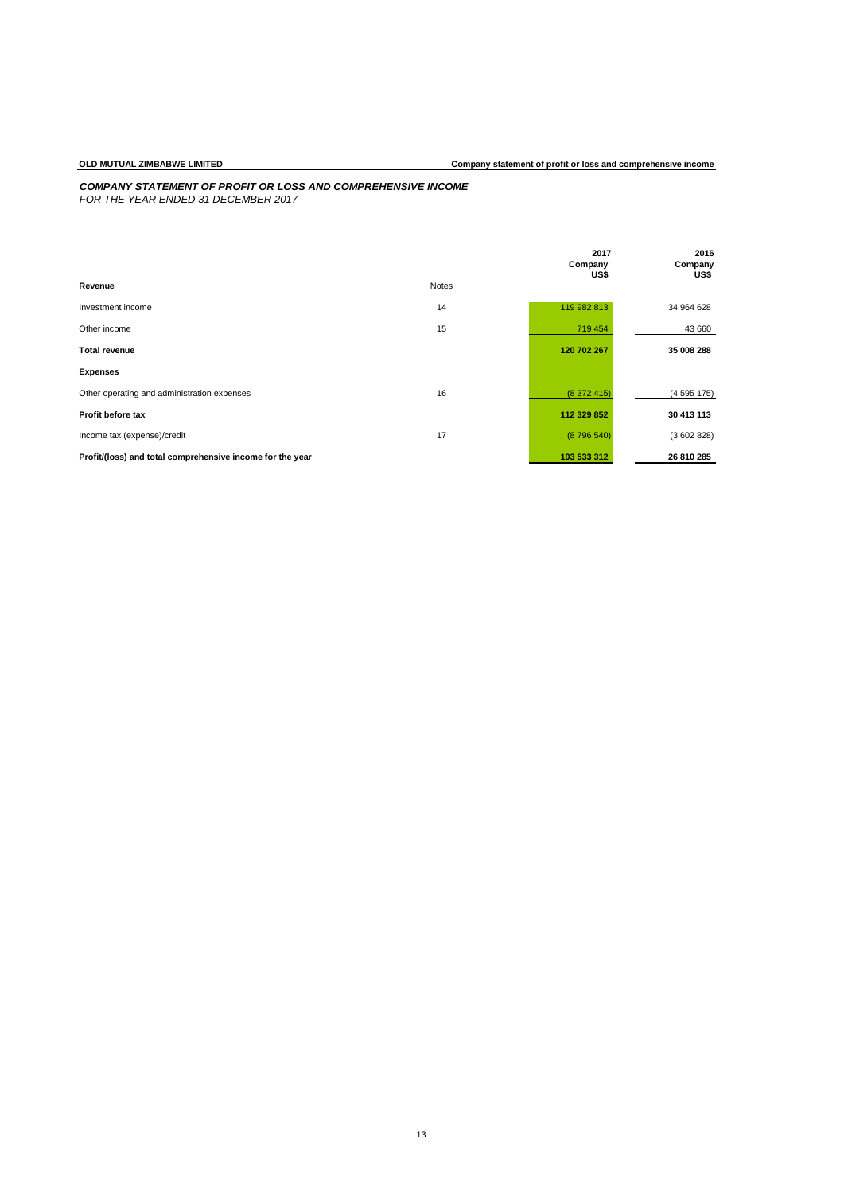# *COMPANY STATEMENT OF PROFIT OR LOSS AND COMPREHENSIVE INCOME FOR THE YEAR ENDED 31 DECEMBER 2017*

|                                                           |              | 2017<br>Company | 2016<br>Company |
|-----------------------------------------------------------|--------------|-----------------|-----------------|
| Revenue                                                   | <b>Notes</b> | US\$            | US\$            |
| Investment income                                         | 14           | 119 982 813     | 34 964 628      |
| Other income                                              | 15           | 719 454         | 43 660          |
| <b>Total revenue</b>                                      |              | 120 702 267     | 35 008 288      |
| <b>Expenses</b>                                           |              |                 |                 |
| Other operating and administration expenses               | 16           | (8372415)       | (4595175)       |
| Profit before tax                                         |              | 112 329 852     | 30 413 113      |
| Income tax (expense)/credit                               | 17           | (8796540)       | (3602828)       |
| Profit/(loss) and total comprehensive income for the year |              | 103 533 312     | 26 810 285      |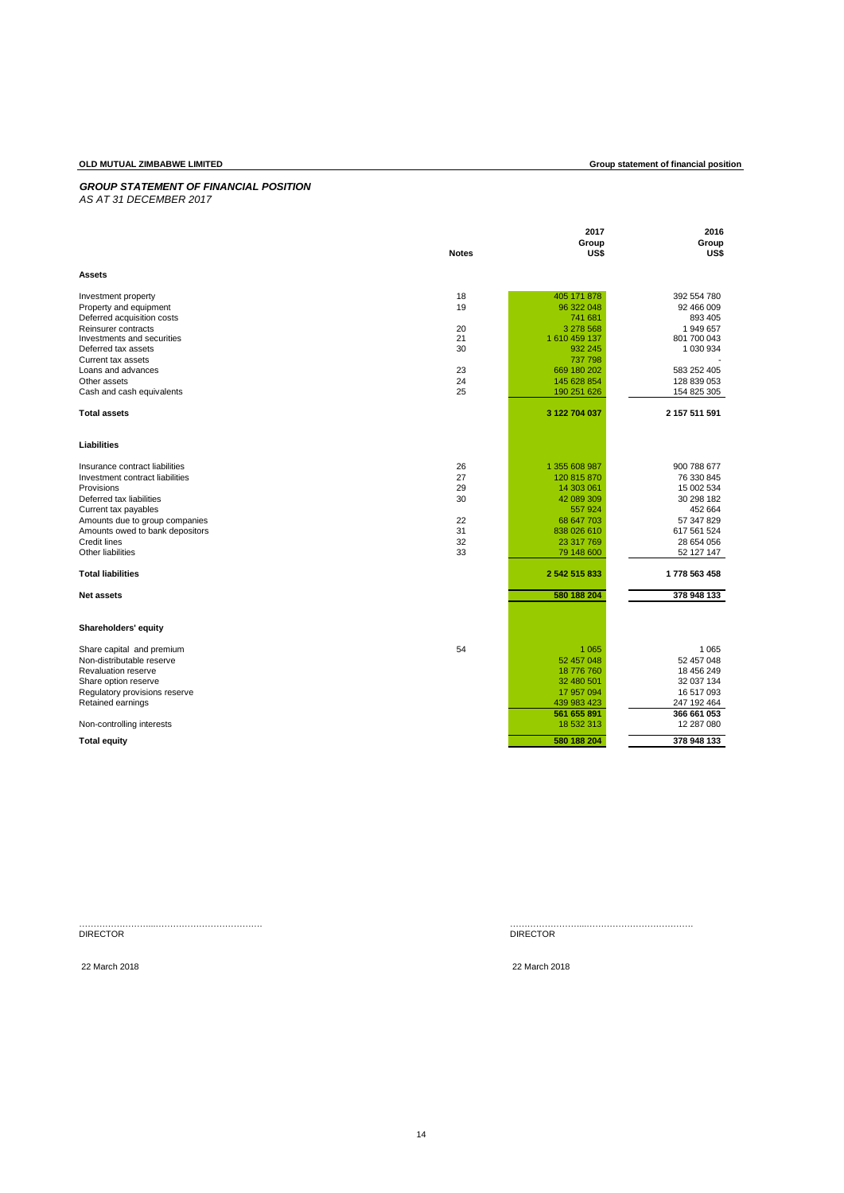# **OLD MUTUAL ZIMBABWE LIMITED Group statement of financial position**

# *GROUP STATEMENT OF FINANCIAL POSITION*

| AS AT 31 DECEMBER 2017 |  |
|------------------------|--|
|------------------------|--|

|                                                        |              | 2017<br>Group              | 2016<br>Group              |
|--------------------------------------------------------|--------------|----------------------------|----------------------------|
| <b>Assets</b>                                          | <b>Notes</b> | US\$                       | US\$                       |
|                                                        |              |                            |                            |
| Investment property                                    | 18           | 405 171 878                | 392 554 780                |
| Property and equipment                                 | 19           | 96 322 048<br>741 681      | 92 466 009<br>893 405      |
| Deferred acquisition costs<br>Reinsurer contracts      | 20           | 3 278 568                  | 1 949 657                  |
| Investments and securities                             | 21           | 1 610 459 137              | 801 700 043                |
| Deferred tax assets                                    | 30           | 932 245                    | 1 030 934                  |
| Current tax assets                                     |              | 737 798                    |                            |
| Loans and advances                                     | 23           | 669 180 202                | 583 252 405                |
| Other assets<br>Cash and cash equivalents              | 24<br>25     | 145 628 854<br>190 251 626 | 128 839 053<br>154 825 305 |
|                                                        |              |                            |                            |
| <b>Total assets</b>                                    |              | 3 122 704 037              | 2 157 511 591              |
| Liabilities                                            |              |                            |                            |
| Insurance contract liabilities                         | 26           | 1 355 608 987              | 900 788 677                |
| Investment contract liabilities                        | 27           | 120 815 870                | 76 330 845                 |
| Provisions                                             | 29           | 14 303 061                 | 15 002 534                 |
| Deferred tax liabilities                               | 30           | 42 089 309                 | 30 298 182                 |
| Current tax payables                                   |              | 557924                     | 452 664                    |
| Amounts due to group companies                         | 22           | 68 647 703                 | 57 347 829                 |
| Amounts owed to bank depositors<br><b>Credit lines</b> | 31<br>32     | 838 026 610<br>23 317 769  | 617 561 524<br>28 654 056  |
| Other liabilities                                      | 33           | 79 148 600                 | 52 127 147                 |
| <b>Total liabilities</b>                               |              | 2 542 515 833              | 1778 563 458               |
|                                                        |              |                            |                            |
| <b>Net assets</b>                                      |              | 580 188 204                | 378 948 133                |
| Shareholders' equity                                   |              |                            |                            |
| Share capital and premium                              | 54           | 1 0 6 5                    | 1 0 6 5                    |
| Non-distributable reserve                              |              | 52 457 048                 | 52 457 048                 |
| Revaluation reserve                                    |              | 18 776 760                 | 18 456 249                 |
| Share option reserve                                   |              | 32 480 501                 | 32 037 134                 |
| Regulatory provisions reserve                          |              | 17 957 094                 | 16 517 093                 |
| Retained earnings                                      |              | 439 983 423<br>561 655 891 | 247 192 464<br>366 661 053 |
| Non-controlling interests                              |              | 18 532 313                 | 12 287 080                 |
| <b>Total equity</b>                                    |              | 580 188 204                | 378 948 133                |
|                                                        |              |                            |                            |
|                                                        |              |                            |                            |

……………………...………………………………. ……………………...………………………………. DIRECTOR DIRECTOR

22 March 2018 22 March 2018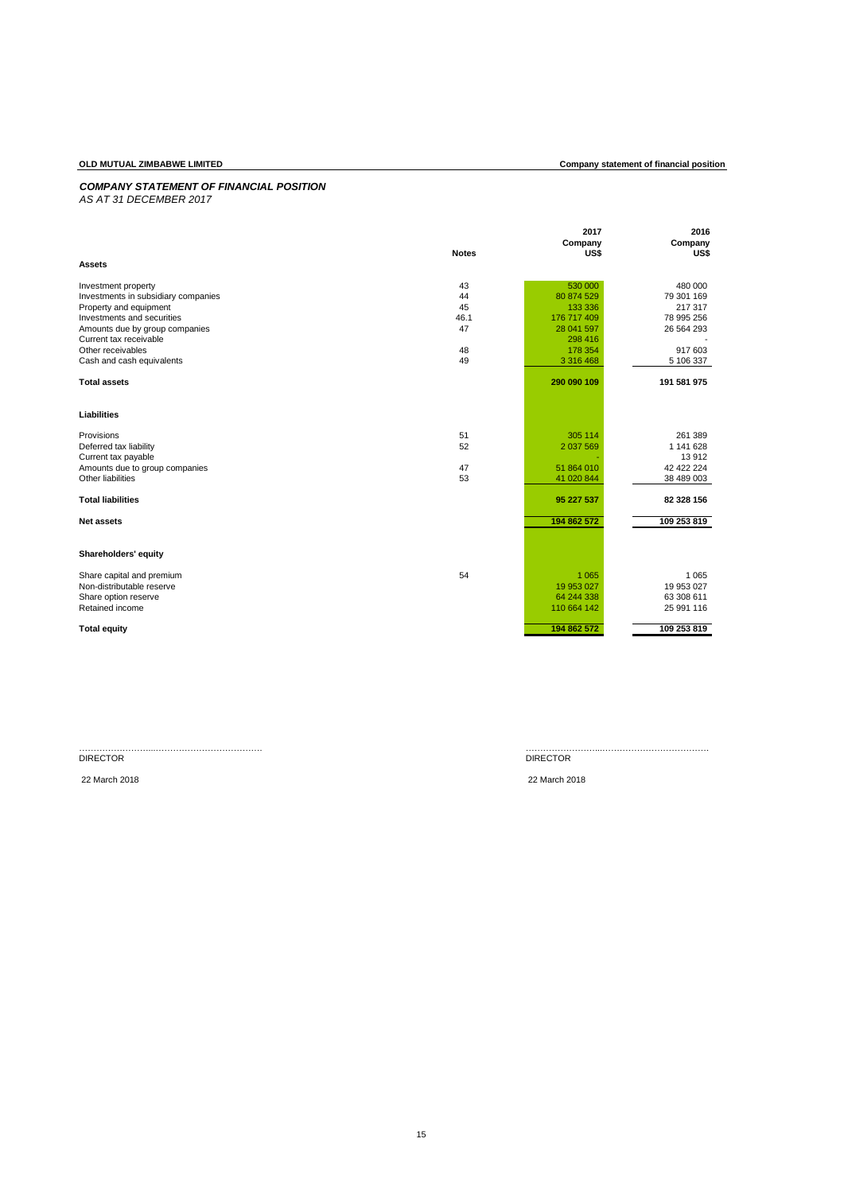# *COMPANY STATEMENT OF FINANCIAL POSITION*

*AS AT 31 DECEMBER 2017*

|                                     |              | 2017        | 2016        |
|-------------------------------------|--------------|-------------|-------------|
|                                     |              | Company     | Company     |
|                                     | <b>Notes</b> | US\$        | US\$        |
| <b>Assets</b>                       |              |             |             |
| Investment property                 | 43           | 530 000     | 480 000     |
| Investments in subsidiary companies | 44           | 80 874 529  | 79 301 169  |
| Property and equipment              | 45           | 133 336     | 217 317     |
| Investments and securities          | 46.1         | 176 717 409 | 78 995 256  |
| Amounts due by group companies      | 47           | 28 041 597  | 26 564 293  |
| Current tax receivable              |              | 298 416     |             |
| Other receivables                   | 48           | 178 354     | 917 603     |
| Cash and cash equivalents           | 49           | 3 316 468   | 5 106 337   |
| <b>Total assets</b>                 |              | 290 090 109 | 191 581 975 |
| Liabilities                         |              |             |             |
| Provisions                          | 51           | 305 114     | 261 389     |
| Deferred tax liability              | 52           | 2 037 569   | 1 141 628   |
| Current tax payable                 |              |             | 13 912      |
| Amounts due to group companies      | 47           | 51 864 010  | 42 422 224  |
| Other liabilities                   | 53           | 41 020 844  | 38 489 003  |
| <b>Total liabilities</b>            |              | 95 227 537  | 82 328 156  |
| <b>Net assets</b>                   |              | 194 862 572 | 109 253 819 |
|                                     |              |             |             |
| Shareholders' equity                |              |             |             |
| Share capital and premium           | 54           | 1 0 6 5     | 1 0 6 5     |
| Non-distributable reserve           |              | 19 953 027  | 19 953 027  |
| Share option reserve                |              | 64 244 338  | 63 308 611  |
| Retained income                     |              | 110 664 142 | 25 991 116  |
| <b>Total equity</b>                 |              | 194 862 572 | 109 253 819 |

# DIRECTOR DIRECTOR

……………………...………………………………. ……………………...……………………………….

# 22 March 2018 22 March 2018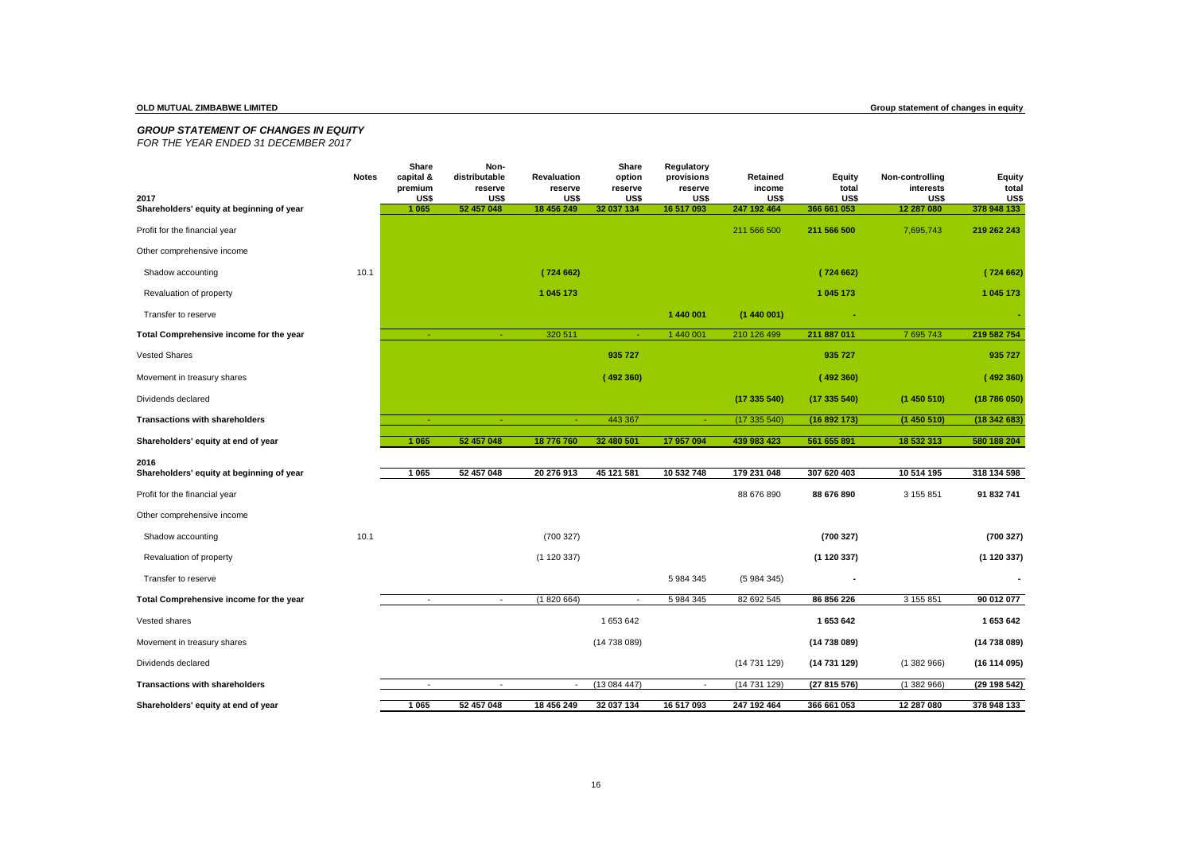# *GROUP STATEMENT OF CHANGES IN EQUITY*

*FOR THE YEAR ENDED 31 DECEMBER 2017*

| 2017                                              | <b>Notes</b> | Share<br>capital &<br>premium<br>US\$ | Non-<br>distributable<br>reserve<br>US\$ | Revaluation<br>reserve<br>US\$ | Share<br>option<br>reserve<br>US\$ | Regulatory<br>provisions<br>reserve<br>US\$ | Retained<br>income<br>US\$ | <b>Equity</b><br>total<br>US\$ | Non-controlling<br>interests<br>US\$ | <b>Equity</b><br>total<br>US\$ |
|---------------------------------------------------|--------------|---------------------------------------|------------------------------------------|--------------------------------|------------------------------------|---------------------------------------------|----------------------------|--------------------------------|--------------------------------------|--------------------------------|
| Shareholders' equity at beginning of year         |              | 1 0 6 5                               | 52 457 048                               | 18 456 249                     | 32 037 134                         | 16 517 093                                  | 247 192 464                | 366 661 053                    | 12 287 080                           | 378 948 133                    |
| Profit for the financial year                     |              |                                       |                                          |                                |                                    |                                             | 211 566 500                | 211 566 500                    | 7,695,743                            | 219 262 243                    |
| Other comprehensive income                        |              |                                       |                                          |                                |                                    |                                             |                            |                                |                                      |                                |
| Shadow accounting                                 | 10.1         |                                       |                                          | (724662)                       |                                    |                                             |                            | (724662)                       |                                      | (724662)                       |
| Revaluation of property                           |              |                                       |                                          | 1 045 173                      |                                    |                                             |                            | 1 045 173                      |                                      | 1 045 173                      |
| Transfer to reserve                               |              |                                       |                                          |                                |                                    | 1 440 001                                   | (1440001)                  |                                |                                      |                                |
| Total Comprehensive income for the year           |              | $\sim$                                | $\sim$                                   | 320 511                        | $\sim$                             | 1 440 001                                   | 210 126 499                | 211 887 011                    | 7 695 743                            | 219 582 754                    |
| <b>Vested Shares</b>                              |              |                                       |                                          |                                | 935 727                            |                                             |                            | 935 727                        |                                      | 935 727                        |
| Movement in treasury shares                       |              |                                       |                                          |                                | (492360)                           |                                             |                            | (492360)                       |                                      | (492360)                       |
| Dividends declared                                |              |                                       |                                          |                                |                                    |                                             | (17335540)                 | (17335540)                     | (1450510)                            | (18786050)                     |
| <b>Transactions with shareholders</b>             |              | $\sim$                                | $\omega$                                 | $\sim$                         | 443 367                            | $\sim$                                      | (17335540)                 | (16892173)                     | (1450510)                            | (18342683)                     |
| Shareholders' equity at end of year               |              | 1 0 6 5                               | 52 457 048                               | 18 776 760                     | 32 480 501                         | 17 957 094                                  | 439 983 423                | 561 655 891                    | 18 532 313                           | 580 188 204                    |
| 2016<br>Shareholders' equity at beginning of year |              | 1 0 6 5                               | 52 457 048                               | 20 276 913                     | 45 121 581                         | 10 532 748                                  | 179 231 048                | 307 620 403                    | 10 514 195                           | 318 134 598                    |
| Profit for the financial year                     |              |                                       |                                          |                                |                                    |                                             | 88 676 890                 | 88 676 890                     | 3 155 851                            | 91 832 741                     |
| Other comprehensive income                        |              |                                       |                                          |                                |                                    |                                             |                            |                                |                                      |                                |
| Shadow accounting                                 | 10.1         |                                       |                                          | (700327)                       |                                    |                                             |                            | (700327)                       |                                      | (700327)                       |
| Revaluation of property                           |              |                                       |                                          | (1120337)                      |                                    |                                             |                            | (1 120 337)                    |                                      | (1 120 337)                    |
| Transfer to reserve                               |              |                                       |                                          |                                |                                    | 5 984 345                                   | (5984345)                  |                                |                                      |                                |
| Total Comprehensive income for the year           |              |                                       | $\overline{\phantom{a}}$                 | (1820664)                      | $\sim$                             | 5 984 345                                   | 82 692 545                 | 86 856 226                     | 3 155 851                            | 90 012 077                     |
| Vested shares                                     |              |                                       |                                          |                                | 1653642                            |                                             |                            | 1 653 642                      |                                      | 1 653 642                      |
| Movement in treasury shares                       |              |                                       |                                          |                                | (14738089)                         |                                             |                            | (14 738 089)                   |                                      | (14 738 089)                   |
| Dividends declared                                |              |                                       |                                          |                                |                                    |                                             | (14731129)                 | (14 731 129)                   | (1382966)                            | (16114095)                     |
| <b>Transactions with shareholders</b>             |              |                                       | $\overline{\phantom{a}}$                 |                                | (13084447)                         | $\overline{\phantom{a}}$                    | (14731129)                 | (27 815 576)                   | (1382966)                            | (29 198 542)                   |
| Shareholders' equity at end of year               |              | 1 0 6 5                               | 52 457 048                               | 18 456 249                     | 32 037 134                         | 16 517 093                                  | 247 192 464                | 366 661 053                    | 12 287 080                           | 378 948 133                    |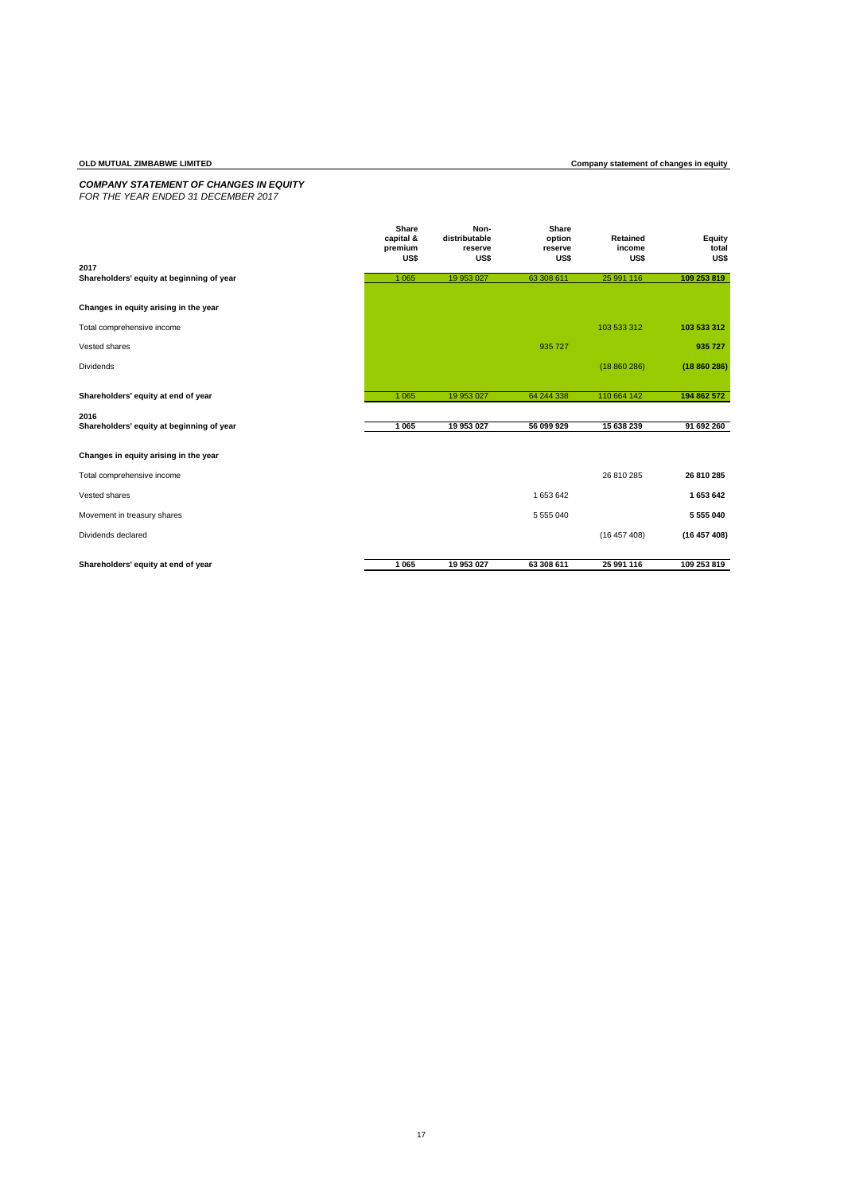### *COMPANY STATEMENT OF CHANGES IN EQUITY FOR THE YEAR ENDED 31 DECEMBER 2017*

|                                           | Share<br>capital &<br>premium<br>US\$ | Non-<br>distributable<br>reserve<br>US\$ | Share<br>option<br>reserve<br>US\$ | Retained<br>income<br>US\$ | Equity<br>total<br>US\$ |
|-------------------------------------------|---------------------------------------|------------------------------------------|------------------------------------|----------------------------|-------------------------|
| 2017                                      |                                       |                                          |                                    |                            |                         |
| Shareholders' equity at beginning of year | 1 0 6 5                               | 19 953 027                               | 63 308 611                         | 25 991 116                 | 109 253 819             |
| Changes in equity arising in the year     |                                       |                                          |                                    |                            |                         |
| Total comprehensive income                |                                       |                                          |                                    | 103 533 312                | 103 533 312             |
| Vested shares                             |                                       |                                          | 935 727                            |                            | 935 727                 |
| Dividends                                 |                                       |                                          |                                    | (18860286)                 | (18860286)              |
| Shareholders' equity at end of year       | 1 0 6 5                               | 19 953 027                               | 64 244 338                         | 110 664 142                | 194 862 572             |
| 2016                                      |                                       |                                          |                                    |                            |                         |
| Shareholders' equity at beginning of year | 1 0 6 5                               | 19 953 027                               | 56 099 929                         | 15 638 239                 | 91 692 260              |
| Changes in equity arising in the year     |                                       |                                          |                                    |                            |                         |
| Total comprehensive income                |                                       |                                          |                                    | 26 810 285                 | 26 810 285              |
| Vested shares                             |                                       |                                          | 1 653 642                          |                            | 1 653 642               |
| Movement in treasury shares               |                                       |                                          | 5 555 040                          |                            | 5 555 040               |
| Dividends declared                        |                                       |                                          |                                    | (16457408)                 | (16457408)              |
|                                           |                                       |                                          |                                    |                            |                         |
| Shareholders' equity at end of year       | 1 0 65                                | 19 953 027                               | 63 308 611                         | 25 991 116                 | 109 253 819             |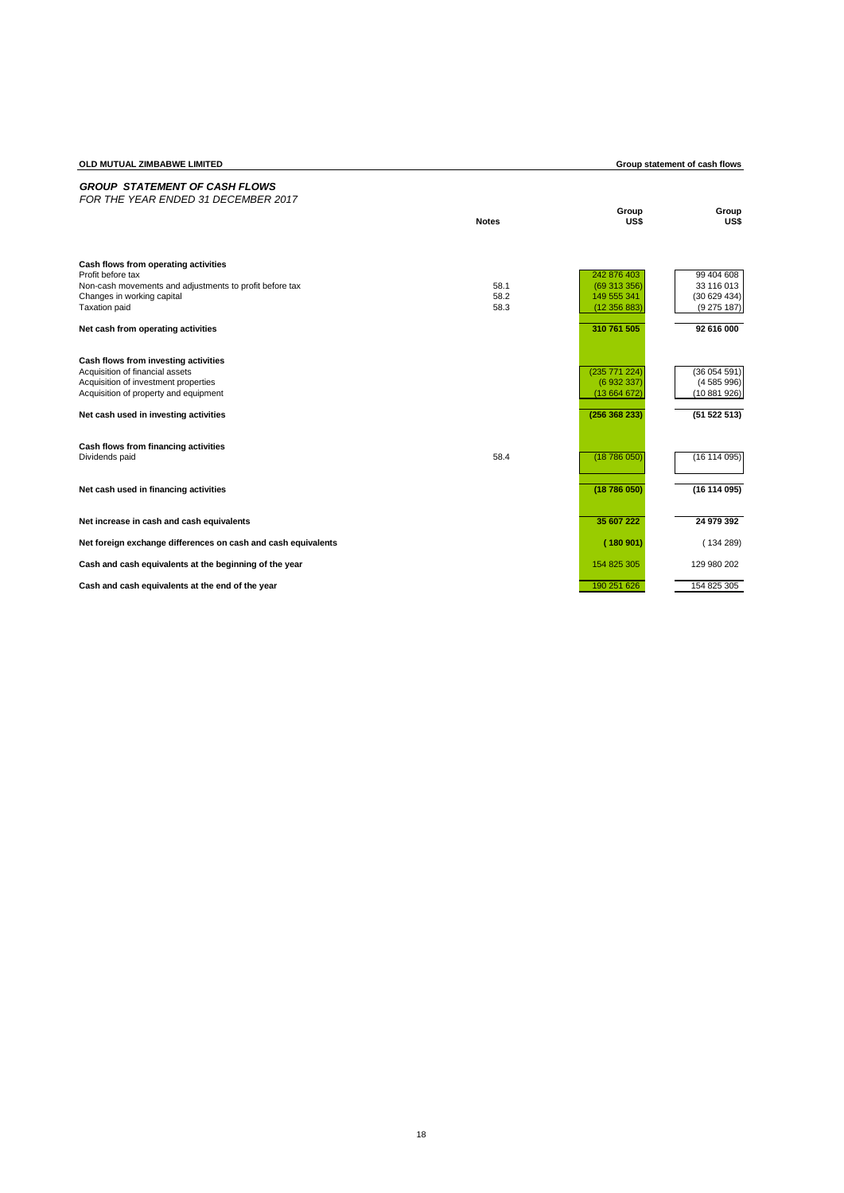| OLD MUTUAL ZIMBABWE LIMITED                                                  |              |                             | Group statement of cash flows |
|------------------------------------------------------------------------------|--------------|-----------------------------|-------------------------------|
| <b>GROUP STATEMENT OF CASH FLOWS</b><br>FOR THE YEAR ENDED 31 DECEMBER 2017  |              |                             |                               |
|                                                                              | <b>Notes</b> | Group<br>US\$               | Group<br>US\$                 |
| Cash flows from operating activities                                         |              |                             |                               |
| Profit before tax<br>Non-cash movements and adjustments to profit before tax | 58.1         | 242 876 403<br>(69 313 356) | 99 404 608<br>33 116 013      |
| Changes in working capital                                                   | 58.2         | 149 555 341                 | (30629434)                    |
| <b>Taxation paid</b>                                                         | 58.3         | (12356883)                  | (9275187)                     |
| Net cash from operating activities                                           |              | 310 761 505                 | 92 616 000                    |
| Cash flows from investing activities                                         |              |                             |                               |
| Acquisition of financial assets<br>Acquisition of investment properties      |              | (235 771 224)<br>(6932337)  | (36054591)<br>(4585996)       |
| Acquisition of property and equipment                                        |              | (13664672)                  | (10881926)                    |
| Net cash used in investing activities                                        |              | (256 368 233)               | (51 522 513)                  |
| Cash flows from financing activities                                         |              |                             |                               |
| Dividends paid                                                               | 58.4         | (18786050)                  | (16114095)                    |
| Net cash used in financing activities                                        |              | (18786050)                  | (16114095)                    |
| Net increase in cash and cash equivalents                                    |              | 35 607 222                  | 24 979 392                    |
| Net foreign exchange differences on cash and cash equivalents                |              | (180901)                    | (134289)                      |
| Cash and cash equivalents at the beginning of the year                       |              | 154 825 305                 | 129 980 202                   |
| Cash and cash equivalents at the end of the year                             |              | 190 251 626                 | 154 825 305                   |

18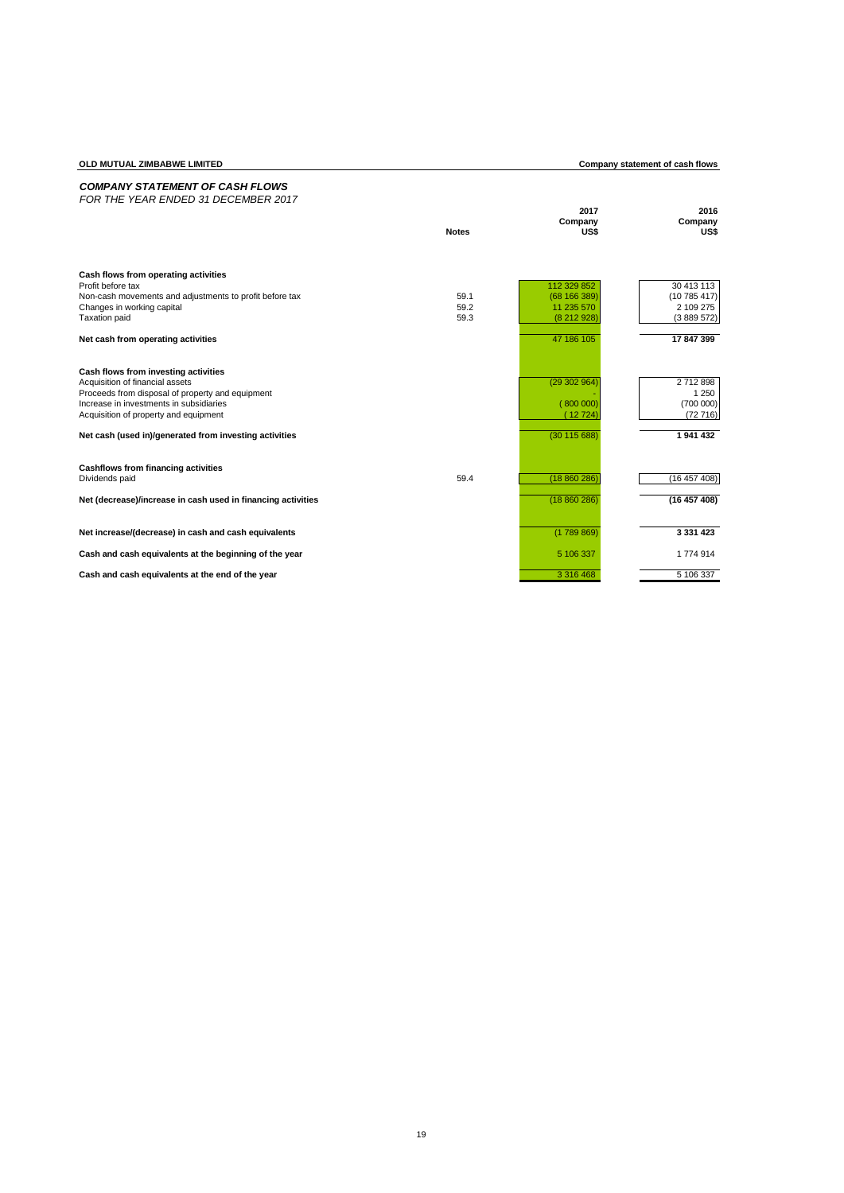# **Company statement of cash flows**

# *COMPANY STATEMENT OF CASH FLOWS FOR THE YEAR ENDED 31 DECEMBER 2017* **2017 2016 Company Company Notes US\$ US\$ Cash flows from operating activities** Profit before tax 113 30 413 113 30 413 113 329 852 30 413 113 Non-cash movements and adjustments to profit before tax 59.1 (68 166 389) (10 785 417)<br>
Changes in working capital (10 785 417)<br>
Changes in working capital (10 785 417)<br>
Changes in working capital (10 785 417)<br>
Case 59.2 ( Form continuous and adjustments to profit before tax<br>
Changes in working capital 2.109.275<br>
Taxation paid (8.212.928) (3.889.572) (3.889.572) (3.889.572) Taxation paid 59.3 (8 212 928) (3 889 572) **Net cash from operating activities** 17 847 399 **Cash flows from investing activities** Acquisition of financial assets (29 302 964) 2 712 898 Proceeds from disposal of property and equipment the context of the state of the context of the context of the context of the context of the context of the context of the context of the context of the context of the contex Increase in investments in subsidiaries ( 800 000) (700 000)<br>Acquisition of property and equipment ( 12 716) (72 716) (72 716) (12 724) **Net cash (used in)/generated from investing activities** (30 115 688) **1 941 432 Cashflows from financing activities** Dividends paid 59.4 (18 860 286) (16 457 408) **Net (decrease)/increase in cash used in financing activities** (18 860 286) **(16 457 408) Net increase/(decrease) in cash and cash equivalents 1999 12:33:331 423 123 123 123 123 123 123 123 123 129 129 129 129 129 129 129 129 129 129 129 129 129 129 129 129 1 Cash and cash equivalents at the beginning of the year** 5 106 337 5 106 337 1 774 914 **Cash and cash equivalents at the end of the year** 3316 468 5 106 337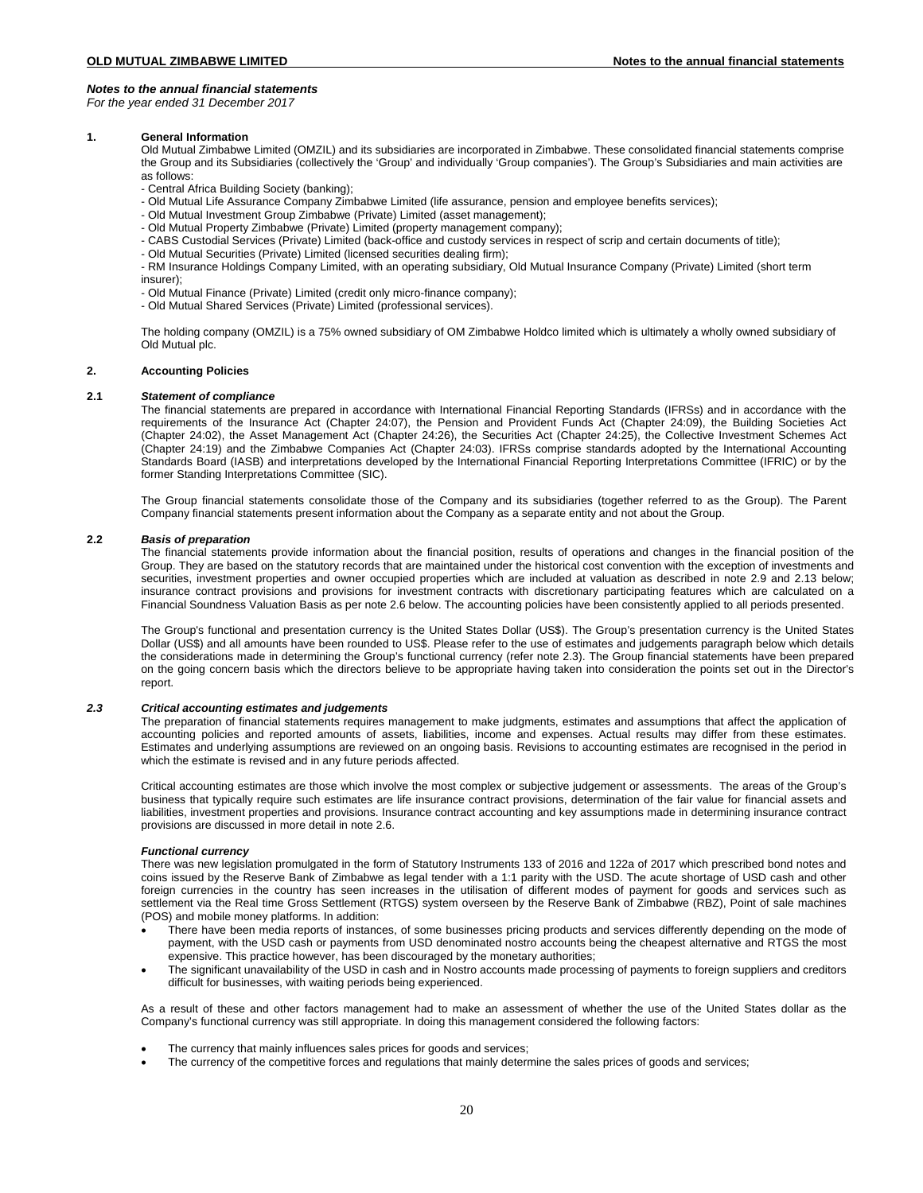*For the year ended 31 December 2017*

## **1. General Information**

Old Mutual Zimbabwe Limited (OMZIL) and its subsidiaries are incorporated in Zimbabwe. These consolidated financial statements comprise the Group and its Subsidiaries (collectively the 'Group' and individually 'Group companies'). The Group's Subsidiaries and main activities are as follows:

- Central Africa Building Society (banking);
- Old Mutual Life Assurance Company Zimbabwe Limited (life assurance, pension and employee benefits services);
- Old Mutual Investment Group Zimbabwe (Private) Limited (asset management);
- Old Mutual Property Zimbabwe (Private) Limited (property management company);
- CABS Custodial Services (Private) Limited (back-office and custody services in respect of scrip and certain documents of title);
- Old Mutual Securities (Private) Limited (licensed securities dealing firm);

- RM Insurance Holdings Company Limited, with an operating subsidiary, Old Mutual Insurance Company (Private) Limited (short term insurer);

- Old Mutual Finance (Private) Limited (credit only micro-finance company);
- Old Mutual Shared Services (Private) Limited (professional services).

The holding company (OMZIL) is a 75% owned subsidiary of OM Zimbabwe Holdco limited which is ultimately a wholly owned subsidiary of Old Mutual plc.

# **2. Accounting Policies**

## **2.1** *Statement of compliance*

The financial statements are prepared in accordance with International Financial Reporting Standards (IFRSs) and in accordance with the requirements of the Insurance Act (Chapter 24:07), the Pension and Provident Funds Act (Chapter 24:09), the Building Societies Act (Chapter 24:02), the Asset Management Act (Chapter 24:26), the Securities Act (Chapter 24:25), the Collective Investment Schemes Act (Chapter 24:19) and the Zimbabwe Companies Act (Chapter 24:03). IFRSs comprise standards adopted by the International Accounting Standards Board (IASB) and interpretations developed by the International Financial Reporting Interpretations Committee (IFRIC) or by the former Standing Interpretations Committee (SIC).

The Group financial statements consolidate those of the Company and its subsidiaries (together referred to as the Group). The Parent Company financial statements present information about the Company as a separate entity and not about the Group.

# **2.2** *Basis of preparation*

The financial statements provide information about the financial position, results of operations and changes in the financial position of the Group. They are based on the statutory records that are maintained under the historical cost convention with the exception of investments and securities, investment properties and owner occupied properties which are included at valuation as described in note 2.9 and 2.13 below; insurance contract provisions and provisions for investment contracts with discretionary participating features which are calculated on a Financial Soundness Valuation Basis as per note 2.6 below. The accounting policies have been consistently applied to all periods presented.

The Group's functional and presentation currency is the United States Dollar (US\$). The Group's presentation currency is the United States Dollar (US\$) and all amounts have been rounded to US\$. Please refer to the use of estimates and judgements paragraph below which details the considerations made in determining the Group's functional currency (refer note 2.3). The Group financial statements have been prepared on the going concern basis which the directors believe to be appropriate having taken into consideration the points set out in the Director's report.

### *2.3 Critical accounting estimates and judgements*

The preparation of financial statements requires management to make judgments, estimates and assumptions that affect the application of accounting policies and reported amounts of assets, liabilities, income and expenses. Actual results may differ from these estimates. Estimates and underlying assumptions are reviewed on an ongoing basis. Revisions to accounting estimates are recognised in the period in which the estimate is revised and in any future periods affected.

Critical accounting estimates are those which involve the most complex or subjective judgement or assessments. The areas of the Group's business that typically require such estimates are life insurance contract provisions, determination of the fair value for financial assets and liabilities, investment properties and provisions. Insurance contract accounting and key assumptions made in determining insurance contract provisions are discussed in more detail in note 2.6.

### *Functional currency*

There was new legislation promulgated in the form of Statutory Instruments 133 of 2016 and 122a of 2017 which prescribed bond notes and coins issued by the Reserve Bank of Zimbabwe as legal tender with a 1:1 parity with the USD. The acute shortage of USD cash and other foreign currencies in the country has seen increases in the utilisation of different modes of payment for goods and services such as settlement via the Real time Gross Settlement (RTGS) system overseen by the Reserve Bank of Zimbabwe (RBZ), Point of sale machines (POS) and mobile money platforms. In addition:

- There have been media reports of instances, of some businesses pricing products and services differently depending on the mode of payment, with the USD cash or payments from USD denominated nostro accounts being the cheapest alternative and RTGS the most expensive. This practice however, has been discouraged by the monetary authorities;
- The significant unavailability of the USD in cash and in Nostro accounts made processing of payments to foreign suppliers and creditors difficult for businesses, with waiting periods being experienced.

As a result of these and other factors management had to make an assessment of whether the use of the United States dollar as the Company's functional currency was still appropriate. In doing this management considered the following factors:

- The currency that mainly influences sales prices for goods and services;
- The currency of the competitive forces and regulations that mainly determine the sales prices of goods and services;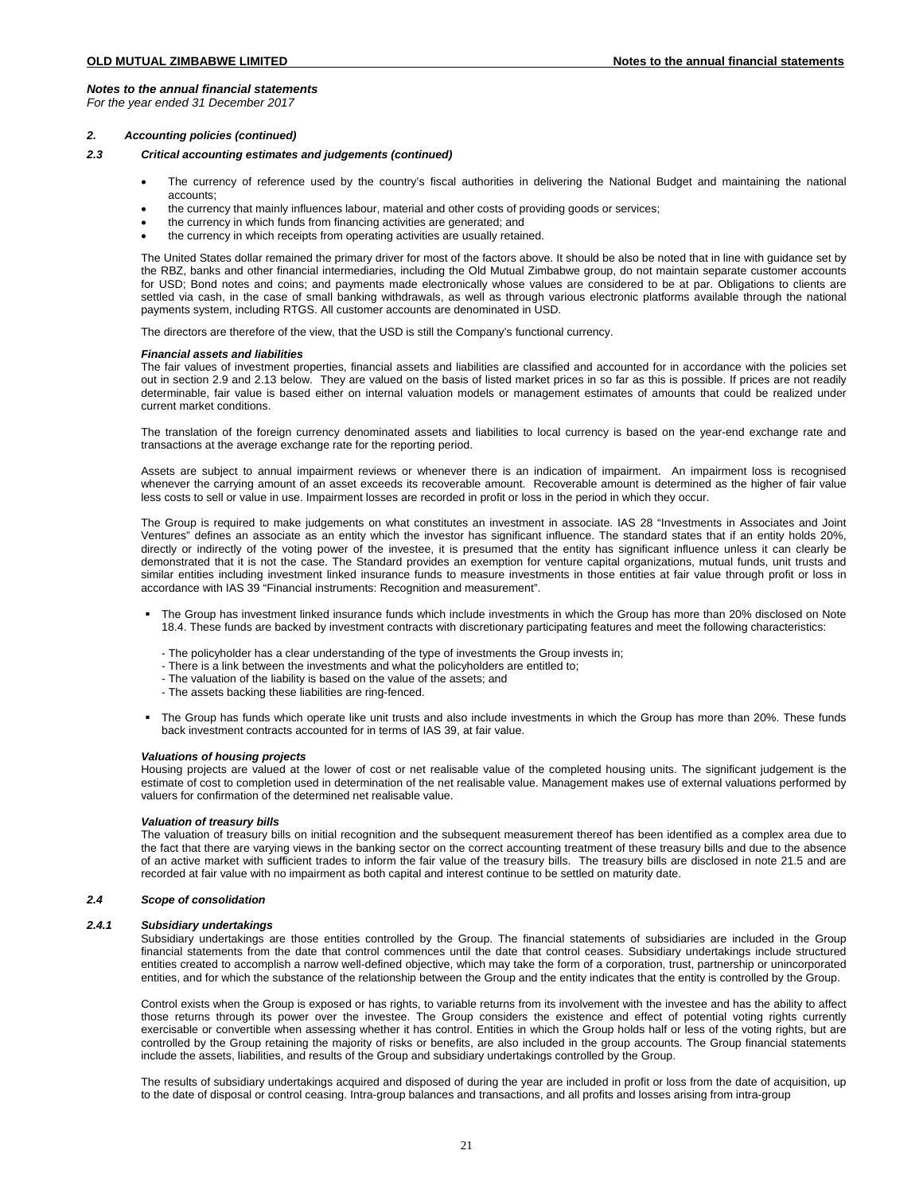*For the year ended 31 December 2017*

# *2. Accounting policies (continued)*

# *2.3 Critical accounting estimates and judgements (continued)*

- The currency of reference used by the country's fiscal authorities in delivering the National Budget and maintaining the national accounts;
- the currency that mainly influences labour, material and other costs of providing goods or services;
- the currency in which funds from financing activities are generated; and
- the currency in which receipts from operating activities are usually retained.

The United States dollar remained the primary driver for most of the factors above. It should be also be noted that in line with guidance set by the RBZ, banks and other financial intermediaries, including the Old Mutual Zimbabwe group, do not maintain separate customer accounts for USD; Bond notes and coins; and payments made electronically whose values are considered to be at par. Obligations to clients are settled via cash, in the case of small banking withdrawals, as well as through various electronic platforms available through the national payments system, including RTGS. All customer accounts are denominated in USD.

The directors are therefore of the view, that the USD is still the Company's functional currency.

### *Financial assets and liabilities*

The fair values of investment properties, financial assets and liabilities are classified and accounted for in accordance with the policies set out in section 2.9 and 2.13 below. They are valued on the basis of listed market prices in so far as this is possible. If prices are not readily determinable, fair value is based either on internal valuation models or management estimates of amounts that could be realized under current market conditions.

The translation of the foreign currency denominated assets and liabilities to local currency is based on the year-end exchange rate and transactions at the average exchange rate for the reporting period.

Assets are subject to annual impairment reviews or whenever there is an indication of impairment. An impairment loss is recognised whenever the carrying amount of an asset exceeds its recoverable amount. Recoverable amount is determined as the higher of fair value less costs to sell or value in use. Impairment losses are recorded in profit or loss in the period in which they occur.

The Group is required to make judgements on what constitutes an investment in associate. IAS 28 "Investments in Associates and Joint Ventures" defines an associate as an entity which the investor has significant influence. The standard states that if an entity holds 20%, directly or indirectly of the voting power of the investee, it is presumed that the entity has significant influence unless it can clearly be demonstrated that it is not the case. The Standard provides an exemption for venture capital organizations, mutual funds, unit trusts and similar entities including investment linked insurance funds to measure investments in those entities at fair value through profit or loss in accordance with IAS 39 "Financial instruments: Recognition and measurement".

- The Group has investment linked insurance funds which include investments in which the Group has more than 20% disclosed on Note 18.4. These funds are backed by investment contracts with discretionary participating features and meet the following characteristics:
	- The policyholder has a clear understanding of the type of investments the Group invests in;
	- There is a link between the investments and what the policyholders are entitled to;
	- The valuation of the liability is based on the value of the assets; and
	- The assets backing these liabilities are ring-fenced.
- The Group has funds which operate like unit trusts and also include investments in which the Group has more than 20%. These funds back investment contracts accounted for in terms of IAS 39, at fair value.

# *Valuations of housing projects*

Housing projects are valued at the lower of cost or net realisable value of the completed housing units. The significant judgement is the estimate of cost to completion used in determination of the net realisable value. Management makes use of external valuations performed by valuers for confirmation of the determined net realisable value.

# *Valuation of treasury bills*

The valuation of treasury bills on initial recognition and the subsequent measurement thereof has been identified as a complex area due to the fact that there are varying views in the banking sector on the correct accounting treatment of these treasury bills and due to the absence of an active market with sufficient trades to inform the fair value of the treasury bills. The treasury bills are disclosed in note 21.5 and are recorded at fair value with no impairment as both capital and interest continue to be settled on maturity date.

# *2.4 Scope of consolidation*

# *2.4.1 Subsidiary undertakings*

Subsidiary undertakings are those entities controlled by the Group. The financial statements of subsidiaries are included in the Group financial statements from the date that control commences until the date that control ceases. Subsidiary undertakings include structured entities created to accomplish a narrow well-defined objective, which may take the form of a corporation, trust, partnership or unincorporated entities, and for which the substance of the relationship between the Group and the entity indicates that the entity is controlled by the Group.

Control exists when the Group is exposed or has rights, to variable returns from its involvement with the investee and has the ability to affect those returns through its power over the investee. The Group considers the existence and effect of potential voting rights currently exercisable or convertible when assessing whether it has control. Entities in which the Group holds half or less of the voting rights, but are controlled by the Group retaining the majority of risks or benefits, are also included in the group accounts. The Group financial statements include the assets, liabilities, and results of the Group and subsidiary undertakings controlled by the Group.

The results of subsidiary undertakings acquired and disposed of during the year are included in profit or loss from the date of acquisition, up to the date of disposal or control ceasing. Intra-group balances and transactions, and all profits and losses arising from intra-group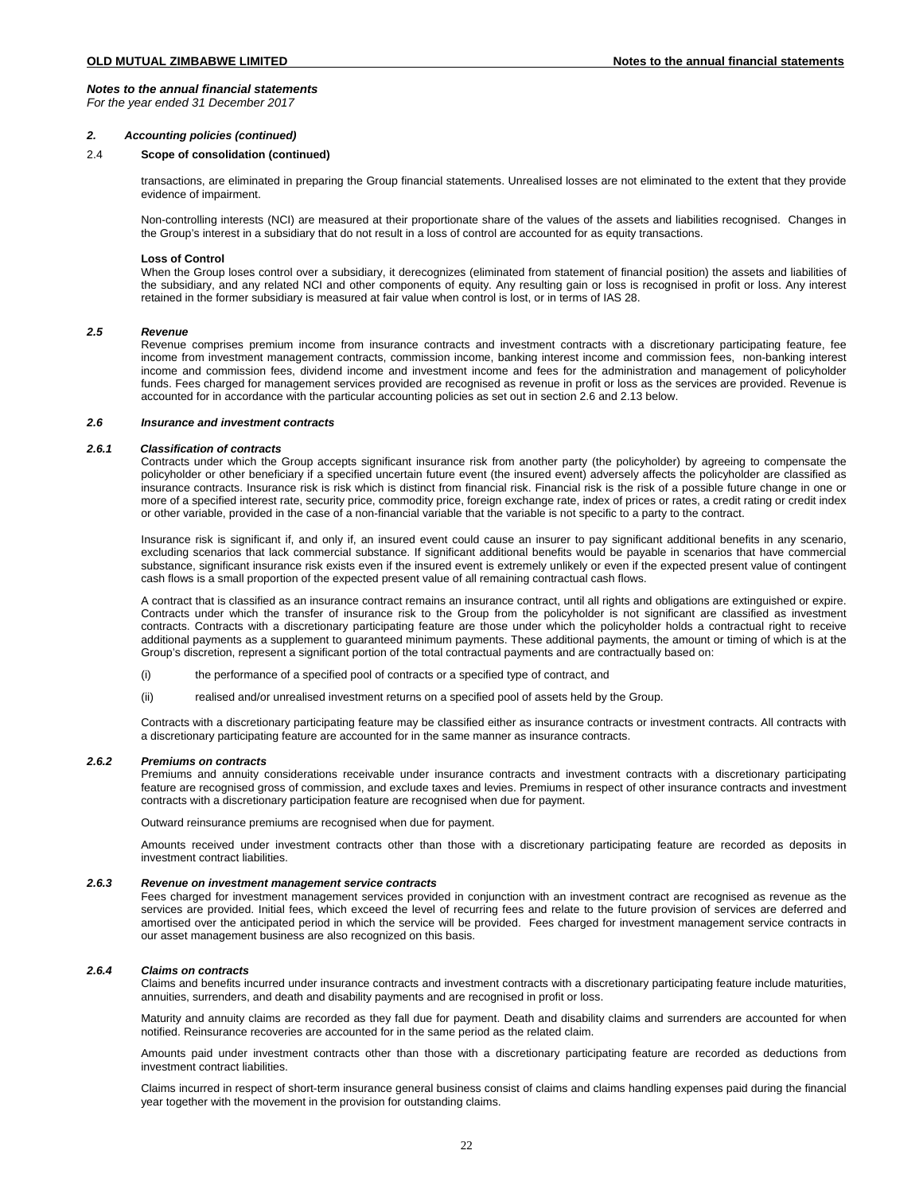*For the year ended 31 December 2017*

## *2. Accounting policies (continued)*

# 2.4 **Scope of consolidation (continued)**

transactions, are eliminated in preparing the Group financial statements. Unrealised losses are not eliminated to the extent that they provide evidence of impairment.

Non-controlling interests (NCI) are measured at their proportionate share of the values of the assets and liabilities recognised. Changes in the Group's interest in a subsidiary that do not result in a loss of control are accounted for as equity transactions.

### **Loss of Control**

When the Group loses control over a subsidiary, it derecognizes (eliminated from statement of financial position) the assets and liabilities of the subsidiary, and any related NCI and other components of equity. Any resulting gain or loss is recognised in profit or loss. Any interest retained in the former subsidiary is measured at fair value when control is lost, or in terms of IAS 28.

# *2.5 Revenue*

Revenue comprises premium income from insurance contracts and investment contracts with a discretionary participating feature, fee income from investment management contracts, commission income, banking interest income and commission fees, non-banking interest income and commission fees, dividend income and investment income and fees for the administration and management of policyholder funds. Fees charged for management services provided are recognised as revenue in profit or loss as the services are provided. Revenue is accounted for in accordance with the particular accounting policies as set out in section 2.6 and 2.13 below.

## *2.6 Insurance and investment contracts*

# *2.6.1 Classification of contracts*

Contracts under which the Group accepts significant insurance risk from another party (the policyholder) by agreeing to compensate the policyholder or other beneficiary if a specified uncertain future event (the insured event) adversely affects the policyholder are classified as insurance contracts. Insurance risk is risk which is distinct from financial risk. Financial risk is the risk of a possible future change in one or more of a specified interest rate, security price, commodity price, foreign exchange rate, index of prices or rates, a credit rating or credit index or other variable, provided in the case of a non-financial variable that the variable is not specific to a party to the contract.

Insurance risk is significant if, and only if, an insured event could cause an insurer to pay significant additional benefits in any scenario, excluding scenarios that lack commercial substance. If significant additional benefits would be payable in scenarios that have commercial substance, significant insurance risk exists even if the insured event is extremely unlikely or even if the expected present value of contingent cash flows is a small proportion of the expected present value of all remaining contractual cash flows.

A contract that is classified as an insurance contract remains an insurance contract, until all rights and obligations are extinguished or expire. Contracts under which the transfer of insurance risk to the Group from the policyholder is not significant are classified as investment contracts. Contracts with a discretionary participating feature are those under which the policyholder holds a contractual right to receive additional payments as a supplement to guaranteed minimum payments. These additional payments, the amount or timing of which is at the Group's discretion, represent a significant portion of the total contractual payments and are contractually based on:

- (i) the performance of a specified pool of contracts or a specified type of contract, and
- (ii) realised and/or unrealised investment returns on a specified pool of assets held by the Group.

Contracts with a discretionary participating feature may be classified either as insurance contracts or investment contracts. All contracts with a discretionary participating feature are accounted for in the same manner as insurance contracts.

# *2.6.2 Premiums on contracts*

Premiums and annuity considerations receivable under insurance contracts and investment contracts with a discretionary participating feature are recognised gross of commission, and exclude taxes and levies. Premiums in respect of other insurance contracts and investment contracts with a discretionary participation feature are recognised when due for payment.

Outward reinsurance premiums are recognised when due for payment.

Amounts received under investment contracts other than those with a discretionary participating feature are recorded as deposits in investment contract liabilities.

# *2.6.3 Revenue on investment management service contracts*

Fees charged for investment management services provided in conjunction with an investment contract are recognised as revenue as the services are provided. Initial fees, which exceed the level of recurring fees and relate to the future provision of services are deferred and amortised over the anticipated period in which the service will be provided. Fees charged for investment management service contracts in our asset management business are also recognized on this basis.

# *2.6.4 Claims on contracts*

Claims and benefits incurred under insurance contracts and investment contracts with a discretionary participating feature include maturities, annuities, surrenders, and death and disability payments and are recognised in profit or loss.

Maturity and annuity claims are recorded as they fall due for payment. Death and disability claims and surrenders are accounted for when notified. Reinsurance recoveries are accounted for in the same period as the related claim.

Amounts paid under investment contracts other than those with a discretionary participating feature are recorded as deductions from investment contract liabilities.

Claims incurred in respect of short-term insurance general business consist of claims and claims handling expenses paid during the financial year together with the movement in the provision for outstanding claims.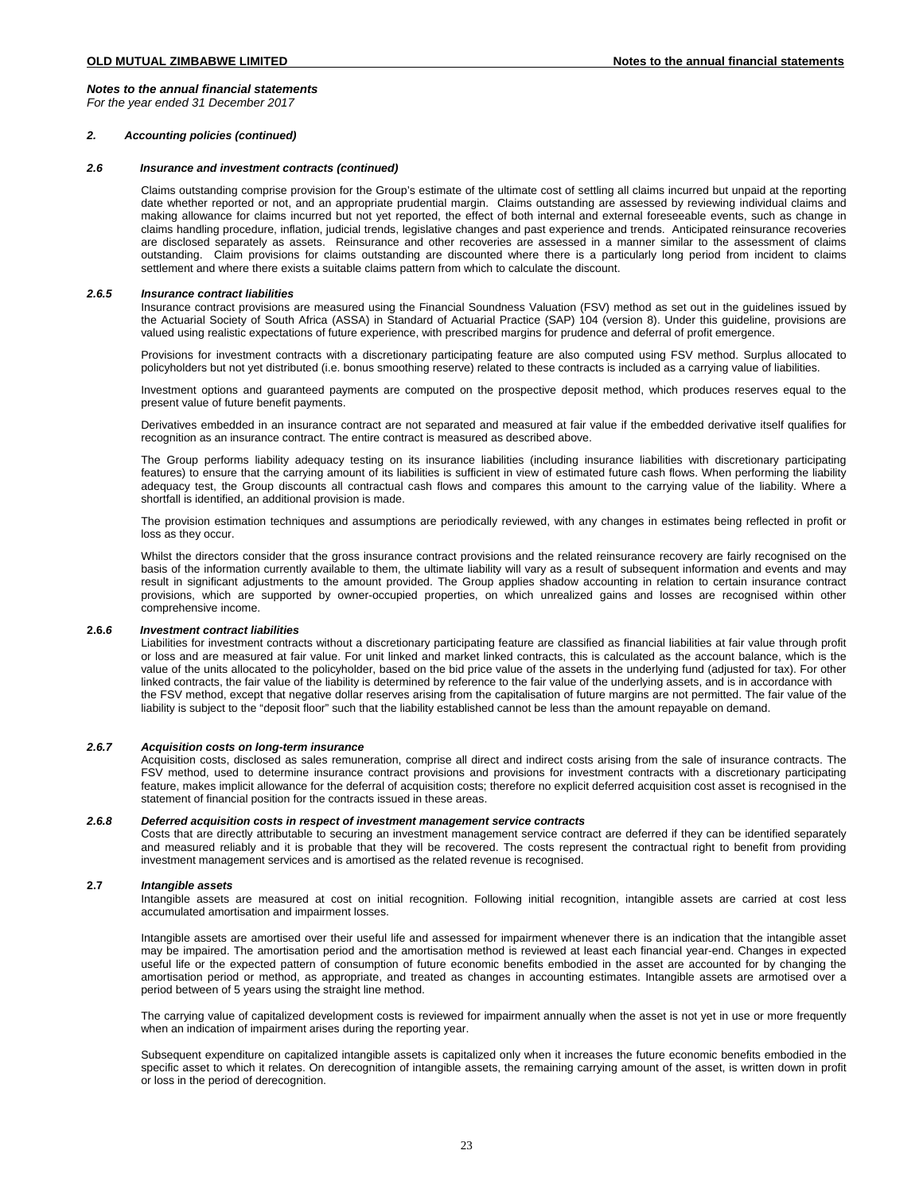*For the year ended 31 December 2017*

### *2. Accounting policies (continued)*

### $2.6$ *2.6 Insurance and investment contracts (continued)*

Claims outstanding comprise provision for the Group's estimate of the ultimate cost of settling all claims incurred but unpaid at the reporting date whether reported or not, and an appropriate prudential margin. Claims outstanding are assessed by reviewing individual claims and making allowance for claims incurred but not yet reported, the effect of both internal and external foreseeable events, such as change in claims handling procedure, inflation, judicial trends, legislative changes and past experience and trends. Anticipated reinsurance recoveries are disclosed separately as assets. Reinsurance and other recoveries are assessed in a manner similar to the assessment of claims outstanding. Claim provisions for claims outstanding are discounted where there is a particularly long period from incident to claims settlement and where there exists a suitable claims pattern from which to calculate the discount.

### *2.6.5 Insurance contract liabilities*

Insurance contract provisions are measured using the Financial Soundness Valuation (FSV) method as set out in the guidelines issued by the Actuarial Society of South Africa (ASSA) in Standard of Actuarial Practice (SAP) 104 (version 8). Under this guideline, provisions are valued using realistic expectations of future experience, with prescribed margins for prudence and deferral of profit emergence.

Provisions for investment contracts with a discretionary participating feature are also computed using FSV method. Surplus allocated to policyholders but not yet distributed (i.e. bonus smoothing reserve) related to these contracts is included as a carrying value of liabilities.

Investment options and guaranteed payments are computed on the prospective deposit method, which produces reserves equal to the present value of future benefit payments.

Derivatives embedded in an insurance contract are not separated and measured at fair value if the embedded derivative itself qualifies for recognition as an insurance contract. The entire contract is measured as described above.

The Group performs liability adequacy testing on its insurance liabilities (including insurance liabilities with discretionary participating features) to ensure that the carrying amount of its liabilities is sufficient in view of estimated future cash flows. When performing the liability adequacy test, the Group discounts all contractual cash flows and compares this amount to the carrying value of the liability. Where a shortfall is identified, an additional provision is made.

The provision estimation techniques and assumptions are periodically reviewed, with any changes in estimates being reflected in profit or loss as they occur.

Whilst the directors consider that the gross insurance contract provisions and the related reinsurance recovery are fairly recognised on the basis of the information currently available to them, the ultimate liability will vary as a result of subsequent information and events and may result in significant adjustments to the amount provided. The Group applies shadow accounting in relation to certain insurance contract provisions, which are supported by owner-occupied properties, on which unrealized gains and losses are recognised within other comprehensive income.

# **2.6.***6 Investment contract liabilities*

Liabilities for investment contracts without a discretionary participating feature are classified as financial liabilities at fair value through profit or loss and are measured at fair value. For unit linked and market linked contracts, this is calculated as the account balance, which is the value of the units allocated to the policyholder, based on the bid price value of the assets in the underlying fund (adjusted for tax). For other linked contracts, the fair value of the liability is determined by reference to the fair value of the underlying assets, and is in accordance with the FSV method, except that negative dollar reserves arising from the capitalisation of future margins are not permitted. The fair value of the liability is subject to the "deposit floor" such that the liability established cannot be less than the amount repayable on demand.

# *2.6.7 Acquisition costs on long-term insurance*

Acquisition costs, disclosed as sales remuneration, comprise all direct and indirect costs arising from the sale of insurance contracts. The FSV method, used to determine insurance contract provisions and provisions for investment contracts with a discretionary participating feature, makes implicit allowance for the deferral of acquisition costs; therefore no explicit deferred acquisition cost asset is recognised in the statement of financial position for the contracts issued in these areas.

# *2.6.8 Deferred acquisition costs in respect of investment management service contracts*

Costs that are directly attributable to securing an investment management service contract are deferred if they can be identified separately and measured reliably and it is probable that they will be recovered. The costs represent the contractual right to benefit from providing investment management services and is amortised as the related revenue is recognised.

# **2.7** *Intangible assets*

Intangible assets are measured at cost on initial recognition. Following initial recognition, intangible assets are carried at cost less accumulated amortisation and impairment losses.

Intangible assets are amortised over their useful life and assessed for impairment whenever there is an indication that the intangible asset may be impaired. The amortisation period and the amortisation method is reviewed at least each financial year-end. Changes in expected useful life or the expected pattern of consumption of future economic benefits embodied in the asset are accounted for by changing the amortisation period or method, as appropriate, and treated as changes in accounting estimates. Intangible assets are armotised over a period between of 5 years using the straight line method.

The carrying value of capitalized development costs is reviewed for impairment annually when the asset is not yet in use or more frequently when an indication of impairment arises during the reporting year.

Subsequent expenditure on capitalized intangible assets is capitalized only when it increases the future economic benefits embodied in the specific asset to which it relates. On derecognition of intangible assets, the remaining carrying amount of the asset, is written down in profit or loss in the period of derecognition.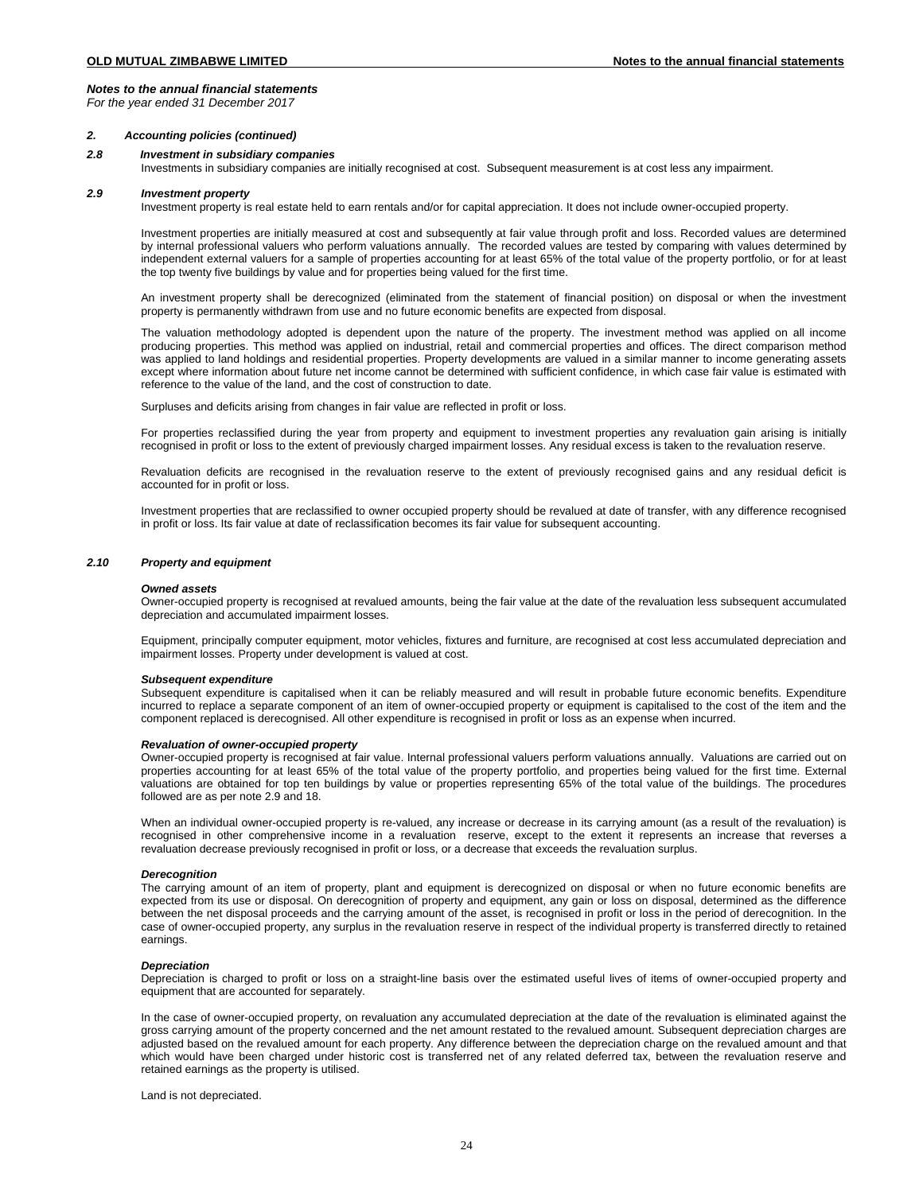*For the year ended 31 December 2017*

### *2. Accounting policies (continued)*

# *2.8 Investment in subsidiary companies*

Investments in subsidiary companies are initially recognised at cost. Subsequent measurement is at cost less any impairment.

### *2.9 Investment property*

Investment property is real estate held to earn rentals and/or for capital appreciation. It does not include owner-occupied property.

Investment properties are initially measured at cost and subsequently at fair value through profit and loss. Recorded values are determined by internal professional valuers who perform valuations annually. The recorded values are tested by comparing with values determined by independent external valuers for a sample of properties accounting for at least 65% of the total value of the property portfolio, or for at least the top twenty five buildings by value and for properties being valued for the first time.

An investment property shall be derecognized (eliminated from the statement of financial position) on disposal or when the investment property is permanently withdrawn from use and no future economic benefits are expected from disposal.

The valuation methodology adopted is dependent upon the nature of the property. The investment method was applied on all income producing properties. This method was applied on industrial, retail and commercial properties and offices. The direct comparison method was applied to land holdings and residential properties. Property developments are valued in a similar manner to income generating assets except where information about future net income cannot be determined with sufficient confidence, in which case fair value is estimated with reference to the value of the land, and the cost of construction to date.

Surpluses and deficits arising from changes in fair value are reflected in profit or loss.

For properties reclassified during the year from property and equipment to investment properties any revaluation gain arising is initially recognised in profit or loss to the extent of previously charged impairment losses. Any residual excess is taken to the revaluation reserve.

Revaluation deficits are recognised in the revaluation reserve to the extent of previously recognised gains and any residual deficit is accounted for in profit or loss.

Investment properties that are reclassified to owner occupied property should be revalued at date of transfer, with any difference recognised in profit or loss. Its fair value at date of reclassification becomes its fair value for subsequent accounting.

# *2.10 Property and equipment*

### *Owned assets*

Owner-occupied property is recognised at revalued amounts, being the fair value at the date of the revaluation less subsequent accumulated depreciation and accumulated impairment losses.

Equipment, principally computer equipment, motor vehicles, fixtures and furniture, are recognised at cost less accumulated depreciation and impairment losses. Property under development is valued at cost.

### *Subsequent expenditure*

Subsequent expenditure is capitalised when it can be reliably measured and will result in probable future economic benefits. Expenditure incurred to replace a separate component of an item of owner-occupied property or equipment is capitalised to the cost of the item and the component replaced is derecognised. All other expenditure is recognised in profit or loss as an expense when incurred.

# *Revaluation of owner-occupied property*

Owner-occupied property is recognised at fair value. Internal professional valuers perform valuations annually. Valuations are carried out on properties accounting for at least 65% of the total value of the property portfolio, and properties being valued for the first time. External valuations are obtained for top ten buildings by value or properties representing 65% of the total value of the buildings. The procedures followed are as per note 2.9 and 18.

When an individual owner-occupied property is re-valued, any increase or decrease in its carrying amount (as a result of the revaluation) is recognised in other comprehensive income in a revaluation reserve, except to the extent it represents an increase that reverses a revaluation decrease previously recognised in profit or loss, or a decrease that exceeds the revaluation surplus.

### *Derecognition*

The carrying amount of an item of property, plant and equipment is derecognized on disposal or when no future economic benefits are expected from its use or disposal. On derecognition of property and equipment, any gain or loss on disposal, determined as the difference between the net disposal proceeds and the carrying amount of the asset, is recognised in profit or loss in the period of derecognition. In the case of owner-occupied property, any surplus in the revaluation reserve in respect of the individual property is transferred directly to retained earnings.

### *Depreciation*

Depreciation is charged to profit or loss on a straight-line basis over the estimated useful lives of items of owner-occupied property and equipment that are accounted for separately.

In the case of owner-occupied property, on revaluation any accumulated depreciation at the date of the revaluation is eliminated against the gross carrying amount of the property concerned and the net amount restated to the revalued amount. Subsequent depreciation charges are adjusted based on the revalued amount for each property. Any difference between the depreciation charge on the revalued amount and that which would have been charged under historic cost is transferred net of any related deferred tax, between the revaluation reserve and retained earnings as the property is utilised.

Land is not depreciated.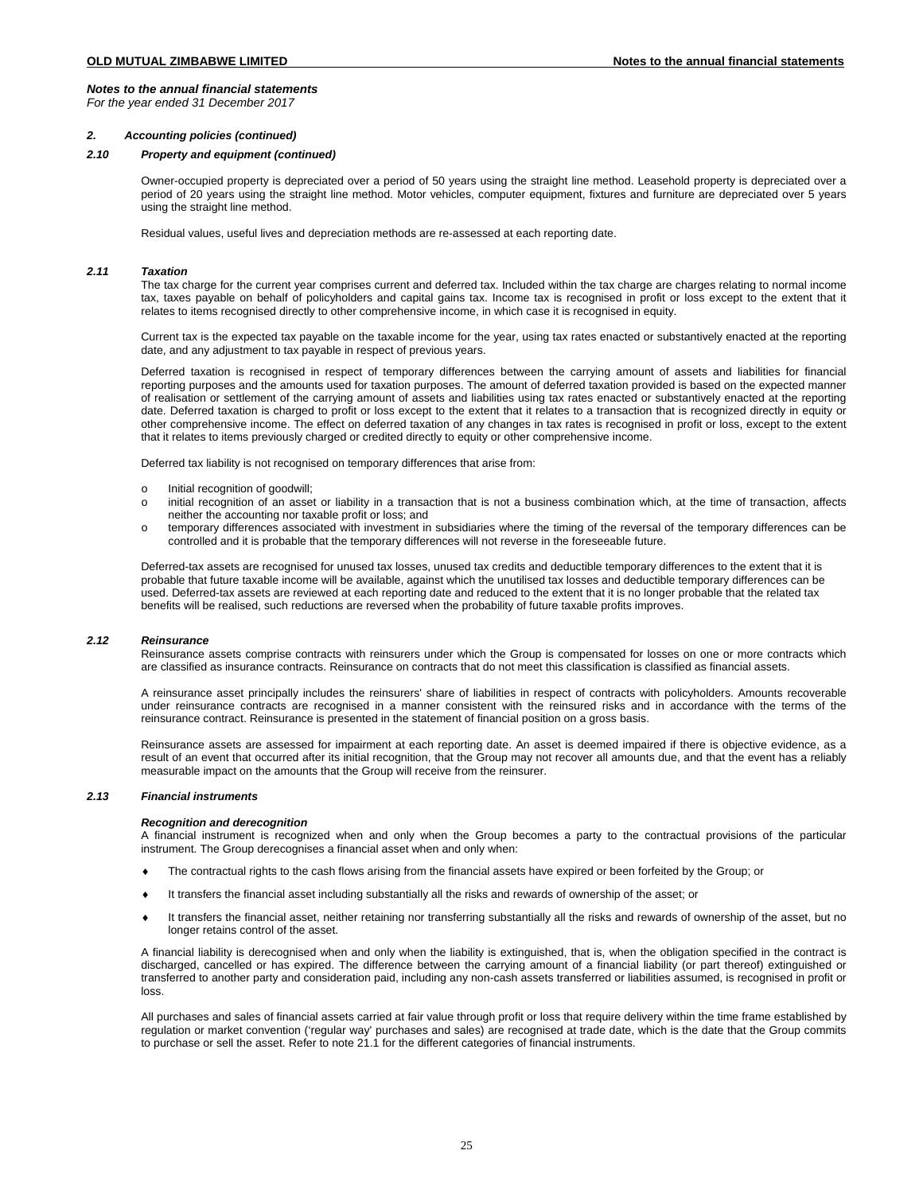*For the year ended 31 December 2017*

## *2. Accounting policies (continued)*

# *2.10 Property and equipment (continued)*

Owner-occupied property is depreciated over a period of 50 years using the straight line method. Leasehold property is depreciated over a period of 20 years using the straight line method. Motor vehicles, computer equipment, fixtures and furniture are depreciated over 5 years using the straight line method.

Residual values, useful lives and depreciation methods are re-assessed at each reporting date.

# *2.11 Taxation*

The tax charge for the current year comprises current and deferred tax. Included within the tax charge are charges relating to normal income tax, taxes payable on behalf of policyholders and capital gains tax. Income tax is recognised in profit or loss except to the extent that it relates to items recognised directly to other comprehensive income, in which case it is recognised in equity.

Current tax is the expected tax payable on the taxable income for the year, using tax rates enacted or substantively enacted at the reporting date, and any adjustment to tax payable in respect of previous years.

Deferred taxation is recognised in respect of temporary differences between the carrying amount of assets and liabilities for financial reporting purposes and the amounts used for taxation purposes. The amount of deferred taxation provided is based on the expected manner of realisation or settlement of the carrying amount of assets and liabilities using tax rates enacted or substantively enacted at the reporting date. Deferred taxation is charged to profit or loss except to the extent that it relates to a transaction that is recognized directly in equity or other comprehensive income. The effect on deferred taxation of any changes in tax rates is recognised in profit or loss, except to the extent that it relates to items previously charged or credited directly to equity or other comprehensive income.

Deferred tax liability is not recognised on temporary differences that arise from:

- o Initial recognition of goodwill;<br>o initial recognition of an asset
- initial recognition of an asset or liability in a transaction that is not a business combination which, at the time of transaction, affects neither the accounting nor taxable profit or loss; and
- o temporary differences associated with investment in subsidiaries where the timing of the reversal of the temporary differences can be controlled and it is probable that the temporary differences will not reverse in the foreseeable future.

Deferred-tax assets are recognised for unused tax losses, unused tax credits and deductible temporary differences to the extent that it is probable that future taxable income will be available, against which the unutilised tax losses and deductible temporary differences can be used. Deferred-tax assets are reviewed at each reporting date and reduced to the extent that it is no longer probable that the related tax benefits will be realised, such reductions are reversed when the probability of future taxable profits improves.

## *2.12 Reinsurance*

Reinsurance assets comprise contracts with reinsurers under which the Group is compensated for losses on one or more contracts which are classified as insurance contracts. Reinsurance on contracts that do not meet this classification is classified as financial assets.

A reinsurance asset principally includes the reinsurers' share of liabilities in respect of contracts with policyholders. Amounts recoverable under reinsurance contracts are recognised in a manner consistent with the reinsured risks and in accordance with the terms of the reinsurance contract. Reinsurance is presented in the statement of financial position on a gross basis.

Reinsurance assets are assessed for impairment at each reporting date. An asset is deemed impaired if there is objective evidence, as a result of an event that occurred after its initial recognition, that the Group may not recover all amounts due, and that the event has a reliably measurable impact on the amounts that the Group will receive from the reinsurer.

## *2.13 Financial instruments*

### *Recognition and derecognition*

A financial instrument is recognized when and only when the Group becomes a party to the contractual provisions of the particular instrument. The Group derecognises a financial asset when and only when:

- ♦ The contractual rights to the cash flows arising from the financial assets have expired or been forfeited by the Group; or
- It transfers the financial asset including substantially all the risks and rewards of ownership of the asset; or
- ♦ It transfers the financial asset, neither retaining nor transferring substantially all the risks and rewards of ownership of the asset, but no longer retains control of the asset.

A financial liability is derecognised when and only when the liability is extinguished, that is, when the obligation specified in the contract is discharged, cancelled or has expired. The difference between the carrying amount of a financial liability (or part thereof) extinguished or transferred to another party and consideration paid, including any non-cash assets transferred or liabilities assumed, is recognised in profit or loss.

All purchases and sales of financial assets carried at fair value through profit or loss that require delivery within the time frame established by regulation or market convention ('regular way' purchases and sales) are recognised at trade date, which is the date that the Group commits to purchase or sell the asset. Refer to note 21.1 for the different categories of financial instruments.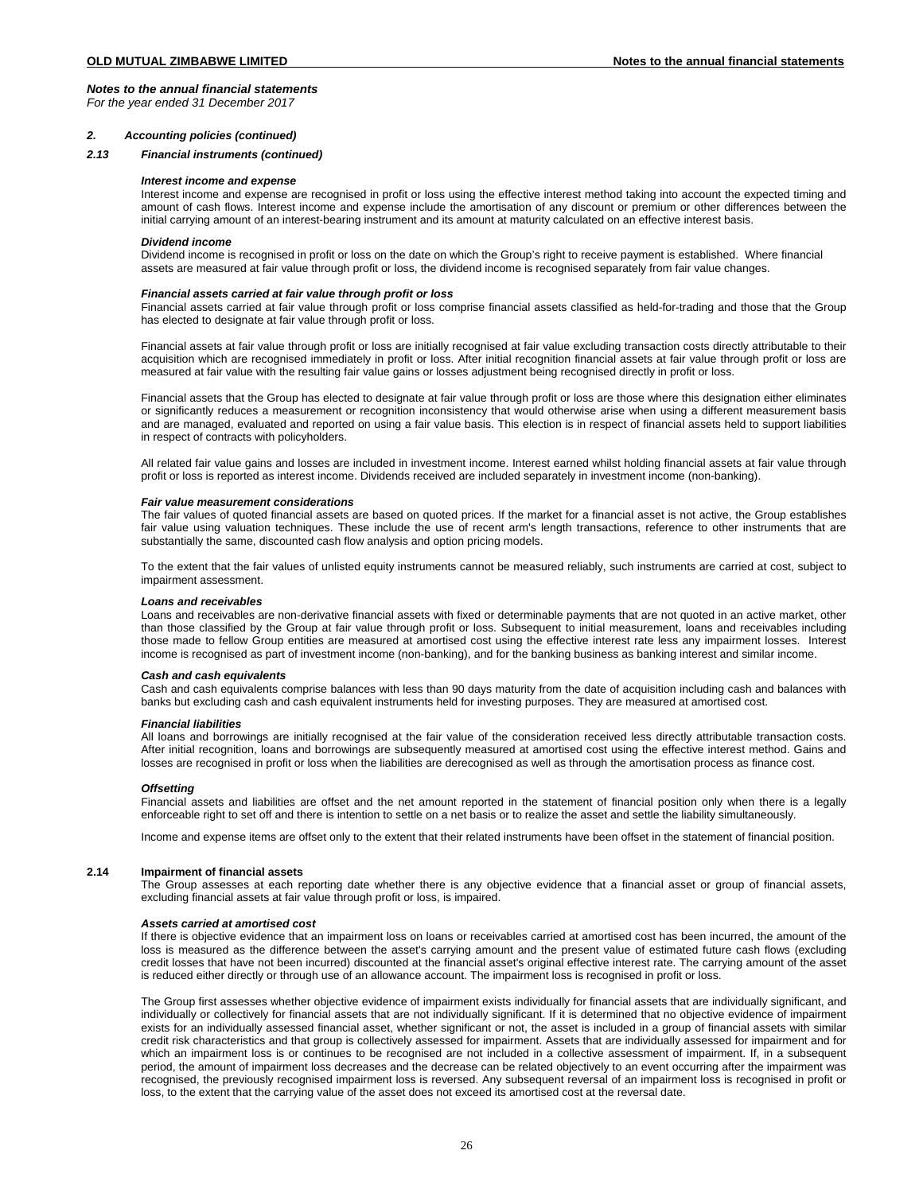*For the year ended 31 December 2017*

## *2. Accounting policies (continued)*

## *2.13 Financial instruments (continued)*

### *Interest income and expense*

Interest income and expense are recognised in profit or loss using the effective interest method taking into account the expected timing and amount of cash flows. Interest income and expense include the amortisation of any discount or premium or other differences between the initial carrying amount of an interest-bearing instrument and its amount at maturity calculated on an effective interest basis.

### *Dividend income*

Dividend income is recognised in profit or loss on the date on which the Group's right to receive payment is established. Where financial assets are measured at fair value through profit or loss, the dividend income is recognised separately from fair value changes.

### *Financial assets carried at fair value through profit or loss*

Financial assets carried at fair value through profit or loss comprise financial assets classified as held-for-trading and those that the Group has elected to designate at fair value through profit or loss.

Financial assets at fair value through profit or loss are initially recognised at fair value excluding transaction costs directly attributable to their acquisition which are recognised immediately in profit or loss. After initial recognition financial assets at fair value through profit or loss are measured at fair value with the resulting fair value gains or losses adjustment being recognised directly in profit or loss.

Financial assets that the Group has elected to designate at fair value through profit or loss are those where this designation either eliminates or significantly reduces a measurement or recognition inconsistency that would otherwise arise when using a different measurement basis and are managed, evaluated and reported on using a fair value basis. This election is in respect of financial assets held to support liabilities in respect of contracts with policyholders.

All related fair value gains and losses are included in investment income. Interest earned whilst holding financial assets at fair value through profit or loss is reported as interest income. Dividends received are included separately in investment income (non-banking).

### *Fair value measurement considerations*

The fair values of quoted financial assets are based on quoted prices. If the market for a financial asset is not active, the Group establishes fair value using valuation techniques. These include the use of recent arm's length transactions, reference to other instruments that are substantially the same, discounted cash flow analysis and option pricing models.

To the extent that the fair values of unlisted equity instruments cannot be measured reliably, such instruments are carried at cost, subject to impairment assessment.

## *Loans and receivables*

Loans and receivables are non-derivative financial assets with fixed or determinable payments that are not quoted in an active market, other than those classified by the Group at fair value through profit or loss. Subsequent to initial measurement, loans and receivables including those made to fellow Group entities are measured at amortised cost using the effective interest rate less any impairment losses. Interest income is recognised as part of investment income (non-banking), and for the banking business as banking interest and similar income.

### *Cash and cash equivalents*

Cash and cash equivalents comprise balances with less than 90 days maturity from the date of acquisition including cash and balances with banks but excluding cash and cash equivalent instruments held for investing purposes. They are measured at amortised cost.

### *Financial liabilities*

All loans and borrowings are initially recognised at the fair value of the consideration received less directly attributable transaction costs. After initial recognition, loans and borrowings are subsequently measured at amortised cost using the effective interest method. Gains and losses are recognised in profit or loss when the liabilities are derecognised as well as through the amortisation process as finance cost.

### *Offsetting*

Financial assets and liabilities are offset and the net amount reported in the statement of financial position only when there is a legally enforceable right to set off and there is intention to settle on a net basis or to realize the asset and settle the liability simultaneously.

Income and expense items are offset only to the extent that their related instruments have been offset in the statement of financial position.

## **2.14 Impairment of financial assets**

The Group assesses at each reporting date whether there is any objective evidence that a financial asset or group of financial assets, excluding financial assets at fair value through profit or loss, is impaired.

### *Assets carried at amortised cost*

If there is objective evidence that an impairment loss on loans or receivables carried at amortised cost has been incurred, the amount of the loss is measured as the difference between the asset's carrying amount and the present value of estimated future cash flows (excluding credit losses that have not been incurred) discounted at the financial asset's original effective interest rate. The carrying amount of the asset is reduced either directly or through use of an allowance account. The impairment loss is recognised in profit or loss.

The Group first assesses whether objective evidence of impairment exists individually for financial assets that are individually significant, and individually or collectively for financial assets that are not individually significant. If it is determined that no objective evidence of impairment exists for an individually assessed financial asset, whether significant or not, the asset is included in a group of financial assets with similar credit risk characteristics and that group is collectively assessed for impairment. Assets that are individually assessed for impairment and for which an impairment loss is or continues to be recognised are not included in a collective assessment of impairment. If, in a subsequent period, the amount of impairment loss decreases and the decrease can be related objectively to an event occurring after the impairment was recognised, the previously recognised impairment loss is reversed. Any subsequent reversal of an impairment loss is recognised in profit or loss, to the extent that the carrying value of the asset does not exceed its amortised cost at the reversal date.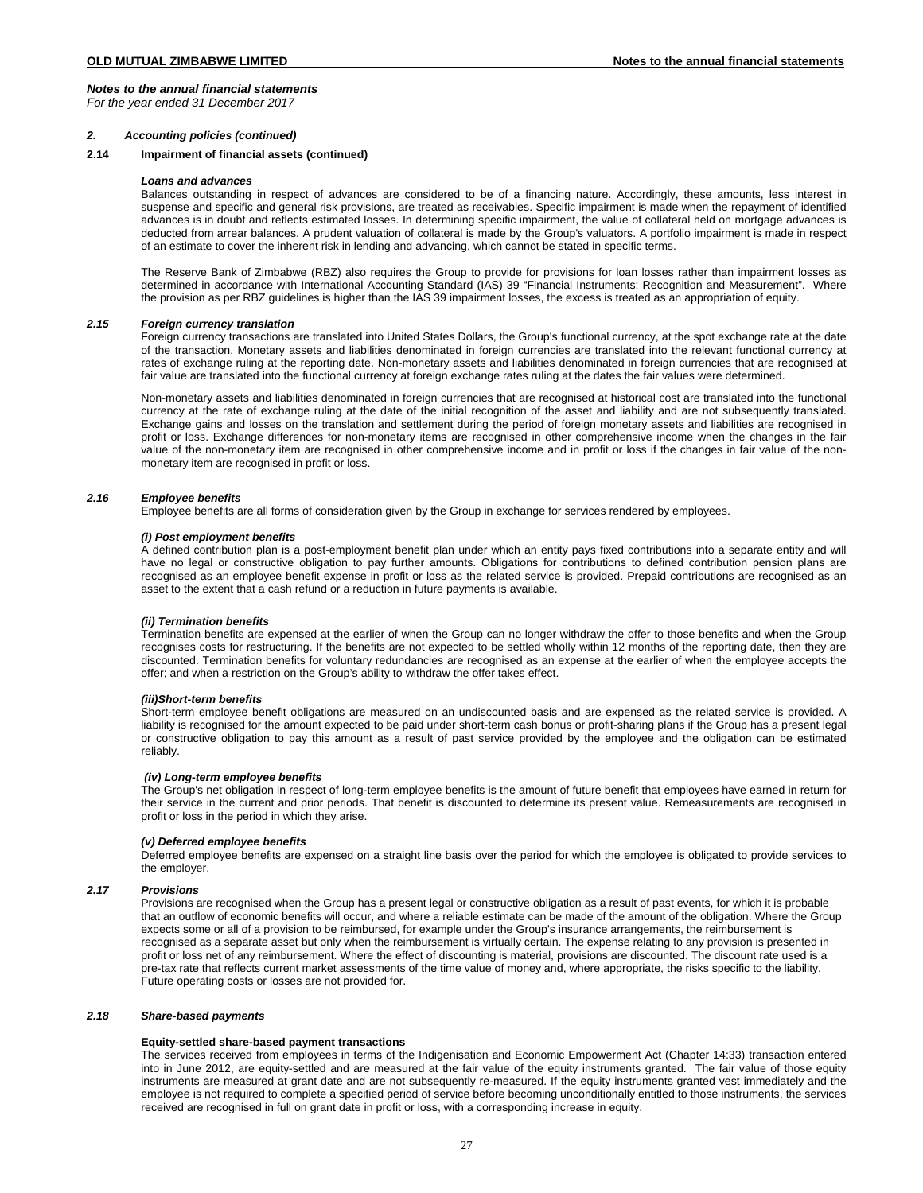*For the year ended 31 December 2017*

## *2. Accounting policies (continued)*

# **2.14 Impairment of financial assets (continued)**

## *Loans and advances*

Balances outstanding in respect of advances are considered to be of a financing nature. Accordingly, these amounts, less interest in suspense and specific and general risk provisions, are treated as receivables. Specific impairment is made when the repayment of identified advances is in doubt and reflects estimated losses. In determining specific impairment, the value of collateral held on mortgage advances is deducted from arrear balances. A prudent valuation of collateral is made by the Group's valuators. A portfolio impairment is made in respect of an estimate to cover the inherent risk in lending and advancing, which cannot be stated in specific terms.

The Reserve Bank of Zimbabwe (RBZ) also requires the Group to provide for provisions for loan losses rather than impairment losses as determined in accordance with International Accounting Standard (IAS) 39 "Financial Instruments: Recognition and Measurement". Where the provision as per RBZ guidelines is higher than the IAS 39 impairment losses, the excess is treated as an appropriation of equity.

# *2.15 Foreign currency translation*

Foreign currency transactions are translated into United States Dollars, the Group's functional currency, at the spot exchange rate at the date of the transaction. Monetary assets and liabilities denominated in foreign currencies are translated into the relevant functional currency at rates of exchange ruling at the reporting date. Non-monetary assets and liabilities denominated in foreign currencies that are recognised at fair value are translated into the functional currency at foreign exchange rates ruling at the dates the fair values were determined.

Non-monetary assets and liabilities denominated in foreign currencies that are recognised at historical cost are translated into the functional currency at the rate of exchange ruling at the date of the initial recognition of the asset and liability and are not subsequently translated. Exchange gains and losses on the translation and settlement during the period of foreign monetary assets and liabilities are recognised in profit or loss. Exchange differences for non-monetary items are recognised in other comprehensive income when the changes in the fair value of the non-monetary item are recognised in other comprehensive income and in profit or loss if the changes in fair value of the nonmonetary item are recognised in profit or loss.

## *2.16 Employee benefits*

Employee benefits are all forms of consideration given by the Group in exchange for services rendered by employees.

# *(i) Post employment benefits*

A defined contribution plan is a post-employment benefit plan under which an entity pays fixed contributions into a separate entity and will have no legal or constructive obligation to pay further amounts. Obligations for contributions to defined contribution pension plans are recognised as an employee benefit expense in profit or loss as the related service is provided. Prepaid contributions are recognised as an asset to the extent that a cash refund or a reduction in future payments is available.

## *(ii) Termination benefits*

Termination benefits are expensed at the earlier of when the Group can no longer withdraw the offer to those benefits and when the Group recognises costs for restructuring. If the benefits are not expected to be settled wholly within 12 months of the reporting date, then they are discounted. Termination benefits for voluntary redundancies are recognised as an expense at the earlier of when the employee accepts the offer; and when a restriction on the Group's ability to withdraw the offer takes effect.

### *(iii)Short-term benefits*

Short-term employee benefit obligations are measured on an undiscounted basis and are expensed as the related service is provided. A liability is recognised for the amount expected to be paid under short-term cash bonus or profit-sharing plans if the Group has a present legal or constructive obligation to pay this amount as a result of past service provided by the employee and the obligation can be estimated reliably.

# *(iv) Long-term employee benefits*

The Group's net obligation in respect of long-term employee benefits is the amount of future benefit that employees have earned in return for their service in the current and prior periods. That benefit is discounted to determine its present value. Remeasurements are recognised in profit or loss in the period in which they arise.

# *(v) Deferred employee benefits*

Deferred employee benefits are expensed on a straight line basis over the period for which the employee is obligated to provide services to the employer.

## *2.17 Provisions*

Provisions are recognised when the Group has a present legal or constructive obligation as a result of past events, for which it is probable that an outflow of economic benefits will occur, and where a reliable estimate can be made of the amount of the obligation. Where the Group expects some or all of a provision to be reimbursed, for example under the Group's insurance arrangements, the reimbursement is recognised as a separate asset but only when the reimbursement is virtually certain. The expense relating to any provision is presented in profit or loss net of any reimbursement. Where the effect of discounting is material, provisions are discounted. The discount rate used is a pre-tax rate that reflects current market assessments of the time value of money and, where appropriate, the risks specific to the liability. Future operating costs or losses are not provided for.

# *2.18 Share-based payments*

## **Equity-settled share-based payment transactions**

The services received from employees in terms of the Indigenisation and Economic Empowerment Act (Chapter 14:33) transaction entered into in June 2012, are equity-settled and are measured at the fair value of the equity instruments granted. The fair value of those equity instruments are measured at grant date and are not subsequently re-measured. If the equity instruments granted vest immediately and the employee is not required to complete a specified period of service before becoming unconditionally entitled to those instruments, the services received are recognised in full on grant date in profit or loss, with a corresponding increase in equity.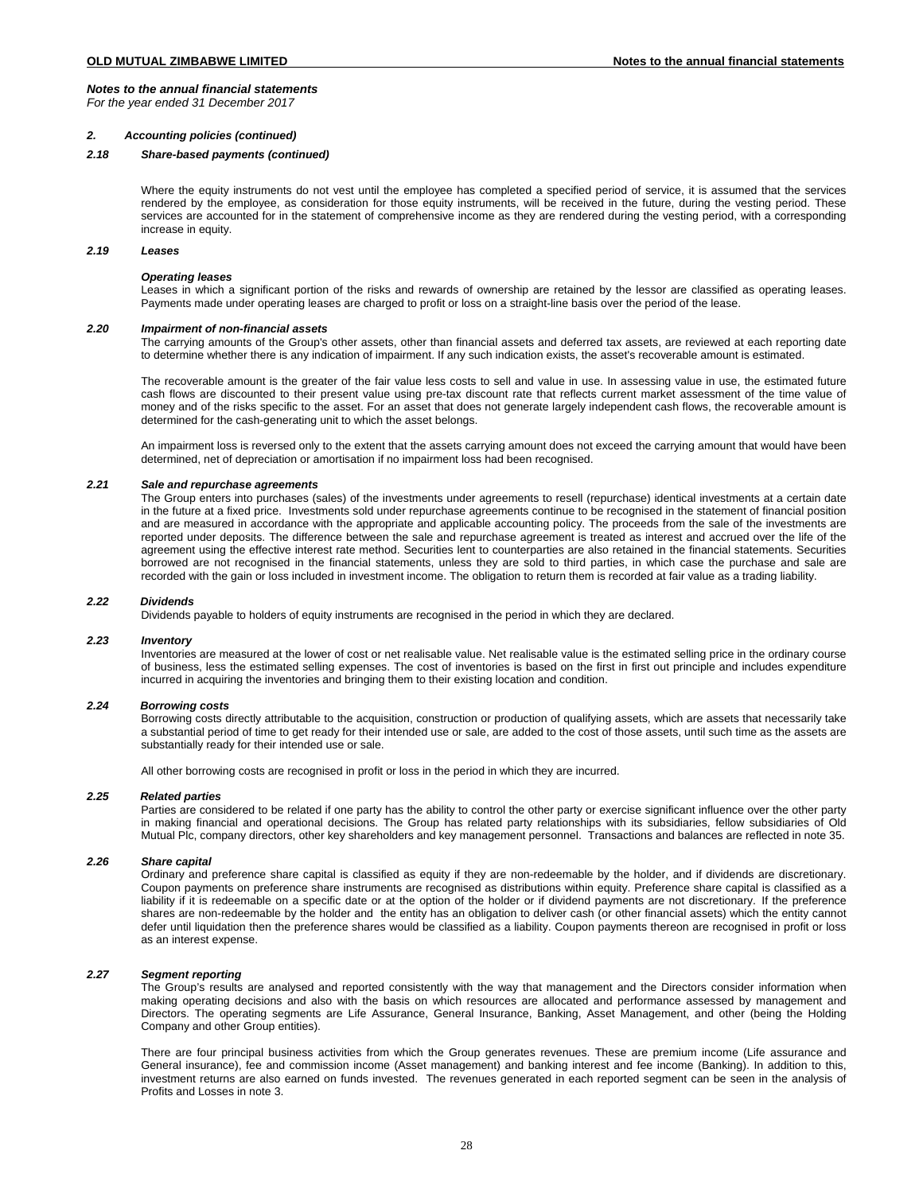*For the year ended 31 December 2017*

## *2. Accounting policies (continued)*

# *2.18 Share-based payments (continued)*

Where the equity instruments do not vest until the employee has completed a specified period of service, it is assumed that the services rendered by the employee, as consideration for those equity instruments, will be received in the future, during the vesting period. These services are accounted for in the statement of comprehensive income as they are rendered during the vesting period, with a corresponding increase in equity.

# *2.19 Leases*

### *Operating leases*

Leases in which a significant portion of the risks and rewards of ownership are retained by the lessor are classified as operating leases. Payments made under operating leases are charged to profit or loss on a straight-line basis over the period of the lease.

# *2.20 Impairment of non-financial assets*

The carrying amounts of the Group's other assets, other than financial assets and deferred tax assets, are reviewed at each reporting date to determine whether there is any indication of impairment. If any such indication exists, the asset's recoverable amount is estimated.

The recoverable amount is the greater of the fair value less costs to sell and value in use. In assessing value in use, the estimated future cash flows are discounted to their present value using pre-tax discount rate that reflects current market assessment of the time value of money and of the risks specific to the asset. For an asset that does not generate largely independent cash flows, the recoverable amount is determined for the cash-generating unit to which the asset belongs.

An impairment loss is reversed only to the extent that the assets carrying amount does not exceed the carrying amount that would have been determined, net of depreciation or amortisation if no impairment loss had been recognised.

### *2.21 Sale and repurchase agreements*

The Group enters into purchases (sales) of the investments under agreements to resell (repurchase) identical investments at a certain date in the future at a fixed price. Investments sold under repurchase agreements continue to be recognised in the statement of financial position and are measured in accordance with the appropriate and applicable accounting policy. The proceeds from the sale of the investments are reported under deposits. The difference between the sale and repurchase agreement is treated as interest and accrued over the life of the agreement using the effective interest rate method. Securities lent to counterparties are also retained in the financial statements. Securities borrowed are not recognised in the financial statements, unless they are sold to third parties, in which case the purchase and sale are recorded with the gain or loss included in investment income. The obligation to return them is recorded at fair value as a trading liability.

### *2.22 Dividends*

Dividends payable to holders of equity instruments are recognised in the period in which they are declared.

## *2.23 Inventory*

Inventories are measured at the lower of cost or net realisable value. Net realisable value is the estimated selling price in the ordinary course of business, less the estimated selling expenses. The cost of inventories is based on the first in first out principle and includes expenditure incurred in acquiring the inventories and bringing them to their existing location and condition.

# *2.24 Borrowing costs*

Borrowing costs directly attributable to the acquisition, construction or production of qualifying assets, which are assets that necessarily take a substantial period of time to get ready for their intended use or sale, are added to the cost of those assets, until such time as the assets are substantially ready for their intended use or sale.

All other borrowing costs are recognised in profit or loss in the period in which they are incurred.

## *2.25 Related parties*

Parties are considered to be related if one party has the ability to control the other party or exercise significant influence over the other party in making financial and operational decisions. The Group has related party relationships with its subsidiaries, fellow subsidiaries of Old Mutual Plc, company directors, other key shareholders and key management personnel. Transactions and balances are reflected in note 35.

# *2.26 Share capital*

Ordinary and preference share capital is classified as equity if they are non-redeemable by the holder, and if dividends are discretionary. Coupon payments on preference share instruments are recognised as distributions within equity. Preference share capital is classified as a liability if it is redeemable on a specific date or at the option of the holder or if dividend payments are not discretionary. If the preference shares are non-redeemable by the holder and the entity has an obligation to deliver cash (or other financial assets) which the entity cannot defer until liquidation then the preference shares would be classified as a liability. Coupon payments thereon are recognised in profit or loss as an interest expense.

## *2.27 Segment reporting*

The Group's results are analysed and reported consistently with the way that management and the Directors consider information when making operating decisions and also with the basis on which resources are allocated and performance assessed by management and Directors. The operating segments are Life Assurance, General Insurance, Banking, Asset Management, and other (being the Holding Company and other Group entities).

There are four principal business activities from which the Group generates revenues. These are premium income (Life assurance and General insurance), fee and commission income (Asset management) and banking interest and fee income (Banking). In addition to this, investment returns are also earned on funds invested. The revenues generated in each reported segment can be seen in the analysis of Profits and Losses in note 3.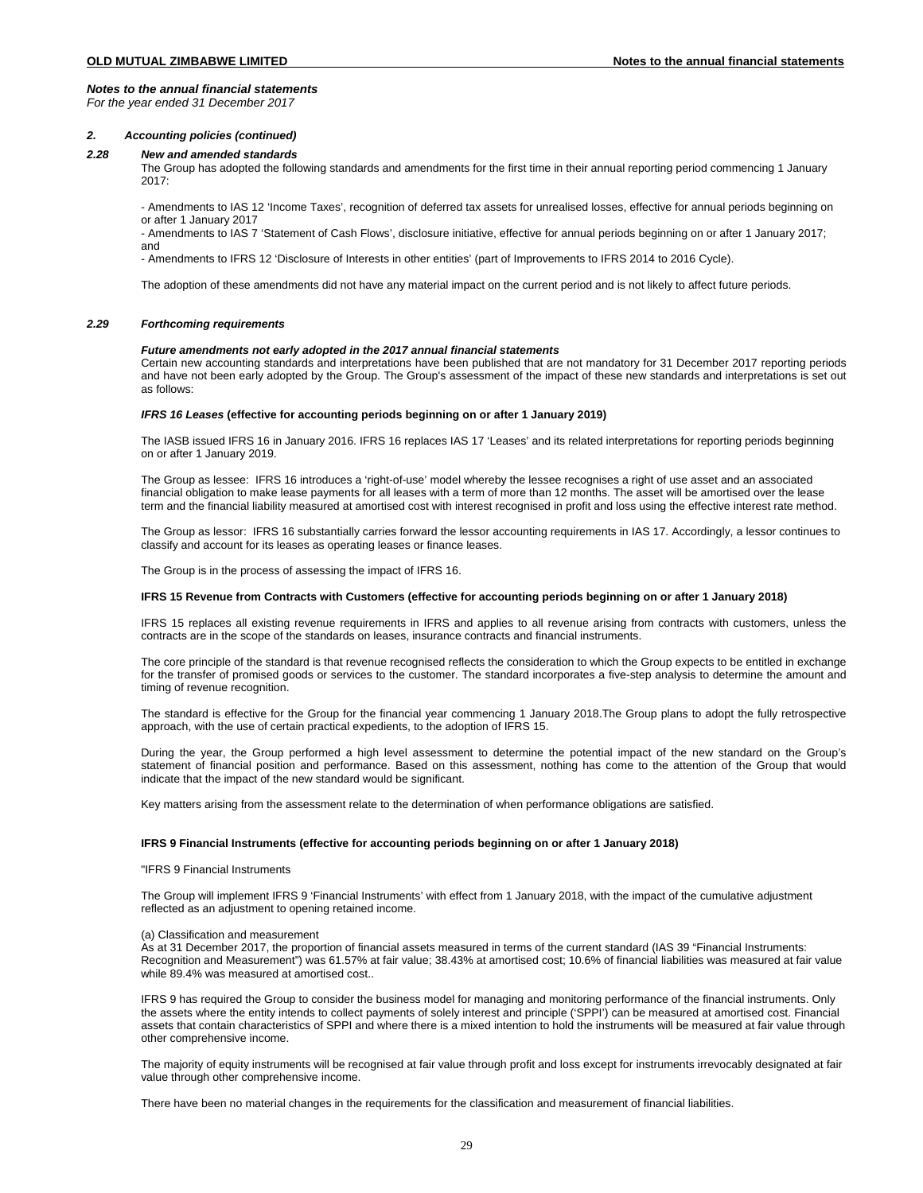*For the year ended 31 December 2017*

## *2. Accounting policies (continued)*

## *2.28 New and amended standards*

The Group has adopted the following standards and amendments for the first time in their annual reporting period commencing 1 January  $2017$ 

- Amendments to IAS 12 'Income Taxes', recognition of deferred tax assets for unrealised losses, effective for annual periods beginning on or after 1 January 2017

- Amendments to IAS 7 'Statement of Cash Flows', disclosure initiative, effective for annual periods beginning on or after 1 January 2017; and

- Amendments to IFRS 12 'Disclosure of Interests in other entities' (part of Improvements to IFRS 2014 to 2016 Cycle).

The adoption of these amendments did not have any material impact on the current period and is not likely to affect future periods.

# *2.29 Forthcoming requirements*

# *Future amendments not early adopted in the 2017 annual financial statements*

Certain new accounting standards and interpretations have been published that are not mandatory for 31 December 2017 reporting periods and have not been early adopted by the Group. The Group's assessment of the impact of these new standards and interpretations is set out as follows:

### *IFRS 16 Leases* **(effective for accounting periods beginning on or after 1 January 2019)**

The IASB issued IFRS 16 in January 2016. IFRS 16 replaces IAS 17 'Leases' and its related interpretations for reporting periods beginning on or after 1 January 2019.

The Group as lessee: IFRS 16 introduces a 'right-of-use' model whereby the lessee recognises a right of use asset and an associated financial obligation to make lease payments for all leases with a term of more than 12 months. The asset will be amortised over the lease term and the financial liability measured at amortised cost with interest recognised in profit and loss using the effective interest rate method.

The Group as lessor: IFRS 16 substantially carries forward the lessor accounting requirements in IAS 17. Accordingly, a lessor continues to classify and account for its leases as operating leases or finance leases.

The Group is in the process of assessing the impact of IFRS 16.

# **IFRS 15 Revenue from Contracts with Customers (effective for accounting periods beginning on or after 1 January 2018)**

IFRS 15 replaces all existing revenue requirements in IFRS and applies to all revenue arising from contracts with customers, unless the contracts are in the scope of the standards on leases, insurance contracts and financial instruments.

The core principle of the standard is that revenue recognised reflects the consideration to which the Group expects to be entitled in exchange for the transfer of promised goods or services to the customer. The standard incorporates a five-step analysis to determine the amount and timing of revenue recognition.

The standard is effective for the Group for the financial year commencing 1 January 2018.The Group plans to adopt the fully retrospective approach, with the use of certain practical expedients, to the adoption of IFRS 15.

During the year, the Group performed a high level assessment to determine the potential impact of the new standard on the Group's statement of financial position and performance. Based on this assessment, nothing has come to the attention of the Group that would indicate that the impact of the new standard would be significant.

Key matters arising from the assessment relate to the determination of when performance obligations are satisfied.

# **IFRS 9 Financial Instruments (effective for accounting periods beginning on or after 1 January 2018)**

### "IFRS 9 Financial Instruments

The Group will implement IFRS 9 'Financial Instruments' with effect from 1 January 2018, with the impact of the cumulative adjustment reflected as an adjustment to opening retained income.

### (a) Classification and measurement

As at 31 December 2017, the proportion of financial assets measured in terms of the current standard (IAS 39 "Financial Instruments: Recognition and Measurement") was 61.57% at fair value; 38.43% at amortised cost; 10.6% of financial liabilities was measured at fair value while 89.4% was measured at amortised cost..

IFRS 9 has required the Group to consider the business model for managing and monitoring performance of the financial instruments. Only the assets where the entity intends to collect payments of solely interest and principle ('SPPI') can be measured at amortised cost. Financial assets that contain characteristics of SPPI and where there is a mixed intention to hold the instruments will be measured at fair value through other comprehensive income.

The majority of equity instruments will be recognised at fair value through profit and loss except for instruments irrevocably designated at fair value through other comprehensive income.

There have been no material changes in the requirements for the classification and measurement of financial liabilities.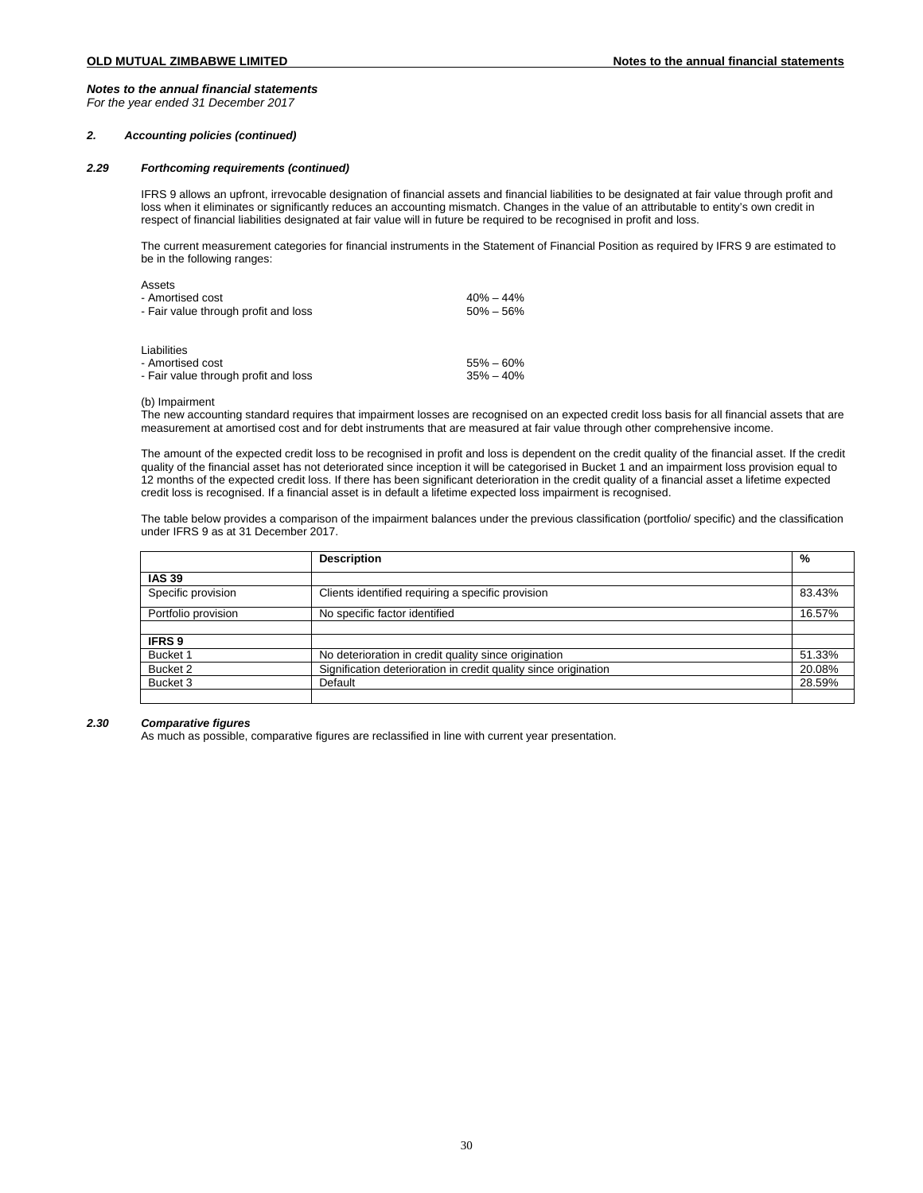*For the year ended 31 December 2017*

## *2. Accounting policies (continued)*

# *2.29 Forthcoming requirements (continued)*

IFRS 9 allows an upfront, irrevocable designation of financial assets and financial liabilities to be designated at fair value through profit and loss when it eliminates or significantly reduces an accounting mismatch. Changes in the value of an attributable to entity's own credit in respect of financial liabilities designated at fair value will in future be required to be recognised in profit and loss.

The current measurement categories for financial instruments in the Statement of Financial Position as required by IFRS 9 are estimated to be in the following ranges:

| Assets<br>- Amortised cost<br>- Fair value through profit and loss      | $40\% - 44\%$<br>$50\% - 56\%$ |
|-------------------------------------------------------------------------|--------------------------------|
| Liabilities<br>- Amortised cost<br>- Fair value through profit and loss | $55\% - 60\%$<br>$35\% - 40\%$ |

### (b) Impairment

The new accounting standard requires that impairment losses are recognised on an expected credit loss basis for all financial assets that are measurement at amortised cost and for debt instruments that are measured at fair value through other comprehensive income.

The amount of the expected credit loss to be recognised in profit and loss is dependent on the credit quality of the financial asset. If the credit quality of the financial asset has not deteriorated since inception it will be categorised in Bucket 1 and an impairment loss provision equal to 12 months of the expected credit loss. If there has been significant deterioration in the credit quality of a financial asset a lifetime expected credit loss is recognised. If a financial asset is in default a lifetime expected loss impairment is recognised.

The table below provides a comparison of the impairment balances under the previous classification (portfolio/ specific) and the classification under IFRS 9 as at 31 December 2017.

|                     | <b>Description</b>                                              | %      |
|---------------------|-----------------------------------------------------------------|--------|
| <b>IAS 39</b>       |                                                                 |        |
| Specific provision  | Clients identified requiring a specific provision               | 83.43% |
| Portfolio provision | No specific factor identified                                   | 16.57% |
|                     |                                                                 |        |
| <b>IFRS9</b>        |                                                                 |        |
| Bucket 1            | No deterioration in credit quality since origination            | 51.33% |
| Bucket 2            | Signification deterioration in credit quality since origination | 20.08% |
| Bucket 3            | Default                                                         | 28.59% |

### *2.30 Comparative figures*

As much as possible, comparative figures are reclassified in line with current year presentation.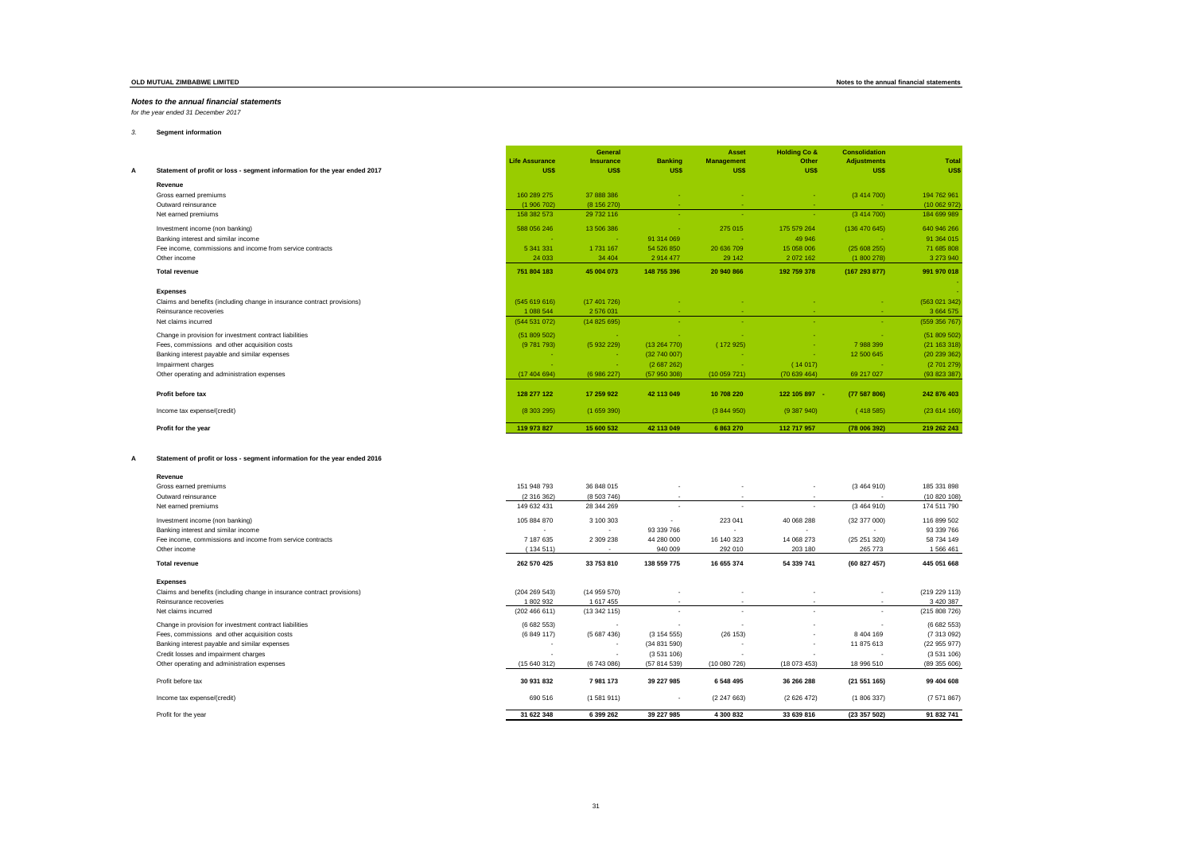*for the year ended 31 December 2017*

## *3.* **Segment information**

|                                                                           | <b>Life Assurance</b> | General<br><b>Insurance</b> | <b>Banking</b> | Asset<br><b>Management</b> | <b>Holding Co &amp;</b><br>Other | <b>Consolidation</b><br><b>Adjustments</b> | Total         |
|---------------------------------------------------------------------------|-----------------------|-----------------------------|----------------|----------------------------|----------------------------------|--------------------------------------------|---------------|
| Statement of profit or loss - segment information for the year ended 2017 | <b>US\$</b>           | US\$                        | US\$           | US\$                       | US\$                             | US\$                                       | US\$          |
| Revenue                                                                   |                       |                             |                |                            |                                  |                                            |               |
| Gross earned premiums                                                     | 160 289 275           | 37 888 386                  |                |                            |                                  | (3414700)                                  | 194 762 961   |
| Outward reinsurance                                                       | (1906702)             | (8156270)                   |                |                            |                                  |                                            | (10 062 972)  |
| Net earned premiums                                                       | 158 382 573           | 29 732 116                  | <b>Section</b> | $\sim$                     | <b>Section</b>                   | (3414700)                                  | 184 699 989   |
| Investment income (non banking)                                           | 588 056 246           | 13 506 386                  |                | 275 015                    | 175 579 264                      | (136 470 645)                              | 640 946 266   |
| Banking interest and similar income                                       | <b>Contract</b>       | <b>College</b>              | 91 314 069     |                            | 49 946                           | <b>College</b>                             | 91 364 015    |
| Fee income, commissions and income from service contracts                 | 5 341 331             | 1 731 167                   | 54 526 850     | 20 636 709                 | 15 058 006                       | (25608255)                                 | 71 685 808    |
| Other income                                                              | 24 033                | 34 4 04                     | 2 914 477      | 29 14 2                    | 2 072 162                        | (1800278)                                  | 3 273 940     |
| <b>Total revenue</b>                                                      | 751 804 183           | 45 004 073                  | 148 755 396    | 20 940 866                 | 192 759 378                      | (167293877)                                | 991 970 018   |
| <b>Expenses</b>                                                           |                       |                             |                |                            |                                  |                                            |               |
| Claims and benefits (including change in insurance contract provisions)   | (545619616)           | (17401726)                  |                |                            |                                  |                                            | (563 021 342) |
| Reinsurance recoveries                                                    | 1 088 544             | 2 576 031                   |                |                            |                                  |                                            | 3 664 575     |
| Net claims incurred                                                       | (544 531 072)         | (14825695)                  |                |                            |                                  |                                            | (559 356 767) |
| Change in provision for investment contract liabilities                   | (51809502)            | <b>Contract</b>             |                |                            |                                  | <b>COL</b>                                 | (51809502)    |
| Fees, commissions and other acquisition costs                             | (9781793)             | (5932229)                   | (13264770)     | (172925)                   |                                  | 7988399                                    | (21 163 318)  |
| Banking interest payable and similar expenses                             |                       | <b>Card</b>                 | (32740007)     |                            |                                  | 12 500 645                                 | (20 239 362)  |
| Impairment charges                                                        |                       | <b>Card</b>                 | (2687262)      |                            | (14017)                          | <b>College</b>                             | (2701279)     |
| Other operating and administration expenses                               | (17404694)            | (6986227)                   | (57950308)     | (10059721)                 | (70639464)                       | 69 217 027                                 | (93823387)    |
| Profit before tax                                                         | 128 277 122           | 17 259 922                  | 42 113 049     | 10 708 220                 | 122 105 897 -                    | (77587806)                                 | 242 876 403   |
| Income tax expense/(credit)                                               | (8303295)             | (1659390)                   |                | (3844950)                  | (9387940)                        | (418585)                                   | (23614160)    |
| Profit for the year                                                       | 119 973 827           | 15 600 532                  | 42 113 049     | 6 863 270                  | 112 717 957                      | (78 006 392)                               | 219 262 243   |

 $\overline{a}$ 

### **A Statement of profit or loss - segment information for the year ended 2016**

| Revenue                                                                 |               |                          |                          |                          |              |               |               |
|-------------------------------------------------------------------------|---------------|--------------------------|--------------------------|--------------------------|--------------|---------------|---------------|
| Gross earned premiums                                                   | 151 948 793   | 36 848 015               | $\overline{\phantom{a}}$ |                          | $\sim$       | (3464910)     | 185 331 898   |
| Outward reinsurance                                                     | (2316362)     | (8503746)                |                          |                          |              |               | (10820108)    |
| Net earned premiums                                                     | 149 632 431   | 28 344 269               | ٠                        |                          |              | (3464910)     | 174 511 790   |
| Investment income (non banking)                                         | 105 884 870   | 3 100 303                |                          | 223 041                  | 40 068 288   | (32 377 000)  | 116 899 502   |
| Banking interest and similar income                                     |               | $\overline{\phantom{a}}$ | 93 339 766               | . .                      |              |               | 93 339 766    |
| Fee income, commissions and income from service contracts               | 7 187 635     | 2 309 238                | 44 280 000               | 16 140 323               | 14 068 273   | (25251320)    | 58 734 149    |
| Other income                                                            | (134511)      |                          | 940 009                  | 292 010                  | 203 180      | 265 773       | 1 566 461     |
| <b>Total revenue</b>                                                    | 262 570 425   | 33 753 810               | 138 559 775              | 16 655 374               | 54 339 741   | (60 827 457)  | 445 051 668   |
| <b>Expenses</b>                                                         |               |                          |                          |                          |              |               |               |
| Claims and benefits (including change in insurance contract provisions) | (204 269 543) | (14959570)               |                          |                          |              |               | (219 229 113) |
| Reinsurance recoveries                                                  | 1 802 932     | 1617455                  | $\overline{\phantom{a}}$ | $\overline{\phantom{a}}$ |              | $\sim$        | 3 420 387     |
| Net claims incurred                                                     | (202466611)   | (13342115)               | $\overline{\phantom{a}}$ | $\overline{\phantom{a}}$ | $\sim$       | $\sim$        | (215 808 726) |
| Change in provision for investment contract liabilities                 | (6682553)     | $\overline{\phantom{a}}$ | ۰                        |                          |              |               | (6682553)     |
| Fees, commissions and other acquisition costs                           | (6849117)     | (5687436)                | (315455)                 | (26 153)                 | $\sim$       | 8 4 0 4 1 6 9 | (7 313 092)   |
| Banking interest payable and similar expenses                           | ٠             | $\overline{\phantom{a}}$ | (34 831 590)             |                          | $\sim$       | 11 875 613    | (22955977)    |
| Credit losses and impairment charges                                    | ٠             | $\overline{\phantom{a}}$ | (3531106)                |                          |              |               | (3531106)     |
| Other operating and administration expenses                             | (15640312)    | (6743086)                | (57 814 539)             | (10080726)               | (18 073 453) | 18 996 510    | (89 355 606)  |
| Profit before tax                                                       | 30 931 832    | 7981173                  | 39 227 985               | 6 548 495                | 36 266 288   | (21 551 165)  | 99 404 608    |
| Income tax expense/(credit)                                             | 690 516       | (1581911)                | ٠                        | (2247663)                | (2626472)    | (1806337)     | (7571867)     |
| Profit for the year                                                     | 31 622 348    | 6 399 262                | 39 227 985               | 4 300 832                | 33 639 816   | (23 357 502)  | 91 832 741    |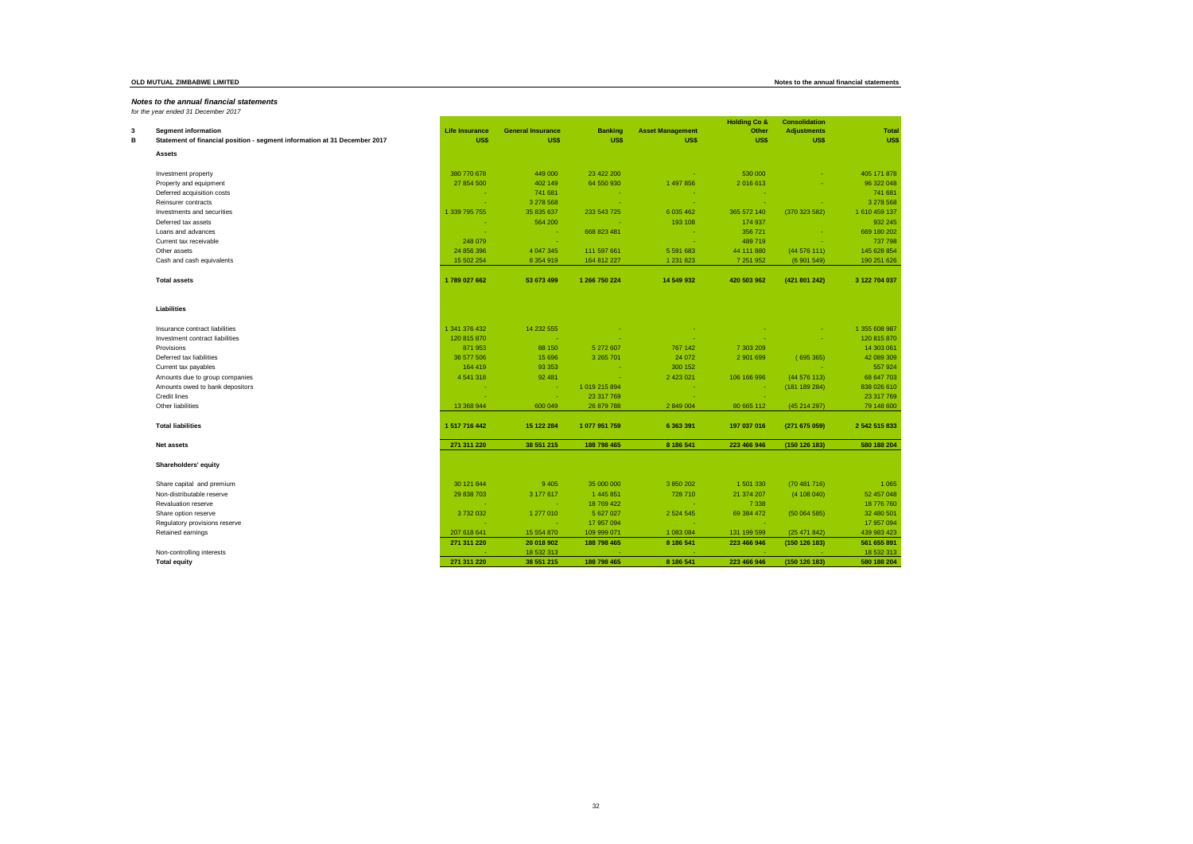*for the year ended 31 December 2017*

| 3 | <b>Segment information</b>                                                | <b>Life Insurance</b> | <b>General Insurance</b> | <b>Banking</b> | <b>Asset Management</b> | <b>Holding Co &amp;</b><br>Other | <b>Consolidation</b><br><b>Adjustments</b> | <b>Total</b>  |
|---|---------------------------------------------------------------------------|-----------------------|--------------------------|----------------|-------------------------|----------------------------------|--------------------------------------------|---------------|
| в | Statement of financial position - segment information at 31 December 2017 | US\$                  | US\$                     | <b>US\$</b>    | <b>US\$</b>             | <b>US\$</b>                      | US\$                                       | US\$          |
|   | <b>Assets</b>                                                             |                       |                          |                |                         |                                  |                                            |               |
|   | Investment property                                                       | 380 770 678           | 449 000                  | 23 422 200     | - 1                     | 530 000                          |                                            | 405 171 878   |
|   | Property and equipment                                                    | 27 854 500            | 402 149                  | 64 550 930     | 1 497 856               | 2 016 613                        |                                            | 96 322 048    |
|   | Deferred acquisition costs                                                | - 1                   | 741 681                  | <b>College</b> | - 1                     | <b>.</b>                         |                                            | 741 681       |
|   | Reinsurer contracts                                                       |                       | 3 278 568                | - 4            | - 2                     | - 1                              |                                            | 3 278 568     |
|   | Investments and securities                                                | 1 339 795 755         | 35 835 637               | 233 543 725    | 6 035 462               | 365 572 140                      | (370 323 582)                              | 1610459137    |
|   | Deferred tax assets                                                       |                       | 564 200                  |                | 193 108                 | 174 937                          |                                            | 932 245       |
|   | Loans and advances                                                        | ÷.                    | - 4                      | 668 823 481    | <b>College</b>          | 356 721                          | - 1                                        | 669 180 202   |
|   | Current tax receivable                                                    | 248 079               | - 40                     |                | - 4                     | 489 719                          | o.                                         | 737 798       |
|   | Other assets                                                              | 24 856 396            | 4 047 345                | 111 597 661    | 5 591 683               | 44 111 880                       | (44576111)                                 | 145 628 854   |
|   | Cash and cash equivalents                                                 | 15 502 254            | 8 3 5 4 9 1 9            | 164 812 227    | 1 2 3 1 8 2 3           | 7 251 952                        | (6901549)                                  | 190 251 626   |
|   | <b>Total assets</b>                                                       | 1789 027 662          | 53 673 499               | 1 266 750 224  | 14 549 932              | 420 503 962                      | (421 801 242)                              | 3 122 704 037 |
|   | Liabilities                                                               |                       |                          |                |                         |                                  |                                            |               |
|   | Insurance contract liabilities                                            | 1 341 376 432         | 14 232 555               |                |                         |                                  |                                            | 1 355 608 987 |
|   | Investment contract liabilities                                           | 120 815 870           | <b>.</b>                 |                |                         |                                  |                                            | 120 815 870   |
|   | Provisions                                                                | 871953                | 88 150                   | 5 272 607      | 767 142                 | 7 303 209                        |                                            | 14 303 061    |
|   | Deferred tax liabilities                                                  | 36 577 506            | 15 696                   | 3 265 701      | 24 072                  | 2 901 699                        | (695365)                                   | 42 089 309    |
|   | Current tax payables                                                      | 164 419               | 93 35 3                  | - 4            | 300 152                 |                                  |                                            | 557924        |
|   | Amounts due to group companies                                            | 4 5 4 1 3 1 8         | 92 481                   | - 4            | 2 423 021               | 106 166 996                      | (44576113)                                 | 68 647 703    |
|   | Amounts owed to bank depositors                                           |                       | $\sim$                   | 1 019 215 894  | - 4                     | - 4                              | (181 189 284)                              | 838 026 610   |
|   | Credit lines                                                              |                       | $\sim$                   | 23 317 769     |                         | <b>.</b>                         |                                            | 23 317 769    |
|   | Other liabilities                                                         | 13 368 944            | 600 049                  | 26 879 788     | 2 849 004               | 80 665 112                       | (45 214 297)                               | 79 148 600    |
|   | <b>Total liabilities</b>                                                  | 1 517 716 442         | 15 122 284               | 1 077 951 759  | 6 363 391               | 197 037 016                      | (271675059)                                | 2 542 515 833 |
|   | Net assets                                                                | 271 311 220           | 38 551 215               | 188 798 465    | 8 186 541               | 223 466 946                      | (150 126 183)                              | 580 188 204   |
|   | Shareholders' equity                                                      |                       |                          |                |                         |                                  |                                            |               |
|   | Share capital and premium                                                 | 30 121 844            | 9 4 0 5                  | 35 000 000     | 3 850 202               | 1 501 330                        | (70481716)                                 | 1 0 6 5       |
|   | Non-distributable reserve                                                 | 29 838 703            | 3 177 617                | 1 445 851      | 728 710                 | 21 374 207                       | (4 108 040)                                | 52 457 048    |
|   | Revaluation reserve                                                       |                       | - 40                     | 18 769 422     | - 1                     | 7 3 3 8                          |                                            | 18 776 760    |
|   | Share option reserve                                                      | 3732032               | 1 277 010                | 5 627 027      | 2 5 2 4 5 4 5           | 69 384 472                       | (50064585)                                 | 32 480 501    |
|   | Regulatory provisions reserve                                             |                       | $\sim$                   | 17 957 094     | ÷                       | - 1                              |                                            | 17 957 094    |
|   | Retained earnings                                                         | 207 618 641           | 15 554 870               | 109 999 071    | 1 083 084               | 131 199 599                      | (25 471 842)                               | 439 983 423   |
|   |                                                                           | 271 311 220           | 20 018 902               | 188 798 465    | 8 186 541               | 223 466 946                      | (150 126 183)                              | 561 655 891   |
|   | Non-controlling interests                                                 |                       | 18 532 313               |                |                         |                                  |                                            | 18 532 313    |
|   | <b>Total equity</b>                                                       | 271 311 220           | 38 551 215               | 188 798 465    | 8 186 541               | 223 466 946                      | (150 126 183)                              | 580 188 204   |

### **OLD MUTUAL ZIMBABWE LIMITED Notes to the annual financial statements**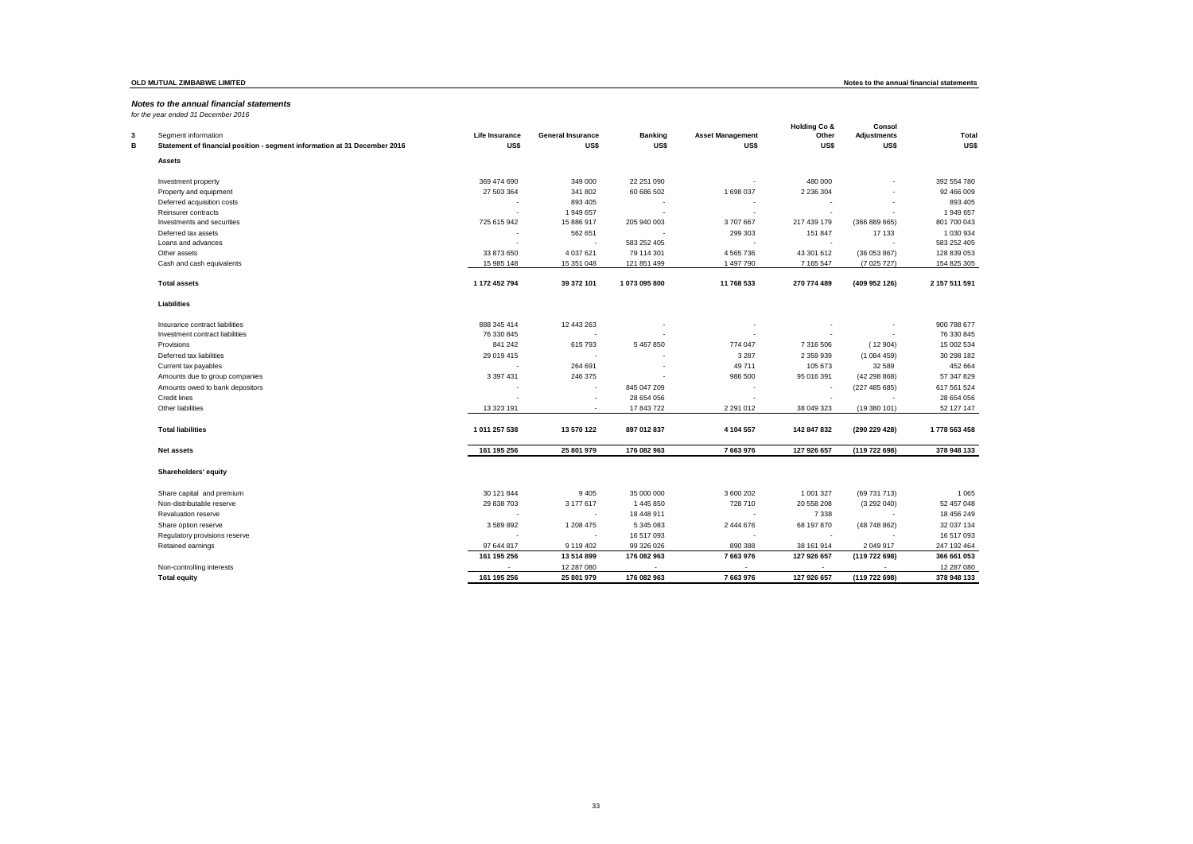*for the year ended 31 December 2016*

| Segment information<br>3<br>в<br>Statement of financial position - segment information at 31 December 2016 | Life Insurance<br>US\$   | <b>General Insurance</b><br>US\$ | <b>Banking</b><br>US\$   | <b>Asset Management</b><br><b>USS</b> | <b>Holding Co &amp;</b><br>Other<br>US\$ | Consol<br><b>Adjustments</b><br><b>US\$</b> | <b>Total</b><br>US\$ |
|------------------------------------------------------------------------------------------------------------|--------------------------|----------------------------------|--------------------------|---------------------------------------|------------------------------------------|---------------------------------------------|----------------------|
| <b>Assets</b>                                                                                              |                          |                                  |                          |                                       |                                          |                                             |                      |
|                                                                                                            |                          |                                  |                          |                                       |                                          |                                             |                      |
| Investment property                                                                                        | 369 474 690              | 349 000                          | 22 251 090               |                                       | 480 000                                  |                                             | 392 554 780          |
| Property and equipment                                                                                     | 27 503 364               | 341 802                          | 60 686 502               | 1 698 037                             | 2 2 3 6 3 0 4                            | $\overline{\phantom{a}}$                    | 92 466 009           |
| Deferred acquisition costs                                                                                 |                          | 893 405                          |                          |                                       |                                          |                                             | 893 405              |
| Reinsurer contracts                                                                                        | $\overline{\phantom{a}}$ | 1 949 657                        | $\overline{\phantom{a}}$ | ÷                                     | $\overline{\phantom{a}}$                 | ٠                                           | 1949657              |
| Investments and securities                                                                                 | 725 615 942              | 15 886 917                       | 205 940 003              | 3707667                               | 217 439 179                              | (366889665)                                 | 801 700 043          |
| Deferred tax assets                                                                                        |                          | 562 651                          |                          | 299 303                               | 151 847                                  | 17 133                                      | 1 030 934            |
| Loans and advances                                                                                         |                          |                                  | 583 252 405              |                                       | $\overline{\phantom{a}}$                 | $\overline{a}$                              | 583 252 405          |
| Other assets                                                                                               | 33 873 650               | 4 037 621                        | 79 114 301               | 4 5 65 7 36                           | 43 301 612                               | (36053867)                                  | 128 839 053          |
| Cash and cash equivalents                                                                                  | 15 985 148               | 15 351 048                       | 121 851 499              | 1 497 790                             | 7 165 547                                | (7025727)                                   | 154 825 305          |
| <b>Total assets</b>                                                                                        | 1 172 452 794            | 39 372 101                       | 1073095800               | 11 768 533                            | 270 774 489                              | (409 952 126)                               | 2 157 511 591        |
| Liabilities                                                                                                |                          |                                  |                          |                                       |                                          |                                             |                      |
| Insurance contract liabilities                                                                             | 888 345 414              | 12 443 263                       |                          |                                       |                                          |                                             | 900 788 677          |
| Investment contract liabilities                                                                            | 76 330 845               |                                  |                          |                                       |                                          | $\overline{\phantom{a}}$                    | 76 330 845           |
| Provisions                                                                                                 | 841 242                  | 615 793                          | 5 467 850                | 774 047                               | 7 316 506                                | (12904)                                     | 15 002 534           |
| Deferred tax liabilities                                                                                   | 29 019 415               |                                  |                          | 3 2 8 7                               | 2 359 939                                | (1084459)                                   | 30 298 182           |
| Current tax payables                                                                                       |                          | 264 691                          |                          | 49 711                                | 105 673                                  | 32 589                                      | 452 664              |
| Amounts due to group companies                                                                             | 3 3 9 7 4 3 1            | 246 375                          |                          | 986 500                               | 95 016 391                               | (42 298 868)                                | 57 347 829           |
| Amounts owed to bank depositors                                                                            |                          |                                  | 845 047 209              |                                       | $\overline{\phantom{a}}$                 | (227485685)                                 | 617 561 524          |
| Credit lines                                                                                               |                          | $\overline{\phantom{a}}$         | 28 654 056               |                                       |                                          |                                             | 28 654 056           |
| Other liabilities                                                                                          | 13 323 191               | $\overline{\phantom{a}}$         | 17 843 722               | 2 2 9 1 0 1 2                         | 38 049 323                               | (19380101)                                  | 52 127 147           |
| <b>Total liabilities</b>                                                                                   | 1011 257 538             | 13 570 122                       | 897 012 837              | 4 104 557                             | 142 847 832                              | (290 229 428)                               | 1778 563 458         |
| <b>Net assets</b>                                                                                          | 161 195 256              | 25 801 979                       | 176 082 963              | 7 663 976                             | 127 926 657                              | (119 722 698)                               | 378 948 133          |
| Shareholders' equity                                                                                       |                          |                                  |                          |                                       |                                          |                                             |                      |
| Share capital and premium                                                                                  | 30 121 844               | 9 4 0 5                          | 35 000 000               | 3 600 202                             | 1 001 327                                | (69 731 713)                                | 1065                 |
| Non-distributable reserve                                                                                  | 29 838 703               | 3 177 617                        | 1 445 850                | 728 710                               | 20 558 208                               | (3292040)                                   | 52 457 048           |
| Revaluation reserve                                                                                        |                          |                                  | 18 448 911               |                                       | 7 3 3 8                                  |                                             | 18 456 249           |
| Share option reserve                                                                                       | 3 589 892                | 1 208 475                        | 5 345 083                | 2 444 676                             | 68 197 870                               | (48748862)                                  | 32 037 134           |
| Regulatory provisions reserve                                                                              |                          |                                  | 16 517 093               |                                       |                                          |                                             | 16 517 093           |
| Retained earnings                                                                                          | 97 644 817               | 9 119 402                        | 99 326 026               | 890 388                               | 38 161 914                               | 2 049 917                                   | 247 192 464          |
|                                                                                                            | 161 195 256              | 13 514 899                       | 176 082 963              | 7663976                               | 127 926 657                              | (119 722 698)                               | 366 661 053          |
| Non-controlling interests                                                                                  |                          | 12 287 080                       |                          |                                       |                                          |                                             | 12 287 080           |
| <b>Total equity</b>                                                                                        | 161 195 256              | 25 801 979                       | 176 082 963              | 7 663 976                             | 127 926 657                              | (119 722 698)                               | 378 948 133          |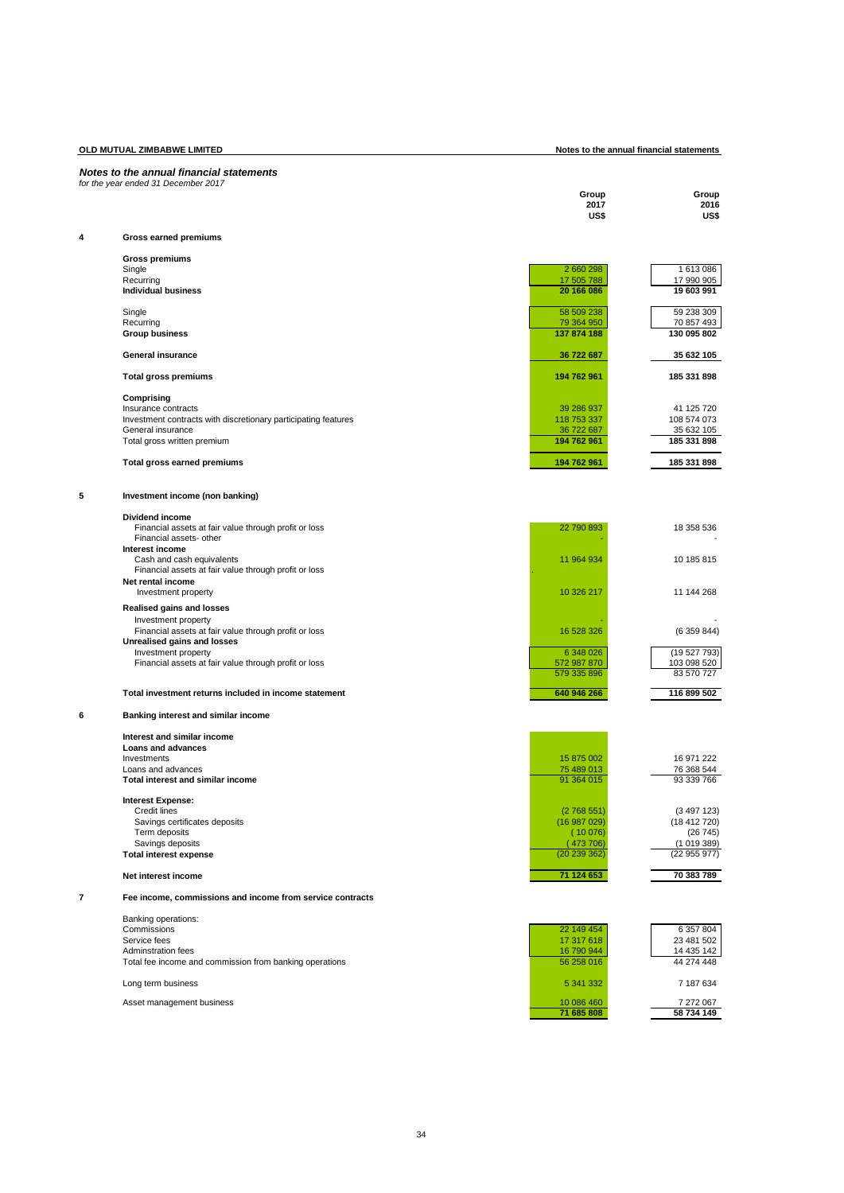| OLD MUTUAL ZIMBABWE LIMITED |                                                                                  |                           | Notes to the annual financial statements |  |  |
|-----------------------------|----------------------------------------------------------------------------------|---------------------------|------------------------------------------|--|--|
|                             | Notes to the annual financial statements<br>for the year ended 31 December 2017  |                           |                                          |  |  |
|                             |                                                                                  | Group<br>2017<br>US\$     | Group<br>2016<br>US\$                    |  |  |
| 4                           | Gross earned premiums                                                            |                           |                                          |  |  |
|                             | <b>Gross premiums</b>                                                            |                           |                                          |  |  |
|                             | Single                                                                           | 2 660 298                 | 1 613 086                                |  |  |
|                             | Recurring<br><b>Individual business</b>                                          | 17 505 788<br>20 166 086  | 17 990 905<br>19 603 991                 |  |  |
|                             | Single                                                                           | 58 509 238                | 59 238 309                               |  |  |
|                             | Recurring<br><b>Group business</b>                                               | 79 364 950<br>137 874 188 | 70 857 493<br>130 095 802                |  |  |
|                             |                                                                                  |                           |                                          |  |  |
|                             | <b>General insurance</b>                                                         | 36 722 687                | 35 632 105                               |  |  |
|                             | <b>Total gross premiums</b>                                                      | 194 762 961               | 185 331 898                              |  |  |
|                             | Comprising<br>Insurance contracts                                                | 39 286 937                | 41 125 720                               |  |  |
|                             | Investment contracts with discretionary participating features                   | 118 753 337               | 108 574 073                              |  |  |
|                             | General insurance<br>Total gross written premium                                 | 36 722 687<br>194 762 961 | 35 632 105<br>185 331 898                |  |  |
|                             | Total gross earned premiums                                                      | 194 762 961               | 185 331 898                              |  |  |
|                             |                                                                                  |                           |                                          |  |  |
| 5                           | Investment income (non banking)                                                  |                           |                                          |  |  |
|                             | Dividend income                                                                  |                           |                                          |  |  |
|                             | Financial assets at fair value through profit or loss<br>Financial assets- other | 22 790 893                | 18 358 536                               |  |  |
|                             | Interest income<br>Cash and cash equivalents                                     | 11 964 934                | 10 185 815                               |  |  |
|                             | Financial assets at fair value through profit or loss                            |                           |                                          |  |  |
|                             | Net rental income<br>Investment property                                         | 10 326 217                | 11 144 268                               |  |  |
|                             | <b>Realised gains and losses</b>                                                 |                           |                                          |  |  |
|                             | Investment property<br>Financial assets at fair value through profit or loss     | 16 528 326                | (6359844)                                |  |  |
|                             | Unrealised gains and losses                                                      | 6 348 026                 | (19 527 793)                             |  |  |
|                             | Investment property<br>Financial assets at fair value through profit or loss     | 572 987 870               | 103 098 520                              |  |  |
|                             |                                                                                  | 579 335 896               | 83 570 727                               |  |  |
|                             | Total investment returns included in income statement                            | 640 946 266               | 116 899 502                              |  |  |
| 6                           | Banking interest and similar income                                              |                           |                                          |  |  |
|                             | Interest and similar income                                                      |                           |                                          |  |  |
|                             | Loans and advances<br>Investments                                                | 15 875 002                | 16 971 222                               |  |  |
|                             | Loans and advances                                                               | 75 489 013                | 76 368 544                               |  |  |
|                             | Total interest and similar income                                                | 91 364 015                | 93 339 766                               |  |  |
|                             | <b>Interest Expense:</b><br><b>Credit lines</b>                                  | (2768551)                 | (3497123)                                |  |  |
|                             | Savings certificates deposits                                                    | (16987029)                | (18412720)                               |  |  |
|                             | Term deposits                                                                    | (10076)                   | (26745)                                  |  |  |
|                             | Savings deposits<br><b>Total interest expense</b>                                | (473706)<br>(20 239 362)  | (1019389)<br>(22955977)                  |  |  |
|                             | Net interest income                                                              | 71 124 653                | 70 383 789                               |  |  |
| 7                           | Fee income, commissions and income from service contracts                        |                           |                                          |  |  |
|                             | Banking operations:                                                              |                           |                                          |  |  |
|                             | Commissions                                                                      | 22 149 454                | 6 357 804                                |  |  |
|                             | Service fees<br><b>Adminstration fees</b>                                        | 17 317 618<br>16 790 944  | 23 481 502<br>14 435 142                 |  |  |
|                             | Total fee income and commission from banking operations                          | 56 258 016                | 44 274 448                               |  |  |
|                             | Long term business                                                               | 5 341 332                 | 7 187 634                                |  |  |
|                             | Asset management business                                                        | 10 086 460                | 7 272 067                                |  |  |
|                             |                                                                                  | 71 685 808                | 58 734 149                               |  |  |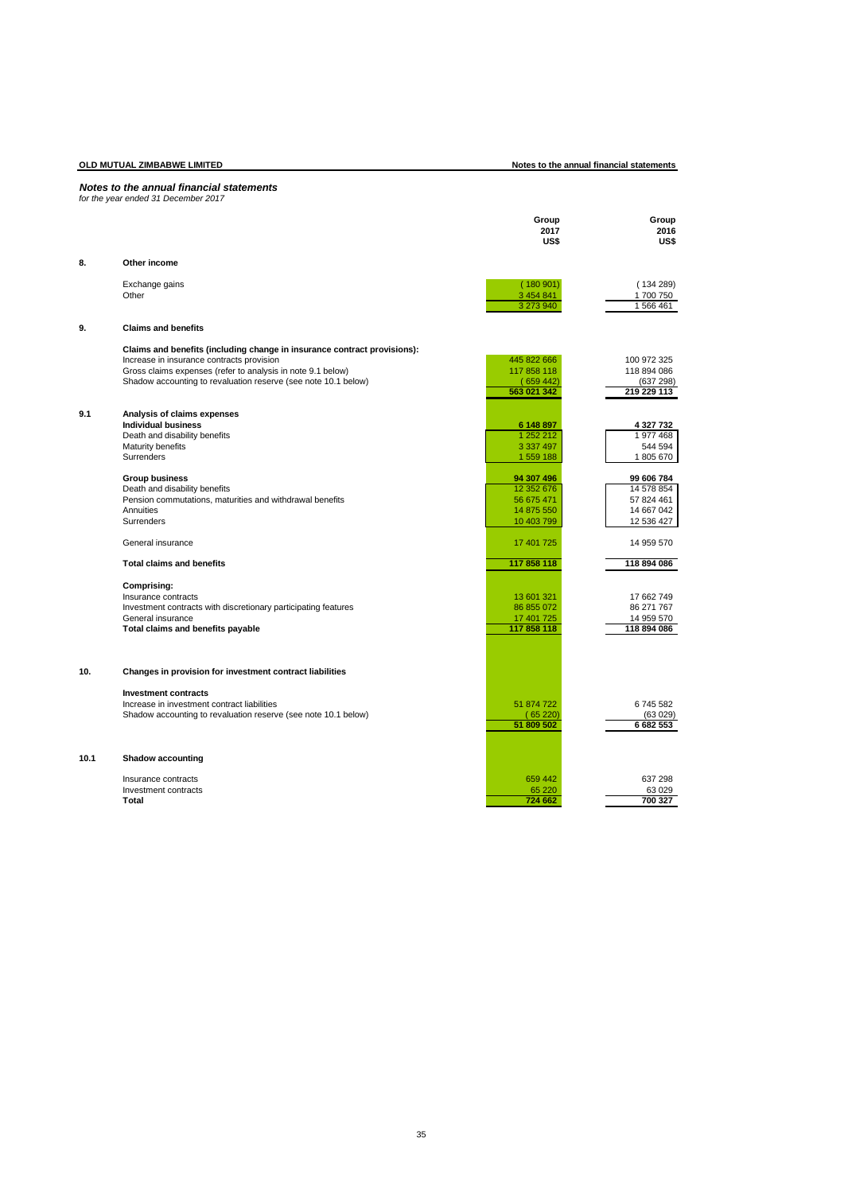**OLD MUTUAL ZIMBABWE LIMITED Notes to the annual financial statements**

# *Notes to the annual financial statements for the year ended 31 December 2017*

|      |                                                                                                          | Group       | Group       |
|------|----------------------------------------------------------------------------------------------------------|-------------|-------------|
|      |                                                                                                          | 2017        | 2016        |
|      |                                                                                                          | US\$        | US\$        |
| 8.   | Other income                                                                                             |             |             |
|      |                                                                                                          |             |             |
|      | Exchange gains                                                                                           | (180901)    | (134289)    |
|      | Other                                                                                                    | 3 454 841   | 1700750     |
|      |                                                                                                          | 3 273 940   | 1566461     |
| 9.   | <b>Claims and benefits</b>                                                                               |             |             |
|      |                                                                                                          |             |             |
|      | Claims and benefits (including change in insurance contract provisions):                                 | 445 822 666 | 100 972 325 |
|      | Increase in insurance contracts provision<br>Gross claims expenses (refer to analysis in note 9.1 below) | 117 858 118 | 118 894 086 |
|      | Shadow accounting to revaluation reserve (see note 10.1 below)                                           | (659442)    | (637 298)   |
|      |                                                                                                          | 563 021 342 | 219 229 113 |
|      |                                                                                                          |             |             |
| 9.1  | Analysis of claims expenses                                                                              |             |             |
|      | <b>Individual business</b>                                                                               | 6 148 897   | 4 327 732   |
|      | Death and disability benefits                                                                            | 1 252 212   | 1977468     |
|      | Maturity benefits                                                                                        | 3 3 3 4 9 7 | 544 594     |
|      | Surrenders                                                                                               | 1 559 188   | 1805670     |
|      | <b>Group business</b>                                                                                    | 94 307 496  | 99 606 784  |
|      | Death and disability benefits                                                                            | 12 352 676  | 14 578 854  |
|      | Pension commutations, maturities and withdrawal benefits                                                 | 56 675 471  | 57 824 461  |
|      | Annuities                                                                                                | 14 875 550  | 14 667 042  |
|      | <b>Surrenders</b>                                                                                        | 10 403 799  | 12 536 427  |
|      | General insurance                                                                                        | 17 401 725  | 14 959 570  |
|      | <b>Total claims and benefits</b>                                                                         | 117 858 118 | 118 894 086 |
|      | Comprising:                                                                                              |             |             |
|      | Insurance contracts                                                                                      | 13 601 321  | 17 662 749  |
|      | Investment contracts with discretionary participating features                                           | 86 855 072  | 86 271 767  |
|      | General insurance                                                                                        | 17 401 725  | 14 959 570  |
|      | Total claims and benefits payable                                                                        | 117 858 118 | 118 894 086 |
|      |                                                                                                          |             |             |
|      |                                                                                                          |             |             |
| 10.  | Changes in provision for investment contract liabilities                                                 |             |             |
|      | <b>Investment contracts</b>                                                                              |             |             |
|      | Increase in investment contract liabilities                                                              | 51 874 722  | 6745582     |
|      | Shadow accounting to revaluation reserve (see note 10.1 below)                                           | (65220)     | (63 029)    |
|      |                                                                                                          | 51 809 502  | 6 682 553   |
|      |                                                                                                          |             |             |
| 10.1 | <b>Shadow accounting</b>                                                                                 |             |             |
|      | Insurance contracts                                                                                      | 659 442     | 637 298     |
|      | Investment contracts                                                                                     | 65 2 20     | 63 0 29     |
|      | Total                                                                                                    | 724 662     | 700 327     |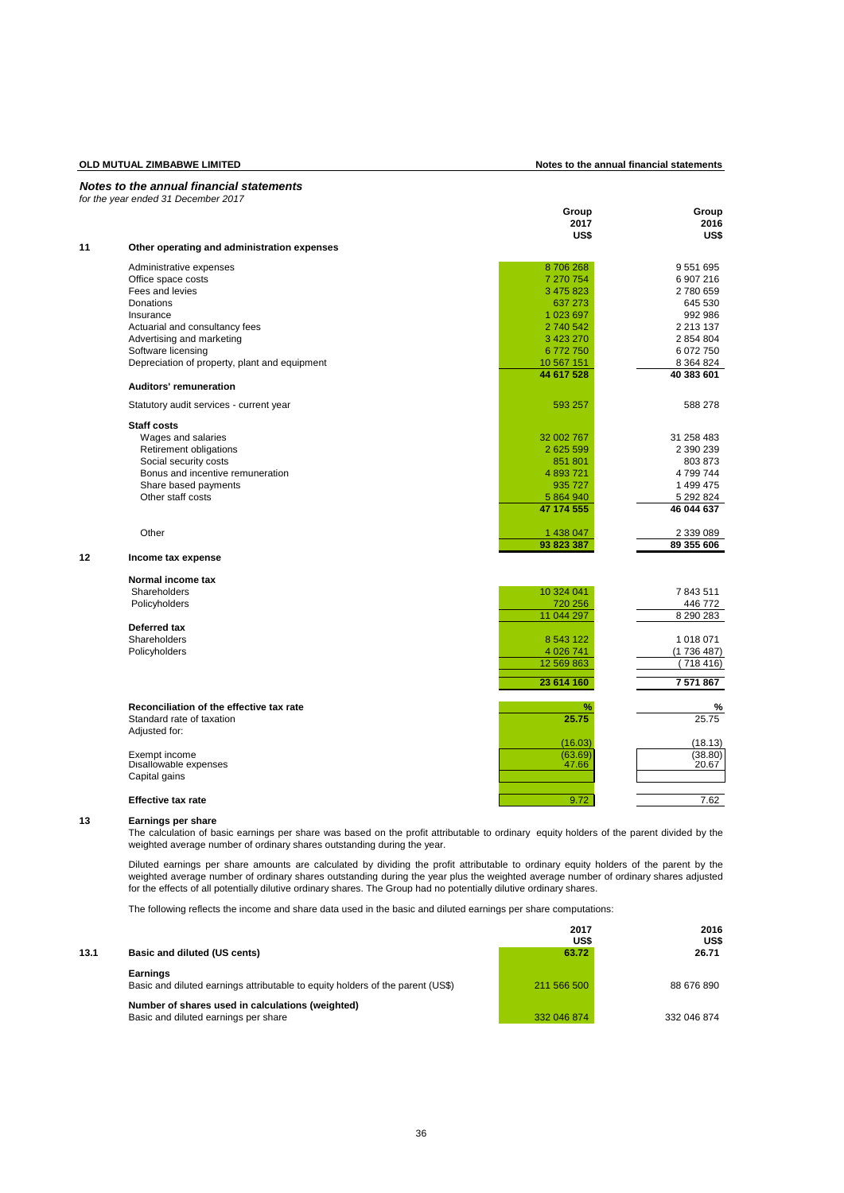# **OLD MUTUAL ZIMBABWE LIMITED Notes to the annual financial statements**

|    | Notes to the annual financial statements<br>for the year ended 31 December 2017 |            |               |
|----|---------------------------------------------------------------------------------|------------|---------------|
|    |                                                                                 | Group      | Group         |
|    |                                                                                 | 2017       | 2016          |
|    |                                                                                 | US\$       | US\$          |
| 11 | Other operating and administration expenses                                     |            |               |
|    | Administrative expenses                                                         | 8706268    | 9 551 695     |
|    | Office space costs                                                              | 7 270 754  | 6 907 216     |
|    | Fees and levies                                                                 | 3 475 823  | 2780659       |
|    | Donations                                                                       | 637 273    | 645 530       |
|    | Insurance                                                                       | 1 023 697  | 992 986       |
|    | Actuarial and consultancy fees                                                  | 2 740 542  | 2 2 1 3 1 3 7 |
|    | Advertising and marketing                                                       | 3 423 270  | 2 854 804     |
|    | Software licensing                                                              | 6772750    | 6 072 750     |
|    | Depreciation of property, plant and equipment                                   | 10 567 151 | 8 3 6 4 8 2 4 |
|    |                                                                                 | 44 617 528 | 40 383 601    |
|    | <b>Auditors' remuneration</b>                                                   |            |               |
|    | Statutory audit services - current year                                         | 593 257    | 588 278       |
|    | Staff costs                                                                     |            |               |
|    | Wages and salaries                                                              | 32 002 767 | 31 258 483    |
|    | Retirement obligations                                                          | 2 625 599  | 2 390 239     |
|    | Social security costs                                                           | 851 801    | 803 873       |
|    | Bonus and incentive remuneration                                                | 4 893 721  | 4799744       |
|    | Share based payments                                                            | 935 727    | 1 499 475     |
|    | Other staff costs                                                               | 5 864 940  | 5 292 824     |
|    |                                                                                 | 47 174 555 | 46 044 637    |
|    | Other                                                                           | 1 438 047  | 2 339 089     |
|    |                                                                                 | 93 823 387 | 89 355 606    |
| 12 | Income tax expense                                                              |            |               |
|    | Normal income tax                                                               |            |               |
|    | Shareholders                                                                    | 10 324 041 | 7843511       |
|    | Policyholders                                                                   | 720 256    | 446 772       |
|    | Deferred tax                                                                    | 11 044 297 | 8 290 283     |
|    | Shareholders                                                                    | 8 543 122  | 1 018 071     |
|    | Policyholders                                                                   | 4 0 26 741 | (1736487)     |
|    |                                                                                 | 12 569 863 | (718416)      |
|    |                                                                                 | 23 614 160 | 7 571 867     |
|    |                                                                                 |            |               |
|    | Reconciliation of the effective tax rate<br>Standard rate of taxation           | ℅<br>25.75 | %<br>25.75    |
|    | Adjusted for:                                                                   |            |               |
|    |                                                                                 | (16.03)    | (18.13)       |
|    | Exempt income                                                                   | (63.69)    | (38.80)       |
|    | Disallowable expenses                                                           | 47.66      | 20.67         |
|    | Capital gains                                                                   |            |               |
|    |                                                                                 |            |               |
|    | <b>Effective tax rate</b>                                                       | 9.72       | 7.62          |
|    |                                                                                 |            |               |

# **13 Earnings per share**

The calculation of basic earnings per share was based on the profit attributable to ordinary equity holders of the parent divided by the weighted average number of ordinary shares outstanding during the year.

Diluted earnings per share amounts are calculated by dividing the profit attributable to ordinary equity holders of the parent by the weighted average number of ordinary shares outstanding during the year plus the weighted average number of ordinary shares adjusted for the effects of all potentially dilutive ordinary shares. The Group had no potentially dilutive ordinary shares.

The following reflects the income and share data used in the basic and diluted earnings per share computations:

|      |                                                                                            | 2017<br>US\$ | 2016<br>US\$ |
|------|--------------------------------------------------------------------------------------------|--------------|--------------|
| 13.1 | Basic and diluted (US cents)                                                               | 63.72        | 26.71        |
|      | Earnings<br>Basic and diluted earnings attributable to equity holders of the parent (US\$) | 211 566 500  | 88 676 890   |
|      | Number of shares used in calculations (weighted)<br>Basic and diluted earnings per share   | 332 046 874  | 332 046 874  |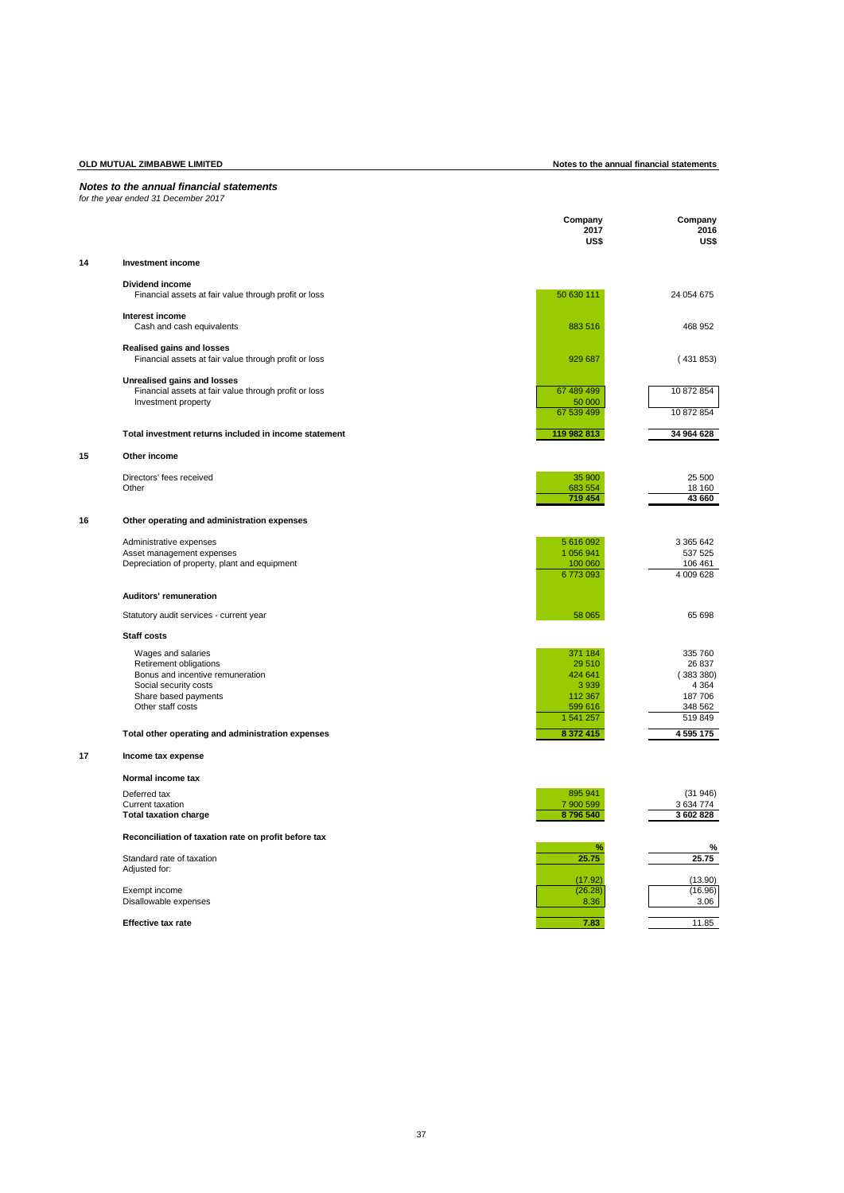|  |  |  | Notes to the annual financial statements |
|--|--|--|------------------------------------------|
|--|--|--|------------------------------------------|

|    | for the year ended 31 December 2017                                                |                         |                         |
|----|------------------------------------------------------------------------------------|-------------------------|-------------------------|
|    |                                                                                    | Company<br>2017<br>US\$ | Company<br>2016<br>US\$ |
| 14 | <b>Investment income</b>                                                           |                         |                         |
|    | <b>Dividend income</b>                                                             |                         |                         |
|    | Financial assets at fair value through profit or loss                              | 50 630 111              | 24 054 675              |
|    | Interest income<br>Cash and cash equivalents                                       | 883 516                 | 468 952                 |
|    | Realised gains and losses<br>Financial assets at fair value through profit or loss | 929 687                 | (431853)                |
|    | Unrealised gains and losses                                                        |                         |                         |
|    | Financial assets at fair value through profit or loss<br>Investment property       | 67 489 499<br>50 000    | 10 872 854              |
|    |                                                                                    | 67 539 499              | 10 872 854              |
|    | Total investment returns included in income statement                              | 119 982 813             | 34 964 628              |
| 15 | Other income                                                                       |                         |                         |
|    | Directors' fees received                                                           | 35 900                  | 25 500                  |
|    | Other                                                                              | 683 554<br>719 454      | 18 160<br>43 660        |
|    |                                                                                    |                         |                         |
| 16 | Other operating and administration expenses                                        |                         |                         |
|    | Administrative expenses<br>Asset management expenses                               | 5 616 092<br>1 056 941  | 3 365 642<br>537 525    |
|    | Depreciation of property, plant and equipment                                      | 100 060                 | 106 461                 |
|    |                                                                                    | 6773093                 | 4 009 628               |
|    | Auditors' remuneration                                                             |                         |                         |
|    | Statutory audit services - current year                                            | 58 065                  | 65 698                  |
|    | Staff costs                                                                        |                         |                         |
|    | Wages and salaries                                                                 | 371 184                 | 335 760                 |
|    | Retirement obligations                                                             | 29 510                  | 26 837                  |
|    | Bonus and incentive remuneration<br>Social security costs                          | 424 641<br>3 9 3 9      | (383380)<br>4 3 6 4     |
|    | Share based payments                                                               | 112 367                 | 187706                  |
|    | Other staff costs                                                                  | 599 616                 | 348 562                 |
|    |                                                                                    | 1 541 257<br>8 372 415  | 519849                  |
|    | Total other operating and administration expenses                                  |                         | 4 595 175               |
| 17 | Income tax expense                                                                 |                         |                         |
|    | Normal income tax                                                                  |                         |                         |
|    | Deferred tax<br>Current taxation                                                   | 895 941<br>7 900 599    | (31946)<br>3634774      |
|    | <b>Total taxation charge</b>                                                       | 8796540                 | 3 602 828               |
|    | Reconciliation of taxation rate on profit before tax                               |                         |                         |
|    | Standard rate of taxation                                                          | %<br>25.75              | %<br>25.75              |
|    | Adjusted for:                                                                      | (17.92)                 | (13.90)                 |
|    | Exempt income                                                                      | (26.28)                 | (16.96)                 |
|    | Disallowable expenses                                                              | 8.36                    | 3.06                    |
|    | <b>Effective tax rate</b>                                                          | 7.83                    | 11.85                   |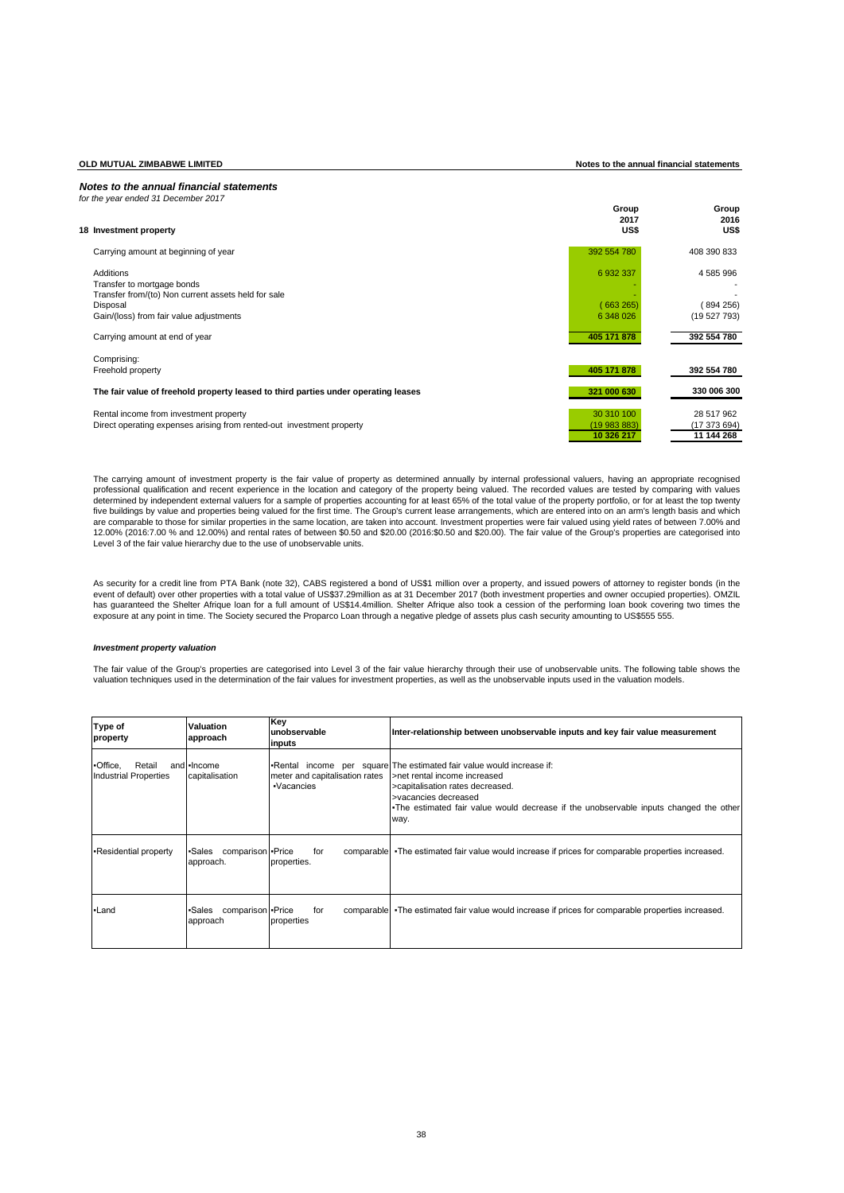**OLD MUTUAL ZIMBABWE LIMITED Notes to the annual financial statements**

# *Notes to the annual financial statements*

| for the year ended 31 December 2017                                                                             |                                          |                                          |
|-----------------------------------------------------------------------------------------------------------------|------------------------------------------|------------------------------------------|
| 18 Investment property                                                                                          | Group<br>2017<br>US\$                    | Group<br>2016<br>US\$                    |
| Carrying amount at beginning of year                                                                            | 392 554 780                              | 408 390 833                              |
| Additions<br>Transfer to mortgage bonds                                                                         | 6 932 337                                | 4 585 996                                |
| Transfer from/(to) Non current assets held for sale<br>Disposal<br>Gain/(loss) from fair value adjustments      | (663265)<br>6 348 026                    | 894 256)<br>(19527793)                   |
| Carrying amount at end of year                                                                                  | 405 171 878                              | 392 554 780                              |
| Comprising:<br>Freehold property                                                                                | 405 171 878                              | 392 554 780                              |
| The fair value of freehold property leased to third parties under operating leases                              | 321 000 630                              | 330 006 300                              |
| Rental income from investment property<br>Direct operating expenses arising from rented-out investment property | 30 310 100<br>(19 983 883)<br>10 326 217 | 28 517 962<br>(17 373 694)<br>11 144 268 |

The carrying amount of investment property is the fair value of property as determined annually by internal professional valuers, having an appropriate recognised<br>professional qualification and recent experience in the loc determined by independent external valuers for a sample of properties accounting for at least 65% of the total value of the property portfolio, or for at least the top twenty five buildings by value and properties being valued for the first time. The Group's current lease arrangements, which are entered into on an arm's length basis and which<br>are comparable to those for similar properties in th 12.00% (2016:7.00 % and 12.00%) and rental rates of between \$0.50 and \$20.00 (2016:\$0.50 and \$20.00). The fair value of the Group's properties are categorised into Level 3 of the fair value hierarchy due to the use of unobservable units.

As security for a credit line from PTA Bank (note 32), CABS registered a bond of US\$1 million over a property, and issued powers of attorney to register bonds (in the<br>event of default) over other properties with a total va has guaranteed the Shelter Afrique loan for a full amount of US\$14.4million. Shelter Afrique also took a cession of the performing loan book covering two times the exposure at any point in time. The Society secured the Proparco Loan through a negative pledge of assets plus cash security amounting to US\$555 555.

# *Investment property valuation*

The fair value of the Group's properties are categorised into Level 3 of the fair value hierarchy through their use of unobservable units. The following table shows the valuation techniques used in the determination of the fair values for investment properties, as well as the unobservable inputs used in the valuation models.

| Type of<br>property                                | <b>Valuation</b><br>approach              | Key<br>unobservable<br>inputs                | Inter-relationship between unobservable inputs and key fair value measurement                                                                                                                                                                                     |
|----------------------------------------------------|-------------------------------------------|----------------------------------------------|-------------------------------------------------------------------------------------------------------------------------------------------------------------------------------------------------------------------------------------------------------------------|
| -Office,<br>Retail<br><b>Industrial Properties</b> | and - Income<br>capitalisation            | meter and capitalisation rates<br>·Vacancies | •Rental income per square The estimated fair value would increase if:<br>>net rental income increased<br>>capitalisation rates decreased.<br>>vacancies decreased<br>The estimated fair value would decrease if the unobservable inputs changed the other<br>way. |
| -Residential property                              | comparison - Price<br>•Sales<br>approach. | for<br>properties.                           | comparable •The estimated fair value would increase if prices for comparable properties increased.                                                                                                                                                                |
| -Land                                              | comparison - Price<br>•Sales<br>approach  | for<br>properties                            | comparable •The estimated fair value would increase if prices for comparable properties increased.                                                                                                                                                                |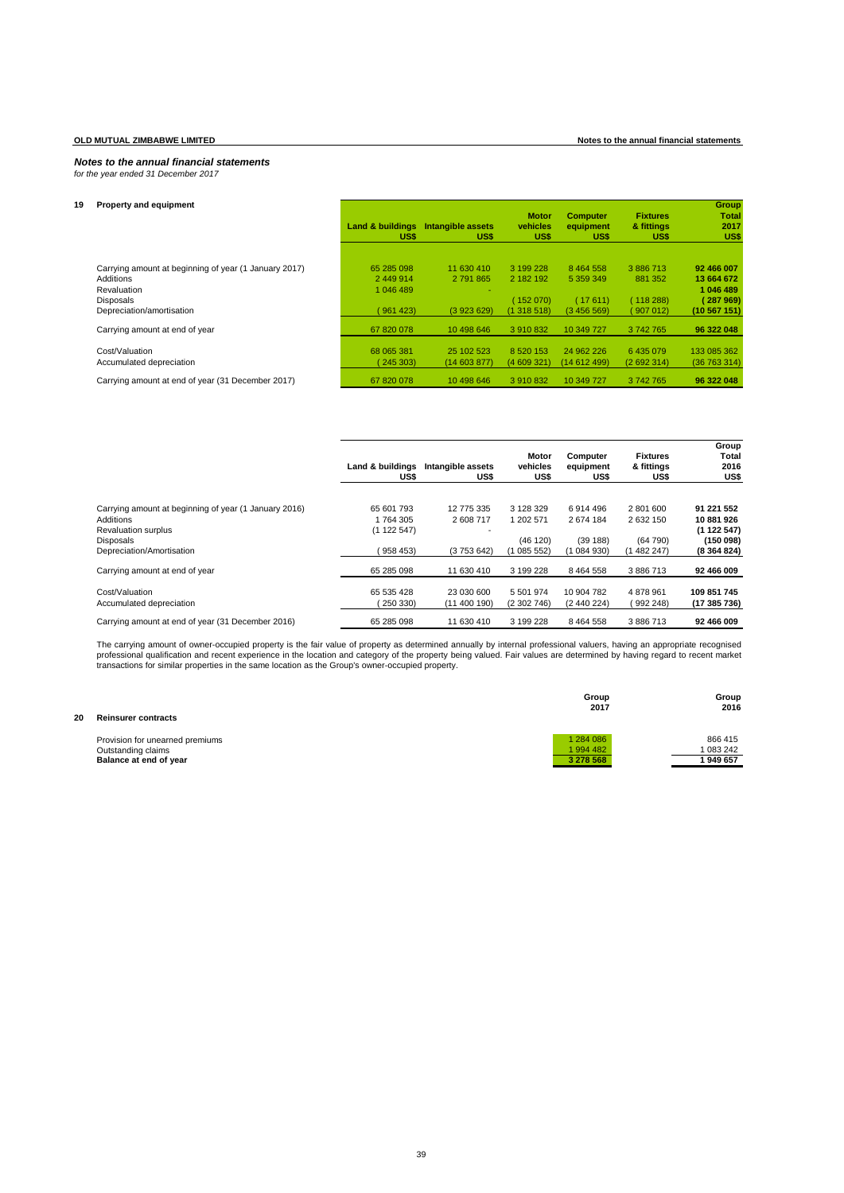# *Notes to the annual financial statements for the year ended 31 December 2017*

| 19 | <b>Property and equipment</b>                                      | <b>Land &amp; buildings</b><br>US\$ | Intangible assets<br>US\$  | <b>Motor</b><br>vehicles<br>US\$ | <b>Computer</b><br>equipment<br>US\$ | <b>Fixtures</b><br>& fittings<br>US\$ | Group<br><b>Total</b><br>2017<br>US\$ |
|----|--------------------------------------------------------------------|-------------------------------------|----------------------------|----------------------------------|--------------------------------------|---------------------------------------|---------------------------------------|
|    | Carrying amount at beginning of year (1 January 2017)<br>Additions | 65 285 098<br>2 449 914             | 11 630 410<br>2 791 865    | 3 199 228<br>2 182 192           | 8 4 6 4 5 5 8<br>5 359 349           | 3 886 713<br>881 352                  | 92 466 007<br>13 664 672              |
|    | Revaluation<br><b>Disposals</b>                                    | 1 046 489                           |                            | (152 070)                        | (17611)                              | (118288)                              | 1 046 489<br>(287969)                 |
|    | Depreciation/amortisation                                          | (961423)                            | (3923629)                  | (1 318 518)                      | (3456569)                            | (907012)                              | (10 567 151)                          |
|    | Carrying amount at end of year                                     | 67 820 078                          | 10 498 646                 | 3 910 832                        | 10 349 727                           | 3 742 765                             | 96 322 048                            |
|    | Cost/Valuation<br>Accumulated depreciation                         | 68 065 381<br>(245303)              | 25 102 523<br>(14 603 877) | 8 5 20 1 5 3<br>(4609321)        | 24 962 226<br>(14 612 499)           | 6 435 079<br>(2692314)                | 133 085 362<br>(36763314)             |
|    | Carrying amount at end of year (31 December 2017)                  | 67 820 078                          | 10 498 646                 | 3 910 832                        | 10 349 727                           | 3 742 765                             | 96 322 048                            |

|                                                                                                  | Land & buildings<br>US\$           | Intangible assets<br>US\$ | Motor<br>vehicles<br>US\$ | Computer<br>equipment<br>US\$ | <b>Fixtures</b><br>& fittings<br>US\$ | Group<br>Total<br>2016<br>US\$        |
|--------------------------------------------------------------------------------------------------|------------------------------------|---------------------------|---------------------------|-------------------------------|---------------------------------------|---------------------------------------|
| Carrying amount at beginning of year (1 January 2016)<br>Additions<br><b>Revaluation surplus</b> | 65 601 793<br>1764305<br>(1122547) | 12 775 335<br>2608717     | 3 128 329<br>1 202 571    | 6914496<br>2674184            | 2 801 600<br>2 632 150                | 91 221 552<br>10 881 926<br>(1122547) |
| Disposals<br>Depreciation/Amortisation                                                           | 958453                             | (3753642)                 | (46 120)<br>(1085552)     | (39188)<br>(1084930)          | (64790)<br>(1 482 247)                | (150098)<br>(8364824)                 |
| Carrying amount at end of year                                                                   | 65 285 098                         | 11 630 410                | 3 199 228                 | 8 4 6 4 5 5 8                 | 3 886 713                             | 92 466 009                            |
| Cost/Valuation<br>Accumulated depreciation                                                       | 65 535 428<br>250 330)             | 23 030 600<br>(11400190)  | 5 501 974<br>(2302746)    | 10 904 782<br>(2 440 224)     | 4 878 961<br>992 248)                 | 109 851 745<br>(17 385 736)           |
| Carrying amount at end of year (31 December 2016)                                                | 65 285 098                         | 11 630 410                | 3 199 228                 | 8 4 6 4 5 5 8                 | 3 886 713                             | 92 466 009                            |

The carrying amount of owner-occupied property is the fair value of property as determined annually by internal professional valuers, having an appropriate recognised recognised and the fair value of the base of the locati

| 20 | <b>Reinsurer contracts</b>      | Group<br>2017 | Group<br>2016 |
|----|---------------------------------|---------------|---------------|
|    | Provision for unearned premiums | 1 284 086     | 866 415       |
|    | Outstanding claims              | 1994 482      | 083 242       |
|    | Balance at end of year          | 3 278 568     | 949 657       |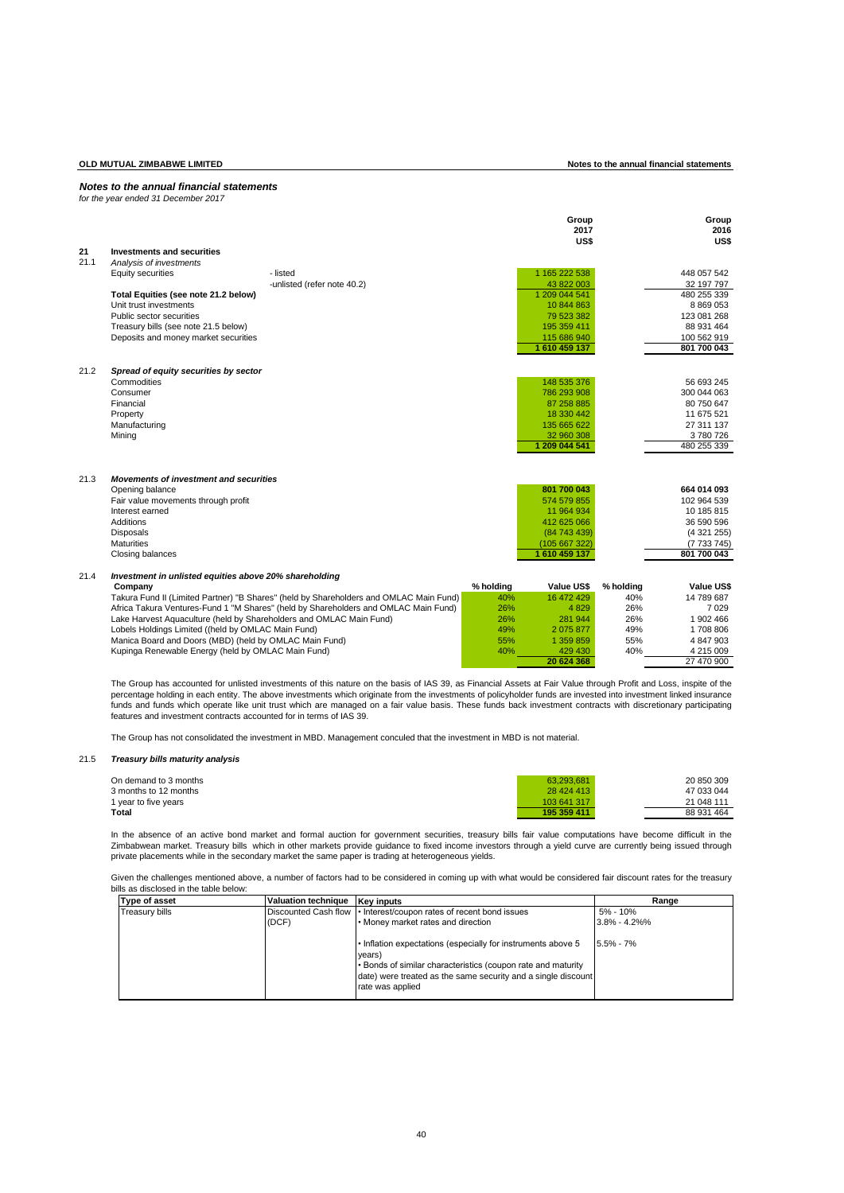*for the year ended 31 December 2017*

|      |                                                                     |                                                                                                                                                                               |            | Group<br>2017<br>US\$    |                  | Group<br>2016<br>US\$    |
|------|---------------------------------------------------------------------|-------------------------------------------------------------------------------------------------------------------------------------------------------------------------------|------------|--------------------------|------------------|--------------------------|
| 21   | Investments and securities                                          |                                                                                                                                                                               |            |                          |                  |                          |
| 21.1 | Analysis of investments                                             |                                                                                                                                                                               |            |                          |                  |                          |
|      | <b>Equity securities</b>                                            | - listed                                                                                                                                                                      |            | 1 165 222 538            |                  | 448 057 542              |
|      |                                                                     | -unlisted (refer note 40.2)                                                                                                                                                   |            | 43 822 003               |                  | 32 197 797               |
|      | Total Equities (see note 21.2 below)                                |                                                                                                                                                                               |            | 1 209 044 541            |                  | 480 255 339              |
|      | Unit trust investments                                              |                                                                                                                                                                               |            | 10 844 863               |                  | 8 8 6 9 0 5 3            |
|      | Public sector securities                                            |                                                                                                                                                                               |            | 79 523 382               |                  | 123 081 268              |
|      | Treasury bills (see note 21.5 below)                                |                                                                                                                                                                               |            | 195 359 411              |                  | 88 931 464               |
|      | Deposits and money market securities                                |                                                                                                                                                                               |            | 115 686 940              |                  | 100 562 919              |
|      |                                                                     |                                                                                                                                                                               |            | 1 610 459 137            |                  | 801 700 043              |
| 21.2 | Spread of equity securities by sector                               |                                                                                                                                                                               |            |                          |                  |                          |
|      | Commodities                                                         |                                                                                                                                                                               |            | 148 535 376              |                  | 56 693 245               |
|      | Consumer                                                            |                                                                                                                                                                               |            | 786 293 908              |                  | 300 044 063              |
|      | Financial                                                           |                                                                                                                                                                               |            | 87 258 885               |                  | 80 750 647               |
|      | Property                                                            |                                                                                                                                                                               |            | 18 330 442               |                  | 11 675 521               |
|      | Manufacturing                                                       |                                                                                                                                                                               |            | 135 665 622              |                  | 27 311 137               |
|      | Mining                                                              |                                                                                                                                                                               |            | 32 960 308               |                  | 3780726                  |
|      |                                                                     |                                                                                                                                                                               |            | 1 209 044 541            |                  | 480 255 339              |
|      |                                                                     |                                                                                                                                                                               |            |                          |                  |                          |
| 21.3 | <b>Movements of investment and securities</b>                       |                                                                                                                                                                               |            |                          |                  |                          |
|      | Opening balance                                                     |                                                                                                                                                                               |            | 801 700 043              |                  | 664 014 093              |
|      | Fair value movements through profit                                 |                                                                                                                                                                               |            | 574 579 855              |                  | 102 964 539              |
|      | Interest earned                                                     |                                                                                                                                                                               |            | 11 964 934               |                  | 10 185 815               |
|      | Additions                                                           |                                                                                                                                                                               |            | 412 625 066              |                  | 36 590 596               |
|      | <b>Disposals</b>                                                    |                                                                                                                                                                               |            | (84 743 439)             |                  | (4321255)                |
|      | <b>Maturities</b>                                                   |                                                                                                                                                                               |            | (105 667 322)            |                  | (7733745)                |
|      | Closing balances                                                    |                                                                                                                                                                               |            | 1 610 459 137            |                  | 801 700 043              |
|      |                                                                     |                                                                                                                                                                               |            |                          |                  |                          |
| 21.4 | Investment in unlisted equities above 20% shareholding              |                                                                                                                                                                               |            |                          |                  |                          |
|      | Company                                                             |                                                                                                                                                                               | % holding  | Value US\$<br>16 472 429 | % holding<br>40% | Value US\$<br>14 789 687 |
|      |                                                                     | Takura Fund II (Limited Partner) "B Shares" (held by Shareholders and OMLAC Main Fund)<br>Africa Takura Ventures-Fund 1 "M Shares" (held by Shareholders and OMLAC Main Fund) | 40%<br>26% | 4829                     | 26%              | 7 0 2 9                  |
|      | Lake Harvest Aquaculture (held by Shareholders and OMLAC Main Fund) |                                                                                                                                                                               | 26%        | 281 944                  | 26%              | 1 902 466                |
|      | Lobels Holdings Limited ((held by OMLAC Main Fund)                  |                                                                                                                                                                               | 49%        | 2 0 7 5 8 7 7            | 49%              | 1708 806                 |
|      | Manica Board and Doors (MBD) (held by OMLAC Main Fund)              |                                                                                                                                                                               | 55%        | 1 359 859                | 55%              | 4 847 903                |
|      | Kupinga Renewable Energy (held by OMLAC Main Fund)                  |                                                                                                                                                                               | 40%        | 429 430                  | 40%              | 4 215 009                |
|      |                                                                     |                                                                                                                                                                               |            | 20 624 368               |                  | 27 470 900               |
|      |                                                                     |                                                                                                                                                                               |            |                          |                  |                          |

The Group has accounted for unlisted investments of this nature on the basis of IAS 39, as Financial Assets at Fair Value through Profit and Loss, inspite of the percentage holding in each entity. The above investments which originate from the investments of policyholder funds are invested into investment linked insurance<br>funds and funds which operate like unit trust which are mana features and investment contracts accounted for in terms of IAS 39.

The Group has not consolidated the investment in MBD. Management conculed that the investment in MBD is not material.

# 21.5 *Treasury bills maturity analysis*

| On demand to 3 months | 63.293.681  | 20 850 309 |
|-----------------------|-------------|------------|
| 3 months to 12 months | 28 424 413  | 47 033 044 |
| 1 year to five years  | 103 641 317 | 21 048 111 |
| Total                 | 195 359 411 | 88 931 464 |

In the absence of an active bond market and formal auction for government securities, treasury bills fair value computations have become difficult in the Zimbabwean market. Treasury bills which in other markets provide guidance to fixed income investors through a yield curve are currently being issued through<br>private placements while in the secondary market the same paper i

Given the challenges mentioned above, a number of factors had to be considered in coming up with what would be considered fair discount rates for the treasury bills as disclosed in the table below:

| <b>Type of asset</b>  | <b>Valuation technique</b> | <b>Kev inputs</b>                                                                                                                                                                                                           | Range             |
|-----------------------|----------------------------|-----------------------------------------------------------------------------------------------------------------------------------------------------------------------------------------------------------------------------|-------------------|
| <b>Treasury bills</b> |                            | Discounted Cash flow • Interest/coupon rates of recent bond issues                                                                                                                                                          | 5% - 10%          |
|                       | (DCF)                      | • Money market rates and direction                                                                                                                                                                                          | $3.8\% - 4.2\%$ % |
|                       |                            | . Inflation expectations (especially for instruments above 5<br>vears)<br>• Bonds of similar characteristics (coupon rate and maturity<br>date) were treated as the same security and a single discount<br>rate was applied | $5.5\% - 7\%$     |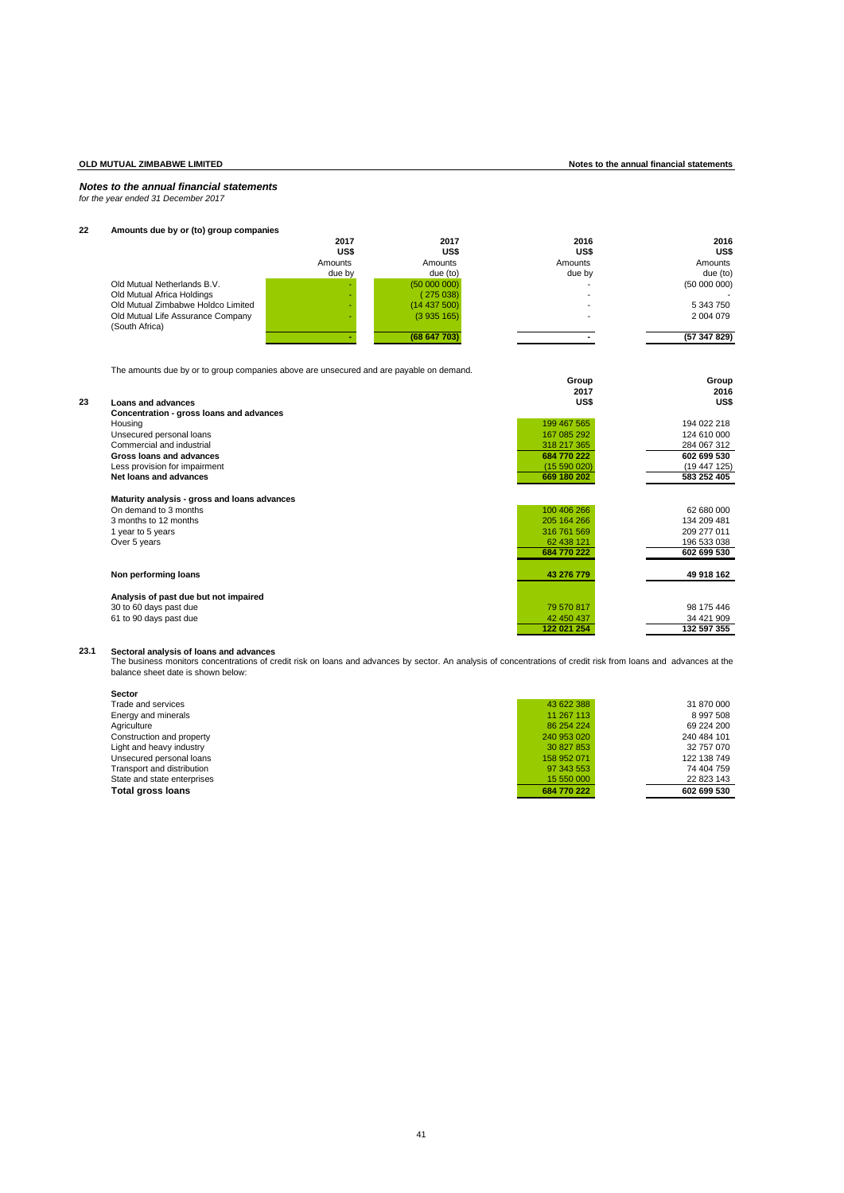*for the year ended 31 December 2017*

# **22 Amounts due by or (to) group companies**

|                                    | 2017    | 2017       | 2016    | 2016         |
|------------------------------------|---------|------------|---------|--------------|
|                                    | US\$    | US\$       | US\$    | US\$         |
|                                    | Amounts | Amounts    | Amounts | Amounts      |
|                                    | due by  | due (to)   | due by  | due (to)     |
| Old Mutual Netherlands B.V.        |         | (5000000)  |         | (5000000)    |
| Old Mutual Africa Holdings         |         | (275038)   |         |              |
| Old Mutual Zimbabwe Holdco Limited |         | (14437500) |         | 5 343 750    |
| Old Mutual Life Assurance Company  |         | (3935165)  |         | 2 004 079    |
| (South Africa)                     |         |            |         |              |
|                                    |         | (68647703) |         | (57 347 829) |

The amounts due by or to group companies above are unsecured and are payable on demand.

|    | The amounts due by OF to group companies above are unsecured and are payable on demand. |             |             |
|----|-----------------------------------------------------------------------------------------|-------------|-------------|
|    |                                                                                         | Group       | Group       |
|    |                                                                                         | 2017        | 2016        |
| 23 | Loans and advances                                                                      | US\$        | US\$        |
|    | Concentration - gross loans and advances                                                |             |             |
|    | Housing                                                                                 | 199 467 565 | 194 022 218 |
|    | Unsecured personal loans                                                                | 167 085 292 | 124 610 000 |
|    | Commercial and industrial                                                               | 318 217 365 | 284 067 312 |
|    | Gross loans and advances                                                                | 684 770 222 | 602 699 530 |
|    | Less provision for impairment                                                           | (15590020)  | (19447125)  |
|    | Net loans and advances                                                                  | 669 180 202 | 583 252 405 |
|    | Maturity analysis - gross and loans advances                                            |             |             |
|    | On demand to 3 months                                                                   | 100 406 266 | 62 680 000  |
|    | 3 months to 12 months                                                                   | 205 164 266 | 134 209 481 |
|    | 1 year to 5 years                                                                       | 316 761 569 | 209 277 011 |
|    | Over 5 years                                                                            | 62 438 121  | 196 533 038 |
|    |                                                                                         | 684 770 222 | 602 699 530 |
|    | Non performing loans                                                                    | 43 276 779  | 49 918 162  |
|    | Analysis of past due but not impaired                                                   |             |             |
|    | 30 to 60 days past due                                                                  | 79 570 817  | 98 175 446  |
|    | 61 to 90 days past due                                                                  | 42 450 437  | 34 421 909  |
|    |                                                                                         | 122 021 254 | 132 597 355 |
|    |                                                                                         |             |             |

23.1 Sectoral analysis of loans and advances<br>The business monitors concentrations of credit risk on loans and advances by sector. An analysis of concentrations of credit risk from loans and advances at the<br>balance sheet da

| <b>Sector</b>               |             |             |
|-----------------------------|-------------|-------------|
| Trade and services          | 43 622 388  | 31 870 000  |
| Energy and minerals         | 11 267 113  | 8 997 508   |
| Agriculture                 | 86 254 224  | 69 224 200  |
| Construction and property   | 240 953 020 | 240 484 101 |
| Light and heavy industry    | 30 827 853  | 32 757 070  |
| Unsecured personal loans    | 158 952 071 | 122 138 749 |
| Transport and distribution  | 97 343 553  | 74 404 759  |
| State and state enterprises | 15 550 000  | 22 823 143  |
| <b>Total gross loans</b>    | 684 770 222 | 602 699 530 |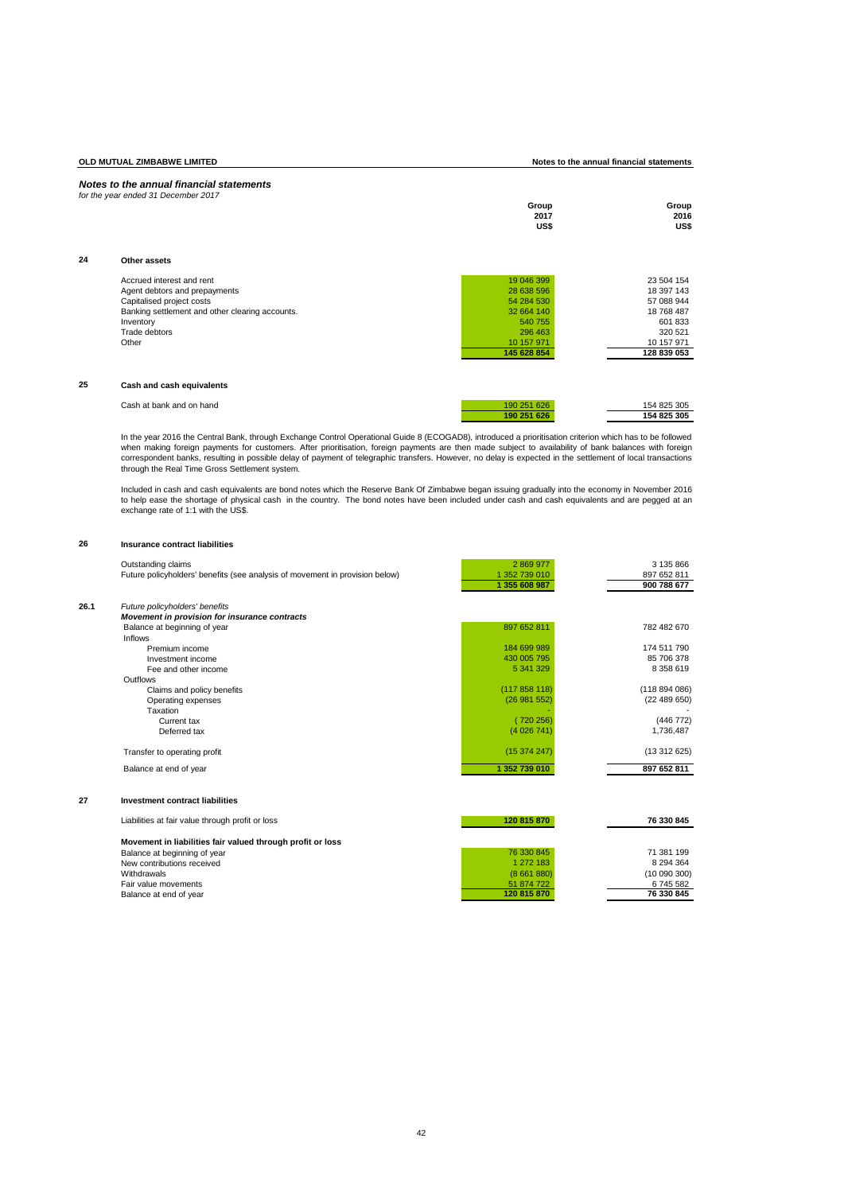**OLD MUTUAL ZIMBABWE LIMITED Notes to the annual financial statements**

|    | for the year ended 31 December 2017                                                                                                                                               | Group<br>2017<br>US\$                                                                                   | Group<br>2016<br>US\$                                                                                  |
|----|-----------------------------------------------------------------------------------------------------------------------------------------------------------------------------------|---------------------------------------------------------------------------------------------------------|--------------------------------------------------------------------------------------------------------|
| 24 | Other assets                                                                                                                                                                      |                                                                                                         |                                                                                                        |
|    | Accrued interest and rent<br>Agent debtors and prepayments<br>Capitalised project costs<br>Banking settlement and other clearing accounts.<br>Inventory<br>Trade debtors<br>Other | 19 046 399<br>28 638 596<br>54 284 530<br>32 664 140<br>540 755<br>296 463<br>10 157 971<br>145 628 854 | 23 504 154<br>18 397 143<br>57 088 944<br>18 768 487<br>601833<br>320 521<br>10 157 971<br>128 839 053 |
| 25 | Cash and cash equivalents                                                                                                                                                         |                                                                                                         |                                                                                                        |
|    | Cash at bank and on hand                                                                                                                                                          | 190 251 626<br>190 251 626                                                                              | 154 825 305<br>154 825 305                                                                             |

In the year 2016 the Central Bank, through Exchange Control Operational Guide 8 (ECOGAD8), introduced a prioritisation criterion which has to be followed<br>when making foreign payments for customers. After prioritisation, fo through the Real Time Gross Settlement system.

Included in cash and cash equivalents are bond notes which the Reserve Bank Of Zimbabwe began issuing gradually into the economy in November 2016<br>to help ease the shortage of physical cash in the country. The bond notes

### **26 Insurance contract liabilities**

|      | Outstanding claims                                                           | 2 869 977     | 3 135 866   |
|------|------------------------------------------------------------------------------|---------------|-------------|
|      | Future policyholders' benefits (see analysis of movement in provision below) | 1 352 739 010 | 897 652 811 |
|      |                                                                              | 1 355 608 987 | 900 788 677 |
| 26.1 | Future policyholders' benefits                                               |               |             |
|      | Movement in provision for insurance contracts                                |               |             |
|      | Balance at beginning of year                                                 | 897 652 811   | 782 482 670 |
|      | <b>Inflows</b>                                                               |               |             |
|      | Premium income                                                               | 184 699 989   | 174 511 790 |
|      | Investment income                                                            | 430 005 795   | 85 706 378  |
|      | Fee and other income                                                         | 5 341 329     | 8 358 619   |
|      | Outflows                                                                     |               |             |
|      | Claims and policy benefits                                                   | (117858118)   | (118894086) |
|      | Operating expenses                                                           | (26981552)    | (22489650)  |
|      | Taxation                                                                     |               |             |
|      | Current tax                                                                  | (720256)      | (446 772)   |
|      | Deferred tax                                                                 | (4026741)     | 1,736,487   |
|      | Transfer to operating profit                                                 | (15374247)    | (13312625)  |
|      | Balance at end of year                                                       | 1 352 739 010 | 897 652 811 |
| 27   | <b>Investment contract liabilities</b>                                       |               |             |
|      |                                                                              |               |             |
|      | Liabilities at fair value through profit or loss                             | 120 815 870   | 76 330 845  |
|      | Movement in liabilities fair valued through profit or loss                   |               |             |
|      | Balance at beginning of year                                                 | 76 330 845    | 71 381 199  |
|      | New contributions received                                                   | 1 272 183     | 8 294 364   |
|      | Withdrawals                                                                  | (8661880)     | (10090300)  |
|      | Fair value movements                                                         | 51 874 722    | 6745582     |
|      | Balance at end of year                                                       | 120 815 870   | 76 330 845  |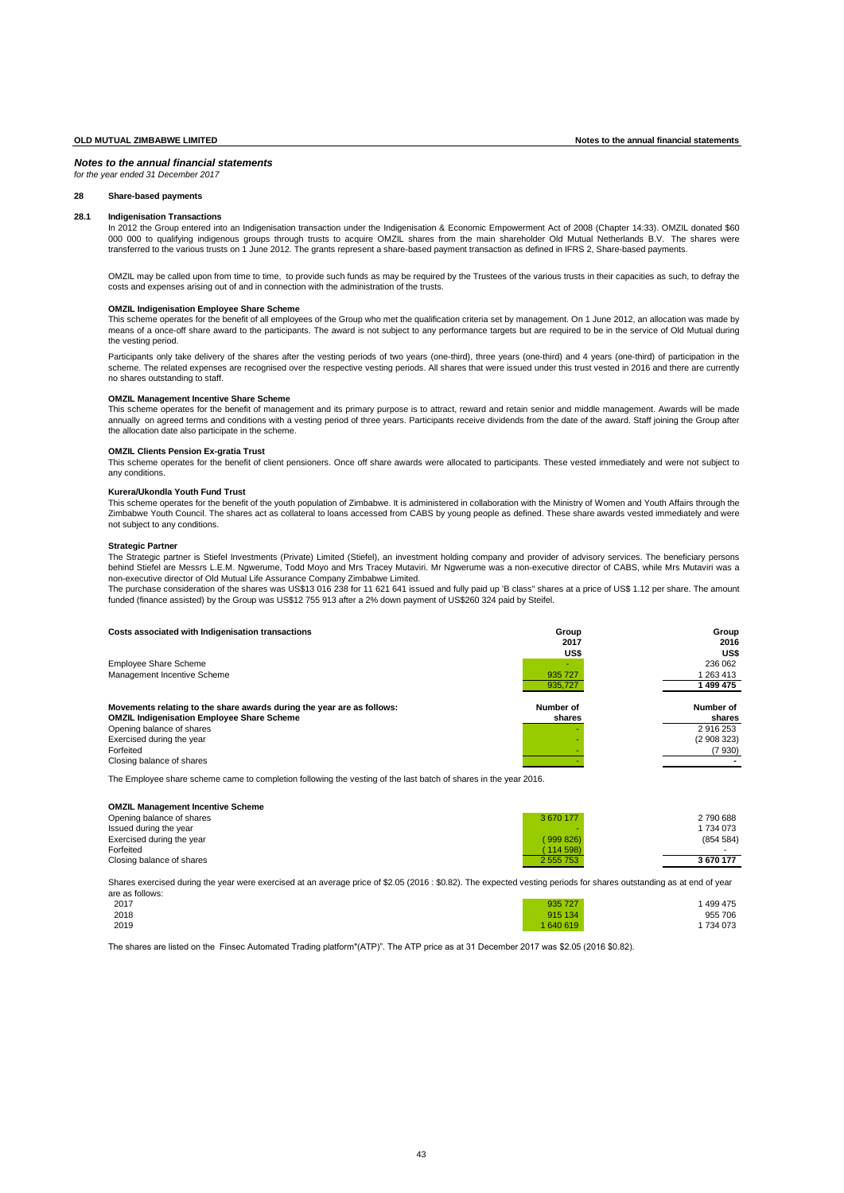*for the year ended 31 December 2017*

# **28 Share-based payments**

### **28.1 Indigenisation Transactions**

In 2012 the Group entered into an Indigenisation transaction under the Indigenisation & Economic Empowerment Act of 2008 (Chapter 14:33). OMZIL donated \$60 000 000 to qualifying indigenous groups through trusts to acquire OMZIL shares from the main shareholder Old Mutual Netherlands B.V. The shares were<br>000 000 to qualifying indigenous groups through trusts to acquire OMZIL s transferred to the various trusts on 1 June 2012. The grants represent a share-based payment transaction as defined in IFRS 2, Share-based payments.

OMZIL may be called upon from time to time, to provide such funds as may be required by the Trustees of the various trusts in their capacities as such, to defray the costs and expenses arising out of and in connection with the administration of the trusts.

### **OMZIL Indigenisation Employee Share Scheme**

This scheme operates for the benefit of all employees of the Group who met the qualification criteria set by management. On 1 June 2012, an allocation was made by means of a once-off share award to the participants. The award is not subject to any performance targets but are required to be in the service of Old Mutual during the vesting period.

Participants only take delivery of the shares after the vesting periods of two years (one-third), three years (one-third) and 4 years (one-third) of participation in the scheme. The related expenses are recognised over the respective vesting periods. All shares that were issued under this trust vested in 2016 and there are currently no shares outstanding to staff.

# **OMZIL Management Incentive Share Scheme**

This scheme operates for the benefit of management and its primary purpose is to attract, reward and retain senior and middle management. Awards will be made annually on agreed terms and conditions with a vesting period of three years. Participants receive dividends from the date of the award. Staff joining the Group after the allocation date also participate in the scheme.

# **OMZIL Clients Pension Ex-gratia Trust**

This scheme operates for the benefit of client pensioners. Once off share awards were allocated to participants. These vested immediately and were not subject to any conditions.

## **Kurera/Ukondla Youth Fund Trust**

This scheme operates for the benefit of the youth population of Zimbabwe. It is administered in collaboration with the Ministry of Women and Youth Affairs through the Zimbabwe Youth Council. The shares act as collateral to loans accessed from CABS by young people as defined. These share awards vested immediately and were not subject to any conditions.

### **Strategic Partner**

The Strategic partner is Stiefel Investments (Private) Limited (Stiefel), an investment holding company and provider of advisory services. The beneficiary persons behind Stiefel are Messrs L.E.M. Ngwerume, Todd Moyo and Mrs Tracey Mutaviri. Mr Ngwerume was a non-executive director of CABS, while Mrs Mutaviri was a<br>non-executive director of Old Mutual Life Assurance Company Zimbabwe

The purchase consideration of the shares was US\$13 016 238 for 11 621 641 issued and fully paid up 'B class" shares at a price of US\$ 1.12 per share. The amount funded (finance assisted) by the Group was US\$12 755 913 after a 2% down payment of US\$260 324 paid by Steifel.

| Costs associated with Indigenisation transactions<br><b>Employee Share Scheme</b><br>Management Incentive Scheme                                                                                                                | Group<br>2017<br>US\$<br>۰<br>935 727<br>935,727 | Group<br>2016<br>US\$<br>236 062<br>1 263 413<br>1 499 475 |
|---------------------------------------------------------------------------------------------------------------------------------------------------------------------------------------------------------------------------------|--------------------------------------------------|------------------------------------------------------------|
| Movements relating to the share awards during the year are as follows:<br><b>OMZIL Indigenisation Employee Share Scheme</b><br>Opening balance of shares<br>Exercised during the year<br>Forfeited<br>Closing balance of shares | Number of<br>shares                              | Number of<br>shares<br>2 916 253<br>(2908323)<br>(7930)    |

The Employee share scheme came to completion following the vesting of the last batch of shares in the year 2016.

| <b>OMZIL Management Incentive Scheme</b> |           |           |
|------------------------------------------|-----------|-----------|
| Opening balance of shares                | 3 670 177 | 2 790 688 |
| Issued during the year                   |           | 1734073   |
| Exercised during the year                | (999826)  | (854 584) |
| Forfeited                                | (114 598) | $\sim$    |
| Closing balance of shares                | 2 555 753 | 3 670 177 |
|                                          |           |           |

Shares exercised during the year were exercised at an average price of \$2.05 (2016 : \$0.82). The expected vesting periods for shares outstanding as at end of year are as follows:

| 2017 | 935 727   | 499 475 |
|------|-----------|---------|
| 2018 | 915 134   | 955 706 |
| 2019 | 1 640 619 | 734 073 |

The shares are listed on the Finsec Automated Trading platform"(ATP)". The ATP price as at 31 December 2017 was \$2.05 (2016 \$0.82).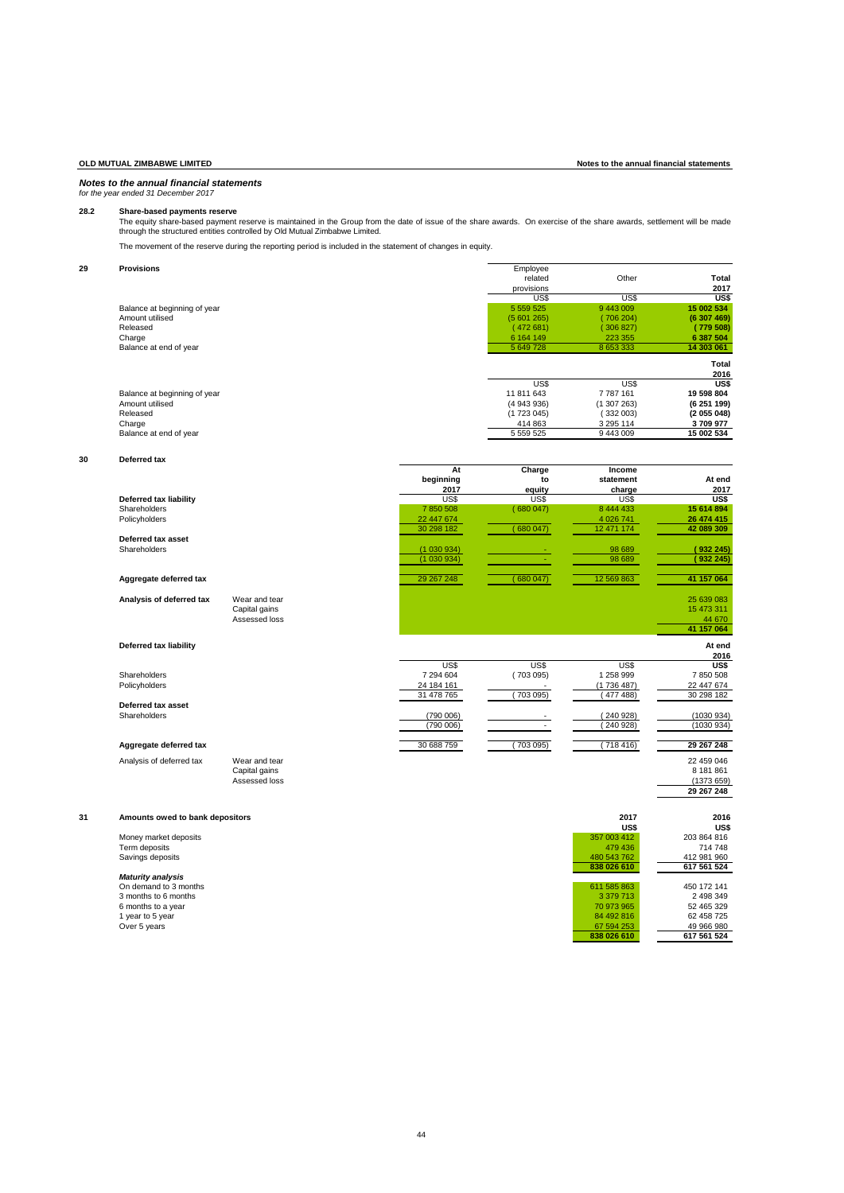# *for the year ended 31 December 2017*

Share-based payments reserve<br>The equity share-based payment reserve is maintained in the Group from the date of issue of the share awards. On exercise of the share awards, settlement will be made<br>through the structured ent

The movement of the reserve during the reporting period is included in the statement of changes in equity.

| 29 | <b>Provisions</b>            | Employee      |           |             |
|----|------------------------------|---------------|-----------|-------------|
|    |                              | related       | Other     | Total       |
|    |                              | provisions    |           | 2017        |
|    |                              | US\$          | US\$      | US\$        |
|    | Balance at beginning of year | 5 5 5 9 5 2 5 | 9 443 009 | 15 002 534  |
|    | Amount utilised              | (5601265)     | (706204)  | (6307469)   |
|    | Released                     | (472681)      | (306 827) | (779 508)   |
|    | Charge                       | 6 164 149     | 223 355   | 6 387 504   |
|    | Balance at end of year       | 5 649 728     | 8 653 333 | 14 303 061  |
|    |                              |               |           | Total       |
|    |                              |               |           | 2016        |
|    |                              | US\$          | US\$      | US\$        |
|    | Balance at beginning of year | 11 811 643    | 7 787 161 | 19 598 804  |
|    | Amount utilised              | (4943936)     | (1307263) | (6 251 199) |
|    | Released                     | (1723045)     | (332003)  | (2055048)   |
|    | Charge                       | 414 863       | 3 295 114 | 3709977     |
|    | Balance at end of year       | 5 559 525     | 9 443 009 | 15 002 534  |

### **30 Deferred tax**

|                          |               | At         | Charge   | Income     |            |
|--------------------------|---------------|------------|----------|------------|------------|
|                          |               | beginning  | to       | statement  | At end     |
|                          |               | 2017       | equity   | charge     | 2017       |
| Deferred tax liability   |               | US\$       | US\$     | US\$       | US\$       |
| Shareholders             |               | 7850508    | (680047) | 8 444 433  | 15 614 894 |
| Policyholders            |               | 22 447 674 |          | 4 0 26 741 | 26 474 415 |
|                          |               | 30 298 182 | 680047   | 12 471 174 | 42 089 309 |
| Deferred tax asset       |               |            |          |            |            |
| Shareholders             |               | (1030934)  | $\sim$   | 98 689     | 932 245)   |
|                          |               | (1030934)  |          | 98 689     | 932 245)   |
| Aggregate deferred tax   |               | 29 267 248 | 680047   | 12 569 863 | 41 157 064 |
| Analysis of deferred tax | Wear and tear |            |          |            | 25 639 083 |
|                          | Capital gains |            |          |            | 15 473 311 |
|                          | Assessed loss |            |          |            | 44 670     |

**Deferred tax asset**

# **Aggregate deferred tax** 30 688 759 ( 703 095) ( 718 416) **29 267 248**

Analysis of deferred tax Wear and tear 22 459 046<br>
Analysis of deferred tax Wear and tear Capital gains

# *Maturity analysis*

**41 157 064 Deferred tax liability At end 2016** US\$ US\$ US\$ **US\$** Shareholders 7 294 604 ( 703 095) 1 258 999 7 850 508 Policyholders 24 184 161 - (1 736 487) 22 447 674 31 478 765 ( 703 095) ( 477 488) 30 298 182

Shareholders (790 006) - ( 240 928) (1030 934)  $(790\,006)$   $(240\,928)$   $(1030\,934)$ 

> Capital gains 8 181 861 Assessed loss (1373 659) **29 267 248**

| 31 | Amounts owed to bank depositors | 2017        | 2016        |
|----|---------------------------------|-------------|-------------|
|    |                                 | US\$        | US\$        |
|    | Money market deposits           | 357 003 412 | 203 864 816 |
|    | Term deposits                   | 479 436     | 714 748     |
|    | Savings deposits                | 480 543 762 | 412 981 960 |
|    |                                 | 838 026 610 | 617 561 524 |
|    | <b>Maturity analysis</b>        |             |             |
|    | On demand to 3 months           | 611 585 863 | 450 172 141 |
|    | 3 months to 6 months            | 3 379 713   | 2 498 349   |
|    | 6 months to a year              | 70 973 965  | 52 465 329  |
|    | 1 year to 5 year                | 84 492 816  | 62 458 725  |
|    | Over 5 years                    | 67 594 253  | 49 966 980  |
|    |                                 | 838 026 610 | 617 561 524 |

# **OLD MUTUAL ZIMBABWE LIMITED Notes to the annual financial statements**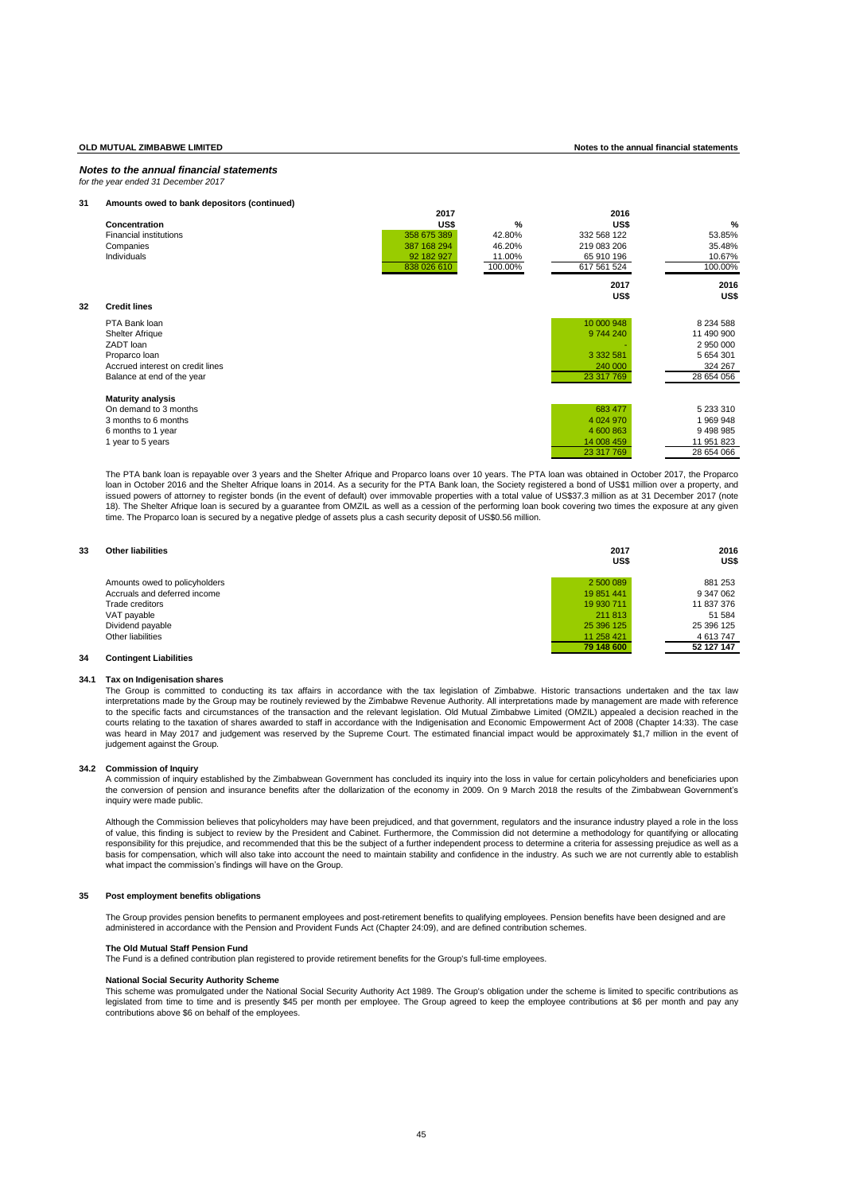### *Notes to the annual financial statements for the year ended 31 December 2017*

### **31 Amounts owed to bank depositors (continued)**

|    |                                  | 2017        |               | 2016          |               |
|----|----------------------------------|-------------|---------------|---------------|---------------|
|    | Concentration                    | US\$        | $\frac{9}{6}$ | US\$          | %             |
|    | <b>Financial institutions</b>    | 358 675 389 | 42.80%        | 332 568 122   | 53.85%        |
|    | Companies                        | 387 168 294 | 46.20%        | 219 083 206   | 35.48%        |
|    | Individuals                      | 92 182 927  | 11.00%        | 65 910 196    | 10.67%        |
|    |                                  | 838 026 610 | 100.00%       | 617 561 524   | 100.00%       |
|    |                                  |             |               | 2017<br>US\$  | 2016<br>US\$  |
| 32 | <b>Credit lines</b>              |             |               |               |               |
|    | PTA Bank loan                    |             |               | 10 000 948    | 8 2 3 4 5 8 8 |
|    | <b>Shelter Afrique</b>           |             |               | 9 744 240     | 11 490 900    |
|    | ZADT loan                        |             |               |               | 2 950 000     |
|    | Proparco Ioan                    |             |               | 3 3 3 2 5 8 1 | 5 654 301     |
|    | Accrued interest on credit lines |             |               | 240 000       | 324 267       |
|    | Balance at end of the year       |             |               | 23 317 769    | 28 654 056    |
|    | <b>Maturity analysis</b>         |             |               |               |               |
|    | On demand to 3 months            |             |               | 683 477       | 5 233 310     |
|    | 3 months to 6 months             |             |               | 4 0 24 9 70   | 1969948       |
|    | 6 months to 1 year               |             |               | 4 600 863     | 9498985       |
|    | 1 year to 5 years                |             |               | 14 008 459    | 11 951 823    |
|    |                                  |             |               | 23 317 769    | 28 654 066    |

The PTA bank loan is repayable over 3 years and the Shelter Afrique and Proparco loans over 10 years. The PTA loan was obtained in October 2017, the Proparco loan in October 2016 and the Shelter Afrique loans in 2014. As a security for the PTA Bank loan, the Society registered a bond of US\$1 million over a property, and issued powers of attorney to register bonds (in the event of default) over immovable properties with a total value of US\$37.3 million as at 31 December 2017 (note 18). The Shelter Afrique loan is secured by a guarantee from OMZIL as well as a cession of the performing loan book covering two times the exposure at any given time. The Proparco loan is secured by a negative pledge of assets plus a cash security deposit of US\$0.56 million.

| 33 | <b>Other liabilities</b>      | 2017<br>US\$ | 2016<br>US\$ |
|----|-------------------------------|--------------|--------------|
|    | Amounts owed to policyholders | 2 500 089    | 881 253      |
|    | Accruals and deferred income  | 19 851 441   | 9 347 062    |
|    | Trade creditors               | 19 930 711   | 11 837 376   |
|    | VAT payable                   | 211 813      | 51 584       |
|    | Dividend payable              | 25 396 125   | 25 396 125   |
|    | Other liabilities             | 11 258 421   | 4613747      |
|    |                               | 79 148 600   | 52 127 147   |

# **34 Contingent Liabilities**

### **34.1 Tax on Indigenisation shares**

The Group is committed to conducting its tax affairs in accordance with the tax legislation of Zimbabwe. Historic transactions undertaken and the tax law interpretations made by the Group may be routinely reviewed by the Zimbabwe Revenue Authority. All interpretations made by management are made with reference to the specific facts and circumstances of the transaction and the relevant legislation. Old Mutual Zimbabwe Limited (OMZIL) appealed a decision reached in the courts relating to the taxation of shares awarded to staff in accordance with the Indigenisation and Economic Empowerment Act of 2008 (Chapter 14:33). The case<br>was heard in May 2017 and judgement was reserved by the Suprem judgement against the Group.

# **34.2 Commission of Inquiry**

A commission of inquiry established by the Zimbabwean Government has concluded its inquiry into the loss in value for certain policyholders and beneficiaries upon the conversion of pension and insurance benefits after the dollarization of the economy in 2009. On 9 March 2018 the results of the Zimbabwean Government's inquiry were made public.

Although the Commission believes that policyholders may have been prejudiced, and that government, regulators and the insurance industry played a role in the loss<br>of value, this finding is subject to review by the Presiden responsibility for this prejudice, and recommended that this be the subject of a further independent process to determine a criteria for assessing prejudice as well as a basis for compensation, which will also take into account the need to maintain stability and confidence in the industry. As such we are not currently able to establish what impact the commission's findings will have on the Group.

### **35 Post employment benefits obligations**

The Group provides pension benefits to permanent employees and post-retirement benefits to qualifying employees. Pension benefits have been designed and are<br>administered in accordance with the Pension and Provident Funds A

### **The Old Mutual Staff Pension Fund**

The Fund is a defined contribution plan registered to provide retirement benefits for the Group's full-time employees.

### **National Social Security Authority Scheme**

This scheme was promulgated under the National Social Security Authority Act 1989. The Group's obligation under the scheme is limited to specific contributions as legislated from time to time and is presently \$45 per month per employee. The Group agreed to keep the employee contributions at \$6 per month and pay any contributions above \$6 on behalf of the employees.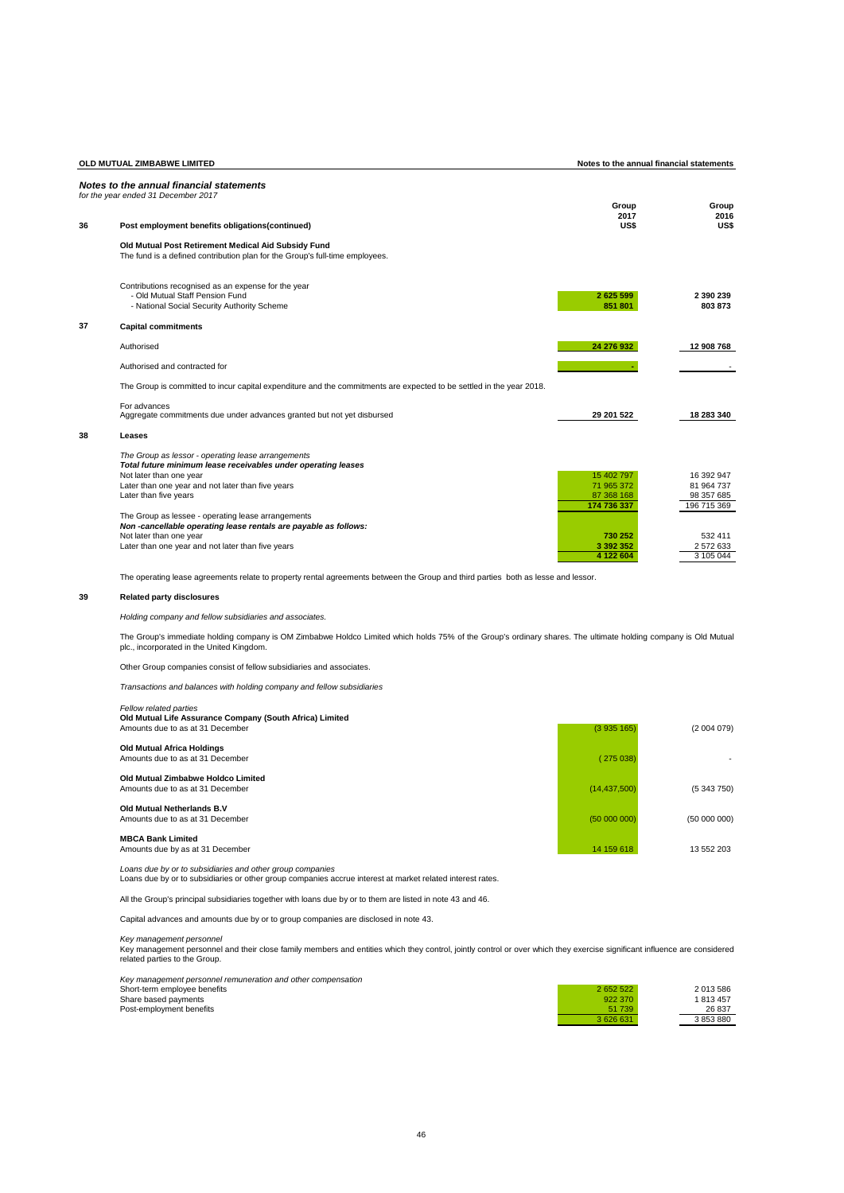|    | OLD MUTUAL ZIMBABWE LIMITED                                                                                                           | Notes to the annual financial statements |                           |  |
|----|---------------------------------------------------------------------------------------------------------------------------------------|------------------------------------------|---------------------------|--|
|    | Notes to the annual financial statements<br>for the vear ended 31 December 2017                                                       | Group                                    | Group                     |  |
| 36 | Post employment benefits obligations(continued)                                                                                       | 2017<br>US\$                             | 2016<br>US\$              |  |
|    | Old Mutual Post Retirement Medical Aid Subsidy Fund<br>The fund is a defined contribution plan for the Group's full-time employees.   |                                          |                           |  |
|    | Contributions recognised as an expense for the year<br>- Old Mutual Staff Pension Fund<br>- National Social Security Authority Scheme | 2625599<br>851 801                       | 2 390 239<br>803873       |  |
| 37 | <b>Capital commitments</b>                                                                                                            |                                          |                           |  |
|    | Authorised                                                                                                                            | 24 276 932                               | 12 908 768                |  |
|    | Authorised and contracted for                                                                                                         |                                          |                           |  |
|    | The Group is committed to incur capital expenditure and the commitments are expected to be settled in the year 2018.                  |                                          |                           |  |
|    | For advances<br>Aggregate commitments due under advances granted but not yet disbursed                                                | 29 201 522                               | 18 283 340                |  |
| 38 | Leases                                                                                                                                |                                          |                           |  |
|    | The Group as lessor - operating lease arrangements<br>Total future minimum lease receivables under operating leases                   |                                          |                           |  |
|    | Not later than one year                                                                                                               | 15 402 797                               | 16 392 947                |  |
|    | Later than one year and not later than five years                                                                                     | 71 965 372                               | 81 964 737                |  |
|    | Later than five years                                                                                                                 | 87 368 168<br>174 736 337                | 98 357 685<br>196 715 369 |  |
|    | The Group as lessee - operating lease arrangements<br>Non-cancellable operating lease rentals are payable as follows:                 |                                          |                           |  |
|    | Not later than one year                                                                                                               | 730 252                                  | 532 411                   |  |
|    | Later than one year and not later than five years                                                                                     | 3 392 352<br>4 122 604                   | 2 572 633<br>3 105 044    |  |
|    |                                                                                                                                       |                                          |                           |  |

The operating lease agreements relate to property rental agreements between the Group and third parties both as lesse and lessor.

# **39 Related party disclosures**

# *Holding company and fellow subsidiaries and associates.*

The Group's immediate holding company is OM Zimbabwe Holdco Limited which holds 75% of the Group's ordinary shares. The ultimate holding company is Old Mutual plc., incorporated in the United Kingdom.

Other Group companies consist of fellow subsidiaries and associates.

*Transactions and balances with holding company and fellow subsidiaries* 

# *Fellow related parties*

| Old Mutual Life Assurance Company (South Africa) Limited<br>Amounts due to as at 31 December | (3935165)      | (2 004 079)  |
|----------------------------------------------------------------------------------------------|----------------|--------------|
| <b>Old Mutual Africa Holdings</b><br>Amounts due to as at 31 December                        | (275038)       |              |
| Old Mutual Zimbabwe Holdco Limited<br>Amounts due to as at 31 December                       | (14, 437, 500) | (5 343 750)  |
| Old Mutual Netherlands B.V<br>Amounts due to as at 31 December                               | (5000000)      | (50 000 000) |
| <b>MBCA Bank Limited</b><br>Amounts due by as at 31 December                                 | 14 159 618     | 13 552 203   |

*Loans due by or to subsidiaries and other group companies* Loans due by or to subsidiaries or other group companies accrue interest at market related interest rates.

All the Group's principal subsidiaries together with loans due by or to them are listed in note 43 and 46.

Capital advances and amounts due by or to group companies are disclosed in note 43.

*Key management personnel*<br>Key management personnel and their close family members and entities which they control, jointly control or over which they exercise significant influence are considerec<br>related parties to the Gr

| Key management personnel remuneration and other compensation |         |           |
|--------------------------------------------------------------|---------|-----------|
| Short-term employee benefits                                 | 2652522 | 2 013 586 |
| Share based payments                                         | 922 370 | 813457    |
| Post-employment benefits                                     | 51 739  | 26 837    |
|                                                              | 3626631 | 3 853 880 |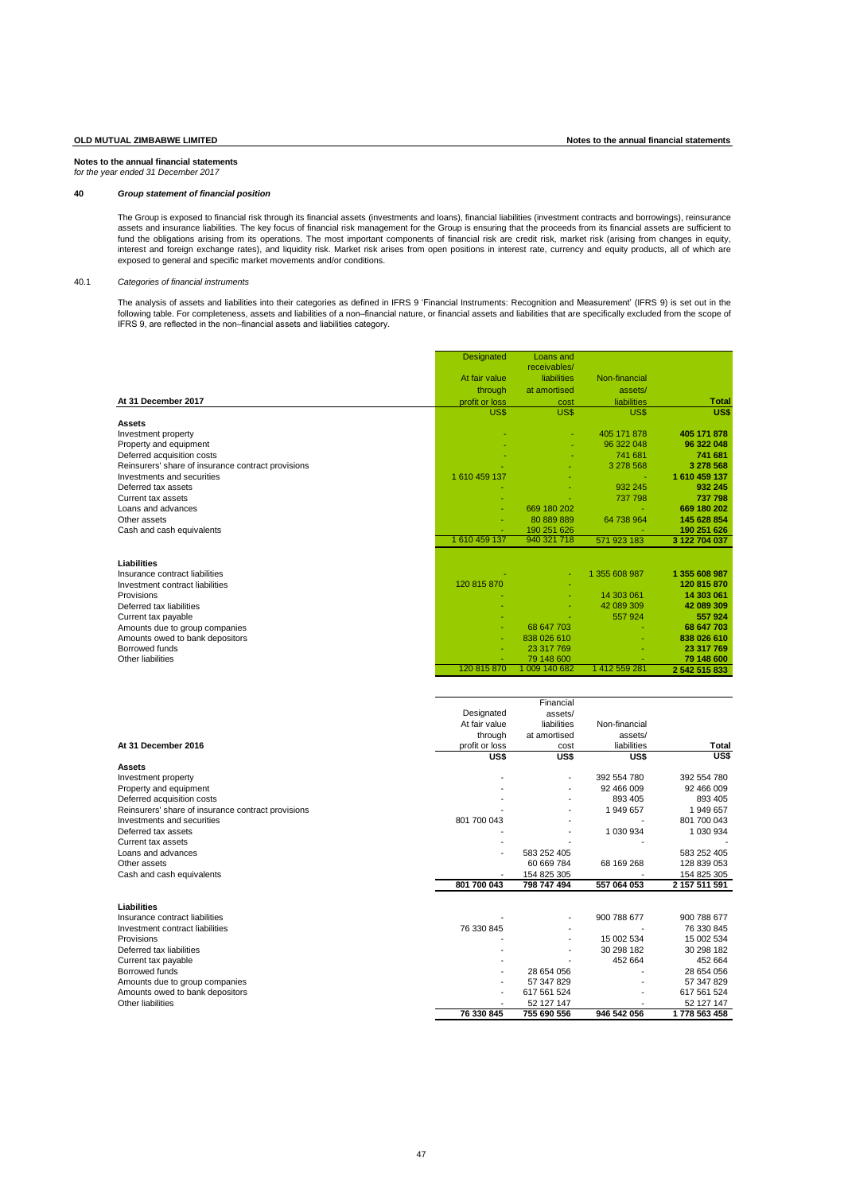**Notes to the annual financial statements** *for the year ended 31 December 2017*

# **40** *Group statement of financial position*

The Group is exposed to financial risk through its financial assets (investments and loans), financial liabilities (investment contracts and borrowings), reinsurance assets and insurance liabilities. The key focus of financial risk management for the Group is ensuring that the proceeds from its financial assets are sufficient to<br>fund the obligations arising from its operations. The mos interest and foreign exchange rates), and liquidity risk. Market risk arises from open positions in interest rate, currency and equity products, all of which are exposed to general and specific market movements and/or conditions.

### 40.1 *Categories of financial instruments*

The analysis of assets and liabilities into their categories as defined in IFRS 9 'Financial Instruments: Recognition and Measurement' (IFRS 9) is set out in the following table. For completeness, assets and liabilities of a non–financial nature, or financial assets and liabilities that are specifically excluded from the scope ol<br>IFRS 9, are reflected in the non–financial assets an

|                                                    | Designated     | Loans and    |               |               |
|----------------------------------------------------|----------------|--------------|---------------|---------------|
|                                                    |                | receivables/ |               |               |
|                                                    | At fair value  | liabilities  | Non-financial |               |
|                                                    | through        | at amortised | assets/       |               |
| At 31 December 2017                                | profit or loss | cost         | liabilities   | <b>Total</b>  |
|                                                    | US\$           | US\$         | US\$          | US\$          |
| Assets                                             |                |              |               |               |
| Investment property                                |                |              | 405 171 878   | 405 171 878   |
| Property and equipment                             |                |              | 96 322 048    | 96 322 048    |
| Deferred acquisition costs                         |                |              | 741 681       | 741 681       |
| Reinsurers' share of insurance contract provisions |                |              | 3 278 568     | 3 278 568     |
| Investments and securities                         | 1 610 459 137  |              |               | 1 610 459 137 |
| Deferred tax assets                                |                |              | 932 245       | 932 245       |
| Current tax assets                                 |                |              | 737 798       | 737 798       |
| Loans and advances                                 |                | 669 180 202  |               | 669 180 202   |
| Other assets                                       |                | 80 889 889   | 64 738 964    | 145 628 854   |
| Cash and cash equivalents                          |                | 190 251 626  |               | 190 251 626   |
|                                                    | 1610459137     | 940 321 718  | 571 923 183   | 3 122 704 037 |
| Liabilities                                        |                |              |               |               |
| Insurance contract liabilities                     |                | ٠            | 1 355 608 987 | 1 355 608 987 |
| Investment contract liabilities                    | 120 815 870    |              |               | 120 815 870   |
| Provisions                                         |                |              | 14 303 061    | 14 303 061    |
| Deferred tax liabilities                           |                |              | 42 089 309    | 42 089 309    |
| Current tax payable                                |                |              | 557 924       | 557924        |
| Amounts due to group companies                     | ٠              | 68 647 703   |               | 68 647 703    |
| Amounts owed to bank depositors                    | ٠              | 838 026 610  |               | 838 026 610   |
| Borrowed funds                                     |                | 23 317 769   |               | 23 317 769    |
| Other liabilities                                  |                | 79 148 600   |               | 79 148 600    |
|                                                    | 120 815 870    | 009 140 682  | 1412 559 281  | 2 542 515 833 |
|                                                    |                |              |               |               |

|                                                    |                          | Financial                |               |               |
|----------------------------------------------------|--------------------------|--------------------------|---------------|---------------|
|                                                    | Designated               | assets/                  |               |               |
|                                                    | At fair value            | liabilities              | Non-financial |               |
|                                                    | through                  | at amortised             | assets/       |               |
| At 31 December 2016                                | profit or loss           | cost                     | liabilities   | Total         |
|                                                    | US\$                     | US\$                     | US\$          | US\$          |
| <b>Assets</b>                                      |                          |                          |               |               |
| Investment property                                |                          | $\overline{\phantom{a}}$ | 392 554 780   | 392 554 780   |
| Property and equipment                             |                          |                          | 92 466 009    | 92 466 009    |
| Deferred acquisition costs                         |                          |                          | 893 405       | 893 405       |
| Reinsurers' share of insurance contract provisions |                          |                          | 1 949 657     | 1 949 657     |
| Investments and securities                         | 801 700 043              |                          |               | 801 700 043   |
| Deferred tax assets                                |                          |                          | 1 030 934     | 1 030 934     |
| Current tax assets                                 |                          |                          |               |               |
| Loans and advances                                 |                          | 583 252 405              |               | 583 252 405   |
| Other assets                                       |                          | 60 669 784               | 68 169 268    | 128 839 053   |
| Cash and cash equivalents                          |                          | 154 825 305              |               | 154 825 305   |
|                                                    | 801 700 043              | 798 747 494              | 557 064 053   | 2 157 511 591 |
| Liabilities                                        |                          |                          |               |               |
| Insurance contract liabilities                     |                          |                          | 900 788 677   | 900 788 677   |
| Investment contract liabilities                    | 76 330 845               |                          |               | 76 330 845    |
| Provisions                                         |                          |                          | 15 002 534    | 15 002 534    |
| Deferred tax liabilities                           |                          |                          | 30 298 182    | 30 298 182    |
| Current tax payable                                |                          |                          | 452 664       | 452 664       |
| Borrowed funds                                     |                          | 28 654 056               |               | 28 654 056    |
| Amounts due to group companies                     |                          | 57 347 829               |               | 57 347 829    |
| Amounts owed to bank depositors                    | $\overline{\phantom{a}}$ | 617 561 524              |               | 617 561 524   |
| Other liabilities                                  |                          | 52 127 147               |               | 52 127 147    |
|                                                    | 76 330 845               | 755 690 556              | 946 542 056   | 1778 563 458  |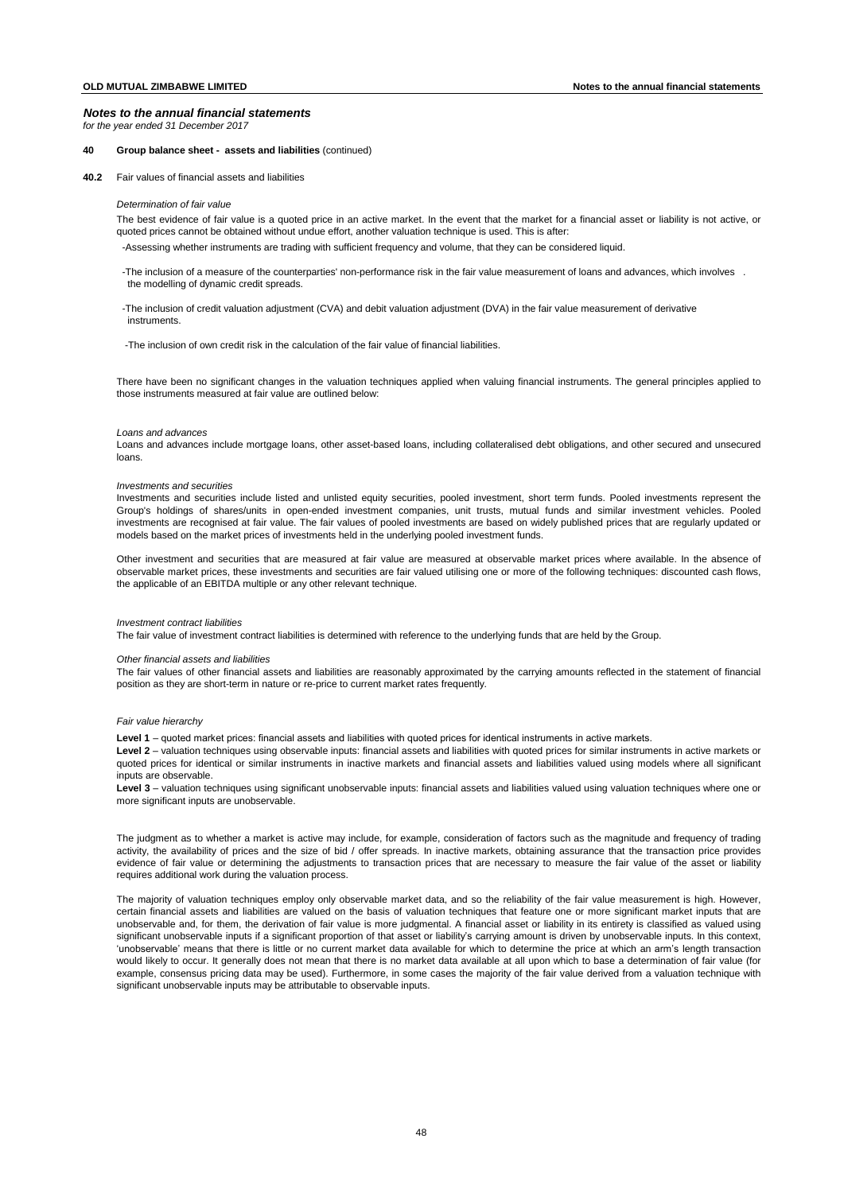*for the year ended 31 December 2017*

## **40 Group balance sheet - assets and liabilities** (continued)

**40.2** Fair values of financial assets and liabilities

### *Determination of fair value*

The best evidence of fair value is a quoted price in an active market. In the event that the market for a financial asset or liability is not active, or quoted prices cannot be obtained without undue effort, another valuation technique is used. This is after:

-Assessing whether instruments are trading with sufficient frequency and volume, that they can be considered liquid.

- -The inclusion of a measure of the counterparties' non-performance risk in the fair value measurement of loans and advances, which involves . the modelling of dynamic credit spreads.
- -The inclusion of credit valuation adjustment (CVA) and debit valuation adjustment (DVA) in the fair value measurement of derivative instruments.

-The inclusion of own credit risk in the calculation of the fair value of financial liabilities.

There have been no significant changes in the valuation techniques applied when valuing financial instruments. The general principles applied to those instruments measured at fair value are outlined below:

### *Loans and advances*

Loans and advances include mortgage loans, other asset-based loans, including collateralised debt obligations, and other secured and unsecured loans.

### *Investments and securities*

Investments and securities include listed and unlisted equity securities, pooled investment, short term funds. Pooled investments represent the Group's holdings of shares/units in open-ended investment companies, unit trusts, mutual funds and similar investment vehicles. Pooled investments are recognised at fair value. The fair values of pooled investments are based on widely published prices that are regularly updated or models based on the market prices of investments held in the underlying pooled investment funds.

Other investment and securities that are measured at fair value are measured at observable market prices where available. In the absence of observable market prices, these investments and securities are fair valued utilising one or more of the following techniques: discounted cash flows, the applicable of an EBITDA multiple or any other relevant technique.

### *Investment contract liabilities*

The fair value of investment contract liabilities is determined with reference to the underlying funds that are held by the Group.

## *Other financial assets and liabilities*

The fair values of other financial assets and liabilities are reasonably approximated by the carrying amounts reflected in the statement of financial position as they are short-term in nature or re-price to current market rates frequently.

### *Fair value hierarchy*

**Level 1** – quoted market prices: financial assets and liabilities with quoted prices for identical instruments in active markets.

Level 2 – valuation techniques using observable inputs: financial assets and liabilities with quoted prices for similar instruments in active markets or quoted prices for identical or similar instruments in inactive markets and financial assets and liabilities valued using models where all significant inputs are observable.

**Level 3** – valuation techniques using significant unobservable inputs: financial assets and liabilities valued using valuation techniques where one or more significant inputs are unobservable.

The judgment as to whether a market is active may include, for example, consideration of factors such as the magnitude and frequency of trading activity, the availability of prices and the size of bid / offer spreads. In inactive markets, obtaining assurance that the transaction price provides evidence of fair value or determining the adjustments to transaction prices that are necessary to measure the fair value of the asset or liability requires additional work during the valuation process.

The majority of valuation techniques employ only observable market data, and so the reliability of the fair value measurement is high. However, certain financial assets and liabilities are valued on the basis of valuation techniques that feature one or more significant market inputs that are unobservable and, for them, the derivation of fair value is more judgmental. A financial asset or liability in its entirety is classified as valued using significant unobservable inputs if a significant proportion of that asset or liability's carrying amount is driven by unobservable inputs. In this context, 'unobservable' means that there is little or no current market data available for which to determine the price at which an arm's length transaction would likely to occur. It generally does not mean that there is no market data available at all upon which to base a determination of fair value (for example, consensus pricing data may be used). Furthermore, in some cases the majority of the fair value derived from a valuation technique with significant unobservable inputs may be attributable to observable inputs.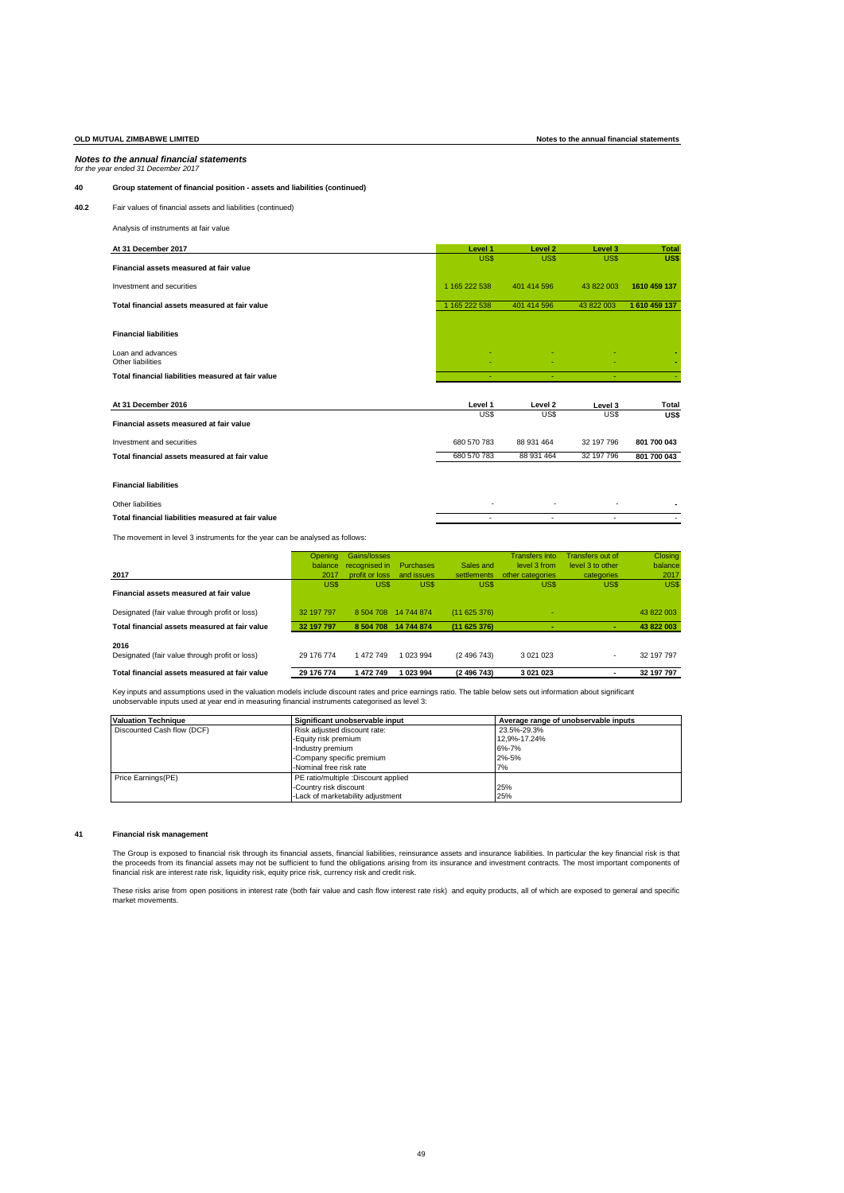# **OLD MUTUAL ZIMBABWE LIMITED Notes to the annual financial statements**

### *Notes to the annual financial statements for the year ended 31 December 2017*

**40 Group statement of financial position - assets and liabilities (continued)**

# **40.2** Fair values of financial assets and liabilities (continued)

Analysis of instruments at fair value

| At 31 December 2017                                | Level 1         | Level <sub>2</sub> | Level 3         | <b>Total</b>         |
|----------------------------------------------------|-----------------|--------------------|-----------------|----------------------|
|                                                    | US\$            | US\$               | US\$            | US\$                 |
| Financial assets measured at fair value            |                 |                    |                 |                      |
| Investment and securities                          | 1 165 222 538   | 401 414 596        | 43 822 003      | 1610 459 137         |
| Total financial assets measured at fair value      | 1 165 222 538   | 401 414 596        | 43 822 003      | 1 610 459 137        |
|                                                    |                 |                    |                 |                      |
| <b>Financial liabilities</b>                       |                 |                    |                 |                      |
| Loan and advances                                  |                 |                    |                 |                      |
| Other liabilities                                  |                 |                    |                 |                      |
| Total financial liabilities measured at fair value |                 |                    |                 |                      |
|                                                    |                 |                    |                 |                      |
|                                                    |                 |                    |                 |                      |
| At 31 December 2016                                | Level 1<br>US\$ | Level 2<br>US\$    | Level 3<br>US\$ | <b>Total</b><br>US\$ |
| Financial assets measured at fair value            |                 |                    |                 |                      |
| Investment and securities                          | 680 570 783     | 88 931 464         | 32 197 796      | 801 700 043          |
| Total financial assets measured at fair value      | 680 570 783     | 88 931 464         | 32 197 796      | 801 700 043          |
|                                                    |                 |                    |                 |                      |
| <b>Financial liabilities</b>                       |                 |                    |                 |                      |
| Other liabilities                                  | ٠               | ٠                  |                 |                      |

The movement in level 3 instruments for the year can be analysed as follows:

|                                                        | Opening    | Gains/losses   |            |             | <b>Transfers</b> into | Transfers out of | Closing    |
|--------------------------------------------------------|------------|----------------|------------|-------------|-----------------------|------------------|------------|
|                                                        | balance    | recognised in  | Purchases  | Sales and   | level 3 from          | level 3 to other | balance    |
| 2017                                                   | 2017       | profit or loss | and issues | settlements | other categories      | categories       | 2017       |
| Financial assets measured at fair value                | US\$       | US\$           | US\$       | US\$        | US\$                  | US\$             | US\$       |
| Designated (fair value through profit or loss)         | 32 197 797 | 8 504 708      | 14 744 874 | (11625376)  |                       |                  | 43 822 003 |
| Total financial assets measured at fair value          | 32 197 797 | 8504708        | 14 744 874 | (11625376)  | ۰                     |                  | 43 822 003 |
| 2016<br>Designated (fair value through profit or loss) | 29 176 774 | 1472749        | 1 023 994  | (2496743)   | 3 0 21 0 23           | ۰                | 32 197 797 |
| Total financial assets measured at fair value          | 29 176 774 | 1472749        | 1 023 994  | (2 496 743) | 3 0 21 0 23           | ٠                | 32 197 797 |
|                                                        |            |                |            |             |                       |                  |            |

Key inputs and assumptions used in the valuation models include discount rates and price earnings ratio. The table below sets out information about significant<br>unobservable inputs used at year end in measuring financial in

| <b>Valuation Technique</b> | Significant unobservable input      | Average range of unobservable inputs |
|----------------------------|-------------------------------------|--------------------------------------|
| Discounted Cash flow (DCF) | Risk adjusted discount rate:        | 23.5%-29.3%                          |
|                            | -Equity risk premium                | 12.9%-17.24%                         |
|                            | -Industry premium                   | 6%-7%                                |
|                            | -Company specific premium           | 2%-5%                                |
|                            | -Nominal free risk rate             | 7%                                   |
| Price Earnings(PE)         | PE ratio/multiple :Discount applied |                                      |
|                            | Country risk discount               | 25%                                  |
|                            | Lack of marketability adjustment    | 25%                                  |

### **41 Financial risk management**

The Group is exposed to financial risk through its financial assets, financial liabilities, reinsurance assets and insurance liabilities. In particular the key financial risk is that<br>the proceeds from its financial assets

These risks arise from open positions in interest rate (both fair value and cash flow interest rate risk) and equity products, all of which are exposed to general and specific market movements.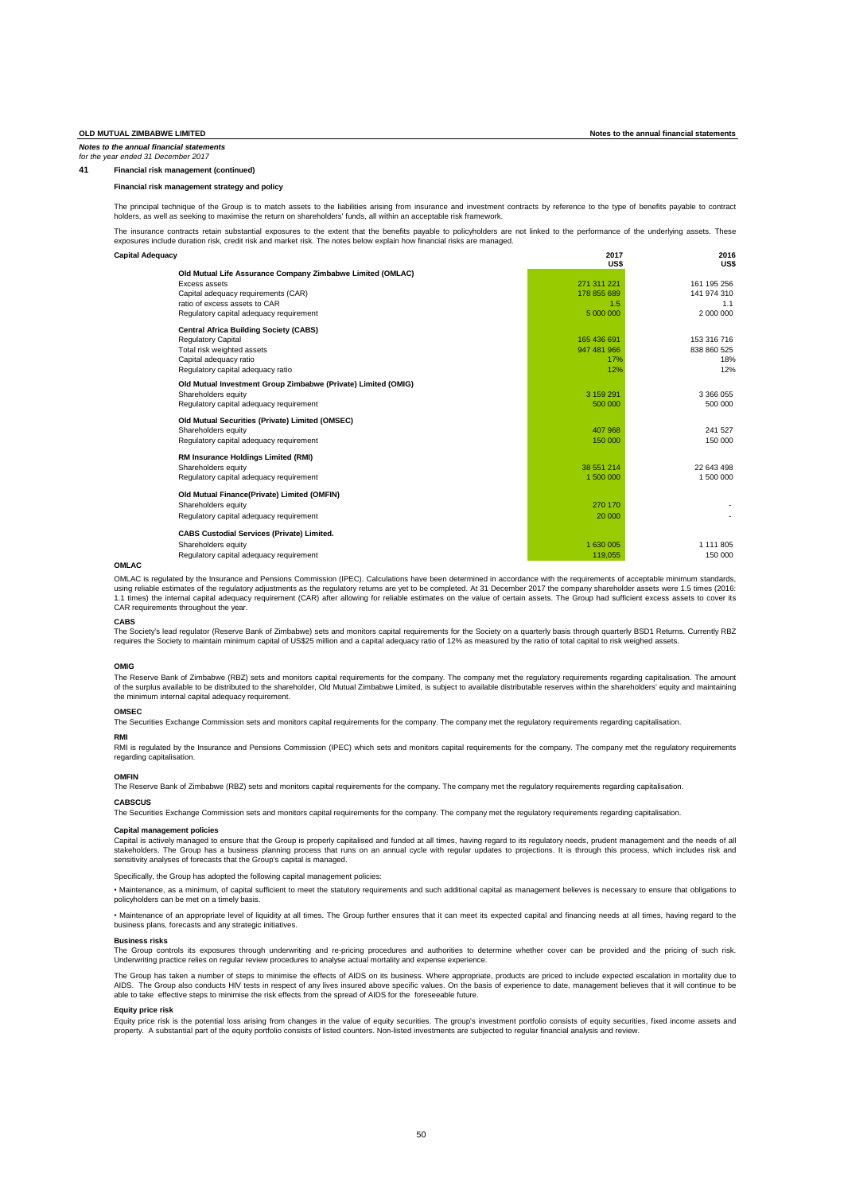**41 Financial risk management (continued)**

# **Financial risk management strategy and policy**

The principal technique of the Group is to match assets to the liabilities arising from insurance and investment contracts by reference to the type of benefits payable to contract holders, as well as seeking to maximise the return on shareholders' funds, all within an acceptable risk framework.

The insurance contracts retain substantial exposures to the extent that the benefits payable to policyholders are not linked to the performance of the underlying assets. These exposures include duration risk, credit risk and market risk. The notes below explain how financial risks are managed.

| Capital Adequacy                                                            | 2017<br>US\$       | 2016<br><b>USS</b> |  |
|-----------------------------------------------------------------------------|--------------------|--------------------|--|
| Old Mutual Life Assurance Company Zimbabwe Limited (OMLAC)<br>Excess assets | 271 311 221        | 161 195 256        |  |
| Capital adequacy requirements (CAR)<br>ratio of excess assets to CAR        | 178 855 689<br>1.5 | 141 974 310<br>1.1 |  |
| Regulatory capital adequacy requirement                                     | 5 000 000          | 2 000 000          |  |
| <b>Central Africa Building Society (CABS)</b>                               |                    |                    |  |
| <b>Regulatory Capital</b>                                                   | 165 436 691        | 153 316 716        |  |
| Total risk weighted assets                                                  | 947 481 966        | 838 860 525        |  |
| Capital adequacy ratio                                                      | 17%                | 18%                |  |
| Regulatory capital adequacy ratio                                           | 12%                | 12%                |  |
| Old Mutual Investment Group Zimbabwe (Private) Limited (OMIG)               |                    |                    |  |
| Shareholders equity                                                         | 3 159 291          | 3 366 055          |  |
| Regulatory capital adequacy requirement                                     | 500 000            | 500 000            |  |
| Old Mutual Securities (Private) Limited (OMSEC)                             |                    |                    |  |
| Shareholders equity                                                         | 407 968            | 241 527            |  |
| Regulatory capital adequacy requirement                                     | 150 000            | 150 000            |  |
| RM Insurance Holdings Limited (RMI)                                         |                    |                    |  |
| Shareholders equity                                                         | 38 551 214         | 22 643 498         |  |
| Regulatory capital adequacy requirement                                     | 1 500 000          | 1 500 000          |  |
| Old Mutual Finance(Private) Limited (OMFIN)                                 |                    |                    |  |
| Shareholders equity                                                         | 270 170            |                    |  |
| Regulatory capital adequacy requirement                                     | 20 000             |                    |  |
| <b>CABS Custodial Services (Private) Limited.</b>                           |                    |                    |  |
| Shareholders equity                                                         | 1 630 005          | 1 1 1 1 8 0 5      |  |
| Regulatory capital adequacy requirement                                     | 119.055            | 150 000            |  |

## **OMLAC**

OMLAC is regulated by the Insurance and Pensions Commission (IPEC). Calculations have been determined in accordance with the requirements of acceptable minimum standards, using reliable estimates of the regulatory adjustments as the regulatory returns are yet to be completed. At 31 December 2017 the company shareholder assets were 1.5 times (2016)<br>1.1 times) the internal capital adequacy re CAR requirements throughout the year.

### **CABS**

The Society's lead regulator (Reserve Bank of Zimbabwe) sets and monitors capital requirements for the Society on a quarterly basis through quarterly BSD1 Returns. Currently RB2<br>requires the Society to maintain minimum cap

### **OMIG**

The Reserve Bank of Zimbabwe (RBZ) sets and monitors capital requirements for the company. The company met the regulatory requirements regarding capitalisation. The amouni<br>of the surplus available to be distributed to the the minimum internal capital adequacy requirement.

### **OMSEC**

The Securities Exchange Commission sets and monitors capital requirements for the company. The company met the regulatory requirements regarding capitalisation.

### **RMI**

RMI is regulated by the Insurance and Pensions Commission (IPEC) which sets and monitors capital requirements for the company. The company met the regulatory requirements regarding capitalisation.

### **OMFIN**

The Reserve Bank of Zimbabwe (RBZ) sets and monitors capital requirements for the company. The company met the regulatory requirements regarding capitalisation.

### **CABSCUS**

The Securities Exchange Commission sets and monitors capital requirements for the company. The company met the regulatory requirements regarding capitalisation.

# **Capital management policies**

Capital is actively managed to ensure that the Group is properly capitalised and funded at all times, having regard to its regulatory needs, prudent management and the needs of all stakeholders. The Group has a business planning process that runs on an annual cycle with regular updates to projections. It is through this process, which includes risk anc<br>sensitivity analyses of forecasts that the Group

Specifically, the Group has adopted the following capital management policies:

• Maintenance, as a minimum, of capital sufficient to meet the statutory requirements and such additional capital as management believes is necessary to ensure that obligations to policyholders can be met on a timely basis.

• Maintenance of an appropriate level of liquidity at all times. The Group further ensures that it can meet its expected capital and financing needs at all times, having regard to the business plans, forecasts and any strategic initiatives.

### **Business risks**

The Group controls its exposures through underwriting and re-pricing procedures and authorities to determine whether cover can be provided and the pricing of such risk. Underwriting practice relies on regular review procedures to analyse actual mortality and expense experience.

The Group has taken a number of steps to minimise the effects of AIDS on its business. Where appropriate, products are priced to include expected escalation in mortality due to AIDS. The Group also conducts HIV tests in respect of any lives insured above specific values. On the basis of experience to date, management believes that it will continue to be<br>able to take effective steps to minimise th

### **Equity price risk**

Equity price risk is the potential loss arising from changes in the value of equity securities. The group's investment portfolio consists of equity securities, fixed income assets anc<br>property. A substantial part of the eq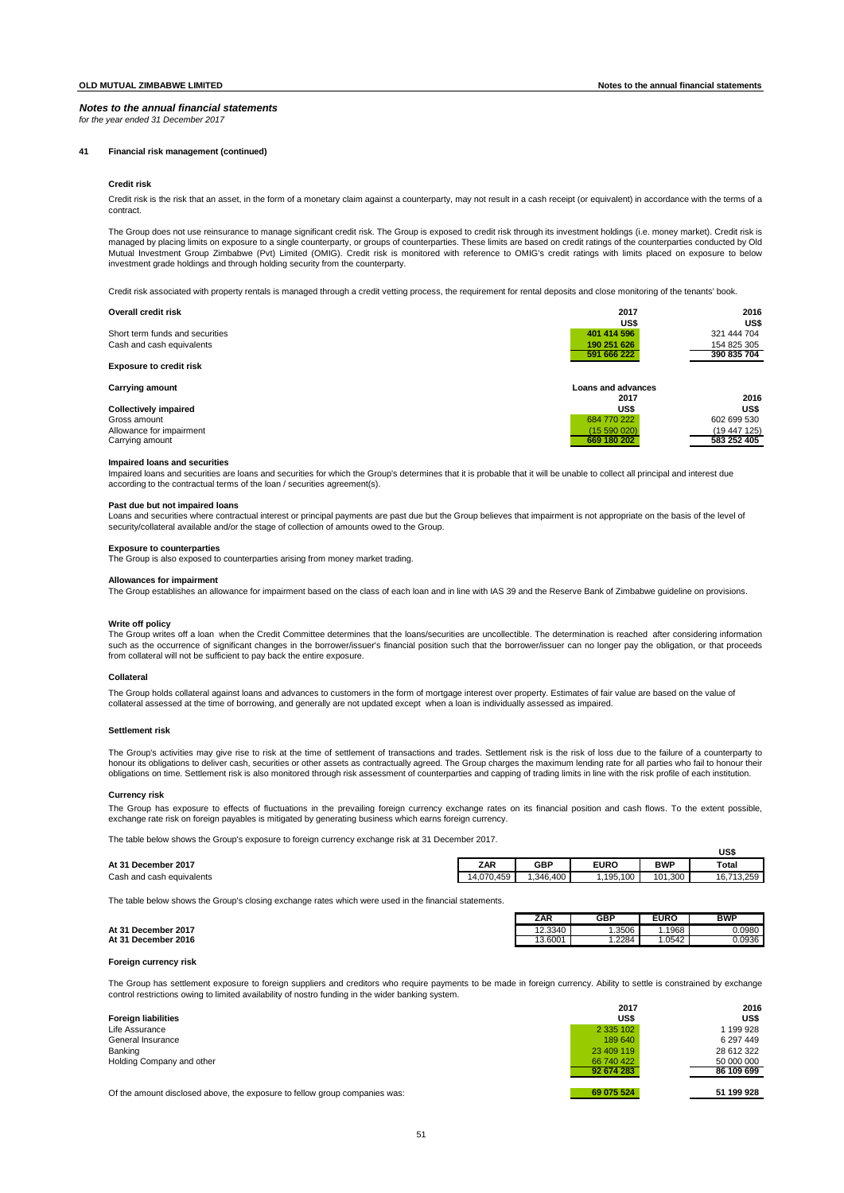*for the year ended 31 December 2017*

# **41 Financial risk management (continued)**

### **Credit risk**

Credit risk is the risk that an asset, in the form of a monetary claim against a counterparty, may not result in a cash receipt (or equivalent) in accordance with the terms of a contract.

The Group does not use reinsurance to manage significant credit risk. The Group is exposed to credit risk through its investment holdings (i.e. money market). Credit risk is managed by placing limits on exposure to a single counterparty, or groups of counterparties. These limits are based on credit ratings of the counterparties conducted by Old Mutual Investment Group Zimbabwe (Pvt) Limited (OMIG). Credit risk is monitored with reference to OMIG's credit ratings with limits placed on exposure to below<br>investment grade holdings and through holding security from th

Credit risk associated with property rentals is managed through a credit vetting process, the requirement for rental deposits and close monitoring of the tenants' book.

| Overall credit risk             | 2017               | 2016         |
|---------------------------------|--------------------|--------------|
|                                 | US\$               | US\$         |
| Short term funds and securities | 401 414 596        | 321 444 704  |
| Cash and cash equivalents       | 190 251 626        | 154 825 305  |
|                                 | 591 666 222        | 390 835 704  |
| <b>Exposure to credit risk</b>  |                    |              |
| <b>Carrying amount</b>          | Loans and advances |              |
|                                 | 2017               | 2016         |
| <b>Collectively impaired</b>    | US\$               | US\$         |
| Gross amount                    | 684 770 222        | 602 699 530  |
| Allowance for impairment        | (15590020)         | (19 447 125) |
| Carrying amount                 | 669 180 202        | 583 252 405  |

### **Impaired loans and securities**

Impaired loans and securities are loans and securities for which the Group's determines that it is probable that it will be unable to collect all principal and interest due according to the contractual terms of the loan / securities agreement(s).

### **Past due but not impaired loans**

Loans and securities where contractual interest or principal payments are past due but the Group believes that impairment is not appropriate on the basis of the level of security/collateral available and/or the stage of collection of amounts owed to the Group.

### **Exposure to counterparties**

The Group is also exposed to counterparties arising from money market trading.

### **Allowances for impairment**

The Group establishes an allowance for impairment based on the class of each loan and in line with IAS 39 and the Reserve Bank of Zimbabwe guideline on provisions.

### **Write off policy**

The Group writes off a loan when the Credit Committee determines that the loans/securities are uncollectible. The determination is reached after considering information such as the occurrence of significant changes in the borrower/issuer's financial position such that the borrower/issuer can no longer pay the obligation, or that proceeds from collateral will not be sufficient to pay back the entire exposure.

### Collatera

The Group holds collateral against loans and advances to customers in the form of mortgage interest over property. Estimates of fair value are based on the value of collateral assessed at the time of borrowing, and generally are not updated except when a loan is individually assessed as impaired.

### **Settlement risk**

The Group's activities may give rise to risk at the time of settlement of transactions and trades. Settlement risk is the risk of loss due to the failure of a counterparty to honour its obligations to deliver cash, securities or other assets as contractually agreed. The Group charges the maximum lending rate for all parties who fail to honour their obligations on time. Settlement risk is also monitored through risk assessment of counterparties and capping of trading limits in line with the risk profile of each institution.

# **Currency risk**

The Group has exposure to effects of fluctuations in the prevailing foreign currency exchange rates on its financial position and cash flows. To the extent possible, exchange rate risk on foreign payables is mitigated by generating business which earns foreign currency.

The table below shows the Group's exposure to foreign currency exchange risk at 31 December 2017.

### **At 31 December 2017 ZAR GBP EURO BWP Total**

Cash and cash equivalents **14,070,459** 1,346,400 1,195,100 101,300 16,713,259

The table below shows the Group's closing exchange rates which were used in the financial statements.

|                     | . . | . . |            |       |        |            |
|---------------------|-----|-----|------------|-------|--------|------------|
|                     |     |     | <b>ZAR</b> | GBP   | EURO   | <b>BWP</b> |
| At 31 December 2017 |     |     | 12.3340    | .3506 | 1968   | 0.0980     |
| At 31 December 2016 |     |     | 13.6001    | .2284 | 1.0542 | 0.0936     |

**US\$**

**2017 2016**

**92 674 283 86 109 699 69 075 524 51 199 928**

# **At 31 December 2016 Foreign currency risk**

The Group has settlement exposure to foreign suppliers and creditors who require payments to be made in foreign currency. Ability to settle is constrained by exchange control restrictions owing to limited availability of nostro funding in the wider banking system.

| <b>Foreign liabilities</b> | US\$            | US!              |
|----------------------------|-----------------|------------------|
| Life Assurance             | 2 3 3 1 0 2     | 199 928          |
| General Insurance          | 189 640         | 6 297 449        |
| Banking                    | 23 409 119      | 28 612 322       |
| Holding Company and other  | 66 740 422      | 50 000 000       |
|                            | <b>AAA-1AAA</b> | <b>88188.888</b> |

Of the amount disclosed above, the exposure to fellow group companies was: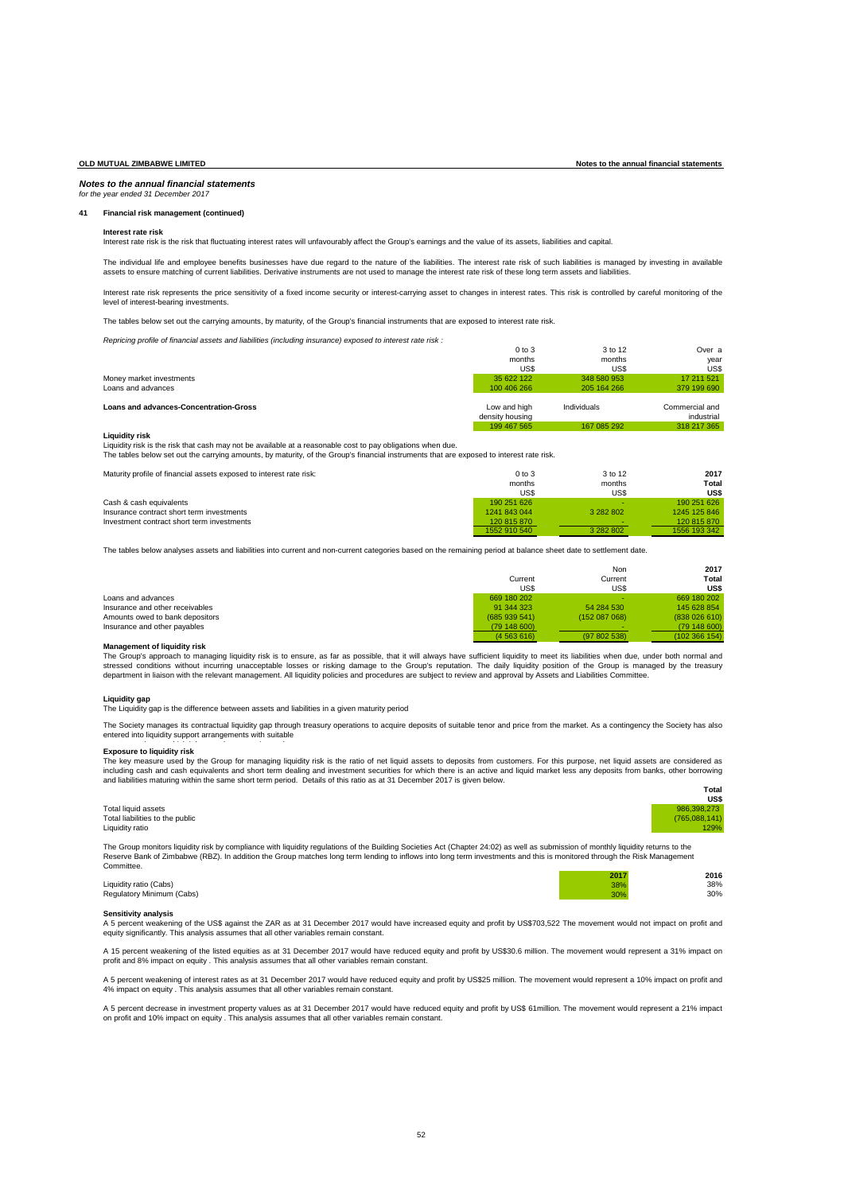### *Notes to the annual financial statements for the year ended 31 December 2017*

### **41 Financial risk management (continued)**

### **Interest rate risk**

Interest rate risk is the risk that fluctuating interest rates will unfavourably affect the Group's earnings and the value of its assets, liabilities and capital.

The individual life and employee benefits businesses have due regard to the nature of the liabilities. The interest rate risk of such liabilities is managed by investing in available assets to ensure matching of current liabilities. Derivative instruments are not used to manage the interest rate risk of these long term assets and liabilities.

Interest rate risk represents the price sensitivity of a fixed income security or interest-carrying asset to changes in interest rates. This risk is controlled by careful monitoring of the level of interest-bearing investments.

The tables below set out the carrying amounts, by maturity, of the Group's financial instruments that are exposed to interest rate risk.

*Repricing profile of financial assets and liabilities (including insurance) exposed to interest rate risk :*

|                                               | $0$ to $3$      | 3 to 12     | Over a         |
|-----------------------------------------------|-----------------|-------------|----------------|
|                                               | months          | months      | vear           |
|                                               | US\$            | US\$        | US\$           |
| Money market investments                      | 35 622 122      | 348 580 953 | 17 211 521     |
| Loans and advances                            | 100 406 266     | 205 164 266 | 379 199 690    |
| <b>Loans and advances-Concentration-Gross</b> | Low and high    | Individuals | Commercial and |
|                                               | density housing |             | industrial     |
|                                               |                 |             |                |
|                                               | 199 467 565     | 167 085 292 | 318 217 365    |

### **Liquidity risk**

Liquidity risk is the risk that cash may not be available at a reasonable cost to pay obligations when due.

The tables below set out the carrying amounts, by maturity, of the Group's financial instruments that are exposed to interest rate risk.

| Maturity profile of financial assets exposed to interest rate risk: | $0$ to $3$   | 3 to 12   | 2017         |
|---------------------------------------------------------------------|--------------|-----------|--------------|
|                                                                     | months       | months    | Total        |
|                                                                     | US\$         | US\$      | <b>US\$</b>  |
| Cash & cash equivalents                                             | 190 251 626  |           | 190 251 626  |
| Insurance contract short term investments                           | 1241 843 044 | 3 282 802 | 1245 125 846 |
| Investment contract short term investments                          | 120 815 870  |           | 120 815 870  |
|                                                                     | 1552 910 540 | 3 282 802 | 1556 193 342 |

The tables below analyses assets and liabilities into current and non-current categories based on the remaining period at balance sheet date to settlement date.

|                                 |             | Non         | 2017          |
|---------------------------------|-------------|-------------|---------------|
|                                 | Current     | Current     | Total         |
|                                 | US\$        | US\$        | US\$          |
| Loans and advances              | 669 180 202 |             | 669 180 202   |
| Insurance and other receivables | 91 344 323  | 54 284 530  | 145 628 854   |
| Amounts owed to bank depositors | (685939541) | (152087068) | (838026610)   |
| Insurance and other payables    | (79148600)  |             | (79148600)    |
|                                 | (4563616)   | (97802538)  | (102 366 154) |

### **Management of liquidity risk**

The Group's approach to managing liquidity risk is to ensure, as far as possible, that it will always have sufficient liquidity to meet its liabilities when due, under both normal and stressed conditions without incurring unacceptable losses or risking damage to the Group's reputation. The daily liquidity position of the Group is managed by the treasury department in liaison with the relevant management. All liquidity policies and procedures are subject to review and approval by Assets and Liabilities Committee.

### **Liquidity gap**

The Liquidity gap is the difference between assets and liabilities in a given maturity period

The Society manages its contractual liquidity gap through treasury operations to acquire deposits of suitable tenor and price from the market. As a contingency the Society has also entered into liquidity support arrangements with suitable

# Exposure to liquidity risk

The key measure used by the Group for managing liquidity risk is the ratio of net liquid assets to deposits from customers. For this purpose, net liquid assets are considered as including cash and cash equivalents and short term dealing and investment securities for which there is an active and liquid market less any deposits from banks, other borrowing<br>and liabilities maturing within the same sho

| Total liquid assets             | 986.398.273   |
|---------------------------------|---------------|
| Total liabilities to the public | (765.088.141) |
| Liquidity ratio                 | 129%          |

**Total US\$**

**2017 2016**

The Group monitors liquidity risk by compliance with liquidity regulations of the Building Societies Act (Chapter 24:02) as well as submission of monthly liquidity returns to the Reserve Bank of Zimbabwe (RBZ). In addition the Group matches long term lending to inflows into long term investments and this is monitored through the Risk Management Comm

Liquidity ratio (Cabs) 38% 38% Regulatory Minimum (Cabs) 30% 30%

**Sensitivity analysis**<br>A 5 percent weakening of the US\$ against the ZAR as at 31 December 2017 would have increased equity and profit by US\$703,522 The movement would not impact on profit and equity significantly. This analysis assumes that all other variables remain constant.

A 15 percent weakening of the listed equities as at 31 December 2017 would have reduced equity and profit by US\$30.6 million. The movement would represent a 31% impact on profit and 8% impact on equity . This analysis assumes that all other variables remain constant.

A 5 percent weakening of interest rates as at 31 December 2017 would have reduced equity and profit by US\$25 million. The movement would represent a 10% impact on profit and 4% impact on equity . This analysis assumes that all other variables remain constant.

A 5 percent decrease in investment property values as at 31 December 2017 would have reduced equity and profit by US\$ 61million. The movement would represent a 21% impact<br>on profit and 10% impact on equity . This analysis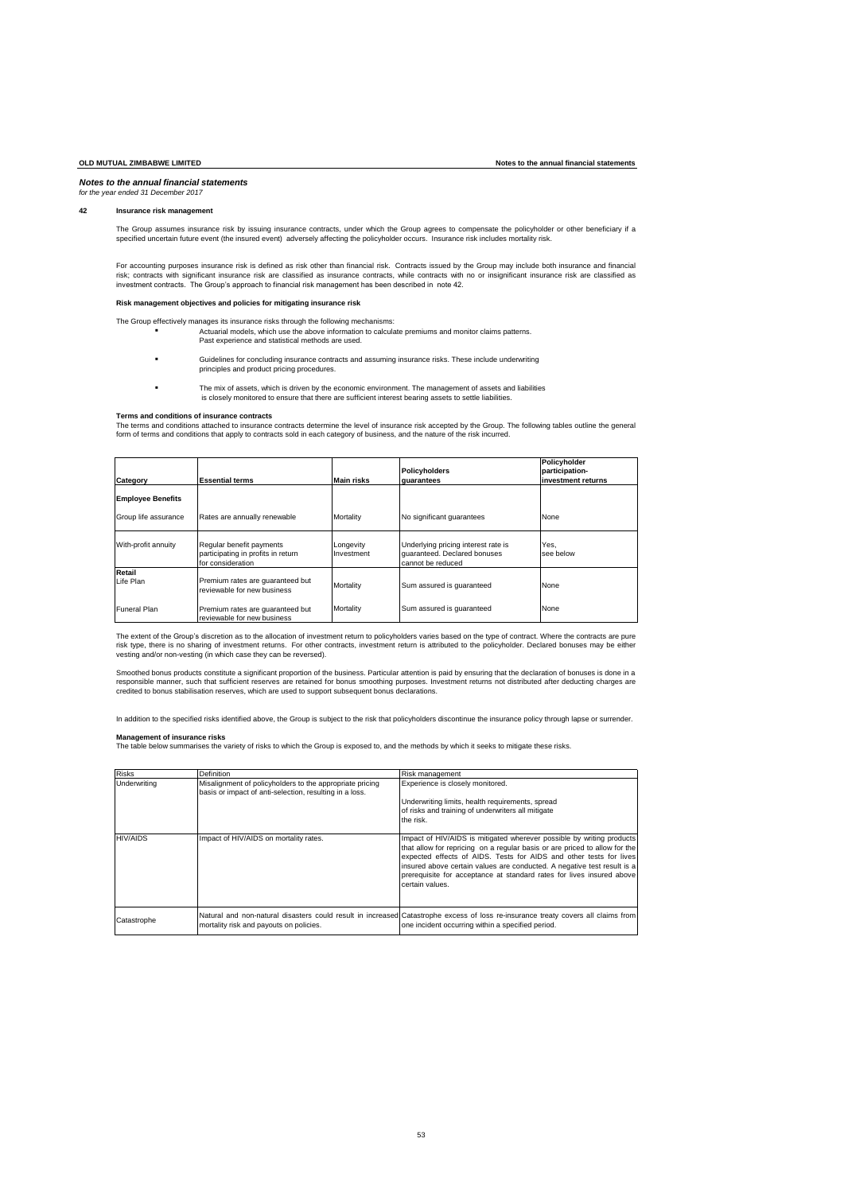## *for the year ended 31 December 2017*

# **42 Insurance risk management**

The Group assumes insurance risk by issuing insurance contracts, under which the Group agrees to compensate the policyholder or other beneficiary if a<br>specified uncertain future event (the insured event) adversely affectin

For accounting purposes insurance risk is defined as risk other than financial risk. Contracts issued by the Group may include both insurance and financial risk; contracts with significant insurance risk are classified as insurance contracts, while contracts with no or insignificant insurance risk are classified as<br>investment contracts. The Group's approach to financial risk

### **Risk management objectives and policies for mitigating insurance risk**

The Group effectively manages its insurance risks through the following mechanisms: Actuarial models, which use the above information to calculate premiums and monitor claims patterns. Past experience and statistical methods are used.

- Guidelines for concluding insurance contracts and assuming insurance risks. These include underwriting principles and product pricing procedures.
- The mix of assets, which is driven by the economic environment. The management of assets and liabilities is closely monitored to ensure that there are sufficient interest bearing assets to settle liabilities.

### **Terms and conditions of insurance contracts**

The terms and conditions attached to insurance contracts determine the level of insurance risk accepted by the Group. The following tables outline the general form of terms and conditions that apply to contracts sold in each category of business, and the nature of the risk incurred.

| Category                 | <b>Essential terms</b>                                                              | <b>Main risks</b>       | <b>Policyholders</b><br>quarantees                                                       | Policyholder<br>participation-<br>investment returns |
|--------------------------|-------------------------------------------------------------------------------------|-------------------------|------------------------------------------------------------------------------------------|------------------------------------------------------|
| <b>Employee Benefits</b> |                                                                                     |                         |                                                                                          |                                                      |
| Group life assurance     | Rates are annually renewable                                                        | Mortality               | No significant quarantees                                                                | None                                                 |
| With-profit annuity      | Regular benefit payments<br>participating in profits in return<br>for consideration | Longevity<br>Investment | Underlying pricing interest rate is<br>quaranteed. Declared bonuses<br>cannot be reduced | Yes,<br>see below                                    |
| Retail<br>Life Plan      | Premium rates are quaranteed but<br>reviewable for new business                     | Mortality               | Sum assured is quaranteed                                                                | None                                                 |
| <b>Funeral Plan</b>      | Premium rates are quaranteed but<br>reviewable for new business                     | Mortality               | Sum assured is quaranteed                                                                | None                                                 |

The extent of the Group's discretion as to the allocation of investment return to policyholders varies based on the type of contract. Where the contracts are pure risk type, there is no sharing of investment returns. For other contracts, investment return is attributed to the policyholder. Declared bonuses may be either vesting and/or non-vesting (in which case they can be reversed).

Smoothed bonus products constitute a significant proportion of the business. Particular attention is paid by ensuring that the declaration of bonuses is done in a responsible manner, such that sufficient reserves are retained for bonus smoothing purposes. Investment returns not distributed after deducting charges are<br>credited to bonus stabilisation reserves, which are used to suppor

In addition to the specified risks identified above, the Group is subject to the risk that policyholders discontinue the insurance policy through lapse or surrender.

### **Management of insurance risks**

The table below summarises the variety of risks to which the Group is exposed to, and the methods by which it seeks to mitigate these risks.

| <b>Risks</b>    | Definition                                                                                                          | Risk management                                                                                                                                                                                                                                                                                                                                                                                  |
|-----------------|---------------------------------------------------------------------------------------------------------------------|--------------------------------------------------------------------------------------------------------------------------------------------------------------------------------------------------------------------------------------------------------------------------------------------------------------------------------------------------------------------------------------------------|
| Underwriting    | Misalignment of policyholders to the appropriate pricing<br>basis or impact of anti-selection, resulting in a loss. | Experience is closely monitored.                                                                                                                                                                                                                                                                                                                                                                 |
|                 |                                                                                                                     | Underwriting limits, health requirements, spread                                                                                                                                                                                                                                                                                                                                                 |
|                 |                                                                                                                     | of risks and training of underwriters all mitigate                                                                                                                                                                                                                                                                                                                                               |
|                 |                                                                                                                     | the risk.                                                                                                                                                                                                                                                                                                                                                                                        |
| <b>HIV/AIDS</b> | Impact of HIV/AIDS on mortality rates.                                                                              | Impact of HIV/AIDS is mitigated wherever possible by writing products<br>that allow for repricing on a regular basis or are priced to allow for the<br>expected effects of AIDS. Tests for AIDS and other tests for lives<br>insured above certain values are conducted. A negative test result is a<br>prerequisite for acceptance at standard rates for lives insured above<br>certain values. |
| Catastrophe     | mortality risk and payouts on policies.                                                                             | Natural and non-natural disasters could result in increased Catastrophe excess of loss re-insurance treaty covers all claims from<br>one incident occurring within a specified period.                                                                                                                                                                                                           |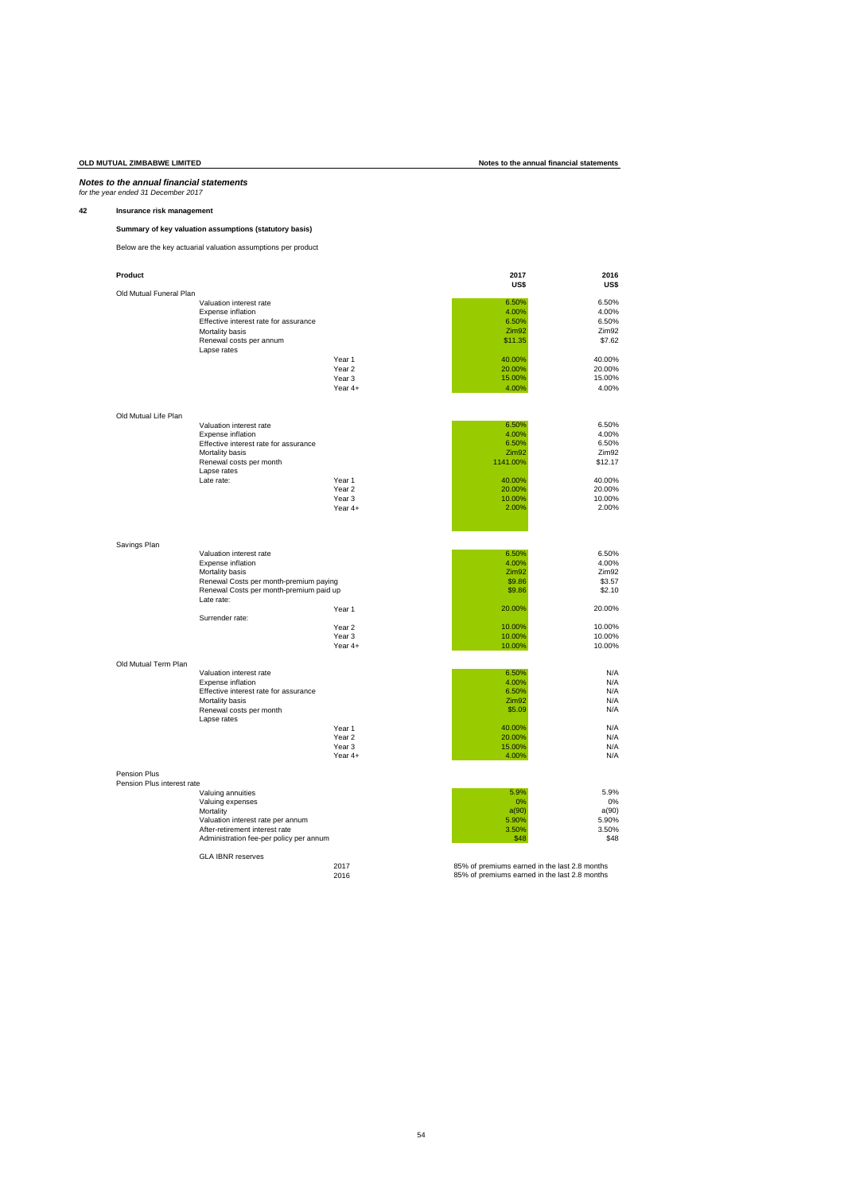# *Notes to the annual financial statements for the year ended 31 December 2017*

# **42 Insurance risk management**

# **Summary of key valuation assumptions (statutory basis)**

Below are the key actuarial valuation assumptions per product

| Product                    |                                         |                   | 2017<br>US\$                                  | 2016<br>US\$      |
|----------------------------|-----------------------------------------|-------------------|-----------------------------------------------|-------------------|
| Old Mutual Funeral Plan    |                                         |                   |                                               |                   |
|                            | Valuation interest rate                 |                   | 6.50%                                         | 6.50%             |
|                            | Expense inflation                       |                   | 4.00%                                         | 4.00%             |
|                            | Effective interest rate for assurance   |                   | 6.50%                                         | 6.50%             |
|                            | Mortality basis                         |                   | Zim <sub>92</sub>                             | Zim <sub>92</sub> |
|                            | Renewal costs per annum<br>Lapse rates  |                   | \$11.35                                       | \$7.62            |
|                            |                                         | Year 1            | 40.00%                                        | 40.00%            |
|                            |                                         | Year <sub>2</sub> | 20.00%                                        | 20.00%            |
|                            |                                         | Year <sub>3</sub> | 15.00%                                        | 15.00%            |
|                            |                                         | Year 4+           | 4.00%                                         | 4.00%             |
| Old Mutual Life Plan       |                                         |                   |                                               |                   |
|                            | Valuation interest rate                 |                   | 6.50%                                         | 6.50%             |
|                            | Expense inflation                       |                   | 4.00%                                         | 4.00%             |
|                            | Effective interest rate for assurance   |                   | 6.50%                                         | 6.50%             |
|                            | Mortality basis                         |                   | Zim92                                         | Zim92             |
|                            | Renewal costs per month                 |                   | 1141.00%                                      | \$12.17           |
|                            | Lapse rates<br>Late rate:               | Year 1            | 40.00%                                        | 40.00%            |
|                            |                                         | Year <sub>2</sub> | 20.00%                                        | 20.00%            |
|                            |                                         | Year 3            | 10.00%                                        | 10.00%            |
|                            |                                         | Year 4+           | 2.00%                                         | 2.00%             |
|                            |                                         |                   |                                               |                   |
| Savings Plan               |                                         |                   |                                               |                   |
|                            | Valuation interest rate                 |                   | 6.50%                                         | 6.50%             |
|                            | Expense inflation                       |                   | 4.00%                                         | 4.00%             |
|                            | Mortality basis                         |                   | Zim92                                         | Zim <sub>92</sub> |
|                            | Renewal Costs per month-premium paying  |                   | \$9.86                                        | \$3.57            |
|                            | Renewal Costs per month-premium paid up |                   | \$9.86                                        | \$2.10            |
|                            | Late rate:                              | Year <sub>1</sub> | 20.00%                                        | 20.00%            |
|                            | Surrender rate:                         |                   |                                               |                   |
|                            |                                         | Year <sub>2</sub> | 10.00%                                        | 10.00%            |
|                            |                                         | Year <sub>3</sub> | 10.00%                                        | 10.00%            |
|                            |                                         | Year 4+           | 10.00%                                        | 10.00%            |
| Old Mutual Term Plan       | Valuation interest rate                 |                   | 6.50%                                         | N/A               |
|                            | Expense inflation                       |                   | 4.00%                                         | N/A               |
|                            | Effective interest rate for assurance   |                   | 6.50%                                         | N/A               |
|                            | Mortality basis                         |                   | Zim92                                         | N/A               |
|                            | Renewal costs per month<br>Lapse rates  |                   | \$5.09                                        | N/A               |
|                            |                                         | Year 1            | 40.00%                                        | N/A               |
|                            |                                         | Year <sub>2</sub> | 20.00%                                        | N/A               |
|                            |                                         | Year <sub>3</sub> | 15.00%                                        | N/A               |
|                            |                                         | Year 4+           | 4.00%                                         | N/A               |
| Pension Plus               |                                         |                   |                                               |                   |
| Pension Plus interest rate |                                         |                   |                                               | 5.9%              |
|                            | Valuing annuities<br>Valuing expenses   |                   | 5.9%<br>0%                                    | 0%                |
|                            | Mortality                               |                   | a(90)                                         | a(90)             |
|                            | Valuation interest rate per annum       |                   | 5.90%                                         | 5.90%             |
|                            | After-retirement interest rate          |                   | 3.50%                                         | 3.50%             |
|                            | Administration fee-per policy per annum |                   | \$48                                          | \$48              |
|                            | <b>GLA IBNR reserves</b>                | 2017              | 85% of premiums earned in the last 2.8 months |                   |
|                            |                                         | 2016              | 85% of premiums earned in the last 2.8 months |                   |
|                            |                                         |                   |                                               |                   |

# **OLD MUTUAL ZIMBABWE LIMITED Notes to the annual financial statements**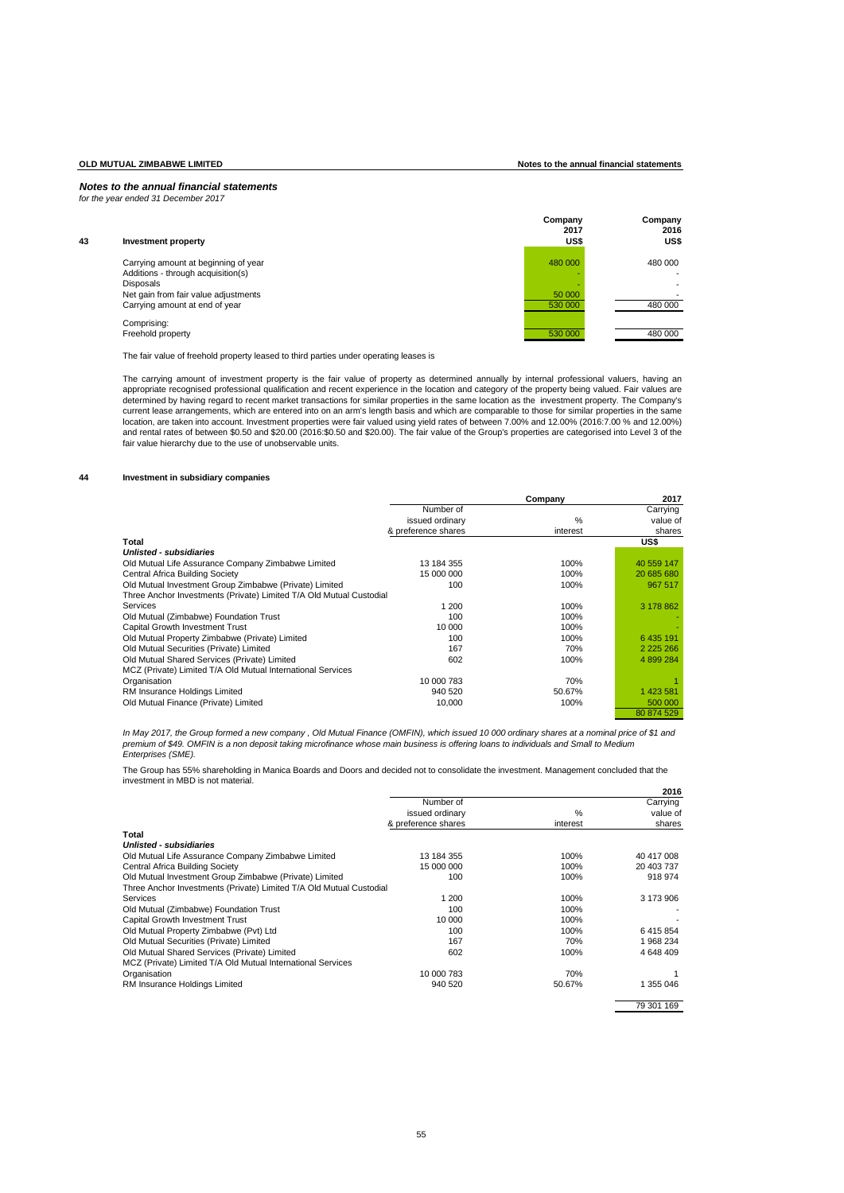**OLD MUTUAL ZIMBABWE LIMITED Notes to the annual financial statements**

## *Notes to the annual financial statements for the year ended 31 December 2017*

| 43 | Investment property                                    | Company<br>2017<br>US\$ | Company<br>2016<br>US\$ |
|----|--------------------------------------------------------|-------------------------|-------------------------|
|    | Carrying amount at beginning of year                   | 480 000                 | 480 000                 |
|    | Additions - through acquisition(s)<br><b>Disposals</b> |                         |                         |
|    | Net gain from fair value adjustments                   | 50 000                  |                         |
|    | Carrying amount at end of year                         | 530 000                 | 480 000                 |
|    | Comprising:                                            |                         |                         |
|    | Freehold property                                      | 530 000                 | 480 000                 |

The fair value of freehold property leased to third parties under operating leases is

The carrying amount of investment property is the fair value of property as determined annually by internal professional valuers, having an appropriate recognised professional qualification and recent experience in the location and category of the property being valued. Fair values are determined by having regard to recent market transactions for similar properties in the same location as the investment property. The Company's<br>location, are taken into account. Investment properties were fair valued using fair value hierarchy due to the use of unobservable units.

# **44 Investment in subsidiary companies**

|                                                                     |                     | Company       | 2017          |
|---------------------------------------------------------------------|---------------------|---------------|---------------|
|                                                                     | Number of           |               | Carrying      |
|                                                                     | issued ordinary     | $\frac{0}{0}$ | value of      |
|                                                                     | & preference shares | interest      | shares        |
| Total                                                               |                     |               | US\$          |
| Unlisted - subsidiaries                                             |                     |               |               |
| Old Mutual Life Assurance Company Zimbabwe Limited                  | 13 184 355          | 100%          | 40 559 147    |
| Central Africa Building Society                                     | 15 000 000          | 100%          | 20 685 680    |
| Old Mutual Investment Group Zimbabwe (Private) Limited              | 100                 | 100%          | 967 517       |
| Three Anchor Investments (Private) Limited T/A Old Mutual Custodial |                     |               |               |
| Services                                                            | 1 200               | 100%          | 3 178 862     |
| Old Mutual (Zimbabwe) Foundation Trust                              | 100                 | 100%          |               |
| Capital Growth Investment Trust                                     | 10 000              | 100%          |               |
| Old Mutual Property Zimbabwe (Private) Limited                      | 100                 | 100%          | 6 435 191     |
| Old Mutual Securities (Private) Limited                             | 167                 | 70%           | 2 2 2 5 2 6 6 |
| Old Mutual Shared Services (Private) Limited                        | 602                 | 100%          | 4 899 284     |
| MCZ (Private) Limited T/A Old Mutual International Services         |                     |               |               |
| Organisation                                                        | 10 000 783          | 70%           |               |
| RM Insurance Holdings Limited                                       | 940 520             | 50.67%        | 1 423 581     |
| Old Mutual Finance (Private) Limited                                | 10,000              | 100%          | 500 000       |
|                                                                     |                     |               | 80 874 529    |

In May 2017, the Group formed a new company , Old Mutual Finance (OMFIN), which issued 10 000 ordinary shares at a nominal price of \$1 and *premium of \$49. OMFIN is a non deposit taking microfinance whose main business is offering loans to individuals and Small to Medium Enterprises (SME).*

The Group has 55% shareholding in Manica Boards and Doors and decided not to consolidate the investment. Management concluded that the investment in MBD is not material.

|                                                                     |                     |               | 2016       |
|---------------------------------------------------------------------|---------------------|---------------|------------|
|                                                                     | Number of           |               | Carrying   |
|                                                                     | issued ordinary     | $\frac{0}{0}$ | value of   |
|                                                                     | & preference shares | interest      | shares     |
| Total                                                               |                     |               |            |
| Unlisted - subsidiaries                                             |                     |               |            |
| Old Mutual Life Assurance Company Zimbabwe Limited                  | 13 184 355          | 100%          | 40 417 008 |
| Central Africa Building Society                                     | 15 000 000          | 100%          | 20 403 737 |
| Old Mutual Investment Group Zimbabwe (Private) Limited              | 100                 | 100%          | 918 974    |
| Three Anchor Investments (Private) Limited T/A Old Mutual Custodial |                     |               |            |
| Services                                                            | 1 200               | 100%          | 3 173 906  |
| Old Mutual (Zimbabwe) Foundation Trust                              | 100                 | 100%          |            |
| Capital Growth Investment Trust                                     | 10 000              | 100%          |            |
| Old Mutual Property Zimbabwe (Pvt) Ltd                              | 100                 | 100%          | 6415854    |
| Old Mutual Securities (Private) Limited                             | 167                 | 70%           | 1968234    |
| Old Mutual Shared Services (Private) Limited                        | 602                 | 100%          | 4 648 409  |
| MCZ (Private) Limited T/A Old Mutual International Services         |                     |               |            |
| Organisation                                                        | 10 000 783          | 70%           |            |
| RM Insurance Holdings Limited                                       | 940 520             | 50.67%        | 1 355 046  |
|                                                                     |                     |               | 79 301 169 |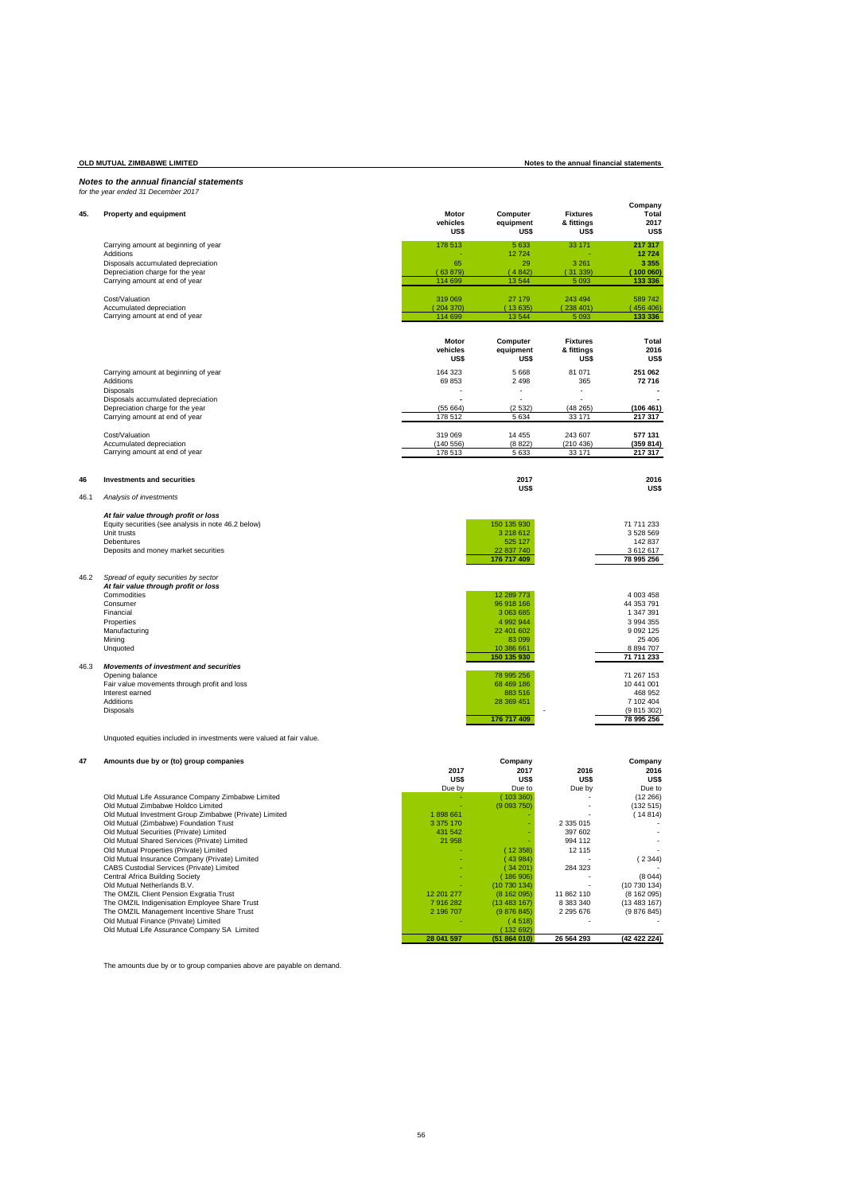# *Notes to the annual financial statements for the year ended 31 December 2017*

| 45.  | Property and equipment                                                                                                                                                                       | Motor<br>vehicles<br>US\$ | Computer<br>equipment<br><b>US\$</b>                                                                    | <b>Fixtures</b><br>& fittings<br>US\$ | Company<br>Total<br>2017<br><b>US\$</b>                                                                     |
|------|----------------------------------------------------------------------------------------------------------------------------------------------------------------------------------------------|---------------------------|---------------------------------------------------------------------------------------------------------|---------------------------------------|-------------------------------------------------------------------------------------------------------------|
|      | Carrying amount at beginning of year                                                                                                                                                         | 178 513                   | 5 6 3 3                                                                                                 | 33 171                                | 217 317                                                                                                     |
|      | Additions                                                                                                                                                                                    |                           | 12724                                                                                                   |                                       | 12724                                                                                                       |
|      | Disposals accumulated depreciation                                                                                                                                                           | 65                        | 29                                                                                                      | 3 2 6 1                               | 3 3 5 5                                                                                                     |
|      | Depreciation charge for the year                                                                                                                                                             | (63879)<br>114 699        | (4842)<br>13 544                                                                                        | (31 339)<br>5 0 9 3                   | (100060)<br>133 336                                                                                         |
|      | Carrying amount at end of year                                                                                                                                                               |                           |                                                                                                         |                                       |                                                                                                             |
|      | Cost/Valuation                                                                                                                                                                               | 319 069                   | 27 179                                                                                                  | 243 494                               | 589 742                                                                                                     |
|      | Accumulated depreciation                                                                                                                                                                     | (204370)                  | (13635)                                                                                                 | (238401)                              | 456 406)                                                                                                    |
|      | Carrying amount at end of year                                                                                                                                                               | 114 699                   | 13 544                                                                                                  | 5 0 9 3                               | 133 336                                                                                                     |
|      |                                                                                                                                                                                              | Motor<br>vehicles<br>US\$ | Computer<br>equipment<br>US\$                                                                           | <b>Fixtures</b><br>& fittings<br>US\$ | Total<br>2016<br><b>US\$</b>                                                                                |
|      | Carrying amount at beginning of year                                                                                                                                                         | 164 323                   | 5 6 6 8                                                                                                 | 81 071                                | 251 062                                                                                                     |
|      | Additions                                                                                                                                                                                    | 69853                     | 2 4 9 8                                                                                                 | 365                                   | 72 716                                                                                                      |
|      | Disposals                                                                                                                                                                                    |                           | ä,                                                                                                      | $\overline{a}$                        |                                                                                                             |
|      | Disposals accumulated depreciation                                                                                                                                                           |                           |                                                                                                         |                                       |                                                                                                             |
|      | Depreciation charge for the year                                                                                                                                                             | (55664)                   | (2532)                                                                                                  | (48265)                               | (106 461)                                                                                                   |
|      | Carrying amount at end of year                                                                                                                                                               | 178 512                   | 5 6 3 4                                                                                                 | 33 171                                | 217 317                                                                                                     |
|      | Cost/Valuation                                                                                                                                                                               | 319 069                   | 14 455                                                                                                  | 243 607                               | 577 131                                                                                                     |
|      | Accumulated depreciation                                                                                                                                                                     | (140556)                  | (8822)                                                                                                  | (210 436)                             | (359 814)                                                                                                   |
|      | Carrying amount at end of year                                                                                                                                                               | 178 513                   | 5 6 3 3                                                                                                 | 33 171                                | 217 317                                                                                                     |
| 46   | <b>Investments and securities</b>                                                                                                                                                            |                           | 2017                                                                                                    |                                       | 2016                                                                                                        |
| 46.1 | Analysis of investments                                                                                                                                                                      |                           | US\$                                                                                                    |                                       | US\$                                                                                                        |
|      | At fair value through profit or loss<br>Equity securities (see analysis in note 46.2 below)<br>Unit trusts<br><b>Debentures</b><br>Deposits and money market securities                      |                           | 150 135 930<br>3 218 612<br>525 127<br>22 837 740<br>176 717 409                                        |                                       | 71 711 233<br>3 528 569<br>142 837<br>3 612 617<br>78 995 256                                               |
| 46.2 | Spread of equity securities by sector<br>At fair value through profit or loss<br>Commodities<br>Consumer<br>Financial<br>Properties<br>Manufacturing<br>Mining<br>Unquoted                   |                           | 12 289 773<br>96 918 166<br>3 063 685<br>4 992 944<br>22 401 602<br>83 099<br>10 386 661<br>150 135 930 |                                       | 4 003 458<br>44 353 791<br>1 347 391<br>3 994 355<br>9 0 9 2 1 2 5<br>25 40 6<br>8 8 9 4 70 7<br>71 711 233 |
| 46.3 | Movements of investment and securities<br>Opening balance<br>Fair value movements through profit and loss<br>Interest earned<br>Additions<br>Disposals                                       |                           | 78 995 256<br>68 469 186<br>883 516<br>28 369 451<br>176 717 409                                        |                                       | 71 267 153<br>10 441 001<br>468 952<br>7 102 404<br>(9815302)<br>78 995 256                                 |
|      | Unquoted equities included in investments were valued at fair value.                                                                                                                         |                           |                                                                                                         |                                       |                                                                                                             |
| 47   | Amounts due by or (to) group companies                                                                                                                                                       | 2017<br>US\$<br>Due by    | Company<br>2017<br>US\$<br>Due to                                                                       | 2016<br><b>US\$</b><br>Due by         | Company<br>2016<br>US\$<br>Due to                                                                           |
|      | Old Mutual Life Assurance Company Zimbabwe Limited<br>Old Mutual Zimbabwe Holdco Limited<br>Old Mutual Investment Group Zimbabwe (Private) Limited<br>Old Mutual (Zimbabwe) Foundation Trust | 1898 661<br>3 375 170     | (103360)<br>(9093750)                                                                                   | 2.335.015                             | (12 266)<br>(132 515)<br>(14814)                                                                            |

016 Mutual Nivestment Group Zimbabwe (Private) Limited<br>
016 Mutual Scurities (Phivate) Limited<br>
016 Mutual Scurities (Phivate) Limited<br>
016 Mutual Scurities (Phivate) Limited<br>
016 Mutual Scurities (Phivate) Limited<br>
016 Mu **28 041 597 (51 864 010) 26 564 293 (42 422 224)**

The amounts due by or to group companies above are payable on demand.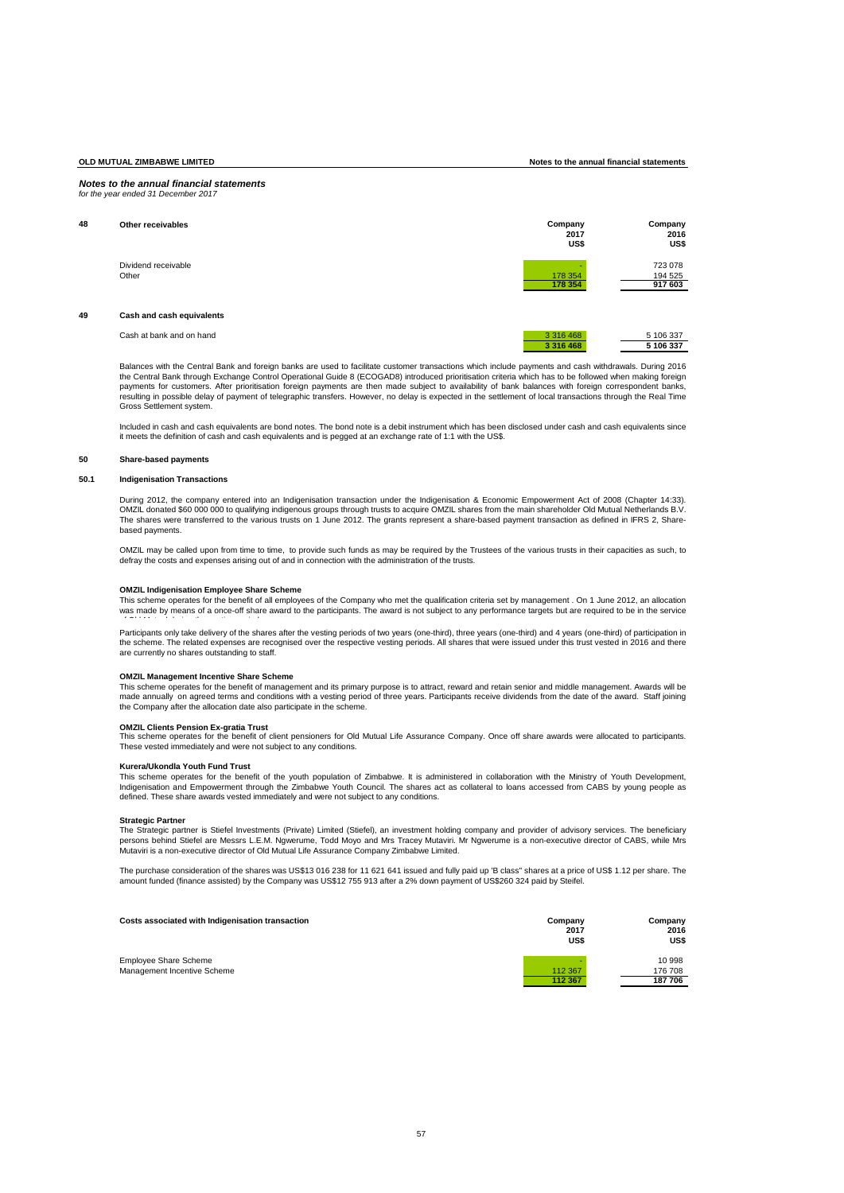### *Notes to the annual financial statements for the year ended 31 December 2017*

| 48 | Other receivables            | Company<br>2017<br>US\$ | Company<br>2016<br>US\$       |
|----|------------------------------|-------------------------|-------------------------------|
|    | Dividend receivable<br>Other | 178 354<br>178 354      | 723 078<br>194 525<br>917 603 |
| 49 | Cash and cash equivalents    |                         |                               |

Cash at bank and on hand **3376 468** 5 106 337 **3 316 468 5 106 337**

Balances with the Central Bank and foreign banks are used to facilitate customer transactions which include payments and cash withdrawals. During 2016 the Central Bank through Exchange Control Operational Guide 8 (ECOGAD8) introduced prioritisation criteria which has to be followed when making foreign payments for customers. After prioritisation foreign payments are then made subject to availability of bank balances with foreign correspondent banks, resulting in possible delay of payment of telegraphic transfers. However, no delay is expected in the settlement of local transactions through the Real Time Gross Settlement system.

Included in cash and cash equivalents are bond notes. The bond note is a debit instrument which has been disclosed under cash and cash equivalents since it meets the definition of cash and cash equivalents and is pegged at an exchange rate of 1:1 with the US\$.

# **50 Share-based payments**

### **50.1 Indigenisation Transactions**

During 2012, the company entered into an Indigenisation transaction under the Indigenisation & Economic Empowerment Act of 2008 (Chapter 14:33). OMZIL donated \$60 000 000 to qualifying indigenous groups through trusts to acquire OMZIL shares from the main shareholder Old Mutual Netherlands B.V. The shares were transferred to the various trusts on 1 June 2012. The grants represent a share-based payment transaction as defined in IFRS 2, Sharebased payments.

OMZIL may be called upon from time to time, to provide such funds as may be required by the Trustees of the various trusts in their capacities as such, to<br>defray the costs and expenses arising out of and in connection with

### **OMZIL Indigenisation Employee Share Scheme**

This scheme operates for the benefit of all employees of the Company who met the qualification criteria set by management . On 1 June 2012, an allocation was made by means of a once-off share award to the participants. The award is not subject to any performance targets but are required to be in the service of Old Mutual during the vesting period.

Participants only take delivery of the shares after the vesting periods of two years (one-third), three years (one-third) and 4 years (one-third) of participation in the scheme. The related expenses are recognised over the respective vesting periods. All shares that were issued under this trust vested in 2016 and there are currently no shares outstanding to staff.

## **OMZIL Management Incentive Share Scheme**

This scheme operates for the benefit of management and its primary purpose is to attract, reward and retain senior and middle management. Awards will be<br>made annually on agreed terms and conditions with a vesting period of the Company after the allocation date also participate in the scheme.

**OMZIL Clients Pension Ex-gratia Trust** This scheme operates for the benefit of client pensioners for Old Mutual Life Assurance Company. Once off share awards were allocated to participants. These vested immediately and were not subject to any conditions.

# **Kurera/Ukondla Youth Fund Trust**

This scheme operates for the benefit of the youth population of Zimbabwe. It is administered in collaboration with the Ministry of Youth Development, Indigenisation and Empowerment through the Zimbabwe Youth Council. The shares act as collateral to loans accessed from CABS by young people as defined. These share awards vested immediately and were not subject to any conditions.

### **Strategic Partner**

The Strategic partner is Stiefel Investments (Private) Limited (Stiefel), an investment holding company and provider of advisory services. The beneficiary<br>persons behind Stiefel are Messrs L.E.M. Ngwerume, Todd Moyo and Mr

The purchase consideration of the shares was US\$13 016 238 for 11 621 641 issued and fully paid up 'B class" shares at a price of US\$ 1.12 per share. The amount funded (finance assisted) by the Company was US\$12 755 913 after a 2% down payment of US\$260 324 paid by Steifel.

| Costs associated with Indigenisation transaction            | Company<br>2017<br>US\$ | Company<br>2016<br>US\$ |
|-------------------------------------------------------------|-------------------------|-------------------------|
| <b>Employee Share Scheme</b><br>Management Incentive Scheme | 112 367                 | 10 998<br>176 708       |
|                                                             | 112 367                 | 187706                  |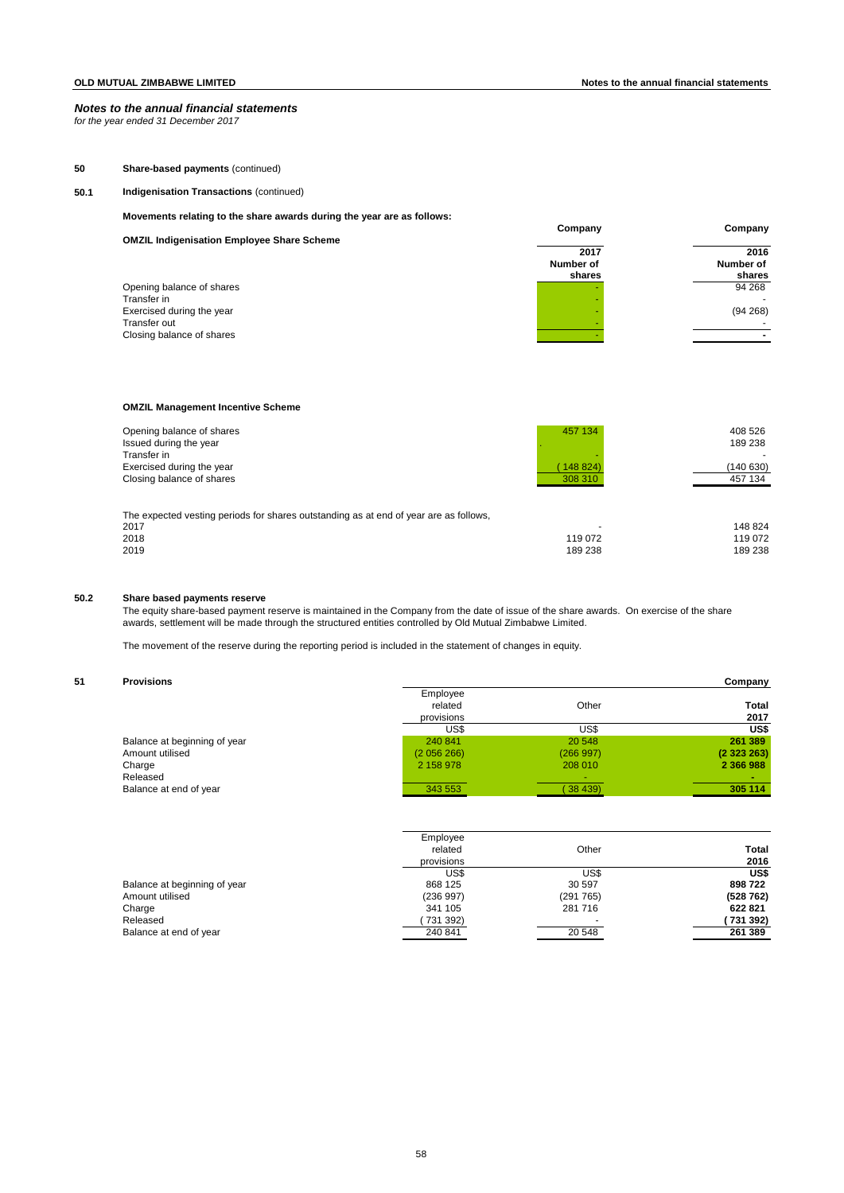*for the year ended 31 December 2017*

# **50 Share-based payments** (continued)

# **50.1 Indigenisation Transactions** (continued)

**Movements relating to the share awards during the year are as follows:**

|                                                   | Company           | Company                  |
|---------------------------------------------------|-------------------|--------------------------|
| <b>OMZIL Indigenisation Employee Share Scheme</b> | 2017<br>Number of | 2016<br>Number of        |
|                                                   | shares            | shares                   |
| Opening balance of shares<br>Transfer in          |                   | 94 268<br>$\sim$         |
| Exercised during the year<br>Transfer out         |                   | (94 268)                 |
| Closing balance of shares                         |                   | $\overline{\phantom{0}}$ |

# **OMZIL Management Incentive Scheme**

| Opening balance of shares<br>Issued during the year<br>Transfer in<br>Exercised during the year<br>Closing balance of shares | 457 134<br>148 824)<br>308 310 | 408 526<br>189 238<br>(140 630)<br>457 134 |
|------------------------------------------------------------------------------------------------------------------------------|--------------------------------|--------------------------------------------|
| The expected vesting periods for shares outstanding as at end of year are as follows,<br>2017<br>2018<br>2019                | 119 072<br>189 238             | 148 824<br>119 072<br>189 238              |

# **50.2 Share based payments reserve**

The equity share-based payment reserve is maintained in the Company from the date of issue of the share awards. On exercise of the share awards, settlement will be made through the structured entities controlled by Old Mutual Zimbabwe Limited.

The movement of the reserve during the reporting period is included in the statement of changes in equity.

### **51 Provisions Company**

|                              | Employee   |          |              |
|------------------------------|------------|----------|--------------|
|                              | related    | Other    | <b>Total</b> |
|                              | provisions |          | 2017         |
|                              | US\$       | US\$     | US\$         |
| Balance at beginning of year | 240 841    | 20 548   | 261 389      |
| Amount utilised              | (2056266)  | (266997) | (2323263)    |
| Charge                       | 2 158 978  | 208 010  | 2 366 988    |
| Released                     |            |          |              |
| Balance at end of year       | 343 553    | (38439)  | 305 114      |

|                              | Employee   |          |          |
|------------------------------|------------|----------|----------|
|                              | related    | Other    | Total    |
|                              | provisions |          | 2016     |
|                              | US\$       | US\$     | US\$     |
| Balance at beginning of year | 868 125    | 30 597   | 898722   |
| Amount utilised              | (236997)   | (291765) | (528762) |
| Charge                       | 341 105    | 281 716  | 622 821  |
| Released                     | 731 392)   |          | 731 392) |
| Balance at end of year       | 240 841    | 20 548   | 261 389  |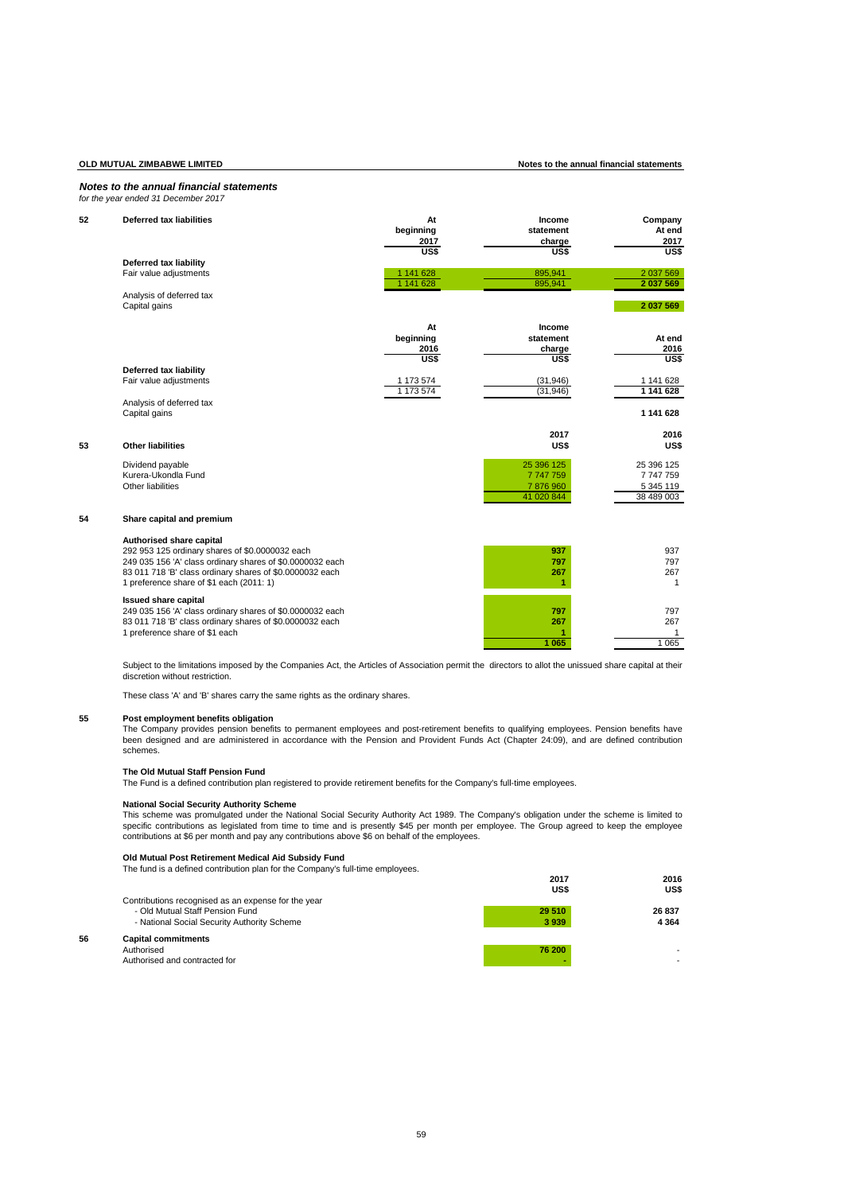# **OLD MUTUAL ZIMBABWE LIMITED Notes to the annual financial statements**

## *Notes to the annual financial statements for the year ended 31 December 2017*

| 52 | <b>Deferred tax liabilities</b>                                                                                                                                                                                                                  | At<br>beginning<br>2017         | Income<br>statement<br>charge                  | Company<br>At end<br>2017                          |
|----|--------------------------------------------------------------------------------------------------------------------------------------------------------------------------------------------------------------------------------------------------|---------------------------------|------------------------------------------------|----------------------------------------------------|
|    | Deferred tax liability<br>Fair value adjustments                                                                                                                                                                                                 | US\$<br>1 141 628<br>1 141 628  | US\$<br>895.941<br>895,941                     | US\$<br>2 037 569<br>2 037 569                     |
|    | Analysis of deferred tax<br>Capital gains                                                                                                                                                                                                        |                                 |                                                | 2 037 569                                          |
|    |                                                                                                                                                                                                                                                  | At<br>beginning<br>2016<br>US\$ | Income<br>statement<br>charge<br>US\$          | At end<br>2016<br>US\$                             |
|    | Deferred tax liability<br>Fair value adjustments                                                                                                                                                                                                 | 1 173 574<br>1 173 574          | (31, 946)<br>(31, 946)                         | 1 141 628<br>1 141 628                             |
|    | Analysis of deferred tax<br>Capital gains                                                                                                                                                                                                        |                                 |                                                | 1 141 628                                          |
| 53 | <b>Other liabilities</b>                                                                                                                                                                                                                         |                                 | 2017<br>US\$                                   | 2016<br>US\$                                       |
|    | Dividend payable<br>Kurera-Ukondla Fund<br>Other liabilities                                                                                                                                                                                     |                                 | 25 396 125<br>7747759<br>7876960<br>41 020 844 | 25 396 125<br>7 747 759<br>5 345 119<br>38 489 003 |
| 54 | Share capital and premium                                                                                                                                                                                                                        |                                 |                                                |                                                    |
|    | Authorised share capital<br>292 953 125 ordinary shares of \$0.0000032 each<br>249 035 156 'A' class ordinary shares of \$0.0000032 each<br>83 011 718 'B' class ordinary shares of \$0.0000032 each<br>1 preference share of \$1 each (2011: 1) |                                 | 937<br>797<br>267<br>1                         | 937<br>797<br>267<br>$\mathbf{1}$                  |
|    | <b>Issued share capital</b><br>249 035 156 'A' class ordinary shares of \$0.0000032 each<br>83 011 718 'B' class ordinary shares of \$0.0000032 each<br>1 preference share of \$1 each                                                           |                                 | 797<br>267<br>1 0 6 5                          | 797<br>267<br>1<br>1 0 6 5                         |

Subject to the limitations imposed by the Companies Act, the Articles of Association permit the directors to allot the unissued share capital at their discretion without restriction.

These class 'A' and 'B' shares carry the same rights as the ordinary shares.

**55 Post employment benefits obligation** The Company provides pension benefits to permanent employees and post-retirement benefits to qualifying employees. Pension benefits have been designed and are administered in accordance with the Pension and Provident Funds Act (Chapter 24:09), and are defined contribution schemes.

# **The Old Mutual Staff Pension Fund**

The Fund is a defined contribution plan registered to provide retirement benefits for the Company's full-time employees.

### **National Social Security Authority Scheme**

This scheme was promulgated under the National Social Security Authority Act 1989. The Company's obligation under the scheme is limited to specific contributions as legislated from time to time and is presently \$45 per month per employee. The Group agreed to keep the employee<br>contributions at \$6 per month and pay any contributions above \$6 on behalf of the em

### **Old Mutual Post Retirement Medical Aid Subsidy Fund**

The fund is a defined contribution plan for the Company's full-time employees.

|    |                                                     | 2017<br>US\$ | 2016<br>US\$ |
|----|-----------------------------------------------------|--------------|--------------|
|    | Contributions recognised as an expense for the year |              |              |
|    | - Old Mutual Staff Pension Fund                     | 29 510       | 26 837       |
|    | - National Social Security Authority Scheme         | 3 9 3 9      | 4 3 6 4      |
| 56 | <b>Capital commitments</b>                          |              |              |
|    | Authorised                                          | 76 200       |              |
|    | Authorised and contracted for                       |              |              |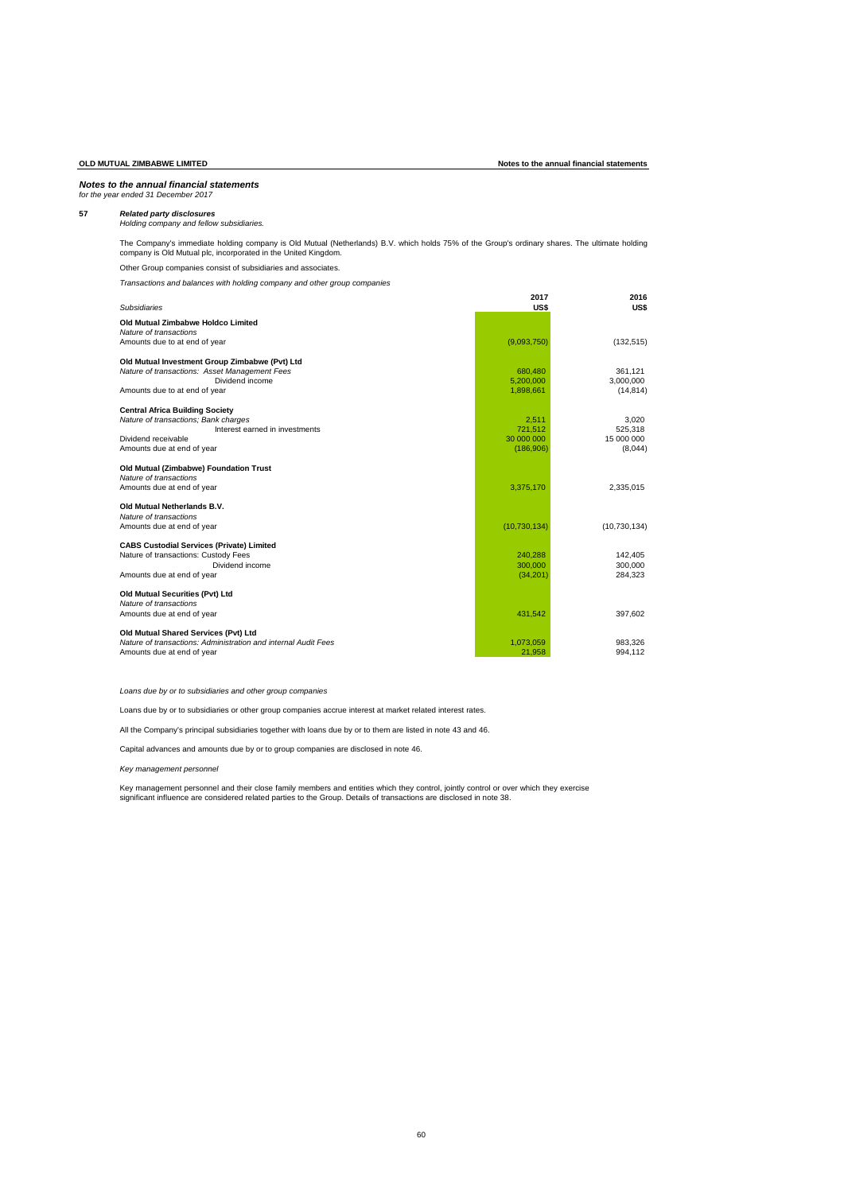# *Notes to the annual financial statements for the year ended 31 December 2017*

**57** *Related party disclosures Holding company and fellow subsidiaries.*

The Company's immediate holding company is Old Mutual (Netherlands) B.V. which holds 75% of the Group's ordinary shares. The ultimate holding company is Old Mutual plc, incorporated in the United Kingdom.

Other Group companies consist of subsidiaries and associates.

*Transactions and balances with holding company and other group companies* 

| <b>Subsidiaries</b>                                            | 2017<br>US\$   | 2016<br>US\$   |
|----------------------------------------------------------------|----------------|----------------|
| Old Mutual Zimbabwe Holdco Limited                             |                |                |
| Nature of transactions                                         |                |                |
| Amounts due to at end of year                                  | (9,093,750)    | (132, 515)     |
| Old Mutual Investment Group Zimbabwe (Pvt) Ltd                 |                |                |
| Nature of transactions: Asset Management Fees                  | 680.480        | 361.121        |
| Dividend income                                                | 5,200,000      | 3,000,000      |
| Amounts due to at end of year                                  | 1,898,661      | (14, 814)      |
| <b>Central Africa Building Society</b>                         |                |                |
| Nature of transactions; Bank charges                           | 2.511          | 3.020          |
| Interest earned in investments                                 | 721.512        | 525,318        |
| Dividend receivable                                            | 30,000,000     | 15 000 000     |
| Amounts due at end of year                                     | (186, 906)     | (8,044)        |
| Old Mutual (Zimbabwe) Foundation Trust                         |                |                |
| Nature of transactions                                         |                |                |
| Amounts due at end of year                                     | 3,375,170      | 2,335,015      |
| Old Mutual Netherlands B.V.                                    |                |                |
| Nature of transactions                                         |                |                |
| Amounts due at end of year                                     | (10, 730, 134) | (10, 730, 134) |
| <b>CABS Custodial Services (Private) Limited</b>               |                |                |
| Nature of transactions: Custody Fees                           | 240.288        | 142.405        |
| Dividend income                                                | 300,000        | 300,000        |
| Amounts due at end of year                                     | (34, 201)      | 284.323        |
| Old Mutual Securities (Pvt) Ltd                                |                |                |
| Nature of transactions                                         |                |                |
| Amounts due at end of year                                     | 431.542        | 397,602        |
| Old Mutual Shared Services (Pvt) Ltd                           |                |                |
| Nature of transactions: Administration and internal Audit Fees | 1.073.059      | 983.326        |
| Amounts due at end of year                                     | 21,958         | 994,112        |

*Loans due by or to subsidiaries and other group companies*

Loans due by or to subsidiaries or other group companies accrue interest at market related interest rates.

All the Company's principal subsidiaries together with loans due by or to them are listed in note 43 and 46.

Capital advances and amounts due by or to group companies are disclosed in note 46.

# *Key management personnel*

Key management personnel and their close family members and entities which they control, jointly control or over which they exercise<br>significant influence are considered related parties to the Group. Details of transaction